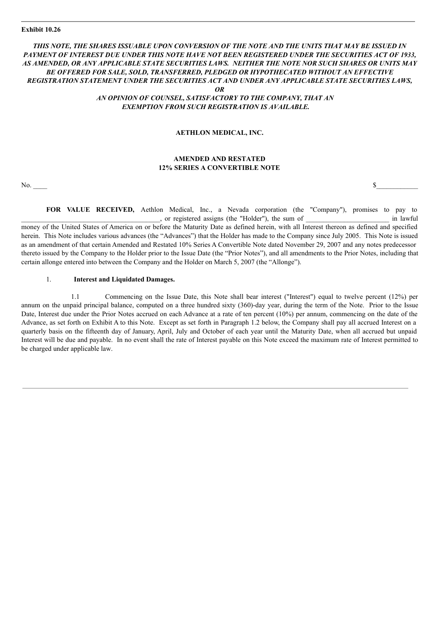### **Exhibit 10.26**

### *THIS NOTE, THE SHARES ISSUABLE UPON CONVERSION OF THE NOTE AND THE UNITS THAT MAY BE ISSUED IN PAYMENT OF INTEREST DUE UNDER THIS NOTE HAVE NOT BEEN REGISTERED UNDER THE SECURITIES ACT OF 1933, AS AMENDED, OR ANY APPLICABLE STATE SECURITIES LAWS. NEITHER THE NOTE NOR SUCH SHARES OR UNITS MAY BE OFFERED FOR SALE, SOLD, TRANSFERRED, PLEDGED OR HYPOTHECATED WITHOUT AN EFFECTIVE REGISTRATION STATEMENT UNDER THE SECURITIES ACT AND UNDER ANY APPLICABLE STATE SECURITIES LAWS, OR*

*AN OPINION OF COUNSEL, SATISFACTORY TO THE COMPANY, THAT AN EXEMPTION FROM SUCH REGISTRATION IS AVAILABLE.*

#### **AETHLON MEDICAL, INC.**

#### **AMENDED AND RESTATED 12% SERIES A CONVERTIBLE NOTE**

No.  $\frac{1}{s}$ 

**FOR VALUE RECEIVED,** Aethlon Medical, Inc., a Nevada corporation (the "Company"), promises to pay to \_\_\_\_\_\_\_\_\_\_\_\_\_\_\_\_\_\_\_\_\_\_\_\_\_\_\_\_\_\_\_\_\_\_\_\_\_\_\_\_, or registered assigns (the "Holder"), the sum of \_\_\_\_\_\_\_\_\_\_\_\_\_\_\_\_\_\_\_\_\_\_\_\_ in lawful money of the United States of America on or before the Maturity Date as defined herein, with all Interest thereon as defined and specified herein. This Note includes various advances (the "Advances") that the Holder has made to the Company since July 2005. This Note is issued as an amendment of that certain Amended and Restated 10% Series A Convertible Note dated November 29, 2007 and any notes predecessor thereto issued by the Company to the Holder prior to the Issue Date (the "Prior Notes"), and all amendments to the Prior Notes, including that certain allonge entered into between the Company and the Holder on March 5, 2007 (the "Allonge").

#### 1. **Interest and Liquidated Damages.**

1.1 Commencing on the Issue Date, this Note shall bear interest ("Interest") equal to twelve percent (12%) per annum on the unpaid principal balance, computed on a three hundred sixty (360)-day year, during the term of the Note. Prior to the Issue Date, Interest due under the Prior Notes accrued on each Advance at a rate of ten percent (10%) per annum, commencing on the date of the Advance, as set forth on Exhibit A to this Note. Except as set forth in Paragraph 1.2 below, the Company shall pay all accrued Interest on a quarterly basis on the fifteenth day of January, April, July and October of each year until the Maturity Date, when all accrued but unpaid Interest will be due and payable. In no event shall the rate of Interest payable on this Note exceed the maximum rate of Interest permitted to be charged under applicable law.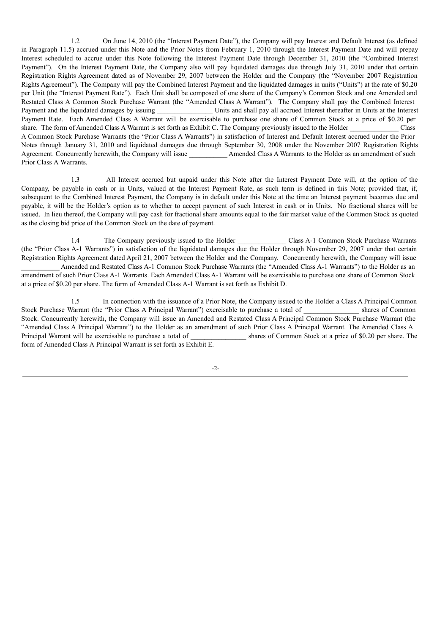1.2 On June 14, 2010 (the "Interest Payment Date"), the Company will pay Interest and Default Interest (as defined in Paragraph 11.5) accrued under this Note and the Prior Notes from February 1, 2010 through the Interest Payment Date and will prepay Interest scheduled to accrue under this Note following the Interest Payment Date through December 31, 2010 (the "Combined Interest Payment"). On the Interest Payment Date, the Company also will pay liquidated damages due through July 31, 2010 under that certain Registration Rights Agreement dated as of November 29, 2007 between the Holder and the Company (the "November 2007 Registration Rights Agreement"). The Company will pay the Combined Interest Payment and the liquidated damages in units ("Units") at the rate of \$0.20 per Unit (the "Interest Payment Rate"). Each Unit shall be composed of one share of the Company's Common Stock and one Amended and Restated Class A Common Stock Purchase Warrant (the "Amended Class A Warrant"). The Company shall pay the Combined Interest Payment and the liquidated damages by issuing \_\_\_\_\_\_\_\_\_\_\_\_\_\_\_\_\_\_\_\_\_\_\_\_Units and shall pay all accrued Interest thereafter in Units at the Interest Payment Rate. Each Amended Class A Warrant will be exercisable to purchase one share of Common Stock at a price of \$0.20 per share. The form of Amended Class A Warrant is set forth as Exhibit C. The Company previously issued to the Holder Class A Common Stock Purchase Warrants (the "Prior Class A Warrants") in satisfaction of Interest and Default Interest accrued under the Prior Notes through January 31, 2010 and liquidated damages due through September 30, 2008 under the November 2007 Registration Rights Agreement. Concurrently herewith, the Company will issue **Amended Class A Warrants to the Holder as an amendment of such** Prior Class A Warrants.

1.3 All Interest accrued but unpaid under this Note after the Interest Payment Date will, at the option of the Company, be payable in cash or in Units, valued at the Interest Payment Rate, as such term is defined in this Note; provided that, if, subsequent to the Combined Interest Payment, the Company is in default under this Note at the time an Interest payment becomes due and payable, it will be the Holder's option as to whether to accept payment of such Interest in cash or in Units. No fractional shares will be issued. In lieu thereof, the Company will pay cash for fractional share amounts equal to the fair market value of the Common Stock as quoted as the closing bid price of the Common Stock on the date of payment.

1.4 The Company previously issued to the Holder Class A-1 Common Stock Purchase Warrants (the "Prior Class A-1 Warrants") in satisfaction of the liquidated damages due the Holder through November 29, 2007 under that certain Registration Rights Agreement dated April 21, 2007 between the Holder and the Company. Concurrently herewith, the Company will issue Amended and Restated Class A-1 Common Stock Purchase Warrants (the "Amended Class A-1 Warrants") to the Holder as an amendment of such Prior Class A-1 Warrants. Each Amended Class A-1 Warrant will be exercisable to purchase one share of Common Stock at a price of \$0.20 per share. The form of Amended Class A-1 Warrant is set forth as Exhibit D.

1.5 In connection with the issuance of a Prior Note, the Company issued to the Holder a Class A Principal Common Stock Purchase Warrant (the "Prior Class A Principal Warrant") exercisable to purchase a total of shares of Common Stock. Concurrently herewith, the Company will issue an Amended and Restated Class A Principal Common Stock Purchase Warrant (the "Amended Class A Principal Warrant") to the Holder as an amendment of such Prior Class A Principal Warrant. The Amended Class A Principal Warrant will be exercisable to purchase a total of the shares of Common Stock at a price of \$0.20 per share. The form of Amended Class A Principal Warrant is set forth as Exhibit E.

 $-2$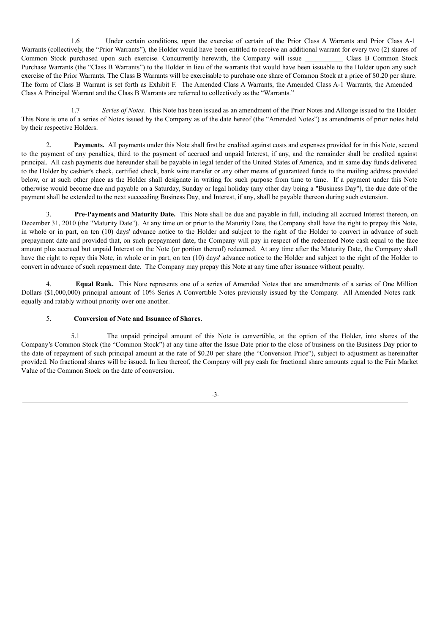1.6 Under certain conditions, upon the exercise of certain of the Prior Class A Warrants and Prior Class A-1 Warrants (collectively, the "Prior Warrants"), the Holder would have been entitled to receive an additional warrant for every two (2) shares of Common Stock purchased upon such exercise. Concurrently herewith, the Company will issue Class B Common Stock Purchase Warrants (the "Class B Warrants") to the Holder in lieu of the warrants that would have been issuable to the Holder upon any such exercise of the Prior Warrants. The Class B Warrants will be exercisable to purchase one share of Common Stock at a price of \$0.20 per share. The form of Class B Warrant is set forth as Exhibit F. The Amended Class A Warrants, the Amended Class A-1 Warrants, the Amended Class A Principal Warrant and the Class B Warrants are referred to collectively as the "Warrants."

1.7 *Series of Notes*. This Note has been issued as an amendment of the Prior Notes and Allonge issued to the Holder. This Note is one of a series of Notes issued by the Company as of the date hereof (the "Amended Notes") as amendments of prior notes held by their respective Holders.

2. **Payments***.* All payments under this Note shall first be credited against costs and expenses provided for in this Note, second to the payment of any penalties, third to the payment of accrued and unpaid Interest, if any, and the remainder shall be credited against principal. All cash payments due hereunder shall be payable in legal tender of the United States of America, and in same day funds delivered to the Holder by cashier's check, certified check, bank wire transfer or any other means of guaranteed funds to the mailing address provided below, or at such other place as the Holder shall designate in writing for such purpose from time to time. If a payment under this Note otherwise would become due and payable on a Saturday, Sunday or legal holiday (any other day being a "Business Day"), the due date of the payment shall be extended to the next succeeding Business Day, and Interest, if any, shall be payable thereon during such extension.

3. **Pre-Payments and Maturity Date.** This Note shall be due and payable in full, including all accrued Interest thereon, on December 31, 2010 (the "Maturity Date"). At any time on or prior to the Maturity Date, the Company shall have the right to prepay this Note, in whole or in part, on ten (10) days' advance notice to the Holder and subject to the right of the Holder to convert in advance of such prepayment date and provided that, on such prepayment date, the Company will pay in respect of the redeemed Note cash equal to the face amount plus accrued but unpaid Interest on the Note (or portion thereof) redeemed. At any time after the Maturity Date, the Company shall have the right to repay this Note, in whole or in part, on ten (10) days' advance notice to the Holder and subject to the right of the Holder to convert in advance of such repayment date. The Company may prepay this Note at any time after issuance without penalty.

4. **Equal Rank.** This Note represents one of a series of Amended Notes that are amendments of a series of One Million Dollars (\$1,000,000) principal amount of 10% Series A Convertible Notes previously issued by the Company. All Amended Notes rank equally and ratably without priority over one another.

### 5. **Conversion of Note and Issuance of Shares**.

5.1 The unpaid principal amount of this Note is convertible, at the option of the Holder, into shares of the Company's Common Stock (the "Common Stock") at any time after the Issue Date prior to the close of business on the Business Day prior to the date of repayment of such principal amount at the rate of \$0.20 per share (the "Conversion Price"), subject to adjustment as hereinafter provided. No fractional shares will be issued. In lieu thereof, the Company will pay cash for fractional share amounts equal to the Fair Market Value of the Common Stock on the date of conversion.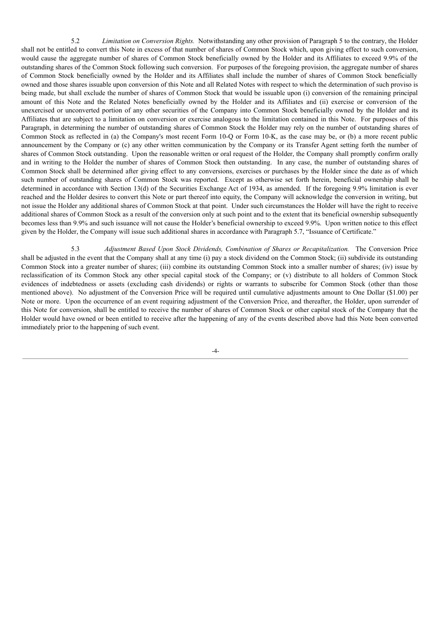5.2 *Limitation on Conversion Rights.* Notwithstanding any other provision of Paragraph 5 to the contrary, the Holder shall not be entitled to convert this Note in excess of that number of shares of Common Stock which, upon giving effect to such conversion, would cause the aggregate number of shares of Common Stock beneficially owned by the Holder and its Affiliates to exceed 9.9% of the outstanding shares of the Common Stock following such conversion. For purposes of the foregoing provision, the aggregate number of shares of Common Stock beneficially owned by the Holder and its Affiliates shall include the number of shares of Common Stock beneficially owned and those shares issuable upon conversion of this Note and all Related Notes with respect to which the determination of such proviso is being made, but shall exclude the number of shares of Common Stock that would be issuable upon (i) conversion of the remaining principal amount of this Note and the Related Notes beneficially owned by the Holder and its Affiliates and (ii) exercise or conversion of the unexercised or unconverted portion of any other securities of the Company into Common Stock beneficially owned by the Holder and its Affiliates that are subject to a limitation on conversion or exercise analogous to the limitation contained in this Note. For purposes of this Paragraph, in determining the number of outstanding shares of Common Stock the Holder may rely on the number of outstanding shares of Common Stock as reflected in (a) the Company's most recent Form 10-Q or Form 10-K, as the case may be, or (b) a more recent public announcement by the Company or (c) any other written communication by the Company or its Transfer Agent setting forth the number of shares of Common Stock outstanding. Upon the reasonable written or oral request of the Holder, the Company shall promptly confirm orally and in writing to the Holder the number of shares of Common Stock then outstanding. In any case, the number of outstanding shares of Common Stock shall be determined after giving effect to any conversions, exercises or purchases by the Holder since the date as of which such number of outstanding shares of Common Stock was reported. Except as otherwise set forth herein, beneficial ownership shall be determined in accordance with Section 13(d) of the Securities Exchange Act of 1934, as amended. If the foregoing 9.9% limitation is ever reached and the Holder desires to convert this Note or part thereof into equity, the Company will acknowledge the conversion in writing, but not issue the Holder any additional shares of Common Stock at that point. Under such circumstances the Holder will have the right to receive additional shares of Common Stock as a result of the conversion only at such point and to the extent that its beneficial ownership subsequently becomes less than 9.9% and such issuance will not cause the Holder's beneficial ownership to exceed 9.9%. Upon written notice to this effect given by the Holder, the Company will issue such additional shares in accordance with Paragraph 5.7, "Issuance of Certificate."

5.3 *Adjustment Based Upon Stock Dividends, Combination of Shares or Recapitalization.* The Conversion Price shall be adjusted in the event that the Company shall at any time (i) pay a stock dividend on the Common Stock; (ii) subdivide its outstanding Common Stock into a greater number of shares; (iii) combine its outstanding Common Stock into a smaller number of shares; (iv) issue by reclassification of its Common Stock any other special capital stock of the Company; or (v) distribute to all holders of Common Stock evidences of indebtedness or assets (excluding cash dividends) or rights or warrants to subscribe for Common Stock (other than those mentioned above). No adjustment of the Conversion Price will be required until cumulative adjustments amount to One Dollar (\$1.00) per Note or more. Upon the occurrence of an event requiring adjustment of the Conversion Price, and thereafter, the Holder, upon surrender of this Note for conversion, shall be entitled to receive the number of shares of Common Stock or other capital stock of the Company that the Holder would have owned or been entitled to receive after the happening of any of the events described above had this Note been converted immediately prior to the happening of such event.

-4-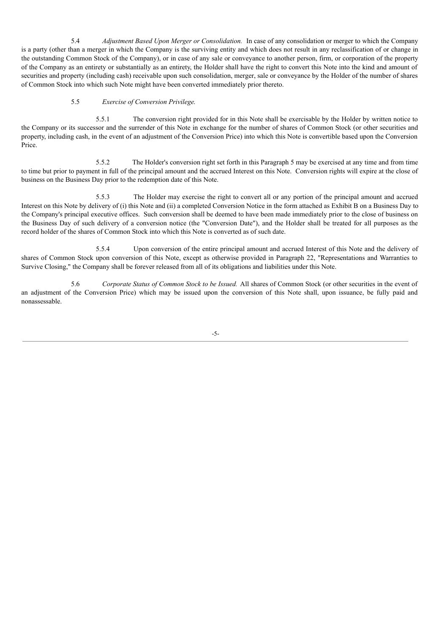5.4 *Adjustment Based Upon Merger or Consolidation.* In case of any consolidation or merger to which the Company is a party (other than a merger in which the Company is the surviving entity and which does not result in any reclassification of or change in the outstanding Common Stock of the Company), or in case of any sale or conveyance to another person, firm, or corporation of the property of the Company as an entirety or substantially as an entirety, the Holder shall have the right to convert this Note into the kind and amount of securities and property (including cash) receivable upon such consolidation, merger, sale or conveyance by the Holder of the number of shares of Common Stock into which such Note might have been converted immediately prior thereto.

### 5.5 *Exercise of Conversion Privilege*.

5.5.1 The conversion right provided for in this Note shall be exercisable by the Holder by written notice to the Company or its successor and the surrender of this Note in exchange for the number of shares of Common Stock (or other securities and property, including cash, in the event of an adjustment of the Conversion Price) into which this Note is convertible based upon the Conversion Price.

5.5.2 The Holder's conversion right set forth in this Paragraph 5 may be exercised at any time and from time to time but prior to payment in full of the principal amount and the accrued Interest on this Note. Conversion rights will expire at the close of business on the Business Day prior to the redemption date of this Note.

5.5.3 The Holder may exercise the right to convert all or any portion of the principal amount and accrued Interest on this Note by delivery of (i) this Note and (ii) a completed Conversion Notice in the form attached as Exhibit B on a Business Day to the Company's principal executive offices. Such conversion shall be deemed to have been made immediately prior to the close of business on the Business Day of such delivery of a conversion notice (the "Conversion Date"), and the Holder shall be treated for all purposes as the record holder of the shares of Common Stock into which this Note is converted as of such date.

5.5.4 Upon conversion of the entire principal amount and accrued Interest of this Note and the delivery of shares of Common Stock upon conversion of this Note, except as otherwise provided in Paragraph 22, "Representations and Warranties to Survive Closing," the Company shall be forever released from all of its obligations and liabilities under this Note.

5.6 *Corporate Status of Common Stock to be Issued.* All shares of Common Stock (or other securities in the event of an adjustment of the Conversion Price) which may be issued upon the conversion of this Note shall, upon issuance, be fully paid and nonassessable.

-5-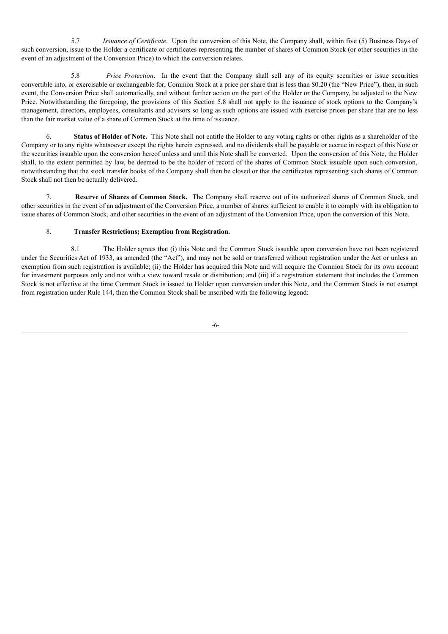5.7 *Issuance of Certificate.* Upon the conversion of this Note, the Company shall, within five (5) Business Days of such conversion, issue to the Holder a certificate or certificates representing the number of shares of Common Stock (or other securities in the event of an adjustment of the Conversion Price) to which the conversion relates.

5.8 *Price Protection*. In the event that the Company shall sell any of its equity securities or issue securities convertible into, or exercisable or exchangeable for, Common Stock at a price per share that is less than \$0.20 (the "New Price"), then, in such event, the Conversion Price shall automatically, and without further action on the part of the Holder or the Company, be adjusted to the New Price. Notwithstanding the foregoing, the provisions of this Section 5.8 shall not apply to the issuance of stock options to the Company's management, directors, employees, consultants and advisors so long as such options are issued with exercise prices per share that are no less than the fair market value of a share of Common Stock at the time of issuance.

6. **Status of Holder of Note.** This Note shall not entitle the Holder to any voting rights or other rights as a shareholder of the Company or to any rights whatsoever except the rights herein expressed, and no dividends shall be payable or accrue in respect of this Note or the securities issuable upon the conversion hereof unless and until this Note shall be converted. Upon the conversion of this Note, the Holder shall, to the extent permitted by law, be deemed to be the holder of record of the shares of Common Stock issuable upon such conversion, notwithstanding that the stock transfer books of the Company shall then be closed or that the certificates representing such shares of Common Stock shall not then be actually delivered.

7. **Reserve of Shares of Common Stock.** The Company shall reserve out of its authorized shares of Common Stock, and other securities in the event of an adjustment of the Conversion Price, a number of shares sufficient to enable it to comply with its obligation to issue shares of Common Stock, and other securities in the event of an adjustment of the Conversion Price, upon the conversion of this Note.

### 8. **Transfer Restrictions; Exemption from Registration.**

8.1 The Holder agrees that (i) this Note and the Common Stock issuable upon conversion have not been registered under the Securities Act of 1933, as amended (the "Act"), and may not be sold or transferred without registration under the Act or unless an exemption from such registration is available; (ii) the Holder has acquired this Note and will acquire the Common Stock for its own account for investment purposes only and not with a view toward resale or distribution; and (iii) if a registration statement that includes the Common Stock is not effective at the time Common Stock is issued to Holder upon conversion under this Note, and the Common Stock is not exempt from registration under Rule 144, then the Common Stock shall be inscribed with the following legend:

-6-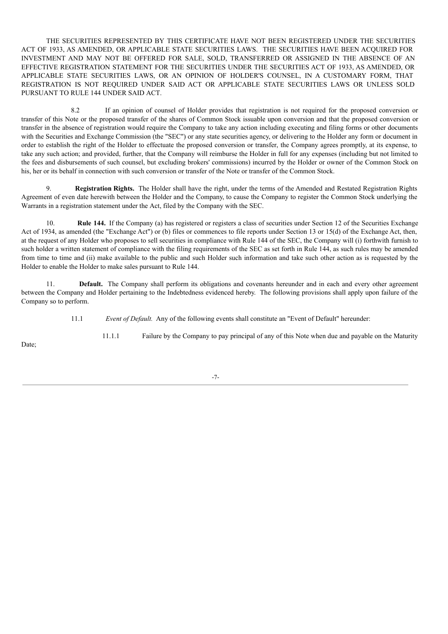THE SECURITIES REPRESENTED BY THIS CERTIFICATE HAVE NOT BEEN REGISTERED UNDER THE SECURITIES ACT OF 1933, AS AMENDED, OR APPLICABLE STATE SECURITIES LAWS. THE SECURITIES HAVE BEEN ACQUIRED FOR INVESTMENT AND MAY NOT BE OFFERED FOR SALE, SOLD, TRANSFERRED OR ASSIGNED IN THE ABSENCE OF AN EFFECTIVE REGISTRATION STATEMENT FOR THE SECURITIES UNDER THE SECURITIES ACT OF 1933, AS AMENDED, OR APPLICABLE STATE SECURITIES LAWS, OR AN OPINION OF HOLDER'S COUNSEL, IN A CUSTOMARY FORM, THAT REGISTRATION IS NOT REQUIRED UNDER SAID ACT OR APPLICABLE STATE SECURITIES LAWS OR UNLESS SOLD PURSUANT TO RULE 144 UNDER SAID ACT.

8.2 If an opinion of counsel of Holder provides that registration is not required for the proposed conversion or transfer of this Note or the proposed transfer of the shares of Common Stock issuable upon conversion and that the proposed conversion or transfer in the absence of registration would require the Company to take any action including executing and filing forms or other documents with the Securities and Exchange Commission (the "SEC") or any state securities agency, or delivering to the Holder any form or document in order to establish the right of the Holder to effectuate the proposed conversion or transfer, the Company agrees promptly, at its expense, to take any such action; and provided, further, that the Company will reimburse the Holder in full for any expenses (including but not limited to the fees and disbursements of such counsel, but excluding brokers' commissions) incurred by the Holder or owner of the Common Stock on his, her or its behalf in connection with such conversion or transfer of the Note or transfer of the Common Stock.

9. **Registration Rights.** The Holder shall have the right, under the terms of the Amended and Restated Registration Rights Agreement of even date herewith between the Holder and the Company, to cause the Company to register the Common Stock underlying the Warrants in a registration statement under the Act, filed by the Company with the SEC.

10. **Rule 144.** If the Company (a) has registered or registers a class of securities under Section 12 of the Securities Exchange Act of 1934, as amended (the "Exchange Act") or (b) files or commences to file reports under Section 13 or 15(d) of the Exchange Act, then, at the request of any Holder who proposes to sell securities in compliance with Rule 144 of the SEC, the Company will (i) forthwith furnish to such holder a written statement of compliance with the filing requirements of the SEC as set forth in Rule 144, as such rules may be amended from time to time and (ii) make available to the public and such Holder such information and take such other action as is requested by the Holder to enable the Holder to make sales pursuant to Rule 144.

11. **Default.** The Company shall perform its obligations and covenants hereunder and in each and every other agreement between the Company and Holder pertaining to the Indebtedness evidenced hereby. The following provisions shall apply upon failure of the Company so to perform.

11.1 *Event of Default.* Any of the following events shall constitute an "Event of Default" hereunder:

11.1.1 Failure by the Company to pay principal of any of this Note when due and payable on the Maturity

Date;

### -7-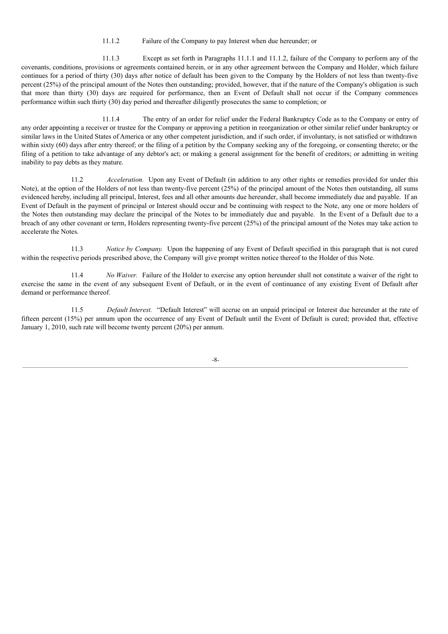### 11.1.2 Failure of the Company to pay Interest when due hereunder; or

11.1.3 Except as set forth in Paragraphs 11.1.1 and 11.1.2, failure of the Company to perform any of the covenants, conditions, provisions or agreements contained herein, or in any other agreement between the Company and Holder, which failure continues for a period of thirty (30) days after notice of default has been given to the Company by the Holders of not less than twenty-five percent (25%) of the principal amount of the Notes then outstanding; provided, however, that if the nature of the Company's obligation is such that more than thirty (30) days are required for performance, then an Event of Default shall not occur if the Company commences performance within such thirty (30) day period and thereafter diligently prosecutes the same to completion; or

11.1.4 The entry of an order for relief under the Federal Bankruptcy Code as to the Company or entry of any order appointing a receiver or trustee for the Company or approving a petition in reorganization or other similar relief under bankruptcy or similar laws in the United States of America or any other competent jurisdiction, and if such order, if involuntary, is not satisfied or withdrawn within sixty (60) days after entry thereof; or the filing of a petition by the Company seeking any of the foregoing, or consenting thereto; or the filing of a petition to take advantage of any debtor's act; or making a general assignment for the benefit of creditors; or admitting in writing inability to pay debts as they mature.

11.2 *Acceleration.* Upon any Event of Default (in addition to any other rights or remedies provided for under this Note), at the option of the Holders of not less than twenty-five percent (25%) of the principal amount of the Notes then outstanding, all sums evidenced hereby, including all principal, Interest, fees and all other amounts due hereunder, shall become immediately due and payable. If an Event of Default in the payment of principal or Interest should occur and be continuing with respect to the Note, any one or more holders of the Notes then outstanding may declare the principal of the Notes to be immediately due and payable. In the Event of a Default due to a breach of any other covenant or term, Holders representing twenty-five percent (25%) of the principal amount of the Notes may take action to accelerate the Notes.

11.3 *Notice by Company.* Upon the happening of any Event of Default specified in this paragraph that is not cured within the respective periods prescribed above, the Company will give prompt written notice thereof to the Holder of this Note.

11.4 *No Waiver.* Failure of the Holder to exercise any option hereunder shall not constitute a waiver of the right to exercise the same in the event of any subsequent Event of Default, or in the event of continuance of any existing Event of Default after demand or performance thereof.

11.5 *Default Interest.* "Default Interest" will accrue on an unpaid principal or Interest due hereunder at the rate of fifteen percent (15%) per annum upon the occurrence of any Event of Default until the Event of Default is cured; provided that, effective January 1, 2010, such rate will become twenty percent (20%) per annum.

-8-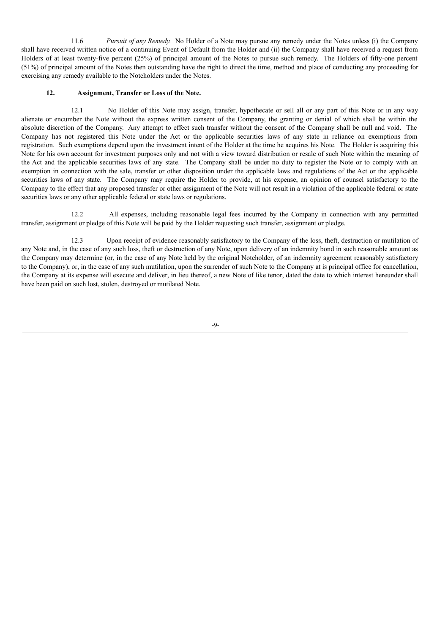11.6 *Pursuit of any Remedy.* No Holder of a Note may pursue any remedy under the Notes unless (i) the Company shall have received written notice of a continuing Event of Default from the Holder and (ii) the Company shall have received a request from Holders of at least twenty-five percent (25%) of principal amount of the Notes to pursue such remedy. The Holders of fifty-one percent (51%) of principal amount of the Notes then outstanding have the right to direct the time, method and place of conducting any proceeding for exercising any remedy available to the Noteholders under the Notes.

### **12. Assignment, Transfer or Loss of the Note.**

12.1 No Holder of this Note may assign, transfer, hypothecate or sell all or any part of this Note or in any way alienate or encumber the Note without the express written consent of the Company, the granting or denial of which shall be within the absolute discretion of the Company. Any attempt to effect such transfer without the consent of the Company shall be null and void. The Company has not registered this Note under the Act or the applicable securities laws of any state in reliance on exemptions from registration. Such exemptions depend upon the investment intent of the Holder at the time he acquires his Note. The Holder is acquiring this Note for his own account for investment purposes only and not with a view toward distribution or resale of such Note within the meaning of the Act and the applicable securities laws of any state. The Company shall be under no duty to register the Note or to comply with an exemption in connection with the sale, transfer or other disposition under the applicable laws and regulations of the Act or the applicable securities laws of any state. The Company may require the Holder to provide, at his expense, an opinion of counsel satisfactory to the Company to the effect that any proposed transfer or other assignment of the Note will not result in a violation of the applicable federal or state securities laws or any other applicable federal or state laws or regulations.

12.2 All expenses, including reasonable legal fees incurred by the Company in connection with any permitted transfer, assignment or pledge of this Note will be paid by the Holder requesting such transfer, assignment or pledge.

12.3 Upon receipt of evidence reasonably satisfactory to the Company of the loss, theft, destruction or mutilation of any Note and, in the case of any such loss, theft or destruction of any Note, upon delivery of an indemnity bond in such reasonable amount as the Company may determine (or, in the case of any Note held by the original Noteholder, of an indemnity agreement reasonably satisfactory to the Company), or, in the case of any such mutilation, upon the surrender of such Note to the Company at is principal office for cancellation, the Company at its expense will execute and deliver, in lieu thereof, a new Note of like tenor, dated the date to which interest hereunder shall have been paid on such lost, stolen, destroyed or mutilated Note.

-9-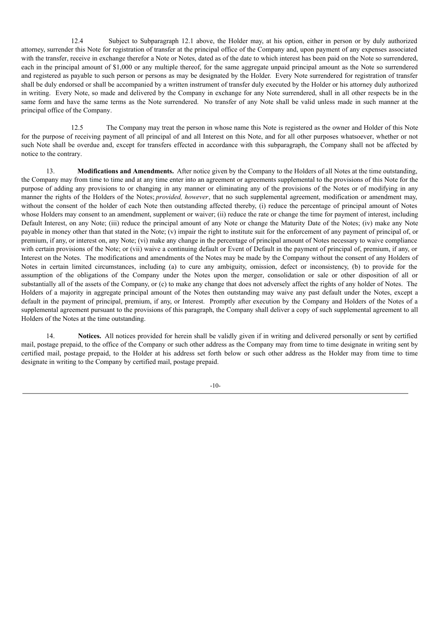12.4 Subject to Subparagraph 12.1 above, the Holder may, at his option, either in person or by duly authorized attorney, surrender this Note for registration of transfer at the principal office of the Company and, upon payment of any expenses associated with the transfer, receive in exchange therefor a Note or Notes, dated as of the date to which interest has been paid on the Note so surrendered, each in the principal amount of \$1,000 or any multiple thereof, for the same aggregate unpaid principal amount as the Note so surrendered and registered as payable to such person or persons as may be designated by the Holder. Every Note surrendered for registration of transfer shall be duly endorsed or shall be accompanied by a written instrument of transfer duly executed by the Holder or his attorney duly authorized in writing. Every Note, so made and delivered by the Company in exchange for any Note surrendered, shall in all other respects be in the same form and have the same terms as the Note surrendered. No transfer of any Note shall be valid unless made in such manner at the principal office of the Company.

12.5 The Company may treat the person in whose name this Note is registered as the owner and Holder of this Note for the purpose of receiving payment of all principal of and all Interest on this Note, and for all other purposes whatsoever, whether or not such Note shall be overdue and, except for transfers effected in accordance with this subparagraph, the Company shall not be affected by notice to the contrary.

13. **Modifications and Amendments.** After notice given by the Company to the Holders of all Notes at the time outstanding, the Company may from time to time and at any time enter into an agreement or agreements supplemental to the provisions of this Note for the purpose of adding any provisions to or changing in any manner or eliminating any of the provisions of the Notes or of modifying in any manner the rights of the Holders of the Notes; *provided, however*, that no such supplemental agreement, modification or amendment may, without the consent of the holder of each Note then outstanding affected thereby, (i) reduce the percentage of principal amount of Notes whose Holders may consent to an amendment, supplement or waiver; (ii) reduce the rate or change the time for payment of interest, including Default Interest, on any Note; (iii) reduce the principal amount of any Note or change the Maturity Date of the Notes; (iv) make any Note payable in money other than that stated in the Note; (v) impair the right to institute suit for the enforcement of any payment of principal of, or premium, if any, or interest on, any Note; (vi) make any change in the percentage of principal amount of Notes necessary to waive compliance with certain provisions of the Note; or (vii) waive a continuing default or Event of Default in the payment of principal of, premium, if any, or Interest on the Notes. The modifications and amendments of the Notes may be made by the Company without the consent of any Holders of Notes in certain limited circumstances, including (a) to cure any ambiguity, omission, defect or inconsistency, (b) to provide for the assumption of the obligations of the Company under the Notes upon the merger, consolidation or sale or other disposition of all or substantially all of the assets of the Company, or (c) to make any change that does not adversely affect the rights of any holder of Notes. The Holders of a majority in aggregate principal amount of the Notes then outstanding may waive any past default under the Notes, except a default in the payment of principal, premium, if any, or Interest. Promptly after execution by the Company and Holders of the Notes of a supplemental agreement pursuant to the provisions of this paragraph, the Company shall deliver a copy of such supplemental agreement to all Holders of the Notes at the time outstanding.

**Notices.** All notices provided for herein shall be validly given if in writing and delivered personally or sent by certified mail, postage prepaid, to the office of the Company or such other address as the Company may from time to time designate in writing sent by certified mail, postage prepaid, to the Holder at his address set forth below or such other address as the Holder may from time to time designate in writing to the Company by certified mail, postage prepaid.

 $-10-$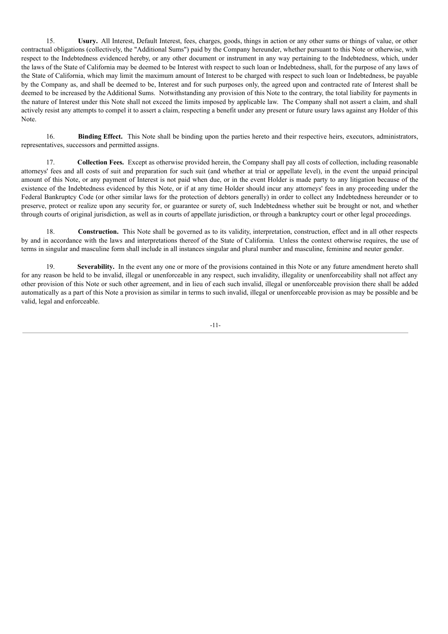15. **Usury.** All Interest, Default Interest, fees, charges, goods, things in action or any other sums or things of value, or other contractual obligations (collectively, the "Additional Sums") paid by the Company hereunder, whether pursuant to this Note or otherwise, with respect to the Indebtedness evidenced hereby, or any other document or instrument in any way pertaining to the Indebtedness, which, under the laws of the State of California may be deemed to be Interest with respect to such loan or Indebtedness, shall, for the purpose of any laws of the State of California, which may limit the maximum amount of Interest to be charged with respect to such loan or Indebtedness, be payable by the Company as, and shall be deemed to be, Interest and for such purposes only, the agreed upon and contracted rate of Interest shall be deemed to be increased by the Additional Sums. Notwithstanding any provision of this Note to the contrary, the total liability for payments in the nature of Interest under this Note shall not exceed the limits imposed by applicable law. The Company shall not assert a claim, and shall actively resist any attempts to compel it to assert a claim, respecting a benefit under any present or future usury laws against any Holder of this Note.

16. **Binding Effect.** This Note shall be binding upon the parties hereto and their respective heirs, executors, administrators, representatives, successors and permitted assigns.

17. **Collection Fees.** Except as otherwise provided herein, the Company shall pay all costs of collection, including reasonable attorneys' fees and all costs of suit and preparation for such suit (and whether at trial or appellate level), in the event the unpaid principal amount of this Note, or any payment of Interest is not paid when due, or in the event Holder is made party to any litigation because of the existence of the Indebtedness evidenced by this Note, or if at any time Holder should incur any attorneys' fees in any proceeding under the Federal Bankruptcy Code (or other similar laws for the protection of debtors generally) in order to collect any Indebtedness hereunder or to preserve, protect or realize upon any security for, or guarantee or surety of, such Indebtedness whether suit be brought or not, and whether through courts of original jurisdiction, as well as in courts of appellate jurisdiction, or through a bankruptcy court or other legal proceedings.

18. **Construction.** This Note shall be governed as to its validity, interpretation, construction, effect and in all other respects by and in accordance with the laws and interpretations thereof of the State of California. Unless the context otherwise requires, the use of terms in singular and masculine form shall include in all instances singular and plural number and masculine, feminine and neuter gender.

19. **Severability.** In the event any one or more of the provisions contained in this Note or any future amendment hereto shall for any reason be held to be invalid, illegal or unenforceable in any respect, such invalidity, illegality or unenforceability shall not affect any other provision of this Note or such other agreement, and in lieu of each such invalid, illegal or unenforceable provision there shall be added automatically as a part of this Note a provision as similar in terms to such invalid, illegal or unenforceable provision as may be possible and be valid, legal and enforceable.

-11-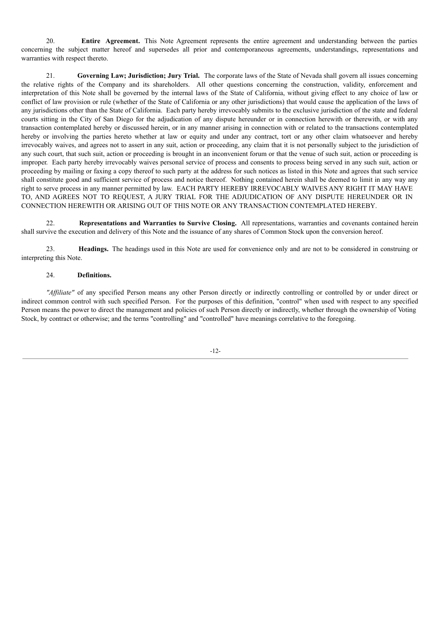20. **Entire Agreement.** This Note Agreement represents the entire agreement and understanding between the parties concerning the subject matter hereof and supersedes all prior and contemporaneous agreements, understandings, representations and warranties with respect thereto.

21. **Governing Law; Jurisdiction; Jury Trial.** The corporate laws of the State of Nevada shall govern all issues concerning the relative rights of the Company and its shareholders. All other questions concerning the construction, validity, enforcement and interpretation of this Note shall be governed by the internal laws of the State of California, without giving effect to any choice of law or conflict of law provision or rule (whether of the State of California or any other jurisdictions) that would cause the application of the laws of any jurisdictions other than the State of California. Each party hereby irrevocably submits to the exclusive jurisdiction of the state and federal courts sitting in the City of San Diego for the adjudication of any dispute hereunder or in connection herewith or therewith, or with any transaction contemplated hereby or discussed herein, or in any manner arising in connection with or related to the transactions contemplated hereby or involving the parties hereto whether at law or equity and under any contract, tort or any other claim whatsoever and hereby irrevocably waives, and agrees not to assert in any suit, action or proceeding, any claim that it is not personally subject to the jurisdiction of any such court, that such suit, action or proceeding is brought in an inconvenient forum or that the venue of such suit, action or proceeding is improper. Each party hereby irrevocably waives personal service of process and consents to process being served in any such suit, action or proceeding by mailing or faxing a copy thereof to such party at the address for such notices as listed in this Note and agrees that such service shall constitute good and sufficient service of process and notice thereof. Nothing contained herein shall be deemed to limit in any way any right to serve process in any manner permitted by law. EACH PARTY HEREBY IRREVOCABLY WAIVES ANY RIGHT IT MAY HAVE TO, AND AGREES NOT TO REQUEST, A JURY TRIAL FOR THE ADJUDICATION OF ANY DISPUTE HEREUNDER OR IN CONNECTION HEREWITH OR ARISING OUT OF THIS NOTE OR ANY TRANSACTION CONTEMPLATED HEREBY.

22. **Representations and Warranties to Survive Closing.** All representations, warranties and covenants contained herein shall survive the execution and delivery of this Note and the issuance of any shares of Common Stock upon the conversion hereof.

23. **Headings.** The headings used in this Note are used for convenience only and are not to be considered in construing or interpreting this Note.

### 24. **Definitions.**

*"Af iliate"* of any specified Person means any other Person directly or indirectly controlling or controlled by or under direct or indirect common control with such specified Person. For the purposes of this definition, "control" when used with respect to any specified Person means the power to direct the management and policies of such Person directly or indirectly, whether through the ownership of Voting Stock, by contract or otherwise; and the terms "controlling" and "controlled" have meanings correlative to the foregoing.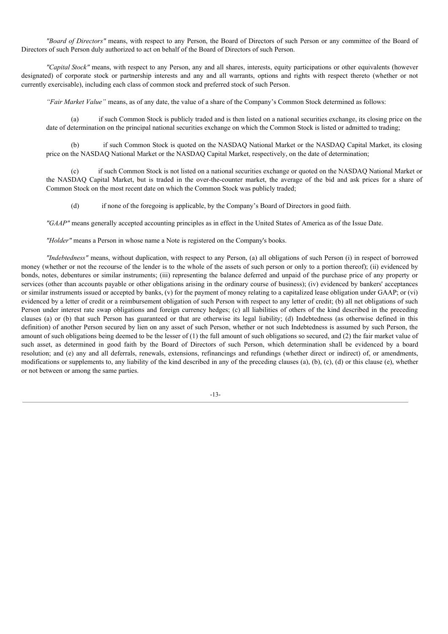*"Board of Directors"* means, with respect to any Person, the Board of Directors of such Person or any committee of the Board of Directors of such Person duly authorized to act on behalf of the Board of Directors of such Person.

*"Capital Stock"* means, with respect to any Person, any and all shares, interests, equity participations or other equivalents (however designated) of corporate stock or partnership interests and any and all warrants, options and rights with respect thereto (whether or not currently exercisable), including each class of common stock and preferred stock of such Person.

*"Fair Market Value"* means, as of any date, the value of a share of the Company's Common Stock determined as follows:

(a) if such Common Stock is publicly traded and is then listed on a national securities exchange, its closing price on the date of determination on the principal national securities exchange on which the Common Stock is listed or admitted to trading;

(b) if such Common Stock is quoted on the NASDAQ National Market or the NASDAQ Capital Market, its closing price on the NASDAQ National Market or the NASDAQ Capital Market, respectively, on the date of determination;

(c) if such Common Stock is not listed on a national securities exchange or quoted on the NASDAQ National Market or the NASDAQ Capital Market, but is traded in the over-the-counter market, the average of the bid and ask prices for a share of Common Stock on the most recent date on which the Common Stock was publicly traded;

(d) if none of the foregoing is applicable, by the Company's Board of Directors in good faith.

*"GAAP"* means generally accepted accounting principles as in effect in the United States of America as of the Issue Date.

*"Holder"* means a Person in whose name a Note is registered on the Company's books.

*"Indebtedness"* means, without duplication, with respect to any Person, (a) all obligations of such Person (i) in respect of borrowed money (whether or not the recourse of the lender is to the whole of the assets of such person or only to a portion thereof); (ii) evidenced by bonds, notes, debentures or similar instruments; (iii) representing the balance deferred and unpaid of the purchase price of any property or services (other than accounts payable or other obligations arising in the ordinary course of business); (iv) evidenced by bankers' acceptances or similar instruments issued or accepted by banks, (v) for the payment of money relating to a capitalized lease obligation under GAAP; or (vi) evidenced by a letter of credit or a reimbursement obligation of such Person with respect to any letter of credit; (b) all net obligations of such Person under interest rate swap obligations and foreign currency hedges; (c) all liabilities of others of the kind described in the preceding clauses (a) or (b) that such Person has guaranteed or that are otherwise its legal liability; (d) Indebtedness (as otherwise defined in this definition) of another Person secured by lien on any asset of such Person, whether or not such Indebtedness is assumed by such Person, the amount of such obligations being deemed to be the lesser of (1) the full amount of such obligations so secured, and (2) the fair market value of such asset, as determined in good faith by the Board of Directors of such Person, which determination shall be evidenced by a board resolution; and (e) any and all deferrals, renewals, extensions, refinancings and refundings (whether direct or indirect) of, or amendments, modifications or supplements to, any liability of the kind described in any of the preceding clauses (a), (b), (c), (d) or this clause (e), whether or not between or among the same parties.

-13-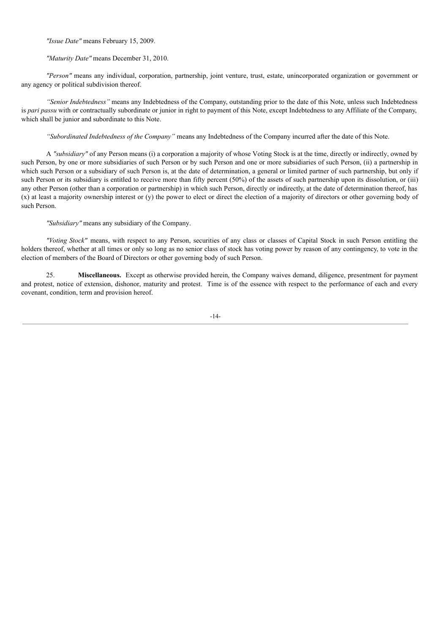*"Issue Date"* means February 15, 2009.

#### *"Maturity Date"* means December 31, 2010.

*"Person"* means any individual, corporation, partnership, joint venture, trust, estate, unincorporated organization or government or any agency or political subdivision thereof.

*"Senior Indebtedness"* means any Indebtedness of the Company, outstanding prior to the date of this Note, unless such Indebtedness is *pari passu* with or contractually subordinate or junior in right to payment of this Note, except Indebtedness to any Affiliate of the Company, which shall be junior and subordinate to this Note.

*"Subordinated Indebtedness of the Company"* means any Indebtedness of the Company incurred after the date of this Note.

A *"subsidiary"* of any Person means (i) a corporation a majority of whose Voting Stock is at the time, directly or indirectly, owned by such Person, by one or more subsidiaries of such Person or by such Person and one or more subsidiaries of such Person, (ii) a partnership in which such Person or a subsidiary of such Person is, at the date of determination, a general or limited partner of such partnership, but only if such Person or its subsidiary is entitled to receive more than fifty percent (50%) of the assets of such partnership upon its dissolution, or (iii) any other Person (other than a corporation or partnership) in which such Person, directly or indirectly, at the date of determination thereof, has (x) at least a majority ownership interest or (y) the power to elect or direct the election of a majority of directors or other governing body of such Person.

#### *"Subsidiary"* means any subsidiary of the Company.

*"Voting Stock"* means, with respect to any Person, securities of any class or classes of Capital Stock in such Person entitling the holders thereof, whether at all times or only so long as no senior class of stock has voting power by reason of any contingency, to vote in the election of members of the Board of Directors or other governing body of such Person.

25. **Miscellaneous.** Except as otherwise provided herein, the Company waives demand, diligence, presentment for payment and protest, notice of extension, dishonor, maturity and protest. Time is of the essence with respect to the performance of each and every covenant, condition, term and provision hereof.

-14-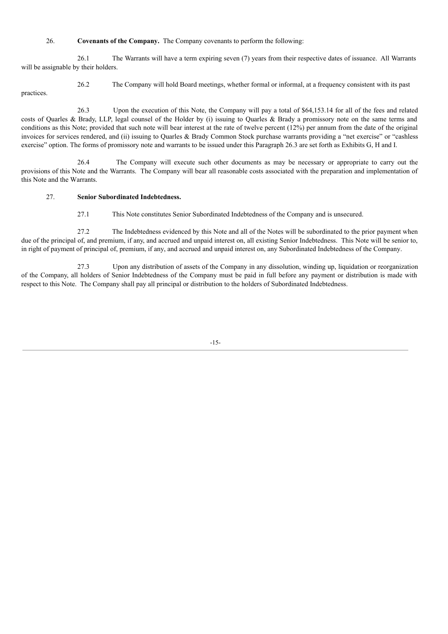### 26. **Covenants of the Company.** The Company covenants to perform the following:

26.1 The Warrants will have a term expiring seven (7) years from their respective dates of issuance. All Warrants will be assignable by their holders.

26.2 The Company will hold Board meetings, whether formal or informal, at a frequency consistent with its past

practices.

26.3 Upon the execution of this Note, the Company will pay a total of \$64,153.14 for all of the fees and related costs of Quarles & Brady, LLP, legal counsel of the Holder by (i) issuing to Quarles & Brady a promissory note on the same terms and conditions as this Note; provided that such note will bear interest at the rate of twelve percent (12%) per annum from the date of the original invoices for services rendered, and (ii) issuing to Quarles & Brady Common Stock purchase warrants providing a "net exercise" or "cashless exercise" option. The forms of promissory note and warrants to be issued under this Paragraph 26.3 are set forth as Exhibits G, H and I.

26.4 The Company will execute such other documents as may be necessary or appropriate to carry out the provisions of this Note and the Warrants. The Company will bear all reasonable costs associated with the preparation and implementation of this Note and the Warrants.

### 27. **Senior Subordinated Indebtedness.**

27.1 This Note constitutes Senior Subordinated Indebtedness of the Company and is unsecured.

27.2 The Indebtedness evidenced by this Note and all of the Notes will be subordinated to the prior payment when due of the principal of, and premium, if any, and accrued and unpaid interest on, all existing Senior Indebtedness. This Note will be senior to, in right of payment of principal of, premium, if any, and accrued and unpaid interest on, any Subordinated Indebtedness of the Company.

27.3 Upon any distribution of assets of the Company in any dissolution, winding up, liquidation or reorganization of the Company, all holders of Senior Indebtedness of the Company must be paid in full before any payment or distribution is made with respect to this Note. The Company shall pay all principal or distribution to the holders of Subordinated Indebtedness.

#### -15-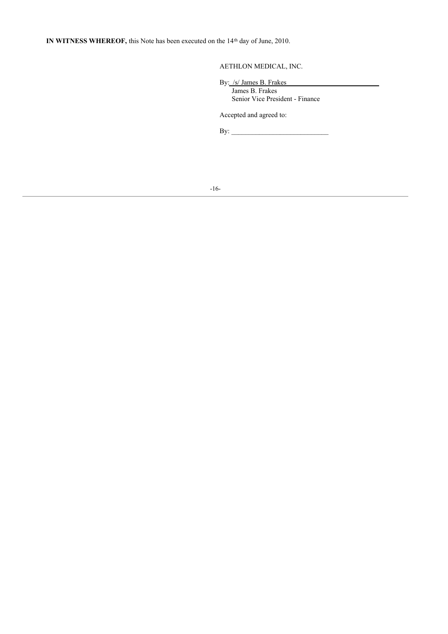**IN WITNESS WHEREOF,** this Note has been executed on the 14 th day of June, 2010.

AETHLON MEDICAL, INC.

By: /s/ James B. Frakes

James B. Frakes Senior Vice President - Finance

Accepted and agreed to:

By: \_\_\_\_\_\_\_\_\_\_\_\_\_\_\_\_\_\_\_\_\_\_\_\_\_\_\_\_

-16-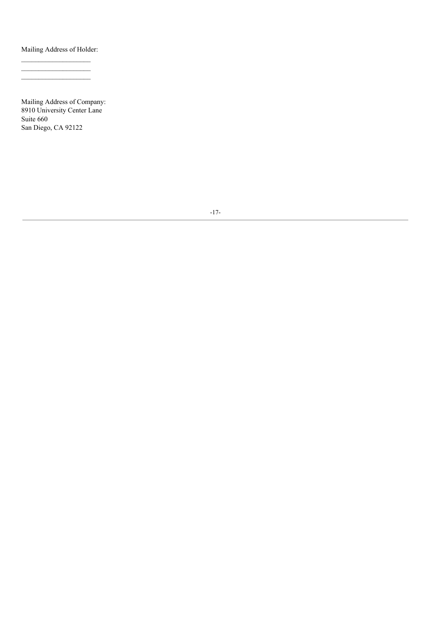Mailing Address of Holder:  $\mathcal{L}_\text{max}$ 

 $\_$ 

Mailing Address of Company: 8910 University Center Lane Suite 660 San Diego, CA 92122

-17-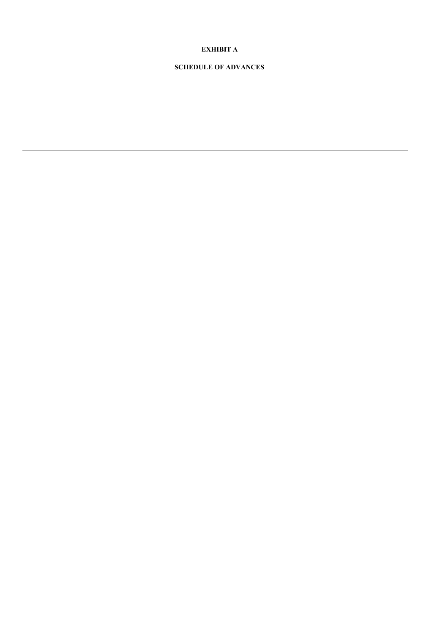# **EXHIBIT A**

# **SCHEDULE OF ADVANCES**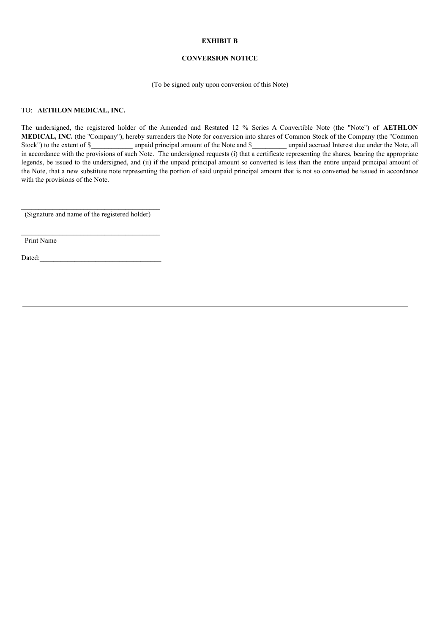### **EXHIBIT B**

### **CONVERSION NOTICE**

(To be signed only upon conversion of this Note)

### TO: **AETHLON MEDICAL, INC.**

The undersigned, the registered holder of the Amended and Restated 12 % Series A Convertible Note (the "Note") of **AETHLON MEDICAL, INC.** (the "Company"), hereby surrenders the Note for conversion into shares of Common Stock of the Company (the "Common Stock") to the extent of \$ unpaid principal amount of the Note and \$ unpaid accrued Interest due under the Note, all in accordance with the provisions of such Note. The undersigned requests (i) that a certificate representing the shares, bearing the appropriate legends, be issued to the undersigned, and (ii) if the unpaid principal amount so converted is less than the entire unpaid principal amount of the Note, that a new substitute note representing the portion of said unpaid principal amount that is not so converted be issued in accordance with the provisions of the Note.

(Signature and name of the registered holder)

Print Name

Dated: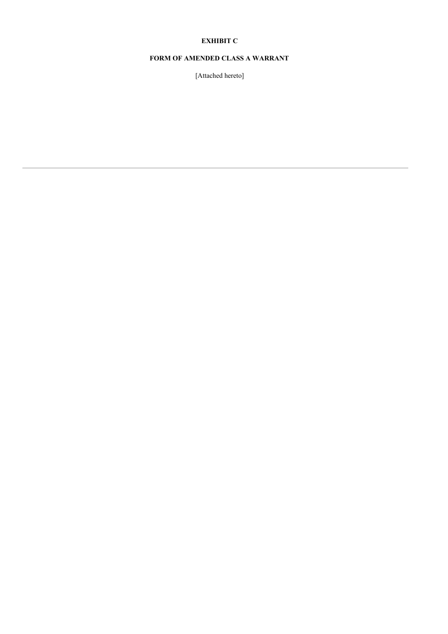# **EXHIBIT C**

# **FORM OF AMENDED CLASS A WARRANT**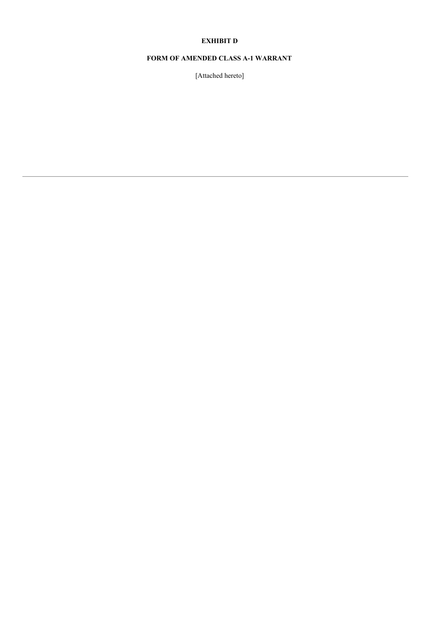# **EXHIBIT D**

# **FORM OF AMENDED CLASS A-1 WARRANT**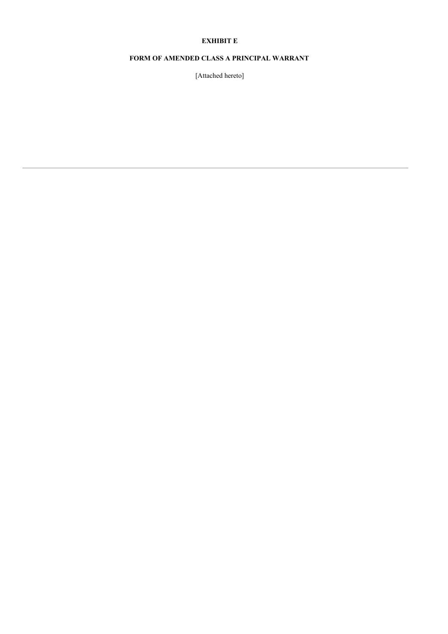# **EXHIBIT E**

# **FORM OF AMENDED CLASS A PRINCIPAL WARRANT**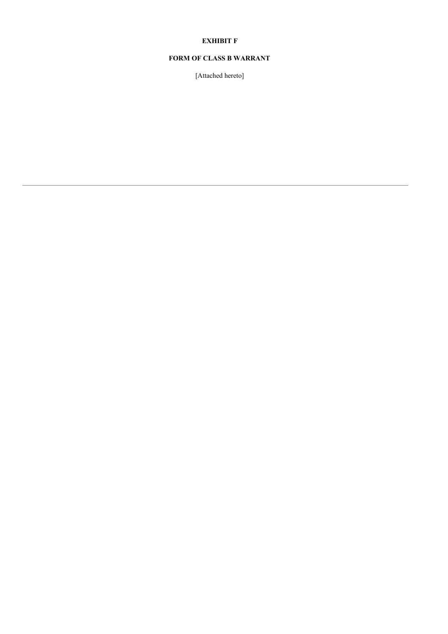### **EXHIBIT F**

# **FORM OF CLASS B WARRANT**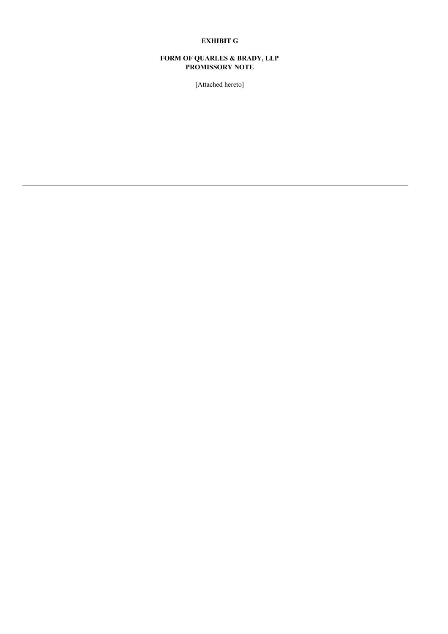### **EXHIBIT G**

#### **FORM OF QUARLES & BRADY, LLP PROMISSORY NOTE**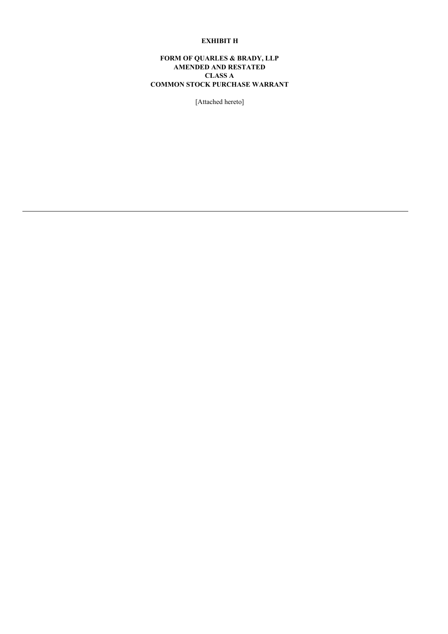### **EXHIBIT H**

### **FORM OF QUARLES & BRADY, LLP AMENDED AND RESTATED CLASS A COMMON STOCK PURCHASE WARRANT**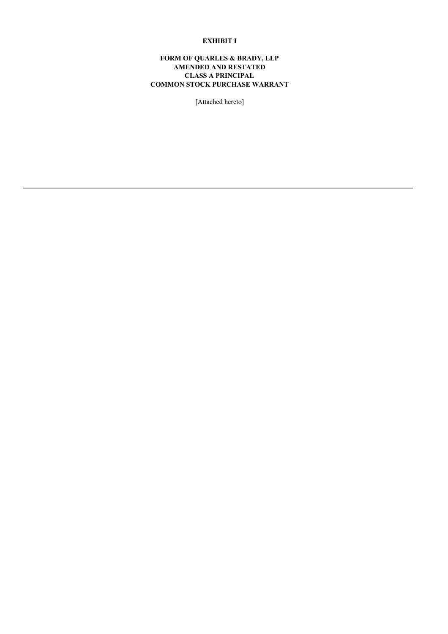### **EXHIBIT I**

### **FORM OF QUARLES & BRADY, LLP AMENDED AND RESTATED CLASS A PRINCIPAL COMMON STOCK PURCHASE WARRANT**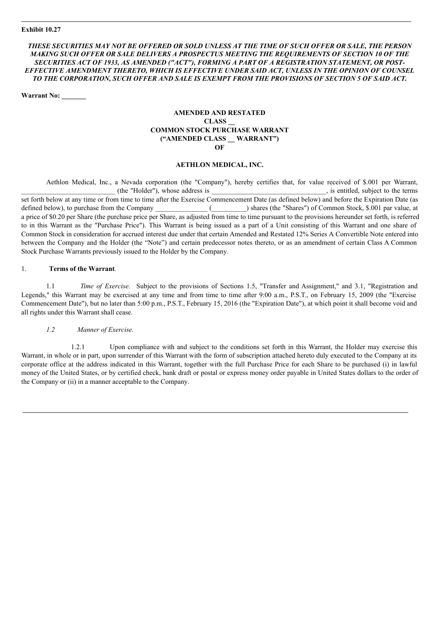#### **Exhibit 10.27**

THESE SECURITIES MAY NOT BE OFFERED OR SOLD UNLESS AT THE TIME OF SUCH OFFER OR SALE, THE PERSON *MAKING SUCH OFFER OR SALE DELIVERS A PROSPECTUS MEETING THE REQUIREMENTS OF SECTION 10 OF THE SECURITIES ACT OF 1933, AS AMENDED ("ACT"), FORMING A PART OF A REGISTRATION STATEMENT, OR POST-EFFECTIVE AMENDMENT THERETO, WHICH IS EFFECTIVE UNDER SAID ACT, UNLESS IN THE OPINION OF COUNSEL TO THE CORPORATION, SUCH OFFER AND SALE IS EXEMPT FROM THE PROVISIONS OF SECTION 5 OF SAID ACT.*

**Warrant No: \_\_\_\_\_\_\_**

### **AMENDED AND RESTATED CLASS \_\_ COMMON STOCK PURCHASE WARRANT ("AMENDED CLASS \_\_ WARRANT") OF**

#### **AETHLON MEDICAL, INC.**

Aethlon Medical, Inc., a Nevada corporation (the "Company"), hereby certifies that, for value received of \$.001 per Warrant, \_\_\_\_\_\_\_\_\_\_\_\_\_\_\_\_\_\_\_\_\_\_\_\_\_\_\_ (the "Holder"), whose address is \_\_\_\_\_\_\_\_\_\_\_\_\_\_\_\_\_\_\_\_\_\_\_\_\_\_\_\_\_\_\_\_\_, is entitled, subject to the terms set forth below at any time or from time to time after the Exercise Commencement Date (as defined below) and before the Expiration Date (as defined below), to purchase from the Company \_\_\_\_\_\_\_\_\_\_\_\_\_\_\_ (\_\_\_\_\_\_\_\_\_\_) shares (the "Shares") of Common Stock, \$.001 par value, at a price of \$0.20 per Share (the purchase price per Share, as adjusted from time to time pursuant to the provisions hereunder set forth, is referred to in this Warrant as the "Purchase Price"). This Warrant is being issued as a part of a Unit consisting of this Warrant and one share of Common Stock in consideration for accrued interest due under that certain Amended and Restated 12% Series A Convertible Note entered into between the Company and the Holder (the "Note") and certain predecessor notes thereto, or as an amendment of certain Class A Common Stock Purchase Warrants previously issued to the Holder by the Company.

### 1. **Terms of the Warrant**.

1.1 *Time of Exercise.* Subject to the provisions of Sections 1.5, "Transfer and Assignment," and 3.1, "Registration and Legends," this Warrant may be exercised at any time and from time to time after 9:00 a.m., P.S.T., on February 15, 2009 (the "Exercise Commencement Date"), but no later than 5:00 p.m., P.S.T., February 15, 2016 (the "Expiration Date"), at which point it shall become void and all rights under this Warrant shall cease.

### *1.2 Manner of Exercise.*

1.2.1 Upon compliance with and subject to the conditions set forth in this Warrant, the Holder may exercise this Warrant, in whole or in part, upon surrender of this Warrant with the form of subscription attached hereto duly executed to the Company at its corporate office at the address indicated in this Warrant, together with the full Purchase Price for each Share to be purchased (i) in lawful money of the United States, or by certified check, bank draft or postal or express money order payable in United States dollars to the order of the Company or (ii) in a manner acceptable to the Company.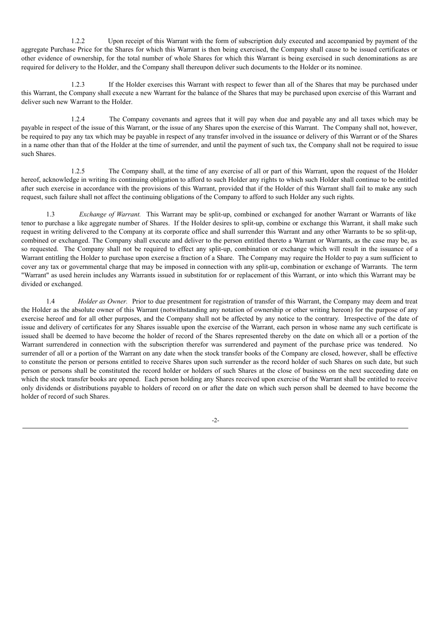1.2.2 Upon receipt of this Warrant with the form of subscription duly executed and accompanied by payment of the aggregate Purchase Price for the Shares for which this Warrant is then being exercised, the Company shall cause to be issued certificates or other evidence of ownership, for the total number of whole Shares for which this Warrant is being exercised in such denominations as are required for delivery to the Holder, and the Company shall thereupon deliver such documents to the Holder or its nominee.

If the Holder exercises this Warrant with respect to fewer than all of the Shares that may be purchased under this Warrant, the Company shall execute a new Warrant for the balance of the Shares that may be purchased upon exercise of this Warrant and deliver such new Warrant to the Holder.

1.2.4 The Company covenants and agrees that it will pay when due and payable any and all taxes which may be payable in respect of the issue of this Warrant, or the issue of any Shares upon the exercise of this Warrant. The Company shall not, however, be required to pay any tax which may be payable in respect of any transfer involved in the issuance or delivery of this Warrant or of the Shares in a name other than that of the Holder at the time of surrender, and until the payment of such tax, the Company shall not be required to issue such Shares.

1.2.5 The Company shall, at the time of any exercise of all or part of this Warrant, upon the request of the Holder hereof, acknowledge in writing its continuing obligation to afford to such Holder any rights to which such Holder shall continue to be entitled after such exercise in accordance with the provisions of this Warrant, provided that if the Holder of this Warrant shall fail to make any such request, such failure shall not affect the continuing obligations of the Company to afford to such Holder any such rights.

1.3 *Exchange of Warrant.* This Warrant may be split-up, combined or exchanged for another Warrant or Warrants of like tenor to purchase a like aggregate number of Shares. If the Holder desires to split-up, combine or exchange this Warrant, it shall make such request in writing delivered to the Company at its corporate office and shall surrender this Warrant and any other Warrants to be so split-up, combined or exchanged. The Company shall execute and deliver to the person entitled thereto a Warrant or Warrants, as the case may be, as so requested. The Company shall not be required to effect any split-up, combination or exchange which will result in the issuance of a Warrant entitling the Holder to purchase upon exercise a fraction of a Share. The Company may require the Holder to pay a sum sufficient to cover any tax or governmental charge that may be imposed in connection with any split-up, combination or exchange of Warrants. The term "Warrant" as used herein includes any Warrants issued in substitution for or replacement of this Warrant, or into which this Warrant may be divided or exchanged.

1.4 *Holder as Owner.* Prior to due presentment for registration of transfer of this Warrant, the Company may deem and treat the Holder as the absolute owner of this Warrant (notwithstanding any notation of ownership or other writing hereon) for the purpose of any exercise hereof and for all other purposes, and the Company shall not be affected by any notice to the contrary. Irrespective of the date of issue and delivery of certificates for any Shares issuable upon the exercise of the Warrant, each person in whose name any such certificate is issued shall be deemed to have become the holder of record of the Shares represented thereby on the date on which all or a portion of the Warrant surrendered in connection with the subscription therefor was surrendered and payment of the purchase price was tendered. No surrender of all or a portion of the Warrant on any date when the stock transfer books of the Company are closed, however, shall be effective to constitute the person or persons entitled to receive Shares upon such surrender as the record holder of such Shares on such date, but such person or persons shall be constituted the record holder or holders of such Shares at the close of business on the next succeeding date on which the stock transfer books are opened. Each person holding any Shares received upon exercise of the Warrant shall be entitled to receive only dividends or distributions payable to holders of record on or after the date on which such person shall be deemed to have become the holder of record of such Shares.

-2-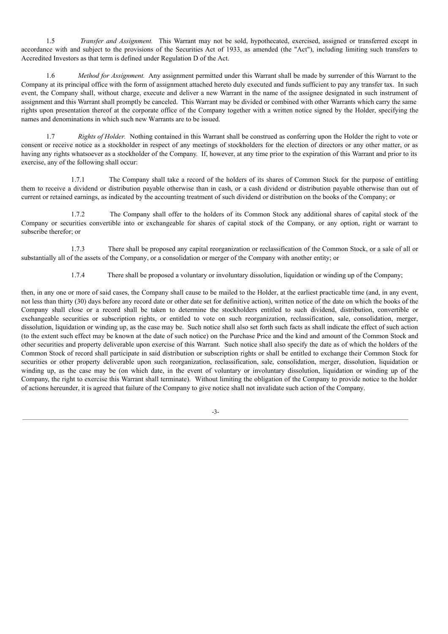1.5 *Transfer and Assignment.* This Warrant may not be sold, hypothecated, exercised, assigned or transferred except in accordance with and subject to the provisions of the Securities Act of 1933, as amended (the "Act"), including limiting such transfers to Accredited Investors as that term is defined under Regulation D of the Act.

1.6 *Method for Assignment.* Any assignment permitted under this Warrant shall be made by surrender of this Warrant to the Company at its principal office with the form of assignment attached hereto duly executed and funds sufficient to pay any transfer tax. In such event, the Company shall, without charge, execute and deliver a new Warrant in the name of the assignee designated in such instrument of assignment and this Warrant shall promptly be canceled. This Warrant may be divided or combined with other Warrants which carry the same rights upon presentation thereof at the corporate office of the Company together with a written notice signed by the Holder, specifying the names and denominations in which such new Warrants are to be issued.

1.7 *Rights of Holder.* Nothing contained in this Warrant shall be construed as conferring upon the Holder the right to vote or consent or receive notice as a stockholder in respect of any meetings of stockholders for the election of directors or any other matter, or as having any rights whatsoever as a stockholder of the Company. If, however, at any time prior to the expiration of this Warrant and prior to its exercise, any of the following shall occur:

1.7.1 The Company shall take a record of the holders of its shares of Common Stock for the purpose of entitling them to receive a dividend or distribution payable otherwise than in cash, or a cash dividend or distribution payable otherwise than out of current or retained earnings, as indicated by the accounting treatment of such dividend or distribution on the books of the Company; or

1.7.2 The Company shall offer to the holders of its Common Stock any additional shares of capital stock of the Company or securities convertible into or exchangeable for shares of capital stock of the Company, or any option, right or warrant to subscribe therefor; or

1.7.3 There shall be proposed any capital reorganization or reclassification of the Common Stock, or a sale of all or substantially all of the assets of the Company, or a consolidation or merger of the Company with another entity; or

1.7.4 There shall be proposed a voluntary or involuntary dissolution, liquidation or winding up of the Company;

then, in any one or more of said cases, the Company shall cause to be mailed to the Holder, at the earliest practicable time (and, in any event, not less than thirty (30) days before any record date or other date set for definitive action), written notice of the date on which the books of the Company shall close or a record shall be taken to determine the stockholders entitled to such dividend, distribution, convertible or exchangeable securities or subscription rights, or entitled to vote on such reorganization, reclassification, sale, consolidation, merger, dissolution, liquidation or winding up, as the case may be. Such notice shall also set forth such facts as shall indicate the effect of such action (to the extent such effect may be known at the date of such notice) on the Purchase Price and the kind and amount of the Common Stock and other securities and property deliverable upon exercise of this Warrant. Such notice shall also specify the date as of which the holders of the Common Stock of record shall participate in said distribution or subscription rights or shall be entitled to exchange their Common Stock for securities or other property deliverable upon such reorganization, reclassification, sale, consolidation, merger, dissolution, liquidation or winding up, as the case may be (on which date, in the event of voluntary or involuntary dissolution, liquidation or winding up of the Company, the right to exercise this Warrant shall terminate). Without limiting the obligation of the Company to provide notice to the holder of actions hereunder, it is agreed that failure of the Company to give notice shall not invalidate such action of the Company.

-3-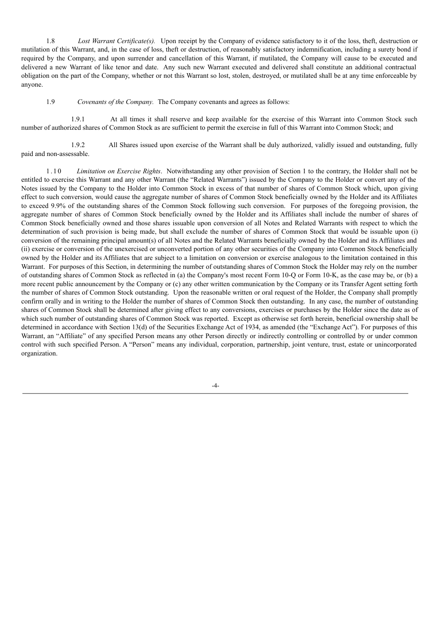1.8 *Lost Warrant Certificate(s).* Upon receipt by the Company of evidence satisfactory to it of the loss, theft, destruction or mutilation of this Warrant, and, in the case of loss, theft or destruction, of reasonably satisfactory indemnification, including a surety bond if required by the Company, and upon surrender and cancellation of this Warrant, if mutilated, the Company will cause to be executed and delivered a new Warrant of like tenor and date. Any such new Warrant executed and delivered shall constitute an additional contractual obligation on the part of the Company, whether or not this Warrant so lost, stolen, destroyed, or mutilated shall be at any time enforceable by anyone.

1.9 *Covenants of the Company.* The Company covenants and agrees as follows:

1.9.1 At all times it shall reserve and keep available for the exercise of this Warrant into Common Stock such number of authorized shares of Common Stock as are sufficient to permit the exercise in full of this Warrant into Common Stock; and

1.9.2 All Shares issued upon exercise of the Warrant shall be duly authorized, validly issued and outstanding, fully paid and non-assessable.

1.10 *Limitation on Exercise Rights*. Notwithstanding any other provision of Section 1 to the contrary, the Holder shall not be entitled to exercise this Warrant and any other Warrant (the "Related Warrants") issued by the Company to the Holder or convert any of the Notes issued by the Company to the Holder into Common Stock in excess of that number of shares of Common Stock which, upon giving effect to such conversion, would cause the aggregate number of shares of Common Stock beneficially owned by the Holder and its Affiliates to exceed 9.9% of the outstanding shares of the Common Stock following such conversion. For purposes of the foregoing provision, the aggregate number of shares of Common Stock beneficially owned by the Holder and its Affiliates shall include the number of shares of Common Stock beneficially owned and those shares issuable upon conversion of all Notes and Related Warrants with respect to which the determination of such provision is being made, but shall exclude the number of shares of Common Stock that would be issuable upon (i) conversion of the remaining principal amount(s) of all Notes and the Related Warrants beneficially owned by the Holder and its Affiliates and (ii) exercise or conversion of the unexercised or unconverted portion of any other securities of the Company into Common Stock beneficially owned by the Holder and its Affiliates that are subject to a limitation on conversion or exercise analogous to the limitation contained in this Warrant. For purposes of this Section, in determining the number of outstanding shares of Common Stock the Holder may rely on the number of outstanding shares of Common Stock as reflected in (a) the Company's most recent Form 10-Q or Form 10-K, as the case may be, or (b) a more recent public announcement by the Company or (c) any other written communication by the Company or its Transfer Agent setting forth the number of shares of Common Stock outstanding. Upon the reasonable written or oral request of the Holder, the Company shall promptly confirm orally and in writing to the Holder the number of shares of Common Stock then outstanding. In any case, the number of outstanding shares of Common Stock shall be determined after giving effect to any conversions, exercises or purchases by the Holder since the date as of which such number of outstanding shares of Common Stock was reported. Except as otherwise set forth herein, beneficial ownership shall be determined in accordance with Section 13(d) of the Securities Exchange Act of 1934, as amended (the "Exchange Act"). For purposes of this Warrant, an "Affiliate" of any specified Person means any other Person directly or indirectly controlling or controlled by or under common control with such specified Person. A "Person" means any individual, corporation, partnership, joint venture, trust, estate or unincorporated organization.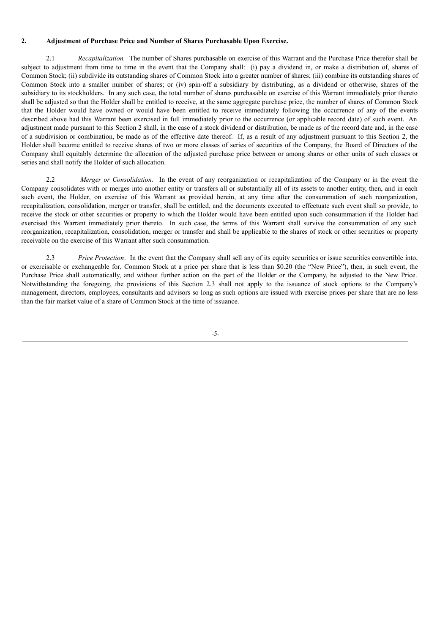#### **2. Adjustment of Purchase Price and Number of Shares Purchasable Upon Exercise.**

2.1 *Recapitalization.* The number of Shares purchasable on exercise of this Warrant and the Purchase Price therefor shall be subject to adjustment from time to time in the event that the Company shall: (i) pay a dividend in, or make a distribution of, shares of Common Stock; (ii) subdivide its outstanding shares of Common Stock into a greater number of shares; (iii) combine its outstanding shares of Common Stock into a smaller number of shares; or (iv) spin-off a subsidiary by distributing, as a dividend or otherwise, shares of the subsidiary to its stockholders. In any such case, the total number of shares purchasable on exercise of this Warrant immediately prior thereto shall be adjusted so that the Holder shall be entitled to receive, at the same aggregate purchase price, the number of shares of Common Stock that the Holder would have owned or would have been entitled to receive immediately following the occurrence of any of the events described above had this Warrant been exercised in full immediately prior to the occurrence (or applicable record date) of such event. An adjustment made pursuant to this Section 2 shall, in the case of a stock dividend or distribution, be made as of the record date and, in the case of a subdivision or combination, be made as of the effective date thereof. If, as a result of any adjustment pursuant to this Section 2, the Holder shall become entitled to receive shares of two or more classes of series of securities of the Company, the Board of Directors of the Company shall equitably determine the allocation of the adjusted purchase price between or among shares or other units of such classes or series and shall notify the Holder of such allocation.

2.2 *Merger or Consolidation.* In the event of any reorganization or recapitalization of the Company or in the event the Company consolidates with or merges into another entity or transfers all or substantially all of its assets to another entity, then, and in each such event, the Holder, on exercise of this Warrant as provided herein, at any time after the consummation of such reorganization, recapitalization, consolidation, merger or transfer, shall be entitled, and the documents executed to effectuate such event shall so provide, to receive the stock or other securities or property to which the Holder would have been entitled upon such consummation if the Holder had exercised this Warrant immediately prior thereto. In such case, the terms of this Warrant shall survive the consummation of any such reorganization, recapitalization, consolidation, merger or transfer and shall be applicable to the shares of stock or other securities or property receivable on the exercise of this Warrant after such consummation.

2.3 *Price Protection*. In the event that the Company shall sell any of its equity securities or issue securities convertible into, or exercisable or exchangeable for, Common Stock at a price per share that is less than \$0.20 (the "New Price"), then, in such event, the Purchase Price shall automatically, and without further action on the part of the Holder or the Company, be adjusted to the New Price. Notwithstanding the foregoing, the provisions of this Section 2.3 shall not apply to the issuance of stock options to the Company's management, directors, employees, consultants and advisors so long as such options are issued with exercise prices per share that are no less than the fair market value of a share of Common Stock at the time of issuance.

-5-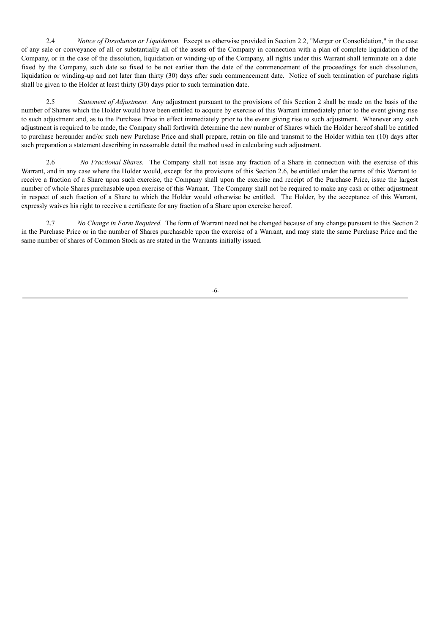2.4 *Notice of Dissolution or Liquidation.* Except as otherwise provided in Section 2.2, "Merger or Consolidation," in the case of any sale or conveyance of all or substantially all of the assets of the Company in connection with a plan of complete liquidation of the Company, or in the case of the dissolution, liquidation or winding-up of the Company, all rights under this Warrant shall terminate on a date fixed by the Company, such date so fixed to be not earlier than the date of the commencement of the proceedings for such dissolution, liquidation or winding-up and not later than thirty (30) days after such commencement date. Notice of such termination of purchase rights shall be given to the Holder at least thirty (30) days prior to such termination date.

2.5 *Statement of Adjustment.* Any adjustment pursuant to the provisions of this Section 2 shall be made on the basis of the number of Shares which the Holder would have been entitled to acquire by exercise of this Warrant immediately prior to the event giving rise to such adjustment and, as to the Purchase Price in effect immediately prior to the event giving rise to such adjustment. Whenever any such adjustment is required to be made, the Company shall forthwith determine the new number of Shares which the Holder hereof shall be entitled to purchase hereunder and/or such new Purchase Price and shall prepare, retain on file and transmit to the Holder within ten (10) days after such preparation a statement describing in reasonable detail the method used in calculating such adjustment.

2.6 *No Fractional Shares.* The Company shall not issue any fraction of a Share in connection with the exercise of this Warrant, and in any case where the Holder would, except for the provisions of this Section 2.6, be entitled under the terms of this Warrant to receive a fraction of a Share upon such exercise, the Company shall upon the exercise and receipt of the Purchase Price, issue the largest number of whole Shares purchasable upon exercise of this Warrant. The Company shall not be required to make any cash or other adjustment in respect of such fraction of a Share to which the Holder would otherwise be entitled. The Holder, by the acceptance of this Warrant, expressly waives his right to receive a certificate for any fraction of a Share upon exercise hereof.

2.7 *No Change in Form Required.* The form of Warrant need not be changed because of any change pursuant to this Section 2 in the Purchase Price or in the number of Shares purchasable upon the exercise of a Warrant, and may state the same Purchase Price and the same number of shares of Common Stock as are stated in the Warrants initially issued.

-6-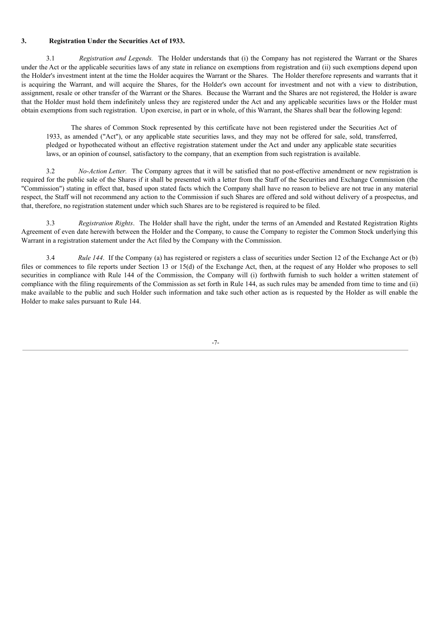#### **3. Registration Under the Securities Act of 1933.**

3.1 *Registration and Legends.* The Holder understands that (i) the Company has not registered the Warrant or the Shares under the Act or the applicable securities laws of any state in reliance on exemptions from registration and (ii) such exemptions depend upon the Holder's investment intent at the time the Holder acquires the Warrant or the Shares. The Holder therefore represents and warrants that it is acquiring the Warrant, and will acquire the Shares, for the Holder's own account for investment and not with a view to distribution, assignment, resale or other transfer of the Warrant or the Shares. Because the Warrant and the Shares are not registered, the Holder is aware that the Holder must hold them indefinitely unless they are registered under the Act and any applicable securities laws or the Holder must obtain exemptions from such registration. Upon exercise, in part or in whole, of this Warrant, the Shares shall bear the following legend:

The shares of Common Stock represented by this certificate have not been registered under the Securities Act of 1933, as amended ("Act"), or any applicable state securities laws, and they may not be offered for sale, sold, transferred, pledged or hypothecated without an effective registration statement under the Act and under any applicable state securities laws, or an opinion of counsel, satisfactory to the company, that an exemption from such registration is available.

3.2 *No-Action Letter.* The Company agrees that it will be satisfied that no post-effective amendment or new registration is required for the public sale of the Shares if it shall be presented with a letter from the Staff of the Securities and Exchange Commission (the "Commission") stating in effect that, based upon stated facts which the Company shall have no reason to believe are not true in any material respect, the Staff will not recommend any action to the Commission if such Shares are offered and sold without delivery of a prospectus, and that, therefore, no registration statement under which such Shares are to be registered is required to be filed.

3.3 *Registration Rights*. The Holder shall have the right, under the terms of an Amended and Restated Registration Rights Agreement of even date herewith between the Holder and the Company, to cause the Company to register the Common Stock underlying this Warrant in a registration statement under the Act filed by the Company with the Commission.

3.4 *Rule 144*. If the Company (a) has registered or registers a class of securities under Section 12 of the Exchange Act or (b) files or commences to file reports under Section 13 or 15(d) of the Exchange Act, then, at the request of any Holder who proposes to sell securities in compliance with Rule 144 of the Commission, the Company will (i) forthwith furnish to such holder a written statement of compliance with the filing requirements of the Commission as set forth in Rule 144, as such rules may be amended from time to time and (ii) make available to the public and such Holder such information and take such other action as is requested by the Holder as will enable the Holder to make sales pursuant to Rule 144.

-7-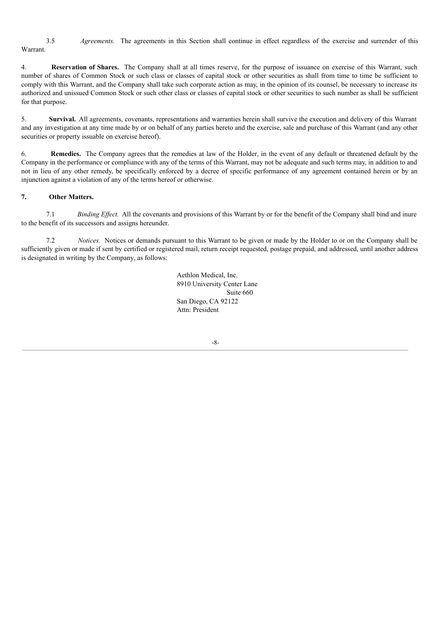3.5 *Agreements.* The agreements in this Section shall continue in effect regardless of the exercise and surrender of this Warrant.

4. **Reservation of Shares.** The Company shall at all times reserve, for the purpose of issuance on exercise of this Warrant, such number of shares of Common Stock or such class or classes of capital stock or other securities as shall from time to time be sufficient to comply with this Warrant, and the Company shall take such corporate action as may, in the opinion of its counsel, be necessary to increase its authorized and unissued Common Stock or such other class or classes of capital stock or other securities to such number as shall be sufficient for that purpose.

5. **Survival.** All agreements, covenants, representations and warranties herein shall survive the execution and delivery of this Warrant and any investigation at any time made by or on behalf of any parties hereto and the exercise, sale and purchase of this Warrant (and any other securities or property issuable on exercise hereof).

6. **Remedies.** The Company agrees that the remedies at law of the Holder, in the event of any default or threatened default by the Company in the performance or compliance with any of the terms of this Warrant, may not be adequate and such terms may, in addition to and not in lieu of any other remedy, be specifically enforced by a decree of specific performance of any agreement contained herein or by an injunction against a violation of any of the terms hereof or otherwise.

### **7. Other Matters.**

7.1 *Binding Effect.* All the covenants and provisions of this Warrant by or for the benefit of the Company shall bind and inure to the benefit of its successors and assigns hereunder.

7.2 *Notices.* Notices or demands pursuant to this Warrant to be given or made by the Holder to or on the Company shall be sufficiently given or made if sent by certified or registered mail, return receipt requested, postage prepaid, and addressed, until another address is designated in writing by the Company, as follows:

> Aethlon Medical, Inc. 8910 University Center Lane Suite 660 San Diego, CA 92122 Attn: President

> > -8-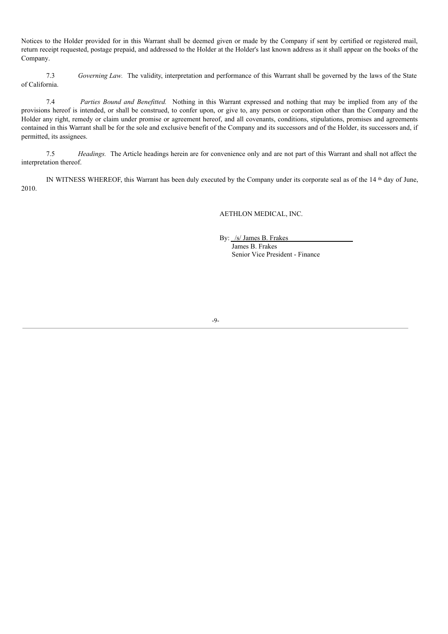Notices to the Holder provided for in this Warrant shall be deemed given or made by the Company if sent by certified or registered mail, return receipt requested, postage prepaid, and addressed to the Holder at the Holder's last known address as it shall appear on the books of the Company.

7.3 *Governing Law.* The validity, interpretation and performance of this Warrant shall be governed by the laws of the State of California.

7.4 *Parties Bound and Benefitted.* Nothing in this Warrant expressed and nothing that may be implied from any of the provisions hereof is intended, or shall be construed, to confer upon, or give to, any person or corporation other than the Company and the Holder any right, remedy or claim under promise or agreement hereof, and all covenants, conditions, stipulations, promises and agreements contained in this Warrant shall be for the sole and exclusive benefit of the Company and its successors and of the Holder, its successors and, if permitted, its assignees.

7.5 *Headings.* The Article headings herein are for convenience only and are not part of this Warrant and shall not affect the interpretation thereof.

IN WITNESS WHEREOF, this Warrant has been duly executed by the Company under its corporate seal as of the  $14<sup>th</sup>$  day of June, 2010.

AETHLON MEDICAL, INC.

By: /s/ James B. Frakes James B. Frakes Senior Vice President - Finance

-9-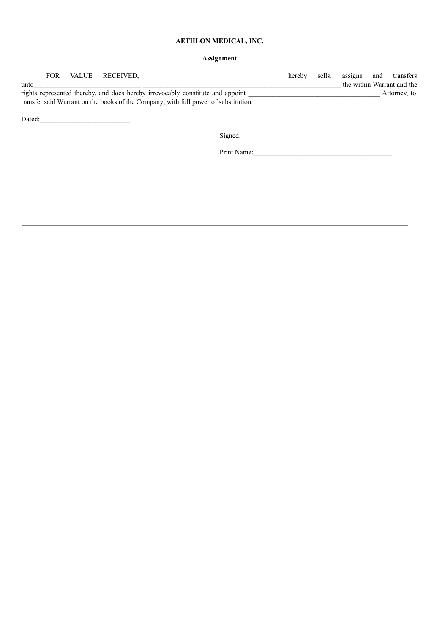# **AETHLON MEDICAL, INC.**

### **Assignment**

|                                                                                | <b>FOR</b> |  | VALUE RECEIVED, |                                                                                     |  | hereby | sells. | assigns and transfers      |              |
|--------------------------------------------------------------------------------|------------|--|-----------------|-------------------------------------------------------------------------------------|--|--------|--------|----------------------------|--------------|
| unto                                                                           |            |  |                 |                                                                                     |  |        |        | the within Warrant and the |              |
| rights represented thereby, and does hereby irrevocably constitute and appoint |            |  |                 |                                                                                     |  |        |        |                            | Attorney, to |
|                                                                                |            |  |                 | transfer said Warrant on the books of the Company, with full power of substitution. |  |        |        |                            |              |
|                                                                                |            |  |                 |                                                                                     |  |        |        |                            |              |

Dated:\_\_\_\_\_\_\_\_\_\_\_\_\_\_\_\_\_\_\_\_\_\_\_\_\_\_

Signed:\_\_\_\_\_\_\_\_\_\_\_\_\_\_\_\_\_\_\_\_\_\_\_\_\_\_\_\_\_\_\_\_\_\_\_\_\_\_\_\_\_\_\_

Print Name:\_\_\_\_\_\_\_\_\_\_\_\_\_\_\_\_\_\_\_\_\_\_\_\_\_\_\_\_\_\_\_\_\_\_\_\_\_\_\_\_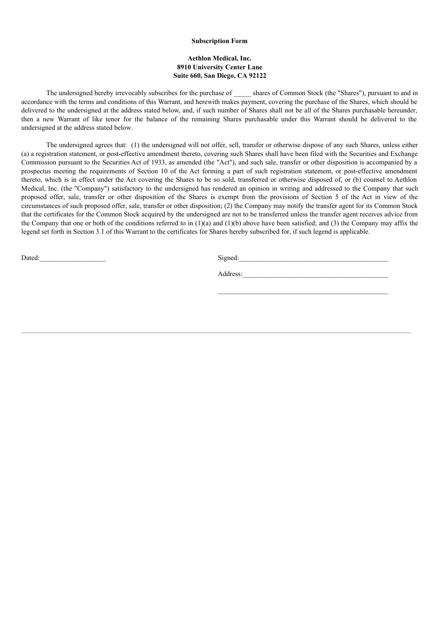#### **Subscription Form**

### **Aethlon Medical, Inc. 8910 University Center Lane Suite 660, San Diego, CA 92122**

The undersigned hereby irrevocably subscribes for the purchase of \_\_\_\_\_ shares of Common Stock (the "Shares"), pursuant to and in accordance with the terms and conditions of this Warrant, and herewith makes payment, covering the purchase of the Shares, which should be delivered to the undersigned at the address stated below, and, if such number of Shares shall not be all of the Shares purchasable hereunder, then a new Warrant of like tenor for the balance of the remaining Shares purchasable under this Warrant should be delivered to the undersigned at the address stated below.

The undersigned agrees that: (1) the undersigned will not offer, sell, transfer or otherwise dispose of any such Shares, unless either (a) a registration statement, or post-effective amendment thereto, covering such Shares shall have been filed with the Securities and Exchange Commission pursuant to the Securities Act of 1933, as amended (the "Act"), and such sale, transfer or other disposition is accompanied by a prospectus meeting the requirements of Section 10 of the Act forming a part of such registration statement, or post-effective amendment thereto, which is in effect under the Act covering the Shares to be so sold, transferred or otherwise disposed of, or (b) counsel to Aethlon Medical, Inc. (the "Company") satisfactory to the undersigned has rendered an opinion in writing and addressed to the Company that such proposed offer, sale, transfer or other disposition of the Shares is exempt from the provisions of Section 5 of the Act in view of the circumstances of such proposed offer, sale, transfer or other disposition; (2) the Company may notify the transfer agent for its Common Stock that the certificates for the Common Stock acquired by the undersigned are not to be transferred unless the transfer agent receives advice from the Company that one or both of the conditions referred to in  $(1)(a)$  and  $(1)(b)$  above have been satisfied; and  $(3)$  the Company may affix the legend set forth in Section 3.1 of this Warrant to the certificates for Shares hereby subscribed for, if such legend is applicable.

Dated: Signed: Signed: Signed: Signed: Signed: Signed: Signed: Signed: Signed: Signed: Signed: Signed: Signed: Signed: Signed: Signed: Signed: Signed: Signed: Signed: Signed: Signed: Signed: Signed: Signed: Signed: Signed:

Address:

 $\mathcal{L}_\text{max}$  and  $\mathcal{L}_\text{max}$  and  $\mathcal{L}_\text{max}$  and  $\mathcal{L}_\text{max}$  and  $\mathcal{L}_\text{max}$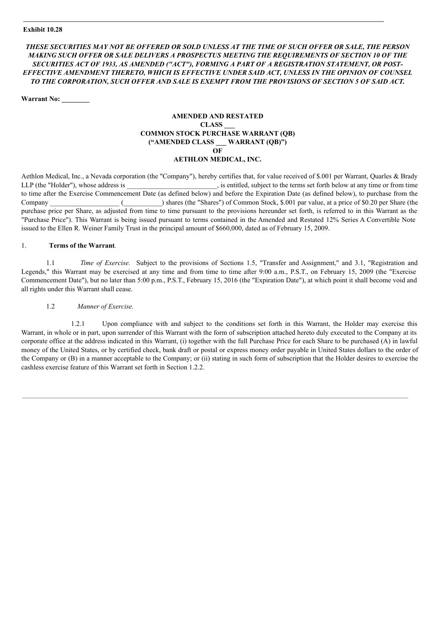#### **Exhibit 10.28**

### THESE SECURITIES MAY NOT BE OFFERED OR SOLD UNLESS AT THE TIME OF SUCH OFFER OR SALE. THE PERSON *MAKING SUCH OFFER OR SALE DELIVERS A PROSPECTUS MEETING THE REQUIREMENTS OF SECTION 10 OF THE SECURITIES ACT OF 1933, AS AMENDED ("ACT"), FORMING A PART OF A REGISTRATION STATEMENT, OR POST-EFFECTIVE AMENDMENT THERETO, WHICH IS EFFECTIVE UNDER SAID ACT, UNLESS IN THE OPINION OF COUNSEL TO THE CORPORATION, SUCH OFFER AND SALE IS EXEMPT FROM THE PROVISIONS OF SECTION 5 OF SAID ACT.*

**Warrant No: \_\_\_\_\_\_\_\_**

### **AMENDED AND RESTATED CLASS \_\_\_ COMMON STOCK PURCHASE WARRANT (QB) ("AMENDED CLASS \_\_\_ WARRANT (QB)") OF AETHLON MEDICAL, INC.**

Aethlon Medical, Inc., a Nevada corporation (the "Company"), hereby certifies that, for value received of \$.001 per Warrant, Quarles & Brady LLP (the "Holder"), whose address is \_\_\_\_\_\_\_\_\_\_\_\_\_\_\_\_\_\_\_\_, is entitled, subject to the terms set forth below at any time or from time to time after the Exercise Commencement Date (as defined below) and before the Expiration Date (as defined below), to purchase from the Company (exceptional company of Common Stock, \$.001 par value, at a price of \$0.20 per Share (the purchase price per Share, as adjusted from time to time pursuant to the provisions hereunder set forth, is referred to in this Warrant as the "Purchase Price"). This Warrant is being issued pursuant to terms contained in the Amended and Restated 12% Series A Convertible Note issued to the Ellen R. Weiner Family Trust in the principal amount of \$660,000, dated as of February 15, 2009.

#### 1. **Terms of the Warrant**.

1.1 *Time of Exercise.* Subject to the provisions of Sections 1.5, "Transfer and Assignment," and 3.1, "Registration and Legends," this Warrant may be exercised at any time and from time to time after 9:00 a.m., P.S.T., on February 15, 2009 (the "Exercise Commencement Date"), but no later than 5:00 p.m., P.S.T., February 15, 2016 (the "Expiration Date"), at which point it shall become void and all rights under this Warrant shall cease.

1.2 *Manner of Exercise.*

1.2.1 Upon compliance with and subject to the conditions set forth in this Warrant, the Holder may exercise this Warrant, in whole or in part, upon surrender of this Warrant with the form of subscription attached hereto duly executed to the Company at its corporate office at the address indicated in this Warrant, (i) together with the full Purchase Price for each Share to be purchased (A) in lawful money of the United States, or by certified check, bank draft or postal or express money order payable in United States dollars to the order of the Company or (B) in a manner acceptable to the Company; or (ii) stating in such form of subscription that the Holder desires to exercise the cashless exercise feature of this Warrant set forth in Section 1.2.2.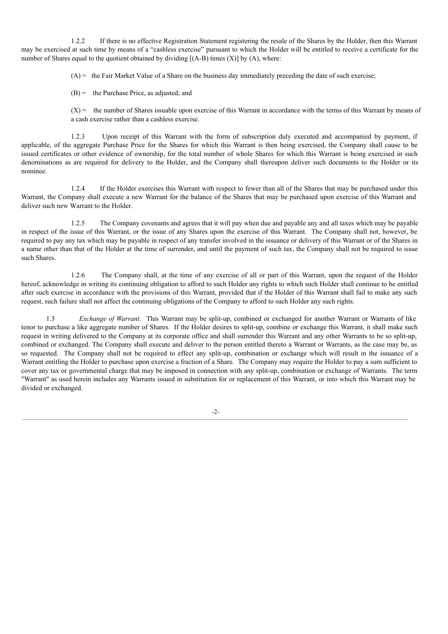1.2.2 If there is no effective Registration Statement registering the resale of the Shares by the Holder, then this Warrant may be exercised at such time by means of a "cashless exercise" pursuant to which the Holder will be entitled to receive a certificate for the number of Shares equal to the quotient obtained by dividing  $[(A-B)$  times  $(X)]$  by  $(A)$ , where:

 $(A)$  = the Fair Market Value of a Share on the business day immediately preceding the date of such exercise;

 $(B)$  = the Purchase Price, as adjusted; and

 $(X)$  = the number of Shares issuable upon exercise of this Warrant in accordance with the terms of this Warrant by means of a cash exercise rather than a cashless exercise.

1.2.3 Upon receipt of this Warrant with the form of subscription duly executed and accompanied by payment, if applicable, of the aggregate Purchase Price for the Shares for which this Warrant is then being exercised, the Company shall cause to be issued certificates or other evidence of ownership, for the total number of whole Shares for which this Warrant is being exercised in such denominations as are required for delivery to the Holder, and the Company shall thereupon deliver such documents to the Holder or its nominee.

1.2.4 If the Holder exercises this Warrant with respect to fewer than all of the Shares that may be purchased under this Warrant, the Company shall execute a new Warrant for the balance of the Shares that may be purchased upon exercise of this Warrant and deliver such new Warrant to the Holder.

1.2.5 The Company covenants and agrees that it will pay when due and payable any and all taxes which may be payable in respect of the issue of this Warrant, or the issue of any Shares upon the exercise of this Warrant. The Company shall not, however, be required to pay any tax which may be payable in respect of any transfer involved in the issuance or delivery of this Warrant or of the Shares in a name other than that of the Holder at the time of surrender, and until the payment of such tax, the Company shall not be required to issue such Shares.

1.2.6 The Company shall, at the time of any exercise of all or part of this Warrant, upon the request of the Holder hereof, acknowledge in writing its continuing obligation to afford to such Holder any rights to which such Holder shall continue to be entitled after such exercise in accordance with the provisions of this Warrant, provided that if the Holder of this Warrant shall fail to make any such request, such failure shall not affect the continuing obligations of the Company to afford to such Holder any such rights.

1.3 *Exchange of Warrant.* This Warrant may be split-up, combined or exchanged for another Warrant or Warrants of like tenor to purchase a like aggregate number of Shares. If the Holder desires to split-up, combine or exchange this Warrant, it shall make such request in writing delivered to the Company at its corporate office and shall surrender this Warrant and any other Warrants to be so split-up, combined or exchanged. The Company shall execute and deliver to the person entitled thereto a Warrant or Warrants, as the case may be, as so requested. The Company shall not be required to effect any split-up, combination or exchange which will result in the issuance of a Warrant entitling the Holder to purchase upon exercise a fraction of a Share. The Company may require the Holder to pay a sum sufficient to cover any tax or governmental charge that may be imposed in connection with any split-up, combination or exchange of Warrants. The term "Warrant" as used herein includes any Warrants issued in substitution for or replacement of this Warrant, or into which this Warrant may be divided or exchanged.

-2-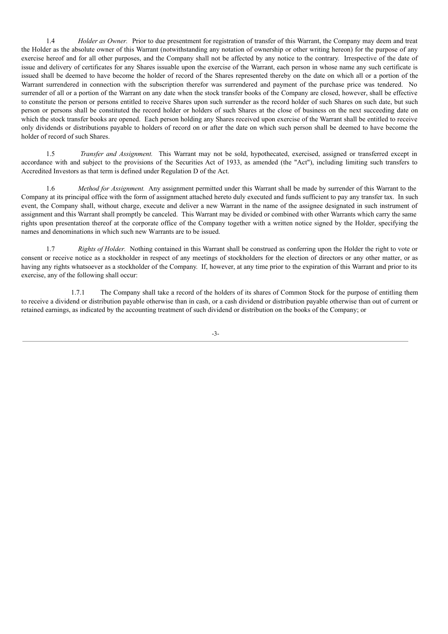1.4 *Holder as Owner.* Prior to due presentment for registration of transfer of this Warrant, the Company may deem and treat the Holder as the absolute owner of this Warrant (notwithstanding any notation of ownership or other writing hereon) for the purpose of any exercise hereof and for all other purposes, and the Company shall not be affected by any notice to the contrary. Irrespective of the date of issue and delivery of certificates for any Shares issuable upon the exercise of the Warrant, each person in whose name any such certificate is issued shall be deemed to have become the holder of record of the Shares represented thereby on the date on which all or a portion of the Warrant surrendered in connection with the subscription therefor was surrendered and payment of the purchase price was tendered. No surrender of all or a portion of the Warrant on any date when the stock transfer books of the Company are closed, however, shall be effective to constitute the person or persons entitled to receive Shares upon such surrender as the record holder of such Shares on such date, but such person or persons shall be constituted the record holder or holders of such Shares at the close of business on the next succeeding date on which the stock transfer books are opened. Each person holding any Shares received upon exercise of the Warrant shall be entitled to receive only dividends or distributions payable to holders of record on or after the date on which such person shall be deemed to have become the holder of record of such Shares.

1.5 *Transfer and Assignment.* This Warrant may not be sold, hypothecated, exercised, assigned or transferred except in accordance with and subject to the provisions of the Securities Act of 1933, as amended (the "Act"), including limiting such transfers to Accredited Investors as that term is defined under Regulation D of the Act.

1.6 *Method for Assignment.* Any assignment permitted under this Warrant shall be made by surrender of this Warrant to the Company at its principal office with the form of assignment attached hereto duly executed and funds sufficient to pay any transfer tax. In such event, the Company shall, without charge, execute and deliver a new Warrant in the name of the assignee designated in such instrument of assignment and this Warrant shall promptly be canceled. This Warrant may be divided or combined with other Warrants which carry the same rights upon presentation thereof at the corporate office of the Company together with a written notice signed by the Holder, specifying the names and denominations in which such new Warrants are to be issued.

1.7 *Rights of Holder.* Nothing contained in this Warrant shall be construed as conferring upon the Holder the right to vote or consent or receive notice as a stockholder in respect of any meetings of stockholders for the election of directors or any other matter, or as having any rights whatsoever as a stockholder of the Company. If, however, at any time prior to the expiration of this Warrant and prior to its exercise, any of the following shall occur:

1.7.1 The Company shall take a record of the holders of its shares of Common Stock for the purpose of entitling them to receive a dividend or distribution payable otherwise than in cash, or a cash dividend or distribution payable otherwise than out of current or retained earnings, as indicated by the accounting treatment of such dividend or distribution on the books of the Company; or

-3-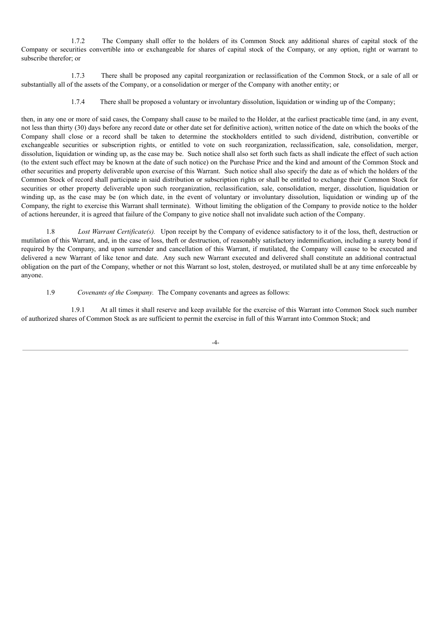1.7.2 The Company shall offer to the holders of its Common Stock any additional shares of capital stock of the Company or securities convertible into or exchangeable for shares of capital stock of the Company, or any option, right or warrant to subscribe therefor; or

1.7.3 There shall be proposed any capital reorganization or reclassification of the Common Stock, or a sale of all or substantially all of the assets of the Company, or a consolidation or merger of the Company with another entity; or

1.7.4 There shall be proposed a voluntary or involuntary dissolution, liquidation or winding up of the Company;

then, in any one or more of said cases, the Company shall cause to be mailed to the Holder, at the earliest practicable time (and, in any event, not less than thirty (30) days before any record date or other date set for definitive action), written notice of the date on which the books of the Company shall close or a record shall be taken to determine the stockholders entitled to such dividend, distribution, convertible or exchangeable securities or subscription rights, or entitled to vote on such reorganization, reclassification, sale, consolidation, merger, dissolution, liquidation or winding up, as the case may be. Such notice shall also set forth such facts as shall indicate the effect of such action (to the extent such effect may be known at the date of such notice) on the Purchase Price and the kind and amount of the Common Stock and other securities and property deliverable upon exercise of this Warrant. Such notice shall also specify the date as of which the holders of the Common Stock of record shall participate in said distribution or subscription rights or shall be entitled to exchange their Common Stock for securities or other property deliverable upon such reorganization, reclassification, sale, consolidation, merger, dissolution, liquidation or winding up, as the case may be (on which date, in the event of voluntary or involuntary dissolution, liquidation or winding up of the Company, the right to exercise this Warrant shall terminate). Without limiting the obligation of the Company to provide notice to the holder of actions hereunder, it is agreed that failure of the Company to give notice shall not invalidate such action of the Company.

1.8 *Lost Warrant Certificate(s).* Upon receipt by the Company of evidence satisfactory to it of the loss, theft, destruction or mutilation of this Warrant, and, in the case of loss, theft or destruction, of reasonably satisfactory indemnification, including a surety bond if required by the Company, and upon surrender and cancellation of this Warrant, if mutilated, the Company will cause to be executed and delivered a new Warrant of like tenor and date. Any such new Warrant executed and delivered shall constitute an additional contractual obligation on the part of the Company, whether or not this Warrant so lost, stolen, destroyed, or mutilated shall be at any time enforceable by anyone.

1.9 *Covenants of the Company.* The Company covenants and agrees as follows:

1.9.1 At all times it shall reserve and keep available for the exercise of this Warrant into Common Stock such number of authorized shares of Common Stock as are sufficient to permit the exercise in full of this Warrant into Common Stock; and

-4-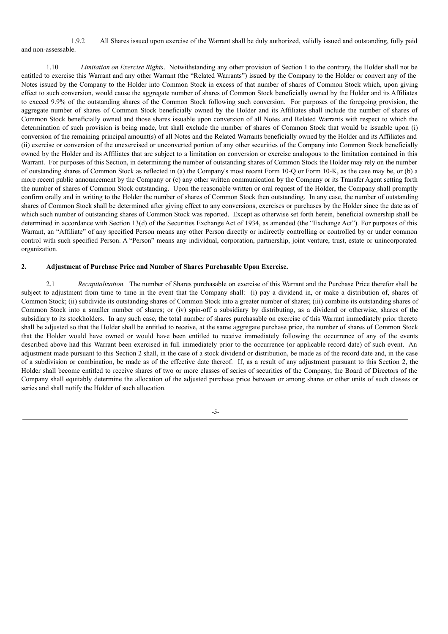1.9.2 All Shares issued upon exercise of the Warrant shall be duly authorized, validly issued and outstanding, fully paid and non-assessable.

1.10 *Limitation on Exercise Rights*. Notwithstanding any other provision of Section 1 to the contrary, the Holder shall not be entitled to exercise this Warrant and any other Warrant (the "Related Warrants") issued by the Company to the Holder or convert any of the Notes issued by the Company to the Holder into Common Stock in excess of that number of shares of Common Stock which, upon giving effect to such conversion, would cause the aggregate number of shares of Common Stock beneficially owned by the Holder and its Affiliates to exceed 9.9% of the outstanding shares of the Common Stock following such conversion. For purposes of the foregoing provision, the aggregate number of shares of Common Stock beneficially owned by the Holder and its Affiliates shall include the number of shares of Common Stock beneficially owned and those shares issuable upon conversion of all Notes and Related Warrants with respect to which the determination of such provision is being made, but shall exclude the number of shares of Common Stock that would be issuable upon (i) conversion of the remaining principal amount(s) of all Notes and the Related Warrants beneficially owned by the Holder and its Affiliates and (ii) exercise or conversion of the unexercised or unconverted portion of any other securities of the Company into Common Stock beneficially owned by the Holder and its Affiliates that are subject to a limitation on conversion or exercise analogous to the limitation contained in this Warrant. For purposes of this Section, in determining the number of outstanding shares of Common Stock the Holder may rely on the number of outstanding shares of Common Stock as reflected in (a) the Company's most recent Form 10-Q or Form 10-K, as the case may be, or (b) a more recent public announcement by the Company or (c) any other written communication by the Company or its Transfer Agent setting forth the number of shares of Common Stock outstanding. Upon the reasonable written or oral request of the Holder, the Company shall promptly confirm orally and in writing to the Holder the number of shares of Common Stock then outstanding. In any case, the number of outstanding shares of Common Stock shall be determined after giving effect to any conversions, exercises or purchases by the Holder since the date as of which such number of outstanding shares of Common Stock was reported. Except as otherwise set forth herein, beneficial ownership shall be determined in accordance with Section 13(d) of the Securities Exchange Act of 1934, as amended (the "Exchange Act"). For purposes of this Warrant, an "Affiliate" of any specified Person means any other Person directly or indirectly controlling or controlled by or under common control with such specified Person. A "Person" means any individual, corporation, partnership, joint venture, trust, estate or unincorporated organization.

#### **2. Adjustment of Purchase Price and Number of Shares Purchasable Upon Exercise.**

2.1 *Recapitalization.* The number of Shares purchasable on exercise of this Warrant and the Purchase Price therefor shall be subject to adjustment from time to time in the event that the Company shall: (i) pay a dividend in, or make a distribution of, shares of Common Stock; (ii) subdivide its outstanding shares of Common Stock into a greater number of shares; (iii) combine its outstanding shares of Common Stock into a smaller number of shares; or (iv) spin-off a subsidiary by distributing, as a dividend or otherwise, shares of the subsidiary to its stockholders. In any such case, the total number of shares purchasable on exercise of this Warrant immediately prior thereto shall be adjusted so that the Holder shall be entitled to receive, at the same aggregate purchase price, the number of shares of Common Stock that the Holder would have owned or would have been entitled to receive immediately following the occurrence of any of the events described above had this Warrant been exercised in full immediately prior to the occurrence (or applicable record date) of such event. An adjustment made pursuant to this Section 2 shall, in the case of a stock dividend or distribution, be made as of the record date and, in the case of a subdivision or combination, be made as of the effective date thereof. If, as a result of any adjustment pursuant to this Section 2, the Holder shall become entitled to receive shares of two or more classes of series of securities of the Company, the Board of Directors of the Company shall equitably determine the allocation of the adjusted purchase price between or among shares or other units of such classes or series and shall notify the Holder of such allocation.

-5-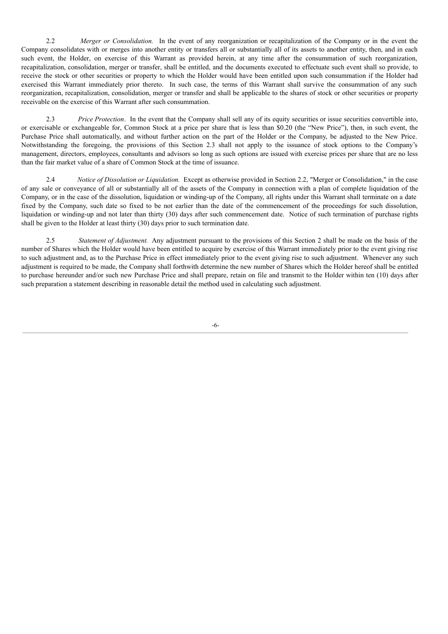2.2 *Merger or Consolidation.* In the event of any reorganization or recapitalization of the Company or in the event the Company consolidates with or merges into another entity or transfers all or substantially all of its assets to another entity, then, and in each such event, the Holder, on exercise of this Warrant as provided herein, at any time after the consummation of such reorganization, recapitalization, consolidation, merger or transfer, shall be entitled, and the documents executed to effectuate such event shall so provide, to receive the stock or other securities or property to which the Holder would have been entitled upon such consummation if the Holder had exercised this Warrant immediately prior thereto. In such case, the terms of this Warrant shall survive the consummation of any such reorganization, recapitalization, consolidation, merger or transfer and shall be applicable to the shares of stock or other securities or property receivable on the exercise of this Warrant after such consummation.

2.3 *Price Protection*. In the event that the Company shall sell any of its equity securities or issue securities convertible into, or exercisable or exchangeable for, Common Stock at a price per share that is less than \$0.20 (the "New Price"), then, in such event, the Purchase Price shall automatically, and without further action on the part of the Holder or the Company, be adjusted to the New Price. Notwithstanding the foregoing, the provisions of this Section 2.3 shall not apply to the issuance of stock options to the Company's management, directors, employees, consultants and advisors so long as such options are issued with exercise prices per share that are no less than the fair market value of a share of Common Stock at the time of issuance.

2.4 *Notice of Dissolution or Liquidation.* Except as otherwise provided in Section 2.2, "Merger or Consolidation," in the case of any sale or conveyance of all or substantially all of the assets of the Company in connection with a plan of complete liquidation of the Company, or in the case of the dissolution, liquidation or winding-up of the Company, all rights under this Warrant shall terminate on a date fixed by the Company, such date so fixed to be not earlier than the date of the commencement of the proceedings for such dissolution, liquidation or winding-up and not later than thirty (30) days after such commencement date. Notice of such termination of purchase rights shall be given to the Holder at least thirty (30) days prior to such termination date.

2.5 *Statement of Adjustment.* Any adjustment pursuant to the provisions of this Section 2 shall be made on the basis of the number of Shares which the Holder would have been entitled to acquire by exercise of this Warrant immediately prior to the event giving rise to such adjustment and, as to the Purchase Price in effect immediately prior to the event giving rise to such adjustment. Whenever any such adjustment is required to be made, the Company shall forthwith determine the new number of Shares which the Holder hereof shall be entitled to purchase hereunder and/or such new Purchase Price and shall prepare, retain on file and transmit to the Holder within ten (10) days after such preparation a statement describing in reasonable detail the method used in calculating such adjustment.

-6-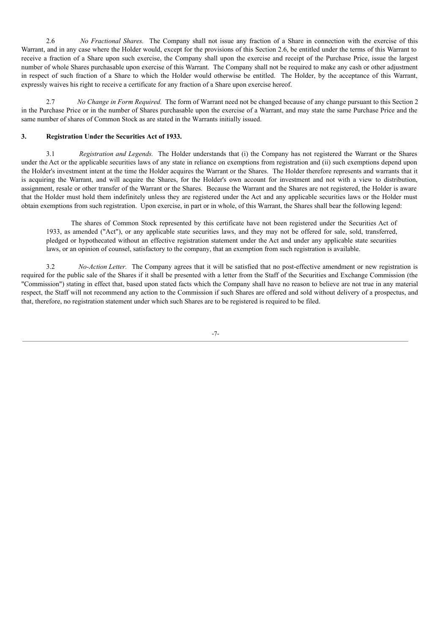2.6 *No Fractional Shares.* The Company shall not issue any fraction of a Share in connection with the exercise of this Warrant, and in any case where the Holder would, except for the provisions of this Section 2.6, be entitled under the terms of this Warrant to receive a fraction of a Share upon such exercise, the Company shall upon the exercise and receipt of the Purchase Price, issue the largest number of whole Shares purchasable upon exercise of this Warrant. The Company shall not be required to make any cash or other adjustment in respect of such fraction of a Share to which the Holder would otherwise be entitled. The Holder, by the acceptance of this Warrant, expressly waives his right to receive a certificate for any fraction of a Share upon exercise hereof.

2.7 *No Change in Form Required.* The form of Warrant need not be changed because of any change pursuant to this Section 2 in the Purchase Price or in the number of Shares purchasable upon the exercise of a Warrant, and may state the same Purchase Price and the same number of shares of Common Stock as are stated in the Warrants initially issued.

#### **3. Registration Under the Securities Act of 1933.**

3.1 *Registration and Legends.* The Holder understands that (i) the Company has not registered the Warrant or the Shares under the Act or the applicable securities laws of any state in reliance on exemptions from registration and (ii) such exemptions depend upon the Holder's investment intent at the time the Holder acquires the Warrant or the Shares. The Holder therefore represents and warrants that it is acquiring the Warrant, and will acquire the Shares, for the Holder's own account for investment and not with a view to distribution, assignment, resale or other transfer of the Warrant or the Shares. Because the Warrant and the Shares are not registered, the Holder is aware that the Holder must hold them indefinitely unless they are registered under the Act and any applicable securities laws or the Holder must obtain exemptions from such registration. Upon exercise, in part or in whole, of this Warrant, the Shares shall bear the following legend:

The shares of Common Stock represented by this certificate have not been registered under the Securities Act of 1933, as amended ("Act"), or any applicable state securities laws, and they may not be offered for sale, sold, transferred, pledged or hypothecated without an effective registration statement under the Act and under any applicable state securities laws, or an opinion of counsel, satisfactory to the company, that an exemption from such registration is available.

3.2 *No-Action Letter.* The Company agrees that it will be satisfied that no post-effective amendment or new registration is required for the public sale of the Shares if it shall be presented with a letter from the Staff of the Securities and Exchange Commission (the "Commission") stating in effect that, based upon stated facts which the Company shall have no reason to believe are not true in any material respect, the Staff will not recommend any action to the Commission if such Shares are offered and sold without delivery of a prospectus, and that, therefore, no registration statement under which such Shares are to be registered is required to be filed.

-7-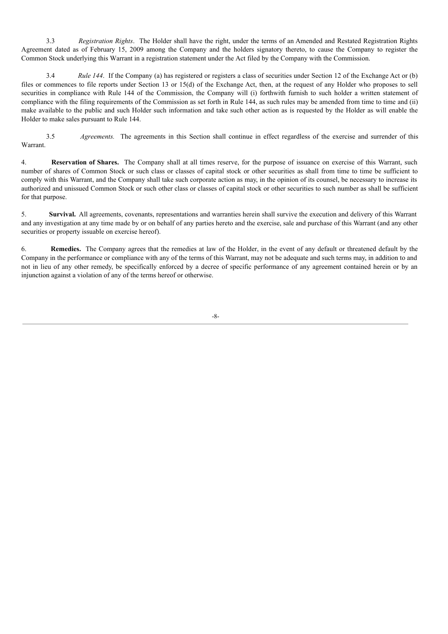3.3 *Registration Rights*. The Holder shall have the right, under the terms of an Amended and Restated Registration Rights Agreement dated as of February 15, 2009 among the Company and the holders signatory thereto, to cause the Company to register the Common Stock underlying this Warrant in a registration statement under the Act filed by the Company with the Commission.

3.4 *Rule 144*. If the Company (a) has registered or registers a class of securities under Section 12 of the Exchange Act or (b) files or commences to file reports under Section 13 or 15(d) of the Exchange Act, then, at the request of any Holder who proposes to sell securities in compliance with Rule 144 of the Commission, the Company will (i) forthwith furnish to such holder a written statement of compliance with the filing requirements of the Commission as set forth in Rule 144, as such rules may be amended from time to time and (ii) make available to the public and such Holder such information and take such other action as is requested by the Holder as will enable the Holder to make sales pursuant to Rule 144.

3.5 *Agreements.* The agreements in this Section shall continue in effect regardless of the exercise and surrender of this Warrant.

4. **Reservation of Shares.** The Company shall at all times reserve, for the purpose of issuance on exercise of this Warrant, such number of shares of Common Stock or such class or classes of capital stock or other securities as shall from time to time be sufficient to comply with this Warrant, and the Company shall take such corporate action as may, in the opinion of its counsel, be necessary to increase its authorized and unissued Common Stock or such other class or classes of capital stock or other securities to such number as shall be sufficient for that purpose.

5. **Survival.** All agreements, covenants, representations and warranties herein shall survive the execution and delivery of this Warrant and any investigation at any time made by or on behalf of any parties hereto and the exercise, sale and purchase of this Warrant (and any other securities or property issuable on exercise hereof).

6. **Remedies.** The Company agrees that the remedies at law of the Holder, in the event of any default or threatened default by the Company in the performance or compliance with any of the terms of this Warrant, may not be adequate and such terms may, in addition to and not in lieu of any other remedy, be specifically enforced by a decree of specific performance of any agreement contained herein or by an injunction against a violation of any of the terms hereof or otherwise.

-8-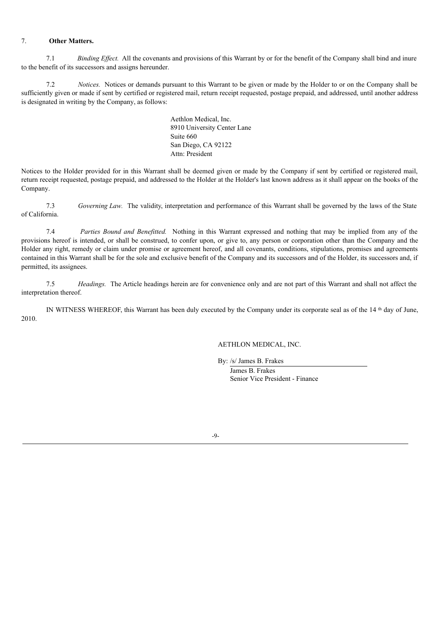### 7. **Other Matters.**

7.1 *Binding Effect.* All the covenants and provisions of this Warrant by or for the benefit of the Company shall bind and inure to the benefit of its successors and assigns hereunder.

7.2 *Notices.* Notices or demands pursuant to this Warrant to be given or made by the Holder to or on the Company shall be sufficiently given or made if sent by certified or registered mail, return receipt requested, postage prepaid, and addressed, until another address is designated in writing by the Company, as follows:

> Aethlon Medical, Inc. 8910 University Center Lane Suite 660 San Diego, CA 92122 Attn: President

Notices to the Holder provided for in this Warrant shall be deemed given or made by the Company if sent by certified or registered mail, return receipt requested, postage prepaid, and addressed to the Holder at the Holder's last known address as it shall appear on the books of the Company.

7.3 *Governing Law.* The validity, interpretation and performance of this Warrant shall be governed by the laws of the State of California.

7.4 *Parties Bound and Benefitted.* Nothing in this Warrant expressed and nothing that may be implied from any of the provisions hereof is intended, or shall be construed, to confer upon, or give to, any person or corporation other than the Company and the Holder any right, remedy or claim under promise or agreement hereof, and all covenants, conditions, stipulations, promises and agreements contained in this Warrant shall be for the sole and exclusive benefit of the Company and its successors and of the Holder, its successors and, if permitted, its assignees.

7.5 *Headings.* The Article headings herein are for convenience only and are not part of this Warrant and shall not affect the interpretation thereof.

IN WITNESS WHEREOF, this Warrant has been duly executed by the Company under its corporate seal as of the  $14<sup>th</sup>$  day of June, 2010.

AETHLON MEDICAL, INC.

By: /s/ James B. Frakes

James B. Frakes Senior Vice President - Finance

-9-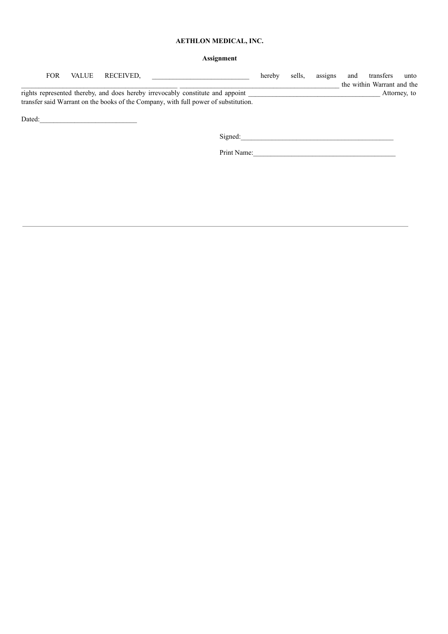# **AETHLON MEDICAL, INC.**

### **Assignment**

| FOR | VALUE RECEIVED,                                                                     | hereby | sells. | assigns | and transfers unto         |              |
|-----|-------------------------------------------------------------------------------------|--------|--------|---------|----------------------------|--------------|
|     |                                                                                     |        |        |         | the within Warrant and the |              |
|     | rights represented thereby, and does hereby irrevocably constitute and appoint      |        |        |         |                            | Attorney, to |
|     | transfer said Warrant on the books of the Company, with full power of substitution. |        |        |         |                            |              |
|     |                                                                                     |        |        |         |                            |              |

Dated:\_\_\_\_\_\_\_\_\_\_\_\_\_\_\_\_\_\_\_\_\_\_\_\_\_\_\_\_

 $Signal:$ 

Print Name:\_\_\_\_\_\_\_\_\_\_\_\_\_\_\_\_\_\_\_\_\_\_\_\_\_\_\_\_\_\_\_\_\_\_\_\_\_\_\_\_\_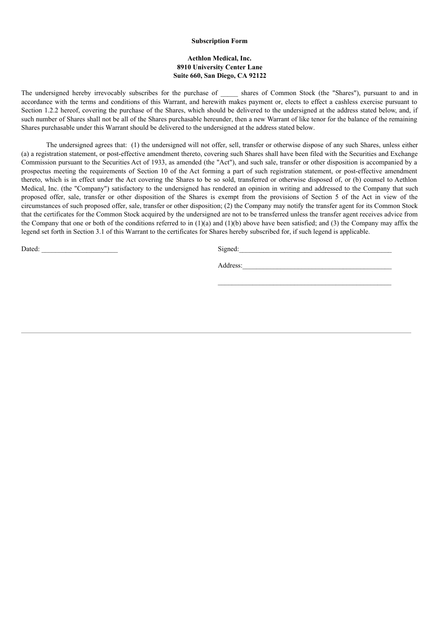#### **Subscription Form**

### **Aethlon Medical, Inc. 8910 University Center Lane Suite 660, San Diego, CA 92122**

The undersigned hereby irrevocably subscribes for the purchase of \_\_\_\_\_ shares of Common Stock (the "Shares"), pursuant to and in accordance with the terms and conditions of this Warrant, and herewith makes payment or, elects to effect a cashless exercise pursuant to Section 1.2.2 hereof, covering the purchase of the Shares, which should be delivered to the undersigned at the address stated below, and, if such number of Shares shall not be all of the Shares purchasable hereunder, then a new Warrant of like tenor for the balance of the remaining Shares purchasable under this Warrant should be delivered to the undersigned at the address stated below.

The undersigned agrees that: (1) the undersigned will not offer, sell, transfer or otherwise dispose of any such Shares, unless either (a) a registration statement, or post-effective amendment thereto, covering such Shares shall have been filed with the Securities and Exchange Commission pursuant to the Securities Act of 1933, as amended (the "Act"), and such sale, transfer or other disposition is accompanied by a prospectus meeting the requirements of Section 10 of the Act forming a part of such registration statement, or post-effective amendment thereto, which is in effect under the Act covering the Shares to be so sold, transferred or otherwise disposed of, or (b) counsel to Aethlon Medical, Inc. (the "Company") satisfactory to the undersigned has rendered an opinion in writing and addressed to the Company that such proposed offer, sale, transfer or other disposition of the Shares is exempt from the provisions of Section 5 of the Act in view of the circumstances of such proposed offer, sale, transfer or other disposition; (2) the Company may notify the transfer agent for its Common Stock that the certificates for the Common Stock acquired by the undersigned are not to be transferred unless the transfer agent receives advice from the Company that one or both of the conditions referred to in (1)(a) and (1)(b) above have been satisfied; and (3) the Company may affix the legend set forth in Section 3.1 of this Warrant to the certificates for Shares hereby subscribed for, if such legend is applicable.

Dated: \_\_\_\_\_\_\_\_\_\_\_\_\_\_\_\_\_\_\_\_\_\_ Signed:\_\_\_\_\_\_\_\_\_\_\_\_\_\_\_\_\_\_\_\_\_\_\_\_\_\_\_\_\_\_\_\_\_\_\_\_\_\_\_\_\_\_\_\_

Address: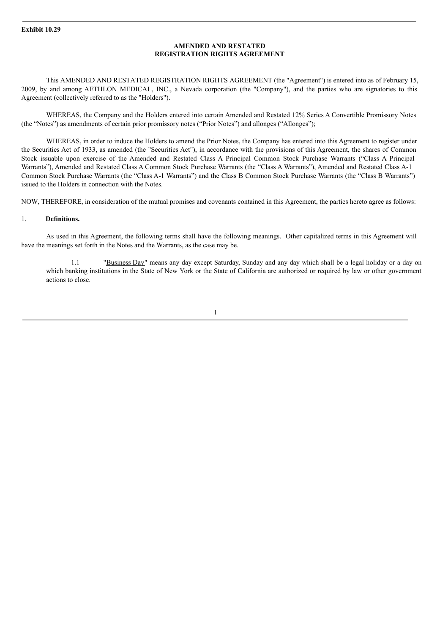### **AMENDED AND RESTATED REGISTRATION RIGHTS AGREEMENT**

This AMENDED AND RESTATED REGISTRATION RIGHTS AGREEMENT (the "Agreement") is entered into as of February 15, 2009, by and among AETHLON MEDICAL, INC., a Nevada corporation (the "Company"), and the parties who are signatories to this Agreement (collectively referred to as the "Holders").

WHEREAS, the Company and the Holders entered into certain Amended and Restated 12% Series A Convertible Promissory Notes (the "Notes") as amendments of certain prior promissory notes ("Prior Notes") and allonges ("Allonges");

WHEREAS, in order to induce the Holders to amend the Prior Notes, the Company has entered into this Agreement to register under the Securities Act of 1933, as amended (the "Securities Act"), in accordance with the provisions of this Agreement, the shares of Common Stock issuable upon exercise of the Amended and Restated Class A Principal Common Stock Purchase Warrants ("Class A Principal Warrants"), Amended and Restated Class A Common Stock Purchase Warrants (the "Class A Warrants"), Amended and Restated Class A-1 Common Stock Purchase Warrants (the "Class A-1 Warrants") and the Class B Common Stock Purchase Warrants (the "Class B Warrants") issued to the Holders in connection with the Notes.

NOW, THEREFORE, in consideration of the mutual promises and covenants contained in this Agreement, the parties hereto agree as follows:

#### 1. **Definitions.**

As used in this Agreement, the following terms shall have the following meanings. Other capitalized terms in this Agreement will have the meanings set forth in the Notes and the Warrants, as the case may be.

1.1 "Business Day" means any day except Saturday, Sunday and any day which shall be a legal holiday or a day on which banking institutions in the State of New York or the State of California are authorized or required by law or other government actions to close.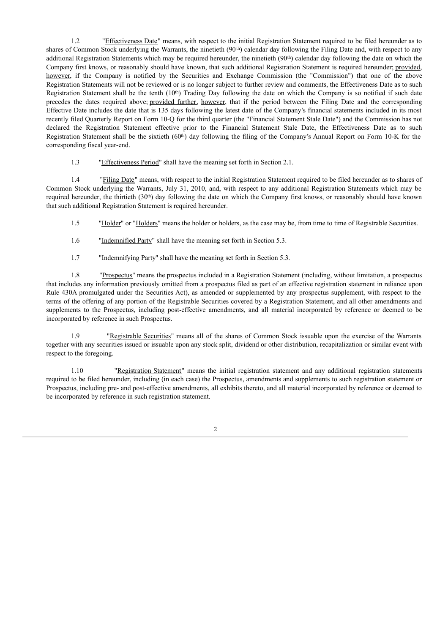1.2 "Effectiveness Date" means, with respect to the initial Registration Statement required to be filed hereunder as to shares of Common Stock underlying the Warrants, the ninetieth (90<sup>th</sup>) calendar day following the Filing Date and, with respect to any additional Registration Statements which may be required hereunder, the ninetieth (90<sup>th</sup>) calendar day following the date on which the Company first knows, or reasonably should have known, that such additional Registration Statement is required hereunder; provided, however, if the Company is notified by the Securities and Exchange Commission (the "Commission") that one of the above Registration Statements will not be reviewed or is no longer subject to further review and comments, the Effectiveness Date as to such Registration Statement shall be the tenth  $(10<sup>th</sup>)$  Trading Day following the date on which the Company is so notified if such date precedes the dates required above; provided further, however, that if the period between the Filing Date and the corresponding Effective Date includes the date that is 135 days following the latest date of the Company's financial statements included in its most recently filed Quarterly Report on Form 10-Q for the third quarter (the "Financial Statement Stale Date") and the Commission has not declared the Registration Statement effective prior to the Financial Statement Stale Date, the Effectiveness Date as to such Registration Statement shall be the sixtieth (60<sup>th</sup>) day following the filing of the Company's Annual Report on Form 10-K for the corresponding fiscal year-end.

1.3 "Effectiveness Period" shall have the meaning set forth in Section 2.1.

1.4 "Filing Date" means, with respect to the initial Registration Statement required to be filed hereunder as to shares of Common Stock underlying the Warrants, July 31, 2010, and, with respect to any additional Registration Statements which may be required hereunder, the thirtieth (30<sup>th</sup>) day following the date on which the Company first knows, or reasonably should have known that such additional Registration Statement is required hereunder.

1.5 "Holder" or "Holders" means the holder or holders, as the case may be, from time to time of Registrable Securities.

1.6 "Indemnified Party" shall have the meaning set forth in Section 5.3.

1.7 "Indemnifying Party" shall have the meaning set forth in Section 5.3.

1.8 "Prospectus" means the prospectus included in a Registration Statement (including, without limitation, a prospectus that includes any information previously omitted from a prospectus filed as part of an effective registration statement in reliance upon Rule 430A promulgated under the Securities Act), as amended or supplemented by any prospectus supplement, with respect to the terms of the offering of any portion of the Registrable Securities covered by a Registration Statement, and all other amendments and supplements to the Prospectus, including post-effective amendments, and all material incorporated by reference or deemed to be incorporated by reference in such Prospectus.

1.9 "Registrable Securities" means all of the shares of Common Stock issuable upon the exercise of the Warrants together with any securities issued or issuable upon any stock split, dividend or other distribution, recapitalization or similar event with respect to the foregoing.

1.10 "Registration Statement" means the initial registration statement and any additional registration statements required to be filed hereunder, including (in each case) the Prospectus, amendments and supplements to such registration statement or Prospectus, including pre- and post-effective amendments, all exhibits thereto, and all material incorporated by reference or deemed to be incorporated by reference in such registration statement.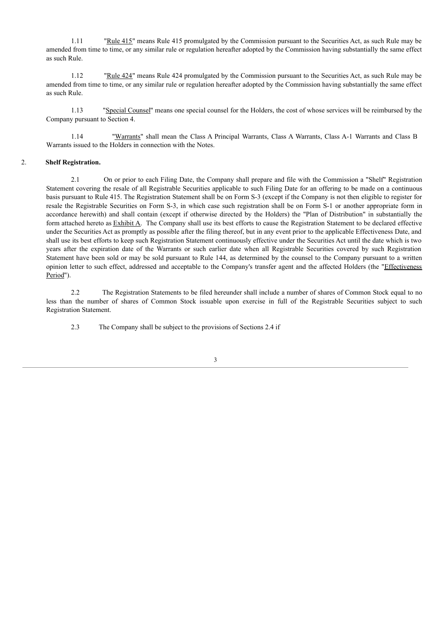1.11 "Rule 415" means Rule 415 promulgated by the Commission pursuant to the Securities Act, as such Rule may be amended from time to time, or any similar rule or regulation hereafter adopted by the Commission having substantially the same effect as such Rule.

1.12 "Rule 424" means Rule 424 promulgated by the Commission pursuant to the Securities Act, as such Rule may be amended from time to time, or any similar rule or regulation hereafter adopted by the Commission having substantially the same effect as such Rule.

1.13 "Special Counsel" means one special counsel for the Holders, the cost of whose services will be reimbursed by the Company pursuant to Section 4.

1.14 "Warrants" shall mean the Class A Principal Warrants, Class A Warrants, Class A-1 Warrants and Class B Warrants issued to the Holders in connection with the Notes.

#### 2. **Shelf Registration.**

2.1 On or prior to each Filing Date, the Company shall prepare and file with the Commission a "Shelf" Registration Statement covering the resale of all Registrable Securities applicable to such Filing Date for an offering to be made on a continuous basis pursuant to Rule 415. The Registration Statement shall be on Form S-3 (except if the Company is not then eligible to register for resale the Registrable Securities on Form S-3, in which case such registration shall be on Form S-1 or another appropriate form in accordance herewith) and shall contain (except if otherwise directed by the Holders) the "Plan of Distribution" in substantially the form attached hereto as Exhibit A. The Company shall use its best efforts to cause the Registration Statement to be declared effective under the Securities Act as promptly as possible after the filing thereof, but in any event prior to the applicable Effectiveness Date, and shall use its best efforts to keep such Registration Statement continuously effective under the Securities Act until the date which is two years after the expiration date of the Warrants or such earlier date when all Registrable Securities covered by such Registration Statement have been sold or may be sold pursuant to Rule 144, as determined by the counsel to the Company pursuant to a written opinion letter to such effect, addressed and acceptable to the Company's transfer agent and the affected Holders (the "Effectiveness Period").

2.2 The Registration Statements to be filed hereunder shall include a number of shares of Common Stock equal to no less than the number of shares of Common Stock issuable upon exercise in full of the Registrable Securities subject to such Registration Statement.

2.3 The Company shall be subject to the provisions of Sections 2.4 if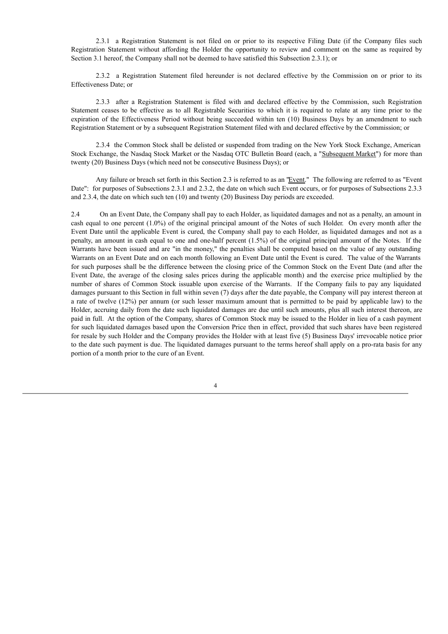2.3.1 a Registration Statement is not filed on or prior to its respective Filing Date (if the Company files such Registration Statement without affording the Holder the opportunity to review and comment on the same as required by Section 3.1 hereof, the Company shall not be deemed to have satisfied this Subsection 2.3.1); or

2.3.2 a Registration Statement filed hereunder is not declared effective by the Commission on or prior to its Effectiveness Date; or

2.3.3 after a Registration Statement is filed with and declared effective by the Commission, such Registration Statement ceases to be effective as to all Registrable Securities to which it is required to relate at any time prior to the expiration of the Effectiveness Period without being succeeded within ten (10) Business Days by an amendment to such Registration Statement or by a subsequent Registration Statement filed with and declared effective by the Commission; or

2.3.4 the Common Stock shall be delisted or suspended from trading on the New York Stock Exchange, American Stock Exchange, the Nasdaq Stock Market or the Nasdaq OTC Bulletin Board (each, a "Subsequent Market") for more than twenty (20) Business Days (which need not be consecutive Business Days); or

Any failure or breach set forth in this Section 2.3 is referred to as an "Event." The following are referred to as "Event Date": for purposes of Subsections 2.3.1 and 2.3.2, the date on which such Event occurs, or for purposes of Subsections 2.3.3 and 2.3.4, the date on which such ten (10) and twenty (20) Business Day periods are exceeded.

2.4 On an Event Date, the Company shall pay to each Holder, as liquidated damages and not as a penalty, an amount in cash equal to one percent (1.0%) of the original principal amount of the Notes of such Holder. On every month after the Event Date until the applicable Event is cured, the Company shall pay to each Holder, as liquidated damages and not as a penalty, an amount in cash equal to one and one-half percent (1.5%) of the original principal amount of the Notes. If the Warrants have been issued and are "in the money," the penalties shall be computed based on the value of any outstanding Warrants on an Event Date and on each month following an Event Date until the Event is cured. The value of the Warrants for such purposes shall be the difference between the closing price of the Common Stock on the Event Date (and after the Event Date, the average of the closing sales prices during the applicable month) and the exercise price multiplied by the number of shares of Common Stock issuable upon exercise of the Warrants. If the Company fails to pay any liquidated damages pursuant to this Section in full within seven (7) days after the date payable, the Company will pay interest thereon at a rate of twelve (12%) per annum (or such lesser maximum amount that is permitted to be paid by applicable law) to the Holder, accruing daily from the date such liquidated damages are due until such amounts, plus all such interest thereon, are paid in full. At the option of the Company, shares of Common Stock may be issued to the Holder in lieu of a cash payment for such liquidated damages based upon the Conversion Price then in effect, provided that such shares have been registered for resale by such Holder and the Company provides the Holder with at least five (5) Business Days' irrevocable notice prior to the date such payment is due. The liquidated damages pursuant to the terms hereof shall apply on a pro-rata basis for any portion of a month prior to the cure of an Event.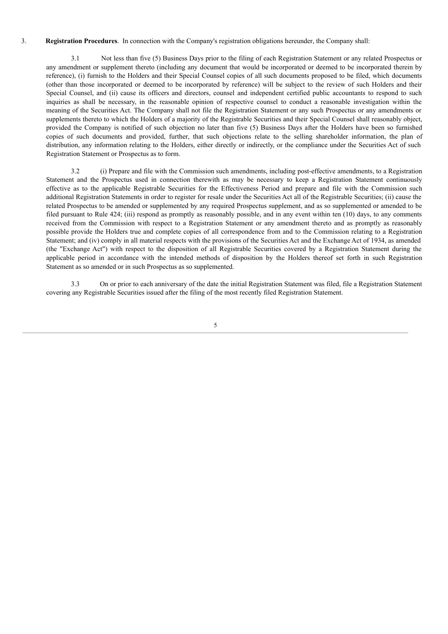### 3. **Registration Procedures**. In connection with the Company's registration obligations hereunder, the Company shall:

3.1 Not less than five (5) Business Days prior to the filing of each Registration Statement or any related Prospectus or any amendment or supplement thereto (including any document that would be incorporated or deemed to be incorporated therein by reference), (i) furnish to the Holders and their Special Counsel copies of all such documents proposed to be filed, which documents (other than those incorporated or deemed to be incorporated by reference) will be subject to the review of such Holders and their Special Counsel, and (ii) cause its officers and directors, counsel and independent certified public accountants to respond to such inquiries as shall be necessary, in the reasonable opinion of respective counsel to conduct a reasonable investigation within the meaning of the Securities Act. The Company shall not file the Registration Statement or any such Prospectus or any amendments or supplements thereto to which the Holders of a majority of the Registrable Securities and their Special Counsel shall reasonably object, provided the Company is notified of such objection no later than five (5) Business Days after the Holders have been so furnished copies of such documents and provided, further, that such objections relate to the selling shareholder information, the plan of distribution, any information relating to the Holders, either directly or indirectly, or the compliance under the Securities Act of such Registration Statement or Prospectus as to form.

3.2 (i) Prepare and file with the Commission such amendments, including post-effective amendments, to a Registration Statement and the Prospectus used in connection therewith as may be necessary to keep a Registration Statement continuously effective as to the applicable Registrable Securities for the Effectiveness Period and prepare and file with the Commission such additional Registration Statements in order to register for resale under the Securities Act all of the Registrable Securities; (ii) cause the related Prospectus to be amended or supplemented by any required Prospectus supplement, and as so supplemented or amended to be filed pursuant to Rule 424; (iii) respond as promptly as reasonably possible, and in any event within ten (10) days, to any comments received from the Commission with respect to a Registration Statement or any amendment thereto and as promptly as reasonably possible provide the Holders true and complete copies of all correspondence from and to the Commission relating to a Registration Statement; and (iv) comply in all material respects with the provisions of the Securities Act and the Exchange Act of 1934, as amended (the "Exchange Act") with respect to the disposition of all Registrable Securities covered by a Registration Statement during the applicable period in accordance with the intended methods of disposition by the Holders thereof set forth in such Registration Statement as so amended or in such Prospectus as so supplemented.

3.3 On or prior to each anniversary of the date the initial Registration Statement was filed, file a Registration Statement covering any Registrable Securities issued after the filing of the most recently filed Registration Statement.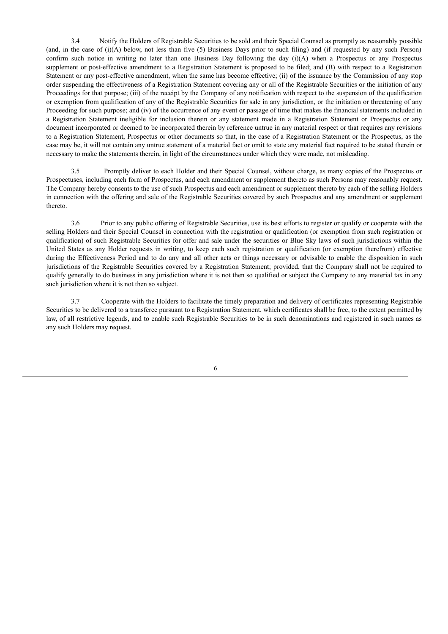3.4 Notify the Holders of Registrable Securities to be sold and their Special Counsel as promptly as reasonably possible (and, in the case of (i)(A) below, not less than five (5) Business Days prior to such filing) and (if requested by any such Person) confirm such notice in writing no later than one Business Day following the day (i)(A) when a Prospectus or any Prospectus supplement or post-effective amendment to a Registration Statement is proposed to be filed; and (B) with respect to a Registration Statement or any post-effective amendment, when the same has become effective; (ii) of the issuance by the Commission of any stop order suspending the effectiveness of a Registration Statement covering any or all of the Registrable Securities or the initiation of any Proceedings for that purpose; (iii) of the receipt by the Company of any notification with respect to the suspension of the qualification or exemption from qualification of any of the Registrable Securities for sale in any jurisdiction, or the initiation or threatening of any Proceeding for such purpose; and (iv) of the occurrence of any event or passage of time that makes the financial statements included in a Registration Statement ineligible for inclusion therein or any statement made in a Registration Statement or Prospectus or any document incorporated or deemed to be incorporated therein by reference untrue in any material respect or that requires any revisions to a Registration Statement, Prospectus or other documents so that, in the case of a Registration Statement or the Prospectus, as the case may be, it will not contain any untrue statement of a material fact or omit to state any material fact required to be stated therein or necessary to make the statements therein, in light of the circumstances under which they were made, not misleading.

3.5 Promptly deliver to each Holder and their Special Counsel, without charge, as many copies of the Prospectus or Prospectuses, including each form of Prospectus, and each amendment or supplement thereto as such Persons may reasonably request. The Company hereby consents to the use of such Prospectus and each amendment or supplement thereto by each of the selling Holders in connection with the offering and sale of the Registrable Securities covered by such Prospectus and any amendment or supplement thereto.

3.6 Prior to any public offering of Registrable Securities, use its best efforts to register or qualify or cooperate with the selling Holders and their Special Counsel in connection with the registration or qualification (or exemption from such registration or qualification) of such Registrable Securities for offer and sale under the securities or Blue Sky laws of such jurisdictions within the United States as any Holder requests in writing, to keep each such registration or qualification (or exemption therefrom) effective during the Effectiveness Period and to do any and all other acts or things necessary or advisable to enable the disposition in such jurisdictions of the Registrable Securities covered by a Registration Statement; provided, that the Company shall not be required to qualify generally to do business in any jurisdiction where it is not then so qualified or subject the Company to any material tax in any such jurisdiction where it is not then so subject.

3.7 Cooperate with the Holders to facilitate the timely preparation and delivery of certificates representing Registrable Securities to be delivered to a transferee pursuant to a Registration Statement, which certificates shall be free, to the extent permitted by law, of all restrictive legends, and to enable such Registrable Securities to be in such denominations and registered in such names as any such Holders may request.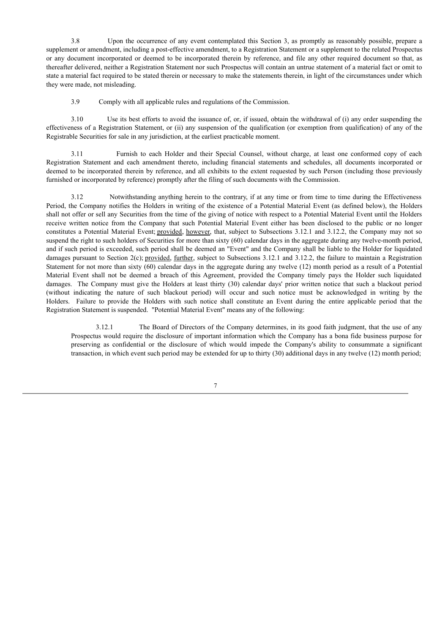3.8 Upon the occurrence of any event contemplated this Section 3, as promptly as reasonably possible, prepare a supplement or amendment, including a post-effective amendment, to a Registration Statement or a supplement to the related Prospectus or any document incorporated or deemed to be incorporated therein by reference, and file any other required document so that, as thereafter delivered, neither a Registration Statement nor such Prospectus will contain an untrue statement of a material fact or omit to state a material fact required to be stated therein or necessary to make the statements therein, in light of the circumstances under which they were made, not misleading.

3.9 Comply with all applicable rules and regulations of the Commission.

3.10 Use its best efforts to avoid the issuance of, or, if issued, obtain the withdrawal of (i) any order suspending the effectiveness of a Registration Statement, or (ii) any suspension of the qualification (or exemption from qualification) of any of the Registrable Securities for sale in any jurisdiction, at the earliest practicable moment.

3.11 Furnish to each Holder and their Special Counsel, without charge, at least one conformed copy of each Registration Statement and each amendment thereto, including financial statements and schedules, all documents incorporated or deemed to be incorporated therein by reference, and all exhibits to the extent requested by such Person (including those previously furnished or incorporated by reference) promptly after the filing of such documents with the Commission.

3.12 Notwithstanding anything herein to the contrary, if at any time or from time to time during the Effectiveness Period, the Company notifies the Holders in writing of the existence of a Potential Material Event (as defined below), the Holders shall not offer or sell any Securities from the time of the giving of notice with respect to a Potential Material Event until the Holders receive written notice from the Company that such Potential Material Event either has been disclosed to the public or no longer constitutes a Potential Material Event; provided, however, that, subject to Subsections 3.12.1 and 3.12.2, the Company may not so suspend the right to such holders of Securities for more than sixty (60) calendar days in the aggregate during any twelve-month period, and if such period is exceeded, such period shall be deemed an "Event" and the Company shall be liable to the Holder for liquidated damages pursuant to Section 2(c); provided, further, subject to Subsections 3.12.1 and 3.12.2, the failure to maintain a Registration Statement for not more than sixty (60) calendar days in the aggregate during any twelve (12) month period as a result of a Potential Material Event shall not be deemed a breach of this Agreement, provided the Company timely pays the Holder such liquidated damages. The Company must give the Holders at least thirty (30) calendar days' prior written notice that such a blackout period (without indicating the nature of such blackout period) will occur and such notice must be acknowledged in writing by the Holders. Failure to provide the Holders with such notice shall constitute an Event during the entire applicable period that the Registration Statement is suspended. "Potential Material Event" means any of the following:

3.12.1 The Board of Directors of the Company determines, in its good faith judgment, that the use of any Prospectus would require the disclosure of important information which the Company has a bona fide business purpose for preserving as confidential or the disclosure of which would impede the Company's ability to consummate a significant transaction, in which event such period may be extended for up to thirty (30) additional days in any twelve (12) month period;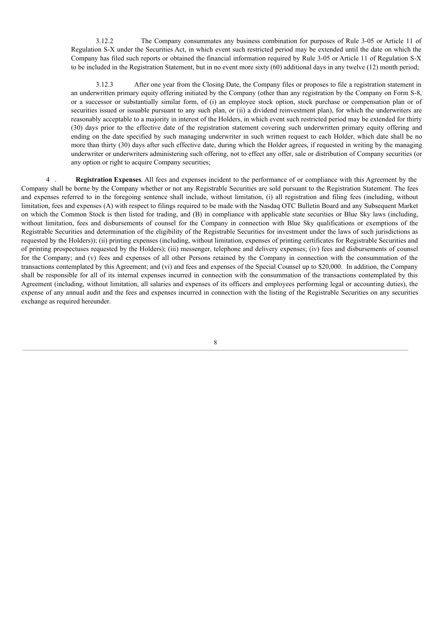3.12.2 The Company consummates any business combination for purposes of Rule 3-05 or Article 11 of Regulation S-X under the Securities Act, in which event such restricted period may be extended until the date on which the Company has filed such reports or obtained the financial information required by Rule 3-05 or Article 11 of Regulation S-X to be included in the Registration Statement, but in no event more sixty (60) additional days in any twelve (12) month period;

3.12.3 After one year from the Closing Date, the Company files or proposes to file a registration statement in an underwritten primary equity offering initiated by the Company (other than any registration by the Company on Form S-8, or a successor or substantially similar form, of (i) an employee stock option, stock purchase or compensation plan or of securities issued or issuable pursuant to any such plan, or (ii) a dividend reinvestment plan), for which the underwriters are reasonably acceptable to a majority in interest of the Holders, in which event such restricted period may be extended for thirty (30) days prior to the effective date of the registration statement covering such underwritten primary equity offering and ending on the date specified by such managing underwriter in such written request to each Holder, which date shall be no more than thirty (30) days after such effective date, during which the Holder agrees, if requested in writing by the managing underwriter or underwriters administering such offering, not to effect any offer, sale or distribution of Company securities (or any option or right to acquire Company securities;

4 . **Registration Expenses**. All fees and expenses incident to the performance of or compliance with this Agreement by the Company shall be borne by the Company whether or not any Registrable Securities are sold pursuant to the Registration Statement. The fees and expenses referred to in the foregoing sentence shall include, without limitation, (i) all registration and filing fees (including, without limitation, fees and expenses (A) with respect to filings required to be made with the Nasdaq OTC Bulletin Board and any Subsequent Market on which the Common Stock is then listed for trading, and (B) in compliance with applicable state securities or Blue Sky laws (including, without limitation, fees and disbursements of counsel for the Company in connection with Blue Sky qualifications or exemptions of the Registrable Securities and determination of the eligibility of the Registrable Securities for investment under the laws of such jurisdictions as requested by the Holders)); (ii) printing expenses (including, without limitation, expenses of printing certificates for Registrable Securities and of printing prospectuses requested by the Holders); (iii) messenger, telephone and delivery expenses; (iv) fees and disbursements of counsel for the Company; and (v) fees and expenses of all other Persons retained by the Company in connection with the consummation of the transactions contemplated by this Agreement; and (vi) and fees and expenses of the Special Counsel up to \$20,000. In addition, the Company shall be responsible for all of its internal expenses incurred in connection with the consummation of the transactions contemplated by this Agreement (including, without limitation, all salaries and expenses of its officers and employees performing legal or accounting duties), the expense of any annual audit and the fees and expenses incurred in connection with the listing of the Registrable Securities on any securities exchange as required hereunder.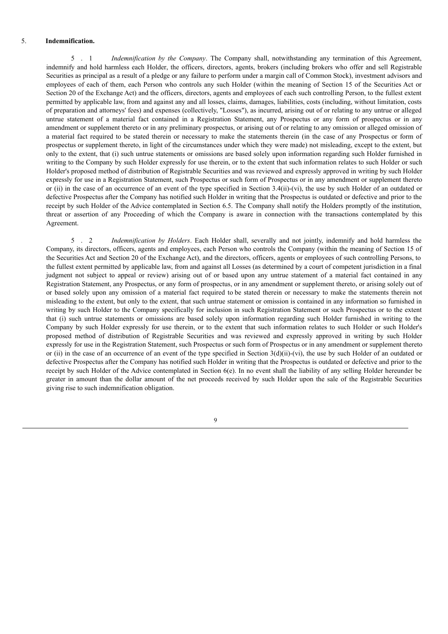#### 5. **Indemnification.**

5 . 1 *Indemnification by the Company*. The Company shall, notwithstanding any termination of this Agreement, indemnify and hold harmless each Holder, the officers, directors, agents, brokers (including brokers who offer and sell Registrable Securities as principal as a result of a pledge or any failure to perform under a margin call of Common Stock), investment advisors and employees of each of them, each Person who controls any such Holder (within the meaning of Section 15 of the Securities Act or Section 20 of the Exchange Act) and the officers, directors, agents and employees of each such controlling Person, to the fullest extent permitted by applicable law, from and against any and all losses, claims, damages, liabilities, costs (including, without limitation, costs of preparation and attorneys' fees) and expenses (collectively, "Losses"), as incurred, arising out of or relating to any untrue or alleged untrue statement of a material fact contained in a Registration Statement, any Prospectus or any form of prospectus or in any amendment or supplement thereto or in any preliminary prospectus, or arising out of or relating to any omission or alleged omission of a material fact required to be stated therein or necessary to make the statements therein (in the case of any Prospectus or form of prospectus or supplement thereto, in light of the circumstances under which they were made) not misleading, except to the extent, but only to the extent, that (i) such untrue statements or omissions are based solely upon information regarding such Holder furnished in writing to the Company by such Holder expressly for use therein, or to the extent that such information relates to such Holder or such Holder's proposed method of distribution of Registrable Securities and was reviewed and expressly approved in writing by such Holder expressly for use in a Registration Statement, such Prospectus or such form of Prospectus or in any amendment or supplement thereto or (ii) in the case of an occurrence of an event of the type specified in Section 3.4(ii)-(vi), the use by such Holder of an outdated or defective Prospectus after the Company has notified such Holder in writing that the Prospectus is outdated or defective and prior to the receipt by such Holder of the Advice contemplated in Section 6.5. The Company shall notify the Holders promptly of the institution, threat or assertion of any Proceeding of which the Company is aware in connection with the transactions contemplated by this Agreement.

5 . 2 *Indemnification by Holders*. Each Holder shall, severally and not jointly, indemnify and hold harmless the Company, its directors, officers, agents and employees, each Person who controls the Company (within the meaning of Section 15 of the Securities Act and Section 20 of the Exchange Act), and the directors, officers, agents or employees of such controlling Persons, to the fullest extent permitted by applicable law, from and against all Losses (as determined by a court of competent jurisdiction in a final judgment not subject to appeal or review) arising out of or based upon any untrue statement of a material fact contained in any Registration Statement, any Prospectus, or any form of prospectus, or in any amendment or supplement thereto, or arising solely out of or based solely upon any omission of a material fact required to be stated therein or necessary to make the statements therein not misleading to the extent, but only to the extent, that such untrue statement or omission is contained in any information so furnished in writing by such Holder to the Company specifically for inclusion in such Registration Statement or such Prospectus or to the extent that (i) such untrue statements or omissions are based solely upon information regarding such Holder furnished in writing to the Company by such Holder expressly for use therein, or to the extent that such information relates to such Holder or such Holder's proposed method of distribution of Registrable Securities and was reviewed and expressly approved in writing by such Holder expressly for use in the Registration Statement, such Prospectus or such form of Prospectus or in any amendment or supplement thereto or (ii) in the case of an occurrence of an event of the type specified in Section 3(d)(ii)-(vi), the use by such Holder of an outdated or defective Prospectus after the Company has notified such Holder in writing that the Prospectus is outdated or defective and prior to the receipt by such Holder of the Advice contemplated in Section 6(e). In no event shall the liability of any selling Holder hereunder be greater in amount than the dollar amount of the net proceeds received by such Holder upon the sale of the Registrable Securities giving rise to such indemnification obligation.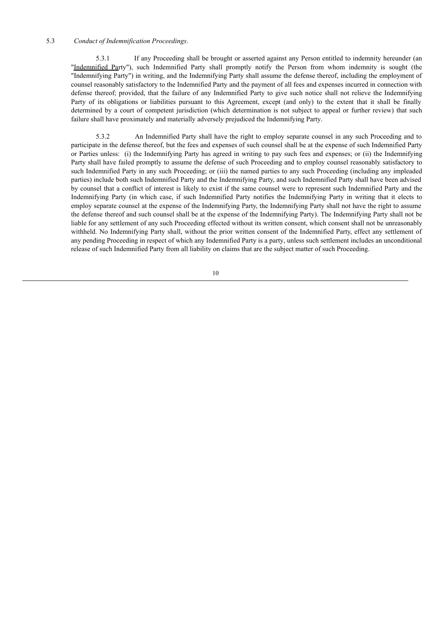### 5.3 *Conduct of Indemnification Proceedings*.

5.3.1 If any Proceeding shall be brought or asserted against any Person entitled to indemnity hereunder (an "Indemnified Party"), such Indemnified Party shall promptly notify the Person from whom indemnity is sought (the "Indemnifying Party") in writing, and the Indemnifying Party shall assume the defense thereof, including the employment of counsel reasonably satisfactory to the Indemnified Party and the payment of all fees and expenses incurred in connection with defense thereof; provided, that the failure of any Indemnified Party to give such notice shall not relieve the Indemnifying Party of its obligations or liabilities pursuant to this Agreement, except (and only) to the extent that it shall be finally determined by a court of competent jurisdiction (which determination is not subject to appeal or further review) that such failure shall have proximately and materially adversely prejudiced the Indemnifying Party.

5.3.2 An Indemnified Party shall have the right to employ separate counsel in any such Proceeding and to participate in the defense thereof, but the fees and expenses of such counsel shall be at the expense of such Indemnified Party or Parties unless: (i) the Indemnifying Party has agreed in writing to pay such fees and expenses; or (ii) the Indemnifying Party shall have failed promptly to assume the defense of such Proceeding and to employ counsel reasonably satisfactory to such Indemnified Party in any such Proceeding; or (iii) the named parties to any such Proceeding (including any impleaded parties) include both such Indemnified Party and the Indemnifying Party, and such Indemnified Party shall have been advised by counsel that a conflict of interest is likely to exist if the same counsel were to represent such Indemnified Party and the Indemnifying Party (in which case, if such Indemnified Party notifies the Indemnifying Party in writing that it elects to employ separate counsel at the expense of the Indemnifying Party, the Indemnifying Party shall not have the right to assume the defense thereof and such counsel shall be at the expense of the Indemnifying Party). The Indemnifying Party shall not be liable for any settlement of any such Proceeding effected without its written consent, which consent shall not be unreasonably withheld. No Indemnifying Party shall, without the prior written consent of the Indemnified Party, effect any settlement of any pending Proceeding in respect of which any Indemnified Party is a party, unless such settlement includes an unconditional release of such Indemnified Party from all liability on claims that are the subject matter of such Proceeding.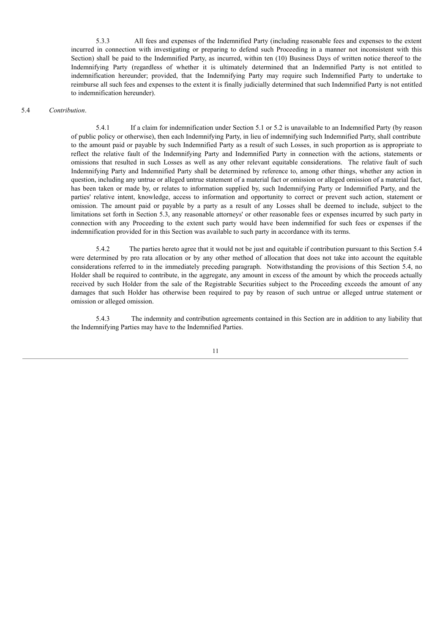5.3.3 All fees and expenses of the Indemnified Party (including reasonable fees and expenses to the extent incurred in connection with investigating or preparing to defend such Proceeding in a manner not inconsistent with this Section) shall be paid to the Indemnified Party, as incurred, within ten (10) Business Days of written notice thereof to the Indemnifying Party (regardless of whether it is ultimately determined that an Indemnified Party is not entitled to indemnification hereunder; provided, that the Indemnifying Party may require such Indemnified Party to undertake to reimburse all such fees and expenses to the extent it is finally judicially determined that such Indemnified Party is not entitled to indemnification hereunder).

#### 5.4 *Contribution*.

5.4.1 If a claim for indemnification under Section 5.1 or 5.2 is unavailable to an Indemnified Party (by reason of public policy or otherwise), then each Indemnifying Party, in lieu of indemnifying such Indemnified Party, shall contribute to the amount paid or payable by such Indemnified Party as a result of such Losses, in such proportion as is appropriate to reflect the relative fault of the Indemnifying Party and Indemnified Party in connection with the actions, statements or omissions that resulted in such Losses as well as any other relevant equitable considerations. The relative fault of such Indemnifying Party and Indemnified Party shall be determined by reference to, among other things, whether any action in question, including any untrue or alleged untrue statement of a material fact or omission or alleged omission of a material fact, has been taken or made by, or relates to information supplied by, such Indemnifying Party or Indemnified Party, and the parties' relative intent, knowledge, access to information and opportunity to correct or prevent such action, statement or omission. The amount paid or payable by a party as a result of any Losses shall be deemed to include, subject to the limitations set forth in Section 5.3, any reasonable attorneys' or other reasonable fees or expenses incurred by such party in connection with any Proceeding to the extent such party would have been indemnified for such fees or expenses if the indemnification provided for in this Section was available to such party in accordance with its terms.

5.4.2 The parties hereto agree that it would not be just and equitable if contribution pursuant to this Section 5.4 were determined by pro rata allocation or by any other method of allocation that does not take into account the equitable considerations referred to in the immediately preceding paragraph. Notwithstanding the provisions of this Section 5.4, no Holder shall be required to contribute, in the aggregate, any amount in excess of the amount by which the proceeds actually received by such Holder from the sale of the Registrable Securities subject to the Proceeding exceeds the amount of any damages that such Holder has otherwise been required to pay by reason of such untrue or alleged untrue statement or omission or alleged omission.

5.4.3 The indemnity and contribution agreements contained in this Section are in addition to any liability that the Indemnifying Parties may have to the Indemnified Parties.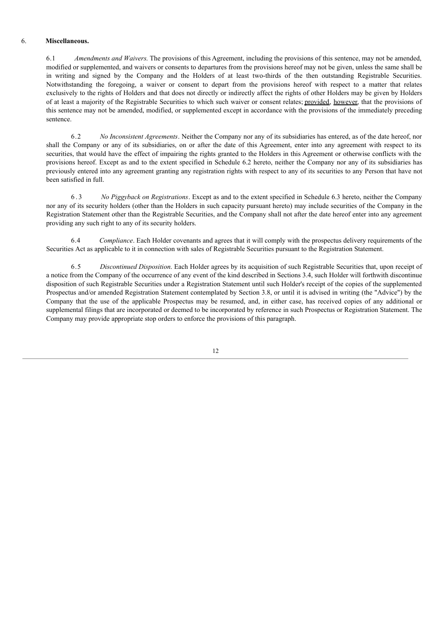#### 6. **Miscellaneous.**

6.1 *Amendments and Waivers*. The provisions of this Agreement, including the provisions of this sentence, may not be amended, modified or supplemented, and waivers or consents to departures from the provisions hereof may not be given, unless the same shall be in writing and signed by the Company and the Holders of at least two-thirds of the then outstanding Registrable Securities. Notwithstanding the foregoing, a waiver or consent to depart from the provisions hereof with respect to a matter that relates exclusively to the rights of Holders and that does not directly or indirectly affect the rights of other Holders may be given by Holders of at least a majority of the Registrable Securities to which such waiver or consent relates; provided, however, that the provisions of this sentence may not be amended, modified, or supplemented except in accordance with the provisions of the immediately preceding sentence.

6.2 *No Inconsistent Agreements*. Neither the Company nor any of its subsidiaries has entered, as of the date hereof, nor shall the Company or any of its subsidiaries, on or after the date of this Agreement, enter into any agreement with respect to its securities, that would have the effect of impairing the rights granted to the Holders in this Agreement or otherwise conflicts with the provisions hereof. Except as and to the extent specified in Schedule 6.2 hereto, neither the Company nor any of its subsidiaries has previously entered into any agreement granting any registration rights with respect to any of its securities to any Person that have not been satisfied in full.

6.3 *No Piggyback on Registrations*. Except as and to the extent specified in Schedule 6.3 hereto, neither the Company nor any of its security holders (other than the Holders in such capacity pursuant hereto) may include securities of the Company in the Registration Statement other than the Registrable Securities, and the Company shall not after the date hereof enter into any agreement providing any such right to any of its security holders.

6.4 *Compliance*. Each Holder covenants and agrees that it will comply with the prospectus delivery requirements of the Securities Act as applicable to it in connection with sales of Registrable Securities pursuant to the Registration Statement.

6.5 *Discontinued Disposition*. Each Holder agrees by its acquisition of such Registrable Securities that, upon receipt of a notice from the Company of the occurrence of any event of the kind described in Sections 3.4, such Holder will forthwith discontinue disposition of such Registrable Securities under a Registration Statement until such Holder's receipt of the copies of the supplemented Prospectus and/or amended Registration Statement contemplated by Section 3.8, or until it is advised in writing (the "Advice") by the Company that the use of the applicable Prospectus may be resumed, and, in either case, has received copies of any additional or supplemental filings that are incorporated or deemed to be incorporated by reference in such Prospectus or Registration Statement. The Company may provide appropriate stop orders to enforce the provisions of this paragraph.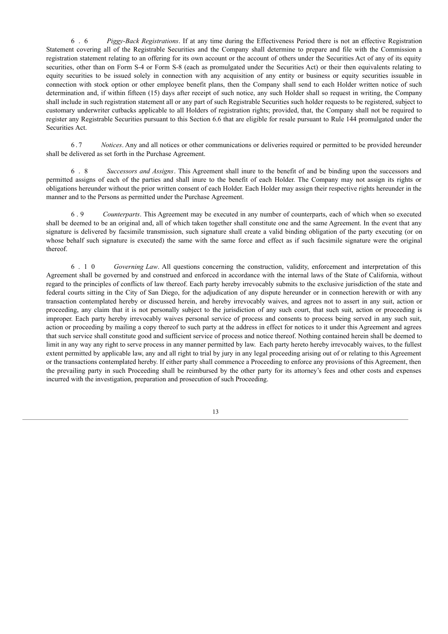6 . 6 *Piggy-Back Registrations*. If at any time during the Effectiveness Period there is not an effective Registration Statement covering all of the Registrable Securities and the Company shall determine to prepare and file with the Commission a registration statement relating to an offering for its own account or the account of others under the Securities Act of any of its equity securities, other than on Form S-4 or Form S-8 (each as promulgated under the Securities Act) or their then equivalents relating to equity securities to be issued solely in connection with any acquisition of any entity or business or equity securities issuable in connection with stock option or other employee benefit plans, then the Company shall send to each Holder written notice of such determination and, if within fifteen (15) days after receipt of such notice, any such Holder shall so request in writing, the Company shall include in such registration statement all or any part of such Registrable Securities such holder requests to be registered, subject to customary underwriter cutbacks applicable to all Holders of registration rights; provided, that, the Company shall not be required to register any Registrable Securities pursuant to this Section 6.6 that are eligible for resale pursuant to Rule 144 promulgated under the Securities Act.

6.7 *Notices*. Any and all notices or other communications or deliveries required or permitted to be provided hereunder shall be delivered as set forth in the Purchase Agreement.

6 . 8 *Successors and Assigns*. This Agreement shall inure to the benefit of and be binding upon the successors and permitted assigns of each of the parties and shall inure to the benefit of each Holder. The Company may not assign its rights or obligations hereunder without the prior written consent of each Holder. Each Holder may assign their respective rights hereunder in the manner and to the Persons as permitted under the Purchase Agreement.

6 . 9 *Counterparts*. This Agreement may be executed in any number of counterparts, each of which when so executed shall be deemed to be an original and, all of which taken together shall constitute one and the same Agreement. In the event that any signature is delivered by facsimile transmission, such signature shall create a valid binding obligation of the party executing (or on whose behalf such signature is executed) the same with the same force and effect as if such facsimile signature were the original thereof.

6 . 1 0 *Governing Law*. All questions concerning the construction, validity, enforcement and interpretation of this Agreement shall be governed by and construed and enforced in accordance with the internal laws of the State of California, without regard to the principles of conflicts of law thereof. Each party hereby irrevocably submits to the exclusive jurisdiction of the state and federal courts sitting in the City of San Diego, for the adjudication of any dispute hereunder or in connection herewith or with any transaction contemplated hereby or discussed herein, and hereby irrevocably waives, and agrees not to assert in any suit, action or proceeding, any claim that it is not personally subject to the jurisdiction of any such court, that such suit, action or proceeding is improper. Each party hereby irrevocably waives personal service of process and consents to process being served in any such suit, action or proceeding by mailing a copy thereof to such party at the address in effect for notices to it under this Agreement and agrees that such service shall constitute good and sufficient service of process and notice thereof. Nothing contained herein shall be deemed to limit in any way any right to serve process in any manner permitted by law. Each party hereto hereby irrevocably waives, to the fullest extent permitted by applicable law, any and all right to trial by jury in any legal proceeding arising out of or relating to this Agreement or the transactions contemplated hereby. If either party shall commence a Proceeding to enforce any provisions of this Agreement, then the prevailing party in such Proceeding shall be reimbursed by the other party for its attorney's fees and other costs and expenses incurred with the investigation, preparation and prosecution of such Proceeding.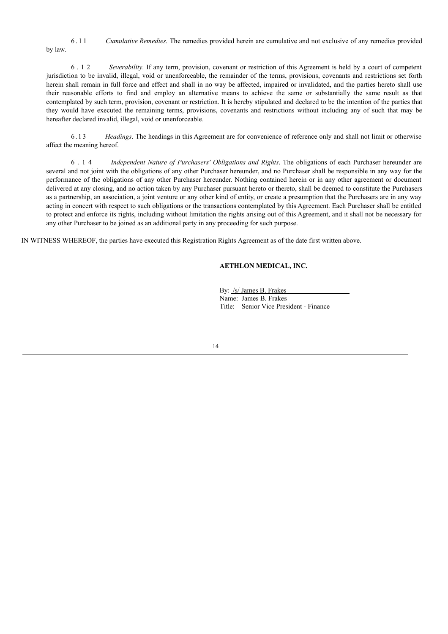6.11 *Cumulative Remedies*. The remedies provided herein are cumulative and not exclusive of any remedies provided by law.

6 . 1 2 *Severability*. If any term, provision, covenant or restriction of this Agreement is held by a court of competent jurisdiction to be invalid, illegal, void or unenforceable, the remainder of the terms, provisions, covenants and restrictions set forth herein shall remain in full force and effect and shall in no way be affected, impaired or invalidated, and the parties hereto shall use their reasonable efforts to find and employ an alternative means to achieve the same or substantially the same result as that contemplated by such term, provision, covenant or restriction. It is hereby stipulated and declared to be the intention of the parties that they would have executed the remaining terms, provisions, covenants and restrictions without including any of such that may be hereafter declared invalid, illegal, void or unenforceable.

6.13 *Headings*. The headings in this Agreement are for convenience of reference only and shall not limit or otherwise affect the meaning hereof.

6 . 1 4 *Independent Nature of Purchasers' Obligations and Rights*. The obligations of each Purchaser hereunder are several and not joint with the obligations of any other Purchaser hereunder, and no Purchaser shall be responsible in any way for the performance of the obligations of any other Purchaser hereunder. Nothing contained herein or in any other agreement or document delivered at any closing, and no action taken by any Purchaser pursuant hereto or thereto, shall be deemed to constitute the Purchasers as a partnership, an association, a joint venture or any other kind of entity, or create a presumption that the Purchasers are in any way acting in concert with respect to such obligations or the transactions contemplated by this Agreement. Each Purchaser shall be entitled to protect and enforce its rights, including without limitation the rights arising out of this Agreement, and it shall not be necessary for any other Purchaser to be joined as an additional party in any proceeding for such purpose.

IN WITNESS WHEREOF, the parties have executed this Registration Rights Agreement as of the date first written above.

#### **AETHLON MEDICAL, INC.**

By: /s/ James B. Frakes Name: James B. Frakes Title: Senior Vice President - Finance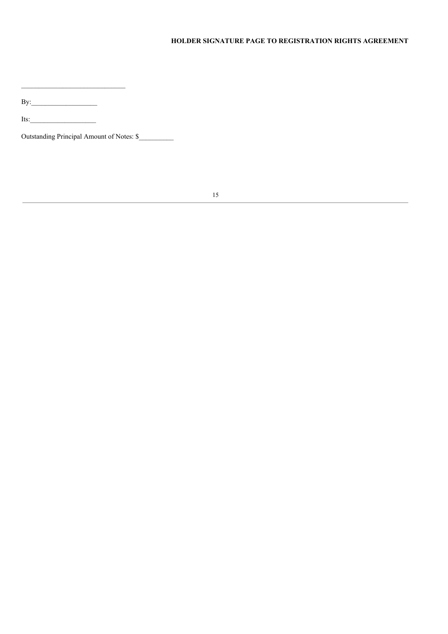## **HOLDER SIGNATURE PAGE TO REGISTRATION RIGHTS AGREEMENT**

By:\_\_\_\_\_\_\_\_\_\_\_\_\_\_\_\_\_\_\_

Its:\_\_\_\_\_\_\_\_\_\_\_\_\_\_\_\_\_\_\_

Outstanding Principal Amount of Notes: \$\_\_\_\_\_\_\_\_\_\_

 $\mathcal{L}_\text{max}$  , we can also the contribution of  $\mathcal{L}_\text{max}$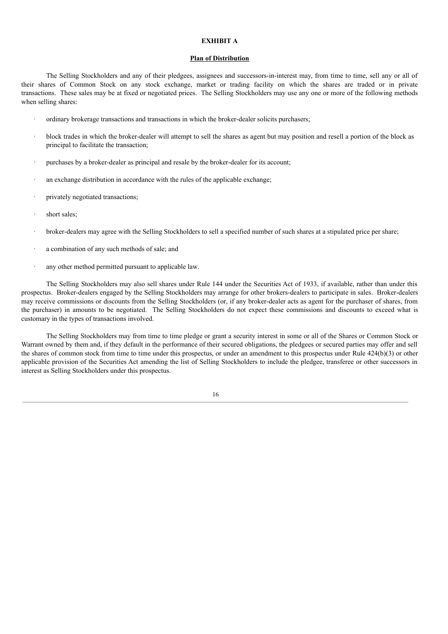### **EXHIBIT A**

#### **Plan of Distribution**

The Selling Stockholders and any of their pledgees, assignees and successors-in-interest may, from time to time, sell any or all of their shares of Common Stock on any stock exchange, market or trading facility on which the shares are traded or in private transactions. These sales may be at fixed or negotiated prices. The Selling Stockholders may use any one or more of the following methods when selling shares:

- ordinary brokerage transactions and transactions in which the broker-dealer solicits purchasers;
- · block trades in which the broker-dealer will attempt to sell the shares as agent but may position and resell a portion of the block as principal to facilitate the transaction;
- · purchases by a broker-dealer as principal and resale by the broker-dealer for its account;
- an exchange distribution in accordance with the rules of the applicable exchange;
- privately negotiated transactions:
- short sales;
- · broker-dealers may agree with the Selling Stockholders to sell a specified number of such shares at a stipulated price per share;
- a combination of any such methods of sale; and
- any other method permitted pursuant to applicable law.

The Selling Stockholders may also sell shares under Rule 144 under the Securities Act of 1933, if available, rather than under this prospectus. Broker-dealers engaged by the Selling Stockholders may arrange for other brokers-dealers to participate in sales. Broker-dealers may receive commissions or discounts from the Selling Stockholders (or, if any broker-dealer acts as agent for the purchaser of shares, from the purchaser) in amounts to be negotiated. The Selling Stockholders do not expect these commissions and discounts to exceed what is customary in the types of transactions involved.

The Selling Stockholders may from time to time pledge or grant a security interest in some or all of the Shares or Common Stock or Warrant owned by them and, if they default in the performance of their secured obligations, the pledgees or secured parties may offer and sell the shares of common stock from time to time under this prospectus, or under an amendment to this prospectus under Rule 424(b)(3) or other applicable provision of the Securities Act amending the list of Selling Stockholders to include the pledgee, transferee or other successors in interest as Selling Stockholders under this prospectus.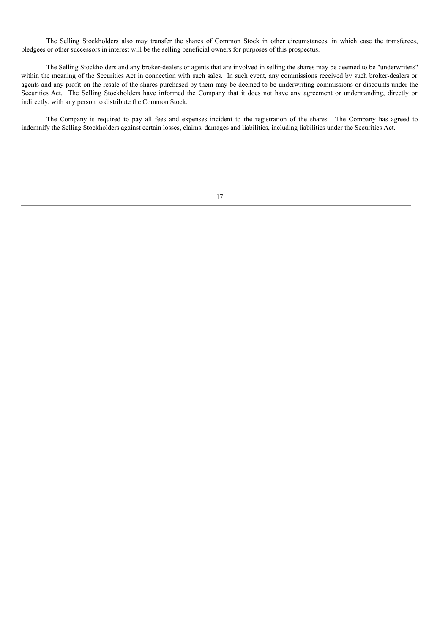The Selling Stockholders also may transfer the shares of Common Stock in other circumstances, in which case the transferees, pledgees or other successors in interest will be the selling beneficial owners for purposes of this prospectus.

The Selling Stockholders and any broker-dealers or agents that are involved in selling the shares may be deemed to be "underwriters" within the meaning of the Securities Act in connection with such sales. In such event, any commissions received by such broker-dealers or agents and any profit on the resale of the shares purchased by them may be deemed to be underwriting commissions or discounts under the Securities Act. The Selling Stockholders have informed the Company that it does not have any agreement or understanding, directly or indirectly, with any person to distribute the Common Stock.

The Company is required to pay all fees and expenses incident to the registration of the shares. The Company has agreed to indemnify the Selling Stockholders against certain losses, claims, damages and liabilities, including liabilities under the Securities Act.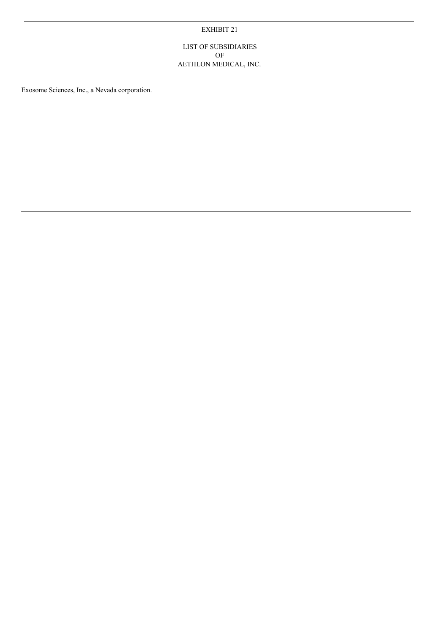### LIST OF SUBSIDIARIES OF AETHLON MEDICAL, INC.

Exosome Sciences, Inc., a Nevada corporation.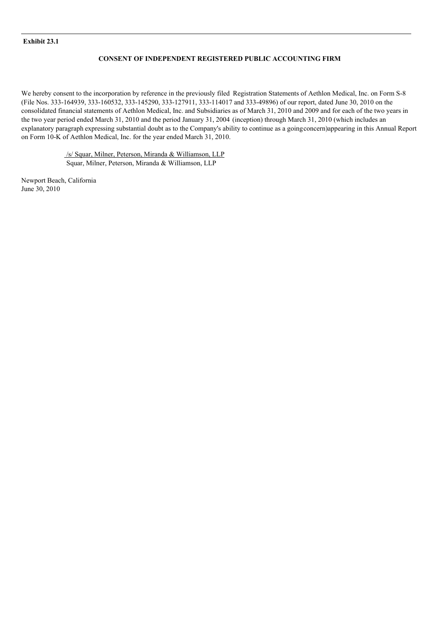#### **Exhibit 23.1**

### **CONSENT OF INDEPENDENT REGISTERED PUBLIC ACCOUNTING FIRM**

We hereby consent to the incorporation by reference in the previously filed Registration Statements of Aethlon Medical, Inc. on Form S-8 (File Nos. 333-164939, 333-160532, 333-145290, 333-127911, 333-114017 and 333-49896) of our report, dated June 30, 2010 on the consolidated financial statements of Aethlon Medical, Inc. and Subsidiaries as of March 31, 2010 and 2009 and for each of the two years in the two year period ended March 31, 2010 and the period January 31, 2004 (inception) through March 31, 2010 (which includes an explanatory paragraph expressing substantial doubt as to the Company's ability to continue as a goingconcern)appearing in this Annual Report on Form 10-K of Aethlon Medical, Inc. for the year ended March 31, 2010.

> /s/ Squar, Milner, Peterson, Miranda & Williamson, LLP Squar, Milner, Peterson, Miranda & Williamson, LLP

Newport Beach, California June 30, 2010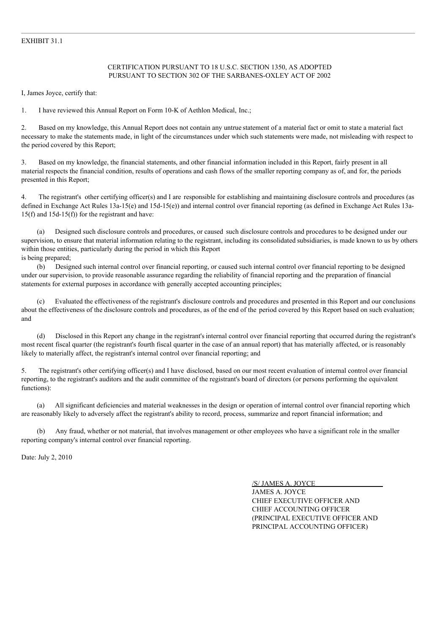### EXHIBIT 31.1

#### CERTIFICATION PURSUANT TO 18 U.S.C. SECTION 1350, AS ADOPTED PURSUANT TO SECTION 302 OF THE SARBANES-OXLEY ACT OF 2002

I, James Joyce, certify that:

1. I have reviewed this Annual Report on Form 10-K of Aethlon Medical, Inc.;

2. Based on my knowledge, this Annual Report does not contain any untrue statement of a material fact or omit to state a material fact necessary to make the statements made, in light of the circumstances under which such statements were made, not misleading with respect to the period covered by this Report;

3. Based on my knowledge, the financial statements, and other financial information included in this Report, fairly present in all material respects the financial condition, results of operations and cash flows of the smaller reporting company as of, and for, the periods presented in this Report;

4. The registrant's other certifying officer(s) and I are responsible for establishing and maintaining disclosure controls and procedures (as defined in Exchange Act Rules 13a-15(e) and 15d-15(e)) and internal control over financial reporting (as defined in Exchange Act Rules 13a-15(f) and 15d-15(f)) for the registrant and have:

(a) Designed such disclosure controls and procedures, or caused such disclosure controls and procedures to be designed under our supervision, to ensure that material information relating to the registrant, including its consolidated subsidiaries, is made known to us by others within those entities, particularly during the period in which this Report is being prepared;

(b) Designed such internal control over financial reporting, or caused such internal control over financial reporting to be designed under our supervision, to provide reasonable assurance regarding the reliability of financial reporting and the preparation of financial statements for external purposes in accordance with generally accepted accounting principles;

Evaluated the effectiveness of the registrant's disclosure controls and procedures and presented in this Report and our conclusions about the effectiveness of the disclosure controls and procedures, as of the end of the period covered by this Report based on such evaluation; and

(d) Disclosed in this Report any change in the registrant'sinternal control over financial reporting that occurred during the registrant's most recent fiscal quarter (the registrant's fourth fiscal quarter in the case of an annual report) that has materially affected, or is reasonably likely to materially affect, the registrant's internal control over financial reporting; and

5. The registrant's other certifying officer(s) and I have disclosed, based on our most recent evaluation of internal control over financial reporting, to the registrant's auditors and the audit committee of the registrant's board of directors (or persons performing the equivalent functions):

(a) All significant deficiencies and material weaknesses in the design or operation of internal control over financial reporting which are reasonably likely to adversely affect the registrant's ability to record, process, summarize and report financial information; and

(b) Any fraud, whether or not material, that involves management or other employees who have a significant role in the smaller reporting company's internal control over financial reporting.

Date: July 2, 2010

/S/ JAMES A. JOYCE JAMES A. JOYCE CHIEF EXECUTIVE OFFICER AND CHIEF ACCOUNTING OFFICER (PRINCIPAL EXECUTIVE OFFICER AND PRINCIPAL ACCOUNTING OFFICER)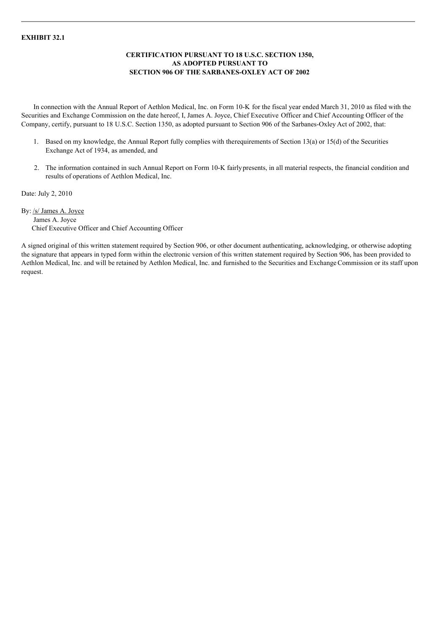#### **EXHIBIT 32.1**

### **CERTIFICATION PURSUANT TO 18 U.S.C. SECTION 1350, AS ADOPTED PURSUANT TO SECTION 906 OF THE SARBANES-OXLEY ACT OF 2002**

In connection with the Annual Report of Aethlon Medical, Inc. on Form 10-K for the fiscal year ended March 31, 2010 as filed with the Securities and Exchange Commission on the date hereof, I, James A. Joyce, Chief Executive Officer and Chief Accounting Officer of the Company, certify, pursuant to 18 U.S.C. Section 1350, as adopted pursuant to Section 906 of the Sarbanes-Oxley Act of 2002, that:

- 1. Based on my knowledge, the Annual Report fully complies with therequirements of Section 13(a) or 15(d) of the Securities Exchange Act of 1934, as amended, and
- 2. The information contained in such Annual Report on Form 10-K fairlypresents, in all material respects, the financial condition and results of operations of Aethlon Medical, Inc.

Date: July 2, 2010

By: /s/ James A. Joyce James A. Joyce Chief Executive Officer and Chief Accounting Officer

A signed original of this written statement required by Section 906, or other document authenticating, acknowledging, or otherwise adopting the signature that appears in typed form within the electronic version of this written statement required by Section 906, has been provided to Aethlon Medical, Inc. and will be retained by Aethlon Medical, Inc. and furnished to the Securities and Exchange Commission or its staff upon request.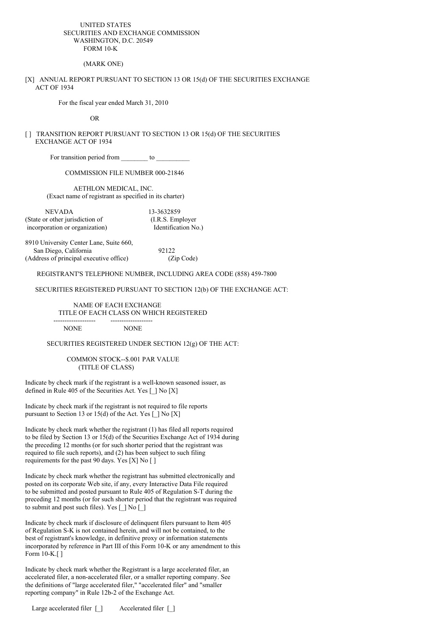#### UNITED STATES SECURITIES AND EXCHANGE COMMISSION WASHINGTON, D.C. 20549 FORM 10-K

#### (MARK ONE)

[X] ANNUAL REPORT PURSUANT TO SECTION 13 OR 15(d) OF THE SECURITIES EXCHANGE ACT OF 1934

For the fiscal year ended March 31, 2010

OR

[ ] TRANSITION REPORT PURSUANT TO SECTION 13 OR 15(d) OF THE SECURITIES EXCHANGE ACT OF 1934

For transition period from \_\_\_\_\_\_\_\_ to \_\_\_\_\_\_\_\_\_\_

COMMISSION FILE NUMBER 000-21846

AETHLON MEDICAL, INC. (Exact name of registrant as specified in its charter)

| <b>NEVADA</b>                   | 13-3632859          |
|---------------------------------|---------------------|
| (State or other jurisdiction of | (I.R.S. Employer)   |
| incorporation or organization)  | Identification No.) |

8910 University Center Lane, Suite 660, San Diego, California 92122 (Address of principal executive office) (Zip Code)

REGISTRANT'S TELEPHONE NUMBER, INCLUDING AREA CODE (858) 459-7800

#### SECURITIES REGISTERED PURSUANT TO SECTION 12(b) OF THE EXCHANGE ACT:

NAME OF EACH EXCHANGE TITLE OF EACH CLASS ON WHICH REGISTERED ------------------- -------------------

NONE NONE

SECURITIES REGISTERED UNDER SECTION 12(g) OF THE ACT:

COMMON STOCK--\$.001 PAR VALUE (TITLE OF CLASS)

Indicate by check mark if the registrant is a well-known seasoned issuer, as defined in Rule 405 of the Securities Act. Yes [ ] No [X]

Indicate by check mark if the registrant is not required to file reports pursuant to Section 13 or 15(d) of the Act. Yes  $\lceil \cdot \rceil$  No  $\lceil X \rceil$ 

Indicate by check mark whether the registrant (1) has filed all reports required to be filed by Section 13 or 15(d) of the Securities Exchange Act of 1934 during the preceding 12 months (or for such shorter period that the registrant was required to file such reports), and (2) has been subject to such filing requirements for the past 90 days. Yes [X] No [ ]

Indicate by check mark whether the registrant has submitted electronically and posted on its corporate Web site, if any, every Interactive Data File required to be submitted and posted pursuant to Rule 405 of Regulation S-T during the preceding 12 months (or for such shorter period that the registrant was required to submit and post such files). Yes  $\lceil \cdot \rceil$  No  $\lceil \cdot \rceil$ 

Indicate by check mark if disclosure of delinquent filers pursuant to Item 405 of Regulation S-K is not contained herein, and will not be contained, to the best of registrant's knowledge, in definitive proxy or information statements incorporated by reference in Part III of this Form 10-K or any amendment to this Form 10-K.[ ]

Indicate by check mark whether the Registrant is a large accelerated filer, an accelerated filer, a non-accelerated filer, or a smaller reporting company. See the definitions of "large accelerated filer," "accelerated filer" and "smaller reporting company" in Rule 12b-2 of the Exchange Act.

Large accelerated filer [ ] Accelerated filer [ ]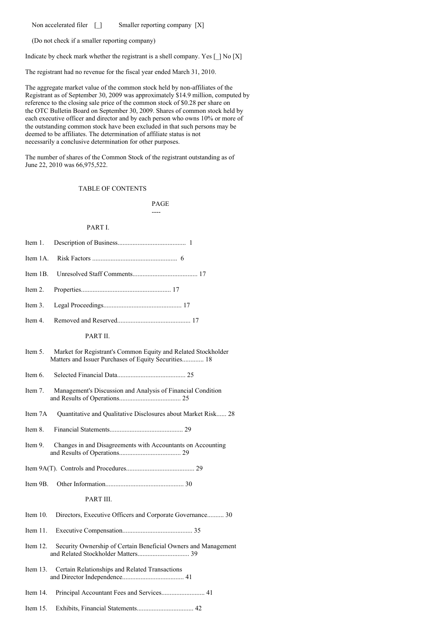Non accelerated filer [ ] Smaller reporting company [X]

(Do not check if a smaller reporting company)

Indicate by check mark whether the registrant is a shell company. Yes [\_] No [X]

The registrant had no revenue for the fiscal year ended March 31, 2010.

The aggregate market value of the common stock held by non-affiliates of the Registrant as of September 30, 2009 was approximately \$14.9 million, computed by reference to the closing sale price of the common stock of \$0.28 per share on the OTC Bulletin Board on September 30, 2009. Shares of common stock held by each executive officer and director and by each person who owns 10% or more of the outstanding common stock have been excluded in that such persons may be deemed to be affiliates. The determination of affiliate status is not necessarily a conclusive determination for other purposes.

The number of shares of the Common Stock of the registrant outstanding as of June 22, 2010 was 66,975,522.

#### TABLE OF CONTENTS

#### PAGE ----

#### PART I.

| Item 1.     |                                                                                                                       |
|-------------|-----------------------------------------------------------------------------------------------------------------------|
| Item 1A.    |                                                                                                                       |
| Item 1B.    |                                                                                                                       |
| Item 2.     |                                                                                                                       |
| Item 3.     |                                                                                                                       |
| Item 4.     |                                                                                                                       |
|             | PART II.                                                                                                              |
| Item 5.     | Market for Registrant's Common Equity and Related Stockholder<br>Matters and Issuer Purchases of Equity Securities 18 |
| Item 6.     |                                                                                                                       |
| Item 7.     | Management's Discussion and Analysis of Financial Condition                                                           |
| Item 7A     | Quantitative and Qualitative Disclosures about Market Risk 28                                                         |
| Item 8.     |                                                                                                                       |
| Item 9.     | Changes in and Disagreements with Accountants on Accounting                                                           |
|             |                                                                                                                       |
| Item 9B.    |                                                                                                                       |
|             | PART III.                                                                                                             |
| Item $10$ . | Directors, Executive Officers and Corporate Governance 30                                                             |
| Item 11.    |                                                                                                                       |
| Item $12$ . | Security Ownership of Certain Beneficial Owners and Management                                                        |
| Item $13.$  | Certain Relationships and Related Transactions                                                                        |
| Item 14.    | Principal Accountant Fees and Services 41                                                                             |
| Item $15$ . |                                                                                                                       |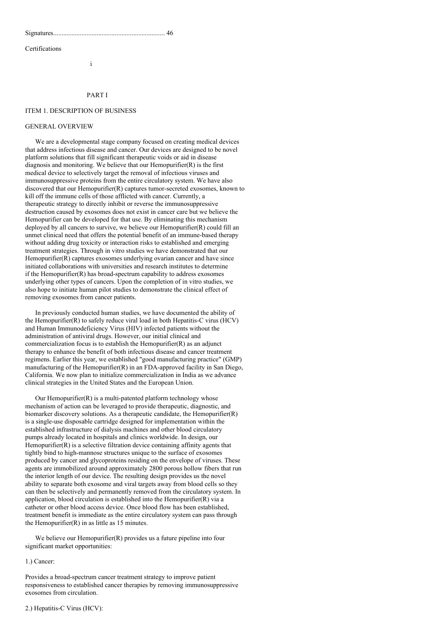#### Certifications

i

### PART I

### ITEM 1. DESCRIPTION OF BUSINESS

#### GENERAL OVERVIEW

We are a developmental stage company focused on creating medical devices that address infectious disease and cancer. Our devices are designed to be novel platform solutions that fill significant therapeutic voids or aid in disease diagnosis and monitoring. We believe that our Hemopurifier(R) is the first medical device to selectively target the removal of infectious viruses and immunosuppressive proteins from the entire circulatory system. We have also discovered that our Hemopurifier(R) captures tumor-secreted exosomes, known to kill off the immune cells of those afflicted with cancer. Currently, a therapeutic strategy to directly inhibit or reverse the immunosuppressive destruction caused by exosomes does not exist in cancer care but we believe the Hemopurifier can be developed for that use. By eliminating this mechanism deployed by all cancers to survive, we believe our Hemopurifier(R) could fill an unmet clinical need that offers the potential benefit of an immune-based therapy without adding drug toxicity or interaction risks to established and emerging treatment strategies. Through in vitro studies we have demonstrated that our Hemopurifier(R) captures exosomes underlying ovarian cancer and have since initiated collaborations with universities and research institutes to determine if the Hemopurifier(R) has broad-spectrum capability to address exosomes underlying other types of cancers. Upon the completion of in vitro studies, we also hope to initiate human pilot studies to demonstrate the clinical effect of removing exosomes from cancer patients.

In previously conducted human studies, we have documented the ability of the Hemopurifier(R) to safely reduce viral load in both Hepatitis-C virus (HCV) and Human Immunodeficiency Virus (HIV) infected patients without the administration of antiviral drugs. However, our initial clinical and commercialization focus is to establish the Hemopurifier(R) as an adjunct therapy to enhance the benefit of both infectious disease and cancer treatment regimens. Earlier this year, we established "good manufacturing practice" (GMP) manufacturing of the Hemopurifier(R) in an FDA-approved facility in San Diego, California. We now plan to initialize commercialization in India as we advance clinical strategies in the United States and the European Union.

Our Hemopurifier(R) is a multi-patented platform technology whose mechanism of action can be leveraged to provide therapeutic, diagnostic, and biomarker discovery solutions. As a therapeutic candidate, the Hemopurifier(R) is a single-use disposable cartridge designed for implementation within the established infrastructure of dialysis machines and other blood circulatory pumps already located in hospitals and clinics worldwide. In design, our Hemopurifier(R) is a selective filtration device containing affinity agents that tightly bind to high-mannose structures unique to the surface of exosomes produced by cancer and glycoproteins residing on the envelope of viruses. These agents are immobilized around approximately 2800 porous hollow fibers that run the interior length of our device. The resulting design provides us the novel ability to separate both exosome and viral targets away from blood cells so they can then be selectively and permanently removed from the circulatory system. In application, blood circulation is established into the Hemopurifier(R) via a catheter or other blood access device. Once blood flow has been established, treatment benefit is immediate as the entire circulatory system can pass through the Hemopurifier(R) in as little as 15 minutes.

We believe our Hemopurifier(R) provides us a future pipeline into four significant market opportunities:

#### 1.) Cancer:

Provides a broad-spectrum cancer treatment strategy to improve patient responsiveness to established cancer therapies by removing immunosuppressive exosomes from circulation.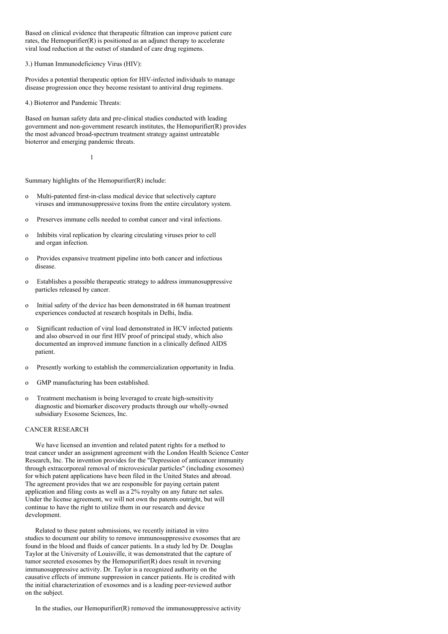Based on clinical evidence that therapeutic filtration can improve patient cure rates, the Hemopurifier(R) is positioned as an adjunct therapy to accelerate viral load reduction at the outset of standard of care drug regimens.

3.) Human Immunodeficiency Virus (HIV):

Provides a potential therapeutic option for HIV-infected individuals to manage disease progression once they become resistant to antiviral drug regimens.

4.) Bioterror and Pandemic Threats:

Based on human safety data and pre-clinical studies conducted with leading government and non-government research institutes, the Hemopurifier(R) provides the most advanced broad-spectrum treatment strategy against untreatable bioterror and emerging pandemic threats.

1

Summary highlights of the Hemopurifier(R) include:

- o Multi-patented first-in-class medical device that selectively capture viruses and immunosuppressive toxins from the entire circulatory system.
- o Preserves immune cells needed to combat cancer and viral infections.
- o Inhibits viral replication by clearing circulating viruses prior to cell and organ infection.
- o Provides expansive treatment pipeline into both cancer and infectious disease.
- o Establishes a possible therapeutic strategy to address immunosuppressive particles released by cancer.
- o Initial safety of the device has been demonstrated in 68 human treatment experiences conducted at research hospitals in Delhi, India.
- o Significant reduction of viral load demonstrated in HCV infected patients and also observed in our first HIV proof of principal study, which also documented an improved immune function in a clinically defined AIDS patient.
- o Presently working to establish the commercialization opportunity in India.
- o GMP manufacturing has been established.
- o Treatment mechanism is being leveraged to create high-sensitivity diagnostic and biomarker discovery products through our wholly-owned subsidiary Exosome Sciences, Inc.

## CANCER RESEARCH

We have licensed an invention and related patent rights for a method to treat cancer under an assignment agreement with the London Health Science Center Research, Inc. The invention provides for the "Depression of anticancer immunity through extracorporeal removal of microvesicular particles" (including exosomes) for which patent applications have been filed in the United States and abroad. The agreement provides that we are responsible for paying certain patent application and filing costs as well as a 2% royalty on any future net sales. Under the license agreement, we will not own the patents outright, but will continue to have the right to utilize them in our research and device development.

Related to these patent submissions, we recently initiated in vitro studies to document our ability to remove immunosuppressive exosomes that are found in the blood and fluids of cancer patients. In a study led by Dr. Douglas Taylor at the University of Louisville, it was demonstrated that the capture of tumor secreted exosomes by the Hemopurifier(R) does result in reversing immunosuppressive activity. Dr. Taylor is a recognized authority on the causative effects of immune suppression in cancer patients. He is credited with the initial characterization of exosomes and is a leading peer-reviewed author on the subject.

In the studies, our  $H$ emopurifier $(R)$  removed the immunosuppressive activity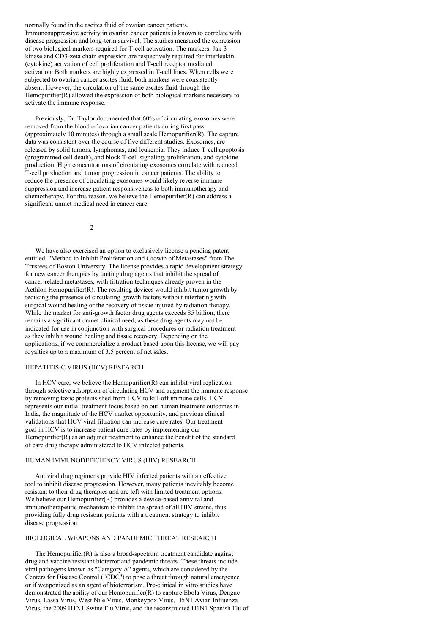normally found in the ascites fluid of ovarian cancer patients. Immunosuppressive activity in ovarian cancer patients is known to correlate with disease progression and long-term survival. The studies measured the expression of two biological markers required for T-cell activation. The markers, Jak-3 kinase and CD3-zeta chain expression are respectively required for interleukin (cytokine) activation of cell proliferation and T-cell receptor mediated activation. Both markers are highly expressed in T-cell lines. When cells were subjected to ovarian cancer ascites fluid, both markers were consistently absent. However, the circulation of the same ascites fluid through the Hemopurifier(R) allowed the expression of both biological markers necessary to activate the immune response.

Previously, Dr. Taylor documented that 60% of circulating exosomes were removed from the blood of ovarian cancer patients during first pass (approximately 10 minutes) through a small scale  $H$ emopurifier $(R)$ . The capture data was consistent over the course of five different studies. Exosomes, are released by solid tumors, lymphomas, and leukemia. They induce T-cell apoptosis (programmed cell death), and block T-cell signaling, proliferation, and cytokine production. High concentrations of circulating exosomes correlate with reduced T-cell production and tumor progression in cancer patients. The ability to reduce the presence of circulating exosomes would likely reverse immune suppression and increase patient responsiveness to both immunotherapy and chemotherapy. For this reason, we believe the Hemopurifier(R) can address a significant unmet medical need in cancer care.

 $\overline{2}$ 

We have also exercised an option to exclusively license a pending patent entitled, "Method to Inhibit Proliferation and Growth of Metastases" from The Trustees of Boston University. The license provides a rapid development strategy for new cancer therapies by uniting drug agents that inhibit the spread of cancer-related metastases, with filtration techniques already proven in the Aethlon Hemopurifier(R). The resulting devices would inhibit tumor growth by reducing the presence of circulating growth factors without interfering with surgical wound healing or the recovery of tissue injured by radiation therapy. While the market for anti-growth factor drug agents exceeds \$5 billion, there remains a significant unmet clinical need, as these drug agents may not be indicated for use in conjunction with surgical procedures or radiation treatment as they inhibit wound healing and tissue recovery. Depending on the applications, if we commercialize a product based upon this license, we will pay royalties up to a maximum of 3.5 percent of net sales.

## HEPATITIS-C VIRUS (HCV) RESEARCH

In HCV care, we believe the Hemopurifier(R) can inhibit viral replication through selective adsorption of circulating HCV and augment the immune response by removing toxic proteins shed from HCV to kill-off immune cells. HCV represents our initial treatment focus based on our human treatment outcomes in India, the magnitude of the HCV market opportunity, and previous clinical validations that HCV viral filtration can increase cure rates. Our treatment goal in HCV is to increase patient cure rates by implementing our Hemopurifier(R) as an adjunct treatment to enhance the benefit of the standard of care drug therapy administered to HCV infected patients.

## HUMAN IMMUNODEFICIENCY VIRUS (HIV) RESEARCH

Antiviral drug regimens provide HIV infected patients with an effective tool to inhibit disease progression. However, many patients inevitably become resistant to their drug therapies and are left with limited treatment options. We believe our Hemopurifier(R) provides a device-based antiviral and immunotherapeutic mechanism to inhibit the spread of all HIV strains, thus providing fully drug resistant patients with a treatment strategy to inhibit disease progression.

## BIOLOGICAL WEAPONS AND PANDEMIC THREAT RESEARCH

The Hemopurifier(R) is also a broad-spectrum treatment candidate against drug and vaccine resistant bioterror and pandemic threats. These threats include viral pathogens known as "Category A" agents, which are considered by the Centers for Disease Control ("CDC") to pose a threat through natural emergence or if weaponized as an agent of bioterrorism. Pre-clinical in vitro studies have demonstrated the ability of our Hemopurifier(R) to capture Ebola Virus, Dengue Virus, Lassa Virus, West Nile Virus, Monkeypox Virus, H5N1 Avian Influenza Virus, the 2009 H1N1 Swine Flu Virus, and the reconstructed H1N1 Spanish Flu of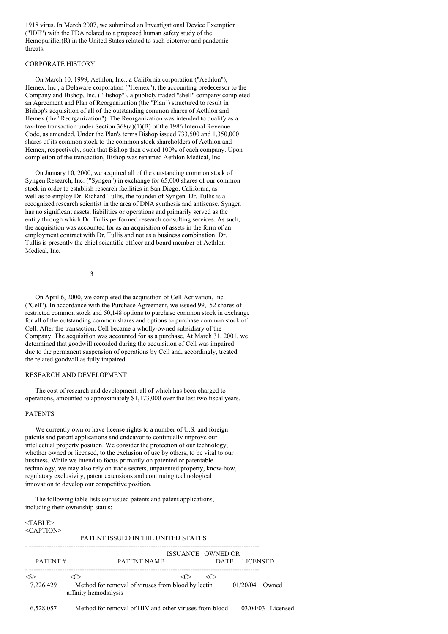1918 virus. In March 2007, we submitted an Investigational Device Exemption ("IDE") with the FDA related to a proposed human safety study of the Hemopurifier(R) in the United States related to such bioterror and pandemic threats.

## CORPORATE HISTORY

On March 10, 1999, Aethlon, Inc., a California corporation ("Aethlon"), Hemex, Inc., a Delaware corporation ("Hemex"), the accounting predecessor to the Company and Bishop, Inc. ("Bishop"), a publicly traded "shell" company completed an Agreement and Plan of Reorganization (the "Plan") structured to result in Bishop's acquisition of all of the outstanding common shares of Aethlon and Hemex (the "Reorganization"). The Reorganization was intended to qualify as a tax-free transaction under Section 368(a)(1)(B) of the 1986 Internal Revenue Code, as amended. Under the Plan's terms Bishop issued 733,500 and 1,350,000 shares of its common stock to the common stock shareholders of Aethlon and Hemex, respectively, such that Bishop then owned 100% of each company. Upon completion of the transaction, Bishop was renamed Aethlon Medical, Inc.

On January 10, 2000, we acquired all of the outstanding common stock of Syngen Research, Inc. ("Syngen") in exchange for 65,000 shares of our common stock in order to establish research facilities in San Diego, California, as well as to employ Dr. Richard Tullis, the founder of Syngen. Dr. Tullis is a recognized research scientist in the area of DNA synthesis and antisense. Syngen has no significant assets, liabilities or operations and primarily served as the entity through which Dr. Tullis performed research consulting services. As such, the acquisition was accounted for as an acquisition of assets in the form of an employment contract with Dr. Tullis and not as a business combination. Dr. Tullis is presently the chief scientific officer and board member of Aethlon Medical, Inc.

3

On April 6, 2000, we completed the acquisition of Cell Activation, Inc. ("Cell"). In accordance with the Purchase Agreement, we issued 99,152 shares of restricted common stock and 50,148 options to purchase common stock in exchange for all of the outstanding common shares and options to purchase common stock of Cell. After the transaction, Cell became a wholly-owned subsidiary of the Company. The acquisition was accounted for as a purchase. At March 31, 2001, we determined that goodwill recorded during the acquisition of Cell was impaired due to the permanent suspension of operations by Cell and, accordingly, treated the related goodwill as fully impaired.

## RESEARCH AND DEVELOPMENT

The cost of research and development, all of which has been charged to operations, amounted to approximately \$1,173,000 over the last two fiscal years.

#### PATENTS

We currently own or have license rights to a number of U.S. and foreign patents and patent applications and endeavor to continually improve our intellectual property position. We consider the protection of our technology, whether owned or licensed, to the exclusion of use by others, to be vital to our business. While we intend to focus primarily on patented or patentable technology, we may also rely on trade secrets, unpatented property, know-how, regulatory exclusivity, patent extensions and continuing technological innovation to develop our competitive position.

The following table lists our issued patents and patent applications, including their ownership status:

#### $<$ TABLE $>$ <CAPTION>

## PATENT ISSUED IN THE UNITED STATES

| <b>PATENT#</b>       | ISSUANCE OWNED OR<br><b>PATENT NAME</b><br><b>DATE</b>                                        | LICENSED             |
|----------------------|-----------------------------------------------------------------------------------------------|----------------------|
| $\ll S$<br>7,226,429 | <( ≫<br><( $>$<br>Method for removal of viruses from blood by lectin<br>affinity hemodialysis | 01/20/04<br>Owned    |
| 6.528.057            | Method for removal of HIV and other viruses from blood                                        | Licensed<br>03/04/03 |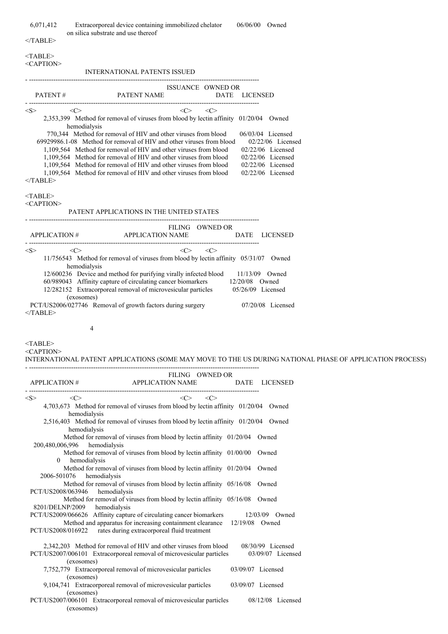| 6,071,412                                    | Extracorporeal device containing immobilized chelator<br>06/06/00 Owned                                                                                                                                                                                                                                                                                                                                                                 |
|----------------------------------------------|-----------------------------------------------------------------------------------------------------------------------------------------------------------------------------------------------------------------------------------------------------------------------------------------------------------------------------------------------------------------------------------------------------------------------------------------|
| $<$ TABLE>                                   | on silica substrate and use thereof                                                                                                                                                                                                                                                                                                                                                                                                     |
| <table></table>                              |                                                                                                                                                                                                                                                                                                                                                                                                                                         |
| <caption></caption>                          |                                                                                                                                                                                                                                                                                                                                                                                                                                         |
|                                              | <b>INTERNATIONAL PATENTS ISSUED</b>                                                                                                                                                                                                                                                                                                                                                                                                     |
|                                              | ISSUANCE OWNED OR<br>$\begin{tabular}{c} \bf \texttt{PATENT}\# \end{tabular} \begin{tabular}{p{0.5cm}p{0.8cm}p{0.8cm}} \begin{tabular}{p{0.8cm}p{0.8cm}p{0.8cm}} \multicolumn{3}{c}{\textbf{PATE}} \end{tabular} \begin{tabular}{p{0.8cm}p{0.8cm}p{0.8cm}} \multicolumn{3}{c}{\textbf{PATE}} \end{tabular} \begin{tabular}{p{0.8cm}p{0.8cm}p{0.8cm}} \multicolumn{3}{c}{\textbf{PATE}} \end{tabular} \begin{tabular}{p{0.8cm}p{0.8cm}p$ |
| $\langle S \rangle$ $\langle C \rangle$      | $\langle C \rangle$ $\langle C \rangle$                                                                                                                                                                                                                                                                                                                                                                                                 |
|                                              | 2,353,399 Method for removal of viruses from blood by lectin affinity 01/20/04 Owned<br>hemodialysis                                                                                                                                                                                                                                                                                                                                    |
|                                              | 770,344 Method for removal of HIV and other viruses from blood<br>06/03/04 Licensed                                                                                                                                                                                                                                                                                                                                                     |
|                                              | 69929986.1-08 Method for removal of HIV and other viruses from blood<br>02/22/06 Licensed<br>1,109,564 Method for removal of HIV and other viruses from blood<br>02/22/06 Licensed                                                                                                                                                                                                                                                      |
|                                              | 1,109,564 Method for removal of HIV and other viruses from blood<br>$02/22/06$ Licensed<br>1,109,564 Method for removal of HIV and other viruses from blood<br>02/22/06 Licensed                                                                                                                                                                                                                                                        |
| $<$ TABLE>                                   | 1,109,564 Method for removal of HIV and other viruses from blood<br>02/22/06 Licensed                                                                                                                                                                                                                                                                                                                                                   |
| $<$ TABLE>                                   |                                                                                                                                                                                                                                                                                                                                                                                                                                         |
| <caption></caption>                          |                                                                                                                                                                                                                                                                                                                                                                                                                                         |
|                                              | PATENT APPLICATIONS IN THE UNITED STATES                                                                                                                                                                                                                                                                                                                                                                                                |
|                                              | FILING OWNED OR                                                                                                                                                                                                                                                                                                                                                                                                                         |
|                                              | ${\small \bf APPLICATION\#}\qquad {\small \bf APPLICATION\ NAME}\qquad {\small \bf DATE\quad LICENSED}$                                                                                                                                                                                                                                                                                                                                 |
| < <c><br/><math>&lt;\!\!S\!\!&gt;</math></c> | $\langle C \rangle$ $\langle C \rangle$<br>11/756543 Method for removal of viruses from blood by lectin affinity 05/31/07 Owned                                                                                                                                                                                                                                                                                                         |
|                                              | hemodialysis                                                                                                                                                                                                                                                                                                                                                                                                                            |
|                                              | 12/600236 Device and method for purifying virally infected blood 11/13/09 Owned<br>60/989043 Affinity capture of circulating cancer biomarkers 12/20/08 Owned                                                                                                                                                                                                                                                                           |
|                                              | 12/282152 Extracorporeal removal of microvesicular particles 05/26/09 Licensed                                                                                                                                                                                                                                                                                                                                                          |
|                                              | (exosomes)<br>PCT/US2006/027746 Removal of growth factors during surgery<br>07/20/08 Licensed                                                                                                                                                                                                                                                                                                                                           |
| $<$ TABLE>                                   |                                                                                                                                                                                                                                                                                                                                                                                                                                         |
| $<$ TABLE><br><caption></caption>            | INTERNATIONAL PATENT APPLICATIONS (SOME MAY MOVE TO THE US DURING NATIONAL PHASE OF APPLICATION PROCESS)<br>------------------------------                                                                                                                                                                                                                                                                                              |
| <b>APPLICATION #</b>                         | FILING OWNED OR<br><b>APPLICATION NAME</b><br>DATE LICENSED                                                                                                                                                                                                                                                                                                                                                                             |
| $<\!\!S\!\!>$                                | $<\infty$<br>$\langle C \rangle$<br>$\langle C \rangle$                                                                                                                                                                                                                                                                                                                                                                                 |
|                                              | 4,703,673 Method for removal of viruses from blood by lectin affinity 01/20/04 Owned<br>hemodialysis                                                                                                                                                                                                                                                                                                                                    |
|                                              | 2,516,403 Method for removal of viruses from blood by lectin affinity 01/20/04 Owned<br>hemodialysis                                                                                                                                                                                                                                                                                                                                    |
|                                              | Method for removal of viruses from blood by lectin affinity 01/20/04 Owned                                                                                                                                                                                                                                                                                                                                                              |
| 200,480,006,996                              | hemodialysis<br>Method for removal of viruses from blood by lectin affinity 01/00/00 Owned                                                                                                                                                                                                                                                                                                                                              |
| 2006-501076                                  | 0 hemodialysis<br>Method for removal of viruses from blood by lectin affinity 01/20/04 Owned<br>hemodialysis                                                                                                                                                                                                                                                                                                                            |
| PCT/US2008/063946                            | Method for removal of viruses from blood by lectin affinity 05/16/08 Owned<br>hemodialysis                                                                                                                                                                                                                                                                                                                                              |
|                                              | Method for removal of viruses from blood by lectin affinity 05/16/08 Owned                                                                                                                                                                                                                                                                                                                                                              |
| 8201/DELNP/2009                              | hemodialysis<br>PCT/US2009/066626 Affinity capture of circulating cancer biomarkers<br>12/03/09 Owned                                                                                                                                                                                                                                                                                                                                   |
| PCT/US2008/016922                            | Method and apparatus for increasing containment clearance<br>12/19/08 Owned<br>rates during extracorporeal fluid treatment                                                                                                                                                                                                                                                                                                              |
|                                              | 2,342,203 Method for removal of HIV and other viruses from blood<br>08/30/99 Licensed<br>PCT/US2007/006101 Extracorporeal removal of microvesicular particles<br>03/09/07 Licensed                                                                                                                                                                                                                                                      |
|                                              | (exosomes)                                                                                                                                                                                                                                                                                                                                                                                                                              |
|                                              | 7,752,779 Extracorporeal removal of microvesicular particles<br>03/09/07 Licensed                                                                                                                                                                                                                                                                                                                                                       |
|                                              | (exosomes)<br>9,104,741 Extracorporeal removal of microvesicular particles<br>03/09/07 Licensed                                                                                                                                                                                                                                                                                                                                         |
|                                              | (exosomes)<br>PCT/US2007/006101 Extracorporeal removal of microvesicular particles<br>$08/12/08$ Licensed<br>(exosomes)                                                                                                                                                                                                                                                                                                                 |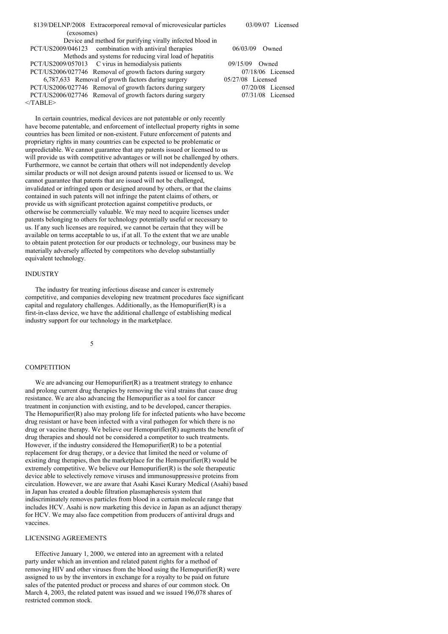8139/DELNP/2008 Extracorporeal removal of microvesicular particles 03/09/07 Licensed (exosomes) Device and method for purifying virally infected blood in PCT/US2009/046123 combination with antiviral therapies 06/03/09 Owned Methods and systems for reducing viral load of hepatitis PCT/US2009/057013 C virus in hemodialysis patients 09/15/09 Owned PCT/US2006/027746 Removal of growth factors during surgery 07/18/06 Licensed 6,787,633 Removal of growth factors during surgery 05/27/08 Licensed<br>
752006/027746 Removal of growth factors during surgery 07/20/08 Licensed PCT/US2006/027746 Removal of growth factors during surgery

PCT/US2006/027746 Removal of growth factors during surgery 07/31/08 Licensed  $<$ /TABLE>

In certain countries, medical devices are not patentable or only recently have become patentable, and enforcement of intellectual property rights in some countries has been limited or non-existent. Future enforcement of patents and proprietary rights in many countries can be expected to be problematic or unpredictable. We cannot guarantee that any patents issued or licensed to us will provide us with competitive advantages or will not be challenged by others. Furthermore, we cannot be certain that others will not independently develop similar products or will not design around patents issued or licensed to us. We cannot guarantee that patents that are issued will not be challenged, invalidated or infringed upon or designed around by others, or that the claims contained in such patents will not infringe the patent claims of others, or provide us with significant protection against competitive products, or otherwise be commercially valuable. We may need to acquire licenses under patents belonging to others for technology potentially useful or necessary to us. If any such licenses are required, we cannot be certain that they will be available on terms acceptable to us, if at all. To the extent that we are unable to obtain patent protection for our products or technology, our business may be materially adversely affected by competitors who develop substantially equivalent technology.

#### INDUSTRY

The industry for treating infectious disease and cancer is extremely competitive, and companies developing new treatment procedures face significant capital and regulatory challenges. Additionally, as the Hemopurifier(R) is a first-in-class device, we have the additional challenge of establishing medical industry support for our technology in the marketplace.

5

#### **COMPETITION**

We are advancing our Hemopurifier(R) as a treatment strategy to enhance and prolong current drug therapies by removing the viral strains that cause drug resistance. We are also advancing the Hemopurifier as a tool for cancer treatment in conjunction with existing, and to be developed, cancer therapies. The Hemopurifier(R) also may prolong life for infected patients who have become drug resistant or have been infected with a viral pathogen for which there is no drug or vaccine therapy. We believe our Hemopurifier(R) augments the benefit of drug therapies and should not be considered a competitor to such treatments. However, if the industry considered the Hemopurifier(R) to be a potential replacement for drug therapy, or a device that limited the need or volume of existing drug therapies, then the marketplace for the Hemopurifier(R) would be extremely competitive. We believe our  $Hempurifier(R)$  is the sole therapeutic device able to selectively remove viruses and immunosuppressive proteins from circulation. However, we are aware that Asahi Kasei Kurary Medical (Asahi) based in Japan has created a double filtration plasmapheresis system that indiscriminately removes particles from blood in a certain molecule range that includes HCV. Asahi is now marketing this device in Japan as an adjunct therapy for HCV. We may also face competition from producers of antiviral drugs and vaccines.

## LICENSING AGREEMENTS

Effective January 1, 2000, we entered into an agreement with a related party under which an invention and related patent rights for a method of removing HIV and other viruses from the blood using the Hemopurifier(R) were assigned to us by the inventors in exchange for a royalty to be paid on future sales of the patented product or process and shares of our common stock. On March 4, 2003, the related patent was issued and we issued 196,078 shares of restricted common stock.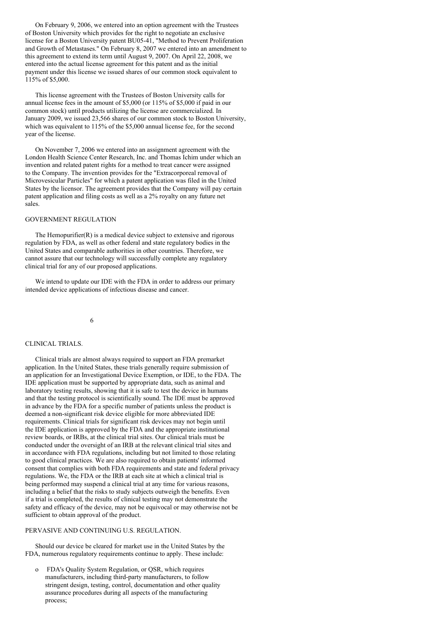On February 9, 2006, we entered into an option agreement with the Trustees of Boston University which provides for the right to negotiate an exclusive license for a Boston University patent BU05-41, "Method to Prevent Proliferation and Growth of Metastases." On February 8, 2007 we entered into an amendment to this agreement to extend its term until August 9, 2007. On April 22, 2008, we entered into the actual license agreement for this patent and as the initial payment under this license we issued shares of our common stock equivalent to 115% of \$5,000.

This license agreement with the Trustees of Boston University calls for annual license fees in the amount of \$5,000 (or 115% of \$5,000 if paid in our common stock) until products utilizing the license are commercialized. In January 2009, we issued 23,566 shares of our common stock to Boston University, which was equivalent to 115% of the \$5,000 annual license fee, for the second year of the license.

On November 7, 2006 we entered into an assignment agreement with the London Health Science Center Research, Inc. and Thomas Ichim under which an invention and related patent rights for a method to treat cancer were assigned to the Company. The invention provides for the "Extracorporeal removal of Microvesicular Particles" for which a patent application was filed in the United States by the licensor. The agreement provides that the Company will pay certain patent application and filing costs as well as a 2% royalty on any future net sales.

### GOVERNMENT REGULATION

The Hemopurifier(R) is a medical device subject to extensive and rigorous regulation by FDA, as well as other federal and state regulatory bodies in the United States and comparable authorities in other countries. Therefore, we cannot assure that our technology will successfully complete any regulatory clinical trial for any of our proposed applications.

We intend to update our IDE with the FDA in order to address our primary intended device applications of infectious disease and cancer.

6

#### CLINICAL TRIALS.

Clinical trials are almost always required to support an FDA premarket application. In the United States, these trials generally require submission of an application for an Investigational Device Exemption, or IDE, to the FDA. The IDE application must be supported by appropriate data, such as animal and laboratory testing results, showing that it is safe to test the device in humans and that the testing protocol is scientifically sound. The IDE must be approved in advance by the FDA for a specific number of patients unless the product is deemed a non-significant risk device eligible for more abbreviated IDE requirements. Clinical trials for significant risk devices may not begin until the IDE application is approved by the FDA and the appropriate institutional review boards, or IRBs, at the clinical trial sites. Our clinical trials must be conducted under the oversight of an IRB at the relevant clinical trial sites and in accordance with FDA regulations, including but not limited to those relating to good clinical practices. We are also required to obtain patients' informed consent that complies with both FDA requirements and state and federal privacy regulations. We, the FDA or the IRB at each site at which a clinical trial is being performed may suspend a clinical trial at any time for various reasons, including a belief that the risks to study subjects outweigh the benefits. Even if a trial is completed, the results of clinical testing may not demonstrate the safety and efficacy of the device, may not be equivocal or may otherwise not be sufficient to obtain approval of the product.

## PERVASIVE AND CONTINUING U.S. REGULATION.

Should our device be cleared for market use in the United States by the FDA, numerous regulatory requirements continue to apply. These include:

o FDA's Quality System Regulation, or QSR, which requires manufacturers, including third-party manufacturers, to follow stringent design, testing, control, documentation and other quality assurance procedures during all aspects of the manufacturing process;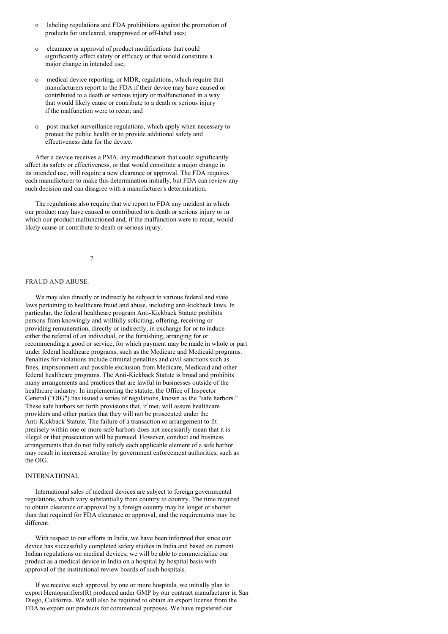- o labeling regulations and FDA prohibitions against the promotion of products for uncleared, unapproved or off-label uses;
- o clearance or approval of product modifications that could significantly affect safety or efficacy or that would constitute a major change in intended use;
- o medical device reporting, or MDR, regulations, which require that manufacturers report to the FDA if their device may have caused or contributed to a death or serious injury or malfunctioned in a way that would likely cause or contribute to a death or serious injury if the malfunction were to recur; and
- o post-market surveillance regulations, which apply when necessary to protect the public health or to provide additional safety and effectiveness data for the device.

After a device receives a PMA, any modification that could significantly affect its safety or effectiveness, or that would constitute a major change in its intended use, will require a new clearance or approval. The FDA requires each manufacturer to make this determination initially, but FDA can review any such decision and can disagree with a manufacturer's determination.

The regulations also require that we report to FDA any incident in which our product may have caused or contributed to a death or serious injury or in which our product malfunctioned and, if the malfunction were to recur, would likely cause or contribute to death or serious injury.

7

### FRAUD AND ABUSE.

We may also directly or indirectly be subject to various federal and state laws pertaining to healthcare fraud and abuse, including anti-kickback laws. In particular, the federal healthcare program Anti-Kickback Statute prohibits persons from knowingly and willfully soliciting, offering, receiving or providing remuneration, directly or indirectly, in exchange for or to induce either the referral of an individual, or the furnishing, arranging for or recommending a good or service, for which payment may be made in whole or part under federal healthcare programs, such as the Medicare and Medicaid programs. Penalties for violations include criminal penalties and civil sanctions such as fines, imprisonment and possible exclusion from Medicare, Medicaid and other federal healthcare programs. The Anti-Kickback Statute is broad and prohibits many arrangements and practices that are lawful in businesses outside of the healthcare industry. In implementing the statute, the Office of Inspector General ("OIG") has issued a series of regulations, known as the "safe harbors." These safe harbors set forth provisions that, if met, will assure healthcare providers and other parties that they will not be prosecuted under the Anti-Kickback Statute. The failure of a transaction or arrangement to fit precisely within one or more safe harbors does not necessarily mean that it is illegal or that prosecution will be pursued. However, conduct and business arrangements that do not fully satisfy each applicable element of a safe harbor may result in increased scrutiny by government enforcement authorities, such as the OIG.

## INTERNATIONAL

International sales of medical devices are subject to foreign governmental regulations, which vary substantially from country to country. The time required to obtain clearance or approval by a foreign country may be longer or shorter than that required for FDA clearance or approval, and the requirements may be different.

With respect to our efforts in India, we have been informed that since our device has successfully completed safety studies in India and based on current Indian regulations on medical devices; we will be able to commercialize our product as a medical device in India on a hospital by hospital basis with approval of the institutional review boards of such hospitals.

If we receive such approval by one or more hospitals, we initially plan to export Hemopurifiers(R) produced under GMP by our contract manufacturer in San Diego, California. We will also be required to obtain an export license from the FDA to export our products for commercial purposes. We have registered our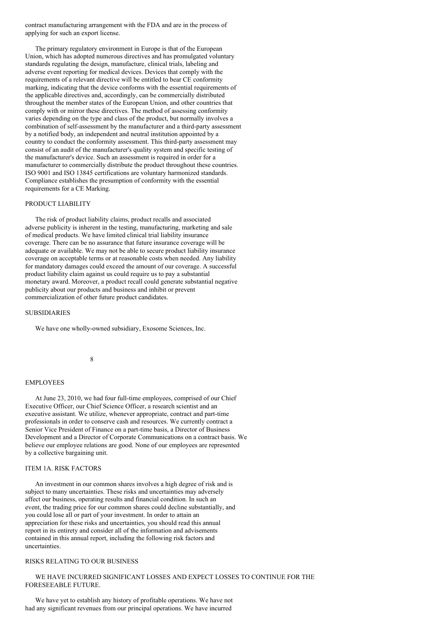contract manufacturing arrangement with the FDA and are in the process of applying for such an export license.

The primary regulatory environment in Europe is that of the European Union, which has adopted numerous directives and has promulgated voluntary standards regulating the design, manufacture, clinical trials, labeling and adverse event reporting for medical devices. Devices that comply with the requirements of a relevant directive will be entitled to bear CE conformity marking, indicating that the device conforms with the essential requirements of the applicable directives and, accordingly, can be commercially distributed throughout the member states of the European Union, and other countries that comply with or mirror these directives. The method of assessing conformity varies depending on the type and class of the product, but normally involves a combination of self-assessment by the manufacturer and a third-party assessment by a notified body, an independent and neutral institution appointed by a country to conduct the conformity assessment. This third-party assessment may consist of an audit of the manufacturer's quality system and specific testing of the manufacturer's device. Such an assessment is required in order for a manufacturer to commercially distribute the product throughout these countries. ISO 9001 and ISO 13845 certifications are voluntary harmonized standards. Compliance establishes the presumption of conformity with the essential requirements for a CE Marking.

### PRODUCT LIABILITY

The risk of product liability claims, product recalls and associated adverse publicity is inherent in the testing, manufacturing, marketing and sale of medical products. We have limited clinical trial liability insurance coverage. There can be no assurance that future insurance coverage will be adequate or available. We may not be able to secure product liability insurance coverage on acceptable terms or at reasonable costs when needed. Any liability for mandatory damages could exceed the amount of our coverage. A successful product liability claim against us could require us to pay a substantial monetary award. Moreover, a product recall could generate substantial negative publicity about our products and business and inhibit or prevent commercialization of other future product candidates.

#### SUBSIDIARIES

We have one wholly-owned subsidiary, Exosome Sciences, Inc.

8

### EMPLOYEES

At June 23, 2010, we had four full-time employees, comprised of our Chief Executive Officer, our Chief Science Officer, a research scientist and an executive assistant. We utilize, whenever appropriate, contract and part-time professionals in order to conserve cash and resources. We currently contract a Senior Vice President of Finance on a part-time basis, a Director of Business Development and a Director of Corporate Communications on a contract basis. We believe our employee relations are good. None of our employees are represented by a collective bargaining unit.

## ITEM 1A. RISK FACTORS

An investment in our common shares involves a high degree of risk and is subject to many uncertainties. These risks and uncertainties may adversely affect our business, operating results and financial condition. In such an event, the trading price for our common shares could decline substantially, and you could lose all or part of your investment. In order to attain an appreciation for these risks and uncertainties, you should read this annual report in its entirety and consider all of the information and advisements contained in this annual report, including the following risk factors and uncertainties.

#### RISKS RELATING TO OUR BUSINESS

WE HAVE INCURRED SIGNIFICANT LOSSES AND EXPECT LOSSES TO CONTINUE FOR THE FORESEEABLE FUTURE.

We have yet to establish any history of profitable operations. We have not had any significant revenues from our principal operations. We have incurred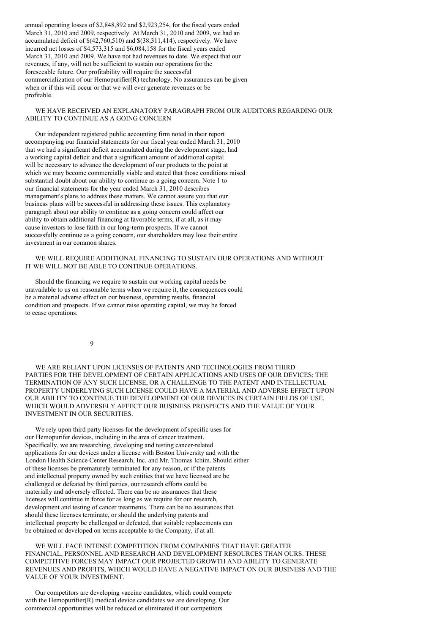annual operating losses of \$2,848,892 and \$2,923,254, for the fiscal years ended March 31, 2010 and 2009, respectively. At March 31, 2010 and 2009, we had an accumulated deficit of \$(42,760,510) and \$(38,311,414), respectively. We have incurred net losses of \$4,573,315 and \$6,084,158 for the fiscal years ended March 31, 2010 and 2009. We have not had revenues to date. We expect that our revenues, if any, will not be sufficient to sustain our operations for the foreseeable future. Our profitability will require the successful commercialization of our Hemopurifier(R) technology. No assurances can be given when or if this will occur or that we will ever generate revenues or be profitable.

## WE HAVE RECEIVED AN EXPLANATORY PARAGRAPH FROM OUR AUDITORS REGARDING OUR ABILITY TO CONTINUE AS A GOING CONCERN

Our independent registered public accounting firm noted in their report accompanying our financial statements for our fiscal year ended March 31, 2010 that we had a significant deficit accumulated during the development stage, had a working capital deficit and that a significant amount of additional capital will be necessary to advance the development of our products to the point at which we may become commercially viable and stated that those conditions raised substantial doubt about our ability to continue as a going concern. Note 1 to our financial statements for the year ended March 31, 2010 describes management's plans to address these matters. We cannot assure you that our business plans will be successful in addressing these issues. This explanatory paragraph about our ability to continue as a going concern could affect our ability to obtain additional financing at favorable terms, if at all, as it may cause investors to lose faith in our long-term prospects. If we cannot successfully continue as a going concern, our shareholders may lose their entire investment in our common shares.

### WE WILL REQUIRE ADDITIONAL FINANCING TO SUSTAIN OUR OPERATIONS AND WITHOUT IT WE WILL NOT BE ABLE TO CONTINUE OPERATIONS.

Should the financing we require to sustain our working capital needs be unavailable to us on reasonable terms when we require it, the consequences could be a material adverse effect on our business, operating results, financial condition and prospects. If we cannot raise operating capital, we may be forced to cease operations.

9

WE ARE RELIANT UPON LICENSES OF PATENTS AND TECHNOLOGIES FROM THIRD PARTIES FOR THE DEVELOPMENT OF CERTAIN APPLICATIONS AND USES OF OUR DEVICES; THE TERMINATION OF ANY SUCH LICENSE, OR A CHALLENGE TO THE PATENT AND INTELLECTUAL PROPERTY UNDERLYING SUCH LICENSE COULD HAVE A MATERIAL AND ADVERSE EFFECT UPON OUR ABILITY TO CONTINUE THE DEVELOPMENT OF OUR DEVICES IN CERTAIN FIELDS OF USE, WHICH WOULD ADVERSELY AFFECT OUR BUSINESS PROSPECTS AND THE VALUE OF YOUR INVESTMENT IN OUR SECURITIES.

We rely upon third party licenses for the development of specific uses for our Hemopurifer devices, including in the area of cancer treatment. Specifically, we are researching, developing and testing cancer-related applications for our devices under a license with Boston University and with the London Health Science Center Research, Inc. and Mr. Thomas Ichim. Should either of these licenses be prematurely terminated for any reason, or if the patents and intellectual property owned by such entities that we have licensed are be challenged or defeated by third parties, our research efforts could be materially and adversely effected. There can be no assurances that these licenses will continue in force for as long as we require for our research, development and testing of cancer treatments. There can be no assurances that should these licenses terminate, or should the underlying patents and intellectual property be challenged or defeated, that suitable replacements can be obtained or developed on terms acceptable to the Company, if at all.

WE WILL FACE INTENSE COMPETITION FROM COMPANIES THAT HAVE GREATER FINANCIAL, PERSONNEL AND RESEARCH AND DEVELOPMENT RESOURCES THAN OURS. THESE COMPETITIVE FORCES MAY IMPACT OUR PROJECTED GROWTH AND ABILITY TO GENERATE REVENUES AND PROFITS, WHICH WOULD HAVE A NEGATIVE IMPACT ON OUR BUSINESS AND THE VALUE OF YOUR INVESTMENT.

Our competitors are developing vaccine candidates, which could compete with the Hemopurifier(R) medical device candidates we are developing. Our commercial opportunities will be reduced or eliminated if our competitors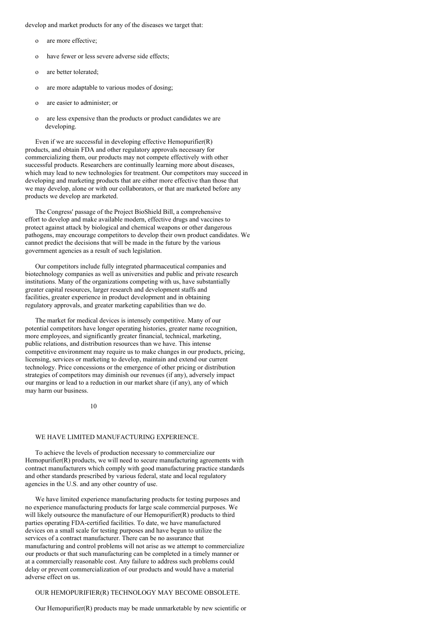develop and market products for any of the diseases we target that:

- o are more effective;
- have fewer or less severe adverse side effects;
- o are better tolerated;
- o are more adaptable to various modes of dosing;
- o are easier to administer; or
- o are less expensive than the products or product candidates we are developing.

Even if we are successful in developing effective Hemopurifier(R) products, and obtain FDA and other regulatory approvals necessary for commercializing them, our products may not compete effectively with other successful products. Researchers are continually learning more about diseases, which may lead to new technologies for treatment. Our competitors may succeed in developing and marketing products that are either more effective than those that we may develop, alone or with our collaborators, or that are marketed before any products we develop are marketed.

The Congress' passage of the Project BioShield Bill, a comprehensive effort to develop and make available modern, effective drugs and vaccines to protect against attack by biological and chemical weapons or other dangerous pathogens, may encourage competitors to develop their own product candidates. We cannot predict the decisions that will be made in the future by the various government agencies as a result of such legislation.

Our competitors include fully integrated pharmaceutical companies and biotechnology companies as well as universities and public and private research institutions. Many of the organizations competing with us, have substantially greater capital resources, larger research and development staffs and facilities, greater experience in product development and in obtaining regulatory approvals, and greater marketing capabilities than we do.

The market for medical devices is intensely competitive. Many of our potential competitors have longer operating histories, greater name recognition, more employees, and significantly greater financial, technical, marketing, public relations, and distribution resources than we have. This intense competitive environment may require us to make changes in our products, pricing, licensing, services or marketing to develop, maintain and extend our current technology. Price concessions or the emergence of other pricing or distribution strategies of competitors may diminish our revenues (if any), adversely impact our margins or lead to a reduction in our market share (if any), any of which may harm our business.

10

#### WE HAVE LIMITED MANUFACTURING EXPERIENCE.

To achieve the levels of production necessary to commercialize our Hemopurifier(R) products, we will need to secure manufacturing agreements with contract manufacturers which comply with good manufacturing practice standards and other standards prescribed by various federal, state and local regulatory agencies in the U.S. and any other country of use.

We have limited experience manufacturing products for testing purposes and no experience manufacturing products for large scale commercial purposes. We will likely outsource the manufacture of our Hemopurifier(R) products to third parties operating FDA-certified facilities. To date, we have manufactured devices on a small scale for testing purposes and have begun to utilize the services of a contract manufacturer. There can be no assurance that manufacturing and control problems will not arise as we attempt to commercialize our products or that such manufacturing can be completed in a timely manner or at a commercially reasonable cost. Any failure to address such problems could delay or prevent commercialization of our products and would have a material adverse effect on us.

## OUR HEMOPURIFIER(R) TECHNOLOGY MAY BECOME OBSOLETE.

Our Hemopurifier(R) products may be made unmarketable by new scientific or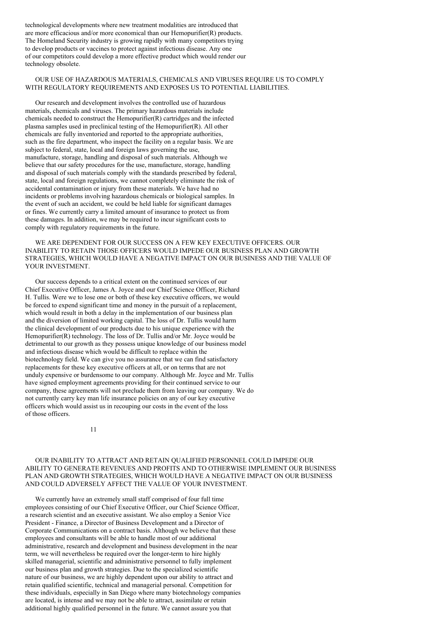technological developments where new treatment modalities are introduced that are more efficacious and/or more economical than our Hemopurifier(R) products. The Homeland Security industry is growing rapidly with many competitors trying to develop products or vaccines to protect against infectious disease. Any one of our competitors could develop a more effective product which would render our technology obsolete.

## OUR USE OF HAZARDOUS MATERIALS, CHEMICALS AND VIRUSES REQUIRE US TO COMPLY WITH REGULATORY REQUIREMENTS AND EXPOSES US TO POTENTIAL LIABILITIES.

Our research and development involves the controlled use of hazardous materials, chemicals and viruses. The primary hazardous materials include chemicals needed to construct the Hemopurifier(R) cartridges and the infected plasma samples used in preclinical testing of the Hemopurifier(R). All other chemicals are fully inventoried and reported to the appropriate authorities, such as the fire department, who inspect the facility on a regular basis. We are subject to federal, state, local and foreign laws governing the use, manufacture, storage, handling and disposal of such materials. Although we believe that our safety procedures for the use, manufacture, storage, handling and disposal of such materials comply with the standards prescribed by federal, state, local and foreign regulations, we cannot completely eliminate the risk of accidental contamination or injury from these materials. We have had no incidents or problems involving hazardous chemicals or biological samples. In the event of such an accident, we could be held liable for significant damages or fines. We currently carry a limited amount of insurance to protect us from these damages. In addition, we may be required to incur significant costs to comply with regulatory requirements in the future.

WE ARE DEPENDENT FOR OUR SUCCESS ON A FEW KEY EXECUTIVE OFFICERS. OUR INABILITY TO RETAIN THOSE OFFICERS WOULD IMPEDE OUR BUSINESS PLAN AND GROWTH STRATEGIES, WHICH WOULD HAVE A NEGATIVE IMPACT ON OUR BUSINESS AND THE VALUE OF YOUR INVESTMENT.

Our success depends to a critical extent on the continued services of our Chief Executive Officer, James A. Joyce and our Chief Science Officer, Richard H. Tullis. Were we to lose one or both of these key executive officers, we would be forced to expend significant time and money in the pursuit of a replacement, which would result in both a delay in the implementation of our business plan and the diversion of limited working capital. The loss of Dr. Tullis would harm the clinical development of our products due to his unique experience with the Hemopurifier(R) technology. The loss of Dr. Tullis and/or Mr. Joyce would be detrimental to our growth as they possess unique knowledge of our business model and infectious disease which would be difficult to replace within the biotechnology field. We can give you no assurance that we can find satisfactory replacements for these key executive officers at all, or on terms that are not unduly expensive or burdensome to our company. Although Mr. Joyce and Mr. Tullis have signed employment agreements providing for their continued service to our company, these agreements will not preclude them from leaving our company. We do not currently carry key man life insurance policies on any of our key executive officers which would assist us in recouping our costs in the event of the loss of those officers.

11

## OUR INABILITY TO ATTRACT AND RETAIN QUALIFIED PERSONNEL COULD IMPEDE OUR ABILITY TO GENERATE REVENUES AND PROFITS AND TO OTHERWISE IMPLEMENT OUR BUSINESS PLAN AND GROWTH STRATEGIES, WHICH WOULD HAVE A NEGATIVE IMPACT ON OUR BUSINESS AND COULD ADVERSELY AFFECT THE VALUE OF YOUR INVESTMENT.

We currently have an extremely small staff comprised of four full time employees consisting of our Chief Executive Officer, our Chief Science Officer, a research scientist and an executive assistant. We also employ a Senior Vice President - Finance, a Director of Business Development and a Director of Corporate Communications on a contract basis. Although we believe that these employees and consultants will be able to handle most of our additional administrative, research and development and business development in the near term, we will nevertheless be required over the longer-term to hire highly skilled managerial, scientific and administrative personnel to fully implement our business plan and growth strategies. Due to the specialized scientific nature of our business, we are highly dependent upon our ability to attract and retain qualified scientific, technical and managerial personal. Competition for these individuals, especially in San Diego where many biotechnology companies are located, is intense and we may not be able to attract, assimilate or retain additional highly qualified personnel in the future. We cannot assure you that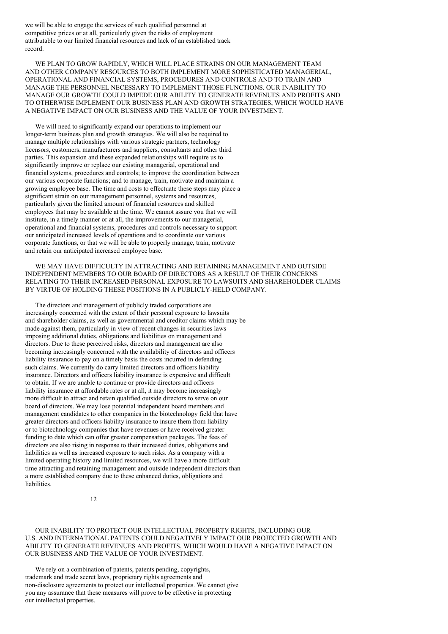we will be able to engage the services of such qualified personnel at competitive prices or at all, particularly given the risks of employment attributable to our limited financial resources and lack of an established track record.

WE PLAN TO GROW RAPIDLY, WHICH WILL PLACE STRAINS ON OUR MANAGEMENT TEAM AND OTHER COMPANY RESOURCES TO BOTH IMPLEMENT MORE SOPHISTICATED MANAGERIAL, OPERATIONAL AND FINANCIAL SYSTEMS, PROCEDURES AND CONTROLS AND TO TRAIN AND MANAGE THE PERSONNEL NECESSARY TO IMPLEMENT THOSE FUNCTIONS. OUR INABILITY TO MANAGE OUR GROWTH COULD IMPEDE OUR ABILITY TO GENERATE REVENUES AND PROFITS AND TO OTHERWISE IMPLEMENT OUR BUSINESS PLAN AND GROWTH STRATEGIES, WHICH WOULD HAVE A NEGATIVE IMPACT ON OUR BUSINESS AND THE VALUE OF YOUR INVESTMENT.

We will need to significantly expand our operations to implement our longer-term business plan and growth strategies. We will also be required to manage multiple relationships with various strategic partners, technology licensors, customers, manufacturers and suppliers, consultants and other third parties. This expansion and these expanded relationships will require us to significantly improve or replace our existing managerial, operational and financial systems, procedures and controls; to improve the coordination between our various corporate functions; and to manage, train, motivate and maintain a growing employee base. The time and costs to effectuate these steps may place a significant strain on our management personnel, systems and resources, particularly given the limited amount of financial resources and skilled employees that may be available at the time. We cannot assure you that we will institute, in a timely manner or at all, the improvements to our managerial, operational and financial systems, procedures and controls necessary to support our anticipated increased levels of operations and to coordinate our various corporate functions, or that we will be able to properly manage, train, motivate and retain our anticipated increased employee base.

WE MAY HAVE DIFFICULTY IN ATTRACTING AND RETAINING MANAGEMENT AND OUTSIDE INDEPENDENT MEMBERS TO OUR BOARD OF DIRECTORS AS A RESULT OF THEIR CONCERNS RELATING TO THEIR INCREASED PERSONAL EXPOSURE TO LAWSUITS AND SHAREHOLDER CLAIMS BY VIRTUE OF HOLDING THESE POSITIONS IN A PUBLICLY-HELD COMPANY.

The directors and management of publicly traded corporations are increasingly concerned with the extent of their personal exposure to lawsuits and shareholder claims, as well as governmental and creditor claims which may be made against them, particularly in view of recent changes in securities laws imposing additional duties, obligations and liabilities on management and directors. Due to these perceived risks, directors and management are also becoming increasingly concerned with the availability of directors and officers liability insurance to pay on a timely basis the costs incurred in defending such claims. We currently do carry limited directors and officers liability insurance. Directors and officers liability insurance is expensive and difficult to obtain. If we are unable to continue or provide directors and officers liability insurance at affordable rates or at all, it may become increasingly more difficult to attract and retain qualified outside directors to serve on our board of directors. We may lose potential independent board members and management candidates to other companies in the biotechnology field that have greater directors and officers liability insurance to insure them from liability or to biotechnology companies that have revenues or have received greater funding to date which can offer greater compensation packages. The fees of directors are also rising in response to their increased duties, obligations and liabilities as well as increased exposure to such risks. As a company with a limited operating history and limited resources, we will have a more difficult time attracting and retaining management and outside independent directors than a more established company due to these enhanced duties, obligations and liabilities.

12

OUR INABILITY TO PROTECT OUR INTELLECTUAL PROPERTY RIGHTS, INCLUDING OUR U.S. AND INTERNATIONAL PATENTS COULD NEGATIVELY IMPACT OUR PROJECTED GROWTH AND ABILITY TO GENERATE REVENUES AND PROFITS, WHICH WOULD HAVE A NEGATIVE IMPACT ON OUR BUSINESS AND THE VALUE OF YOUR INVESTMENT.

We rely on a combination of patents, patents pending, copyrights, trademark and trade secret laws, proprietary rights agreements and non-disclosure agreements to protect our intellectual properties. We cannot give you any assurance that these measures will prove to be effective in protecting our intellectual properties.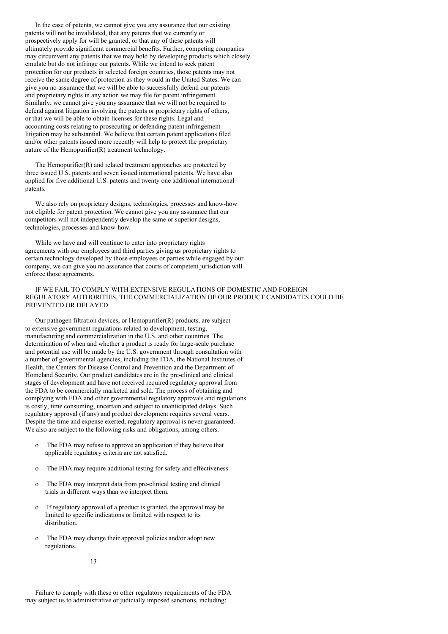In the case of patents, we cannot give you any assurance that our existing patents will not be invalidated, that any patents that we currently or prospectively apply for will be granted, or that any of these patents will ultimately provide significant commercial benefits. Further, competing companies may circumvent any patents that we may hold by developing products which closely emulate but do not infringe our patents. While we intend to seek patent protection for our products in selected foreign countries, those patents may not receive the same degree of protection as they would in the United States. We can give you no assurance that we will be able to successfully defend our patents and proprietary rights in any action we may file for patent infringement. Similarly, we cannot give you any assurance that we will not be required to defend against litigation involving the patents or proprietary rights of others, or that we will be able to obtain licenses for these rights. Legal and accounting costs relating to prosecuting or defending patent infringement litigation may be substantial. We believe that certain patent applications filed and/or other patents issued more recently will help to protect the proprietary nature of the Hemopurifier(R) treatment technology.

The Hemopurifier(R) and related treatment approaches are protected by three issued U.S. patents and seven issued international patents. We have also applied for five additional U.S. patents and twenty one additional international patents.

We also rely on proprietary designs, technologies, processes and know-how not eligible for patent protection. We cannot give you any assurance that our competitors will not independently develop the same or superior designs, technologies, processes and know-how.

While we have and will continue to enter into proprietary rights agreements with our employees and third parties giving us proprietary rights to certain technology developed by those employees or parties while engaged by our company, we can give you no assurance that courts of competent jurisdiction will enforce those agreements.

IF WE FAIL TO COMPLY WITH EXTENSIVE REGULATIONS OF DOMESTIC AND FOREIGN REGULATORY AUTHORITIES, THE COMMERCIALIZATION OF OUR PRODUCT CANDIDATES COULD BE PREVENTED OR DELAYED.

Our pathogen filtration devices, or Hemopurifier(R) products, are subject to extensive government regulations related to development, testing, manufacturing and commercialization in the U.S. and other countries. The determination of when and whether a product is ready for large-scale purchase and potential use will be made by the U.S. government through consultation with a number of governmental agencies, including the FDA, the National Institutes of Health, the Centers for Disease Control and Prevention and the Department of Homeland Security. Our product candidates are in the pre-clinical and clinical stages of development and have not received required regulatory approval from the FDA to be commercially marketed and sold. The process of obtaining and complying with FDA and other governmental regulatory approvals and regulations is costly, time consuming, uncertain and subject to unanticipated delays. Such regulatory approval (if any) and product development requires several years. Despite the time and expense exerted, regulatory approval is never guaranteed. We also are subject to the following risks and obligations, among others.

- o The FDA may refuse to approve an application if they believe that applicable regulatory criteria are not satisfied.
- o The FDA may require additional testing for safety and effectiveness.
- o The FDA may interpret data from pre-clinical testing and clinical trials in different ways than we interpret them.
- o If regulatory approval of a product is granted, the approval may be limited to specific indications or limited with respect to its distribution.
- o The FDA may change their approval policies and/or adopt new regulations.

Failure to comply with these or other regulatory requirements of the FDA may subject us to administrative or judicially imposed sanctions, including: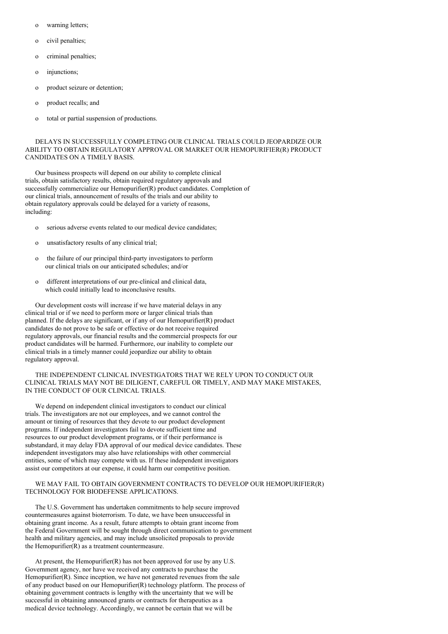- o warning letters;
- o civil penalties;
- o criminal penalties;
- o injunctions;
- o product seizure or detention;
- o product recalls; and
- o total or partial suspension of productions.

## DELAYS IN SUCCESSFULLY COMPLETING OUR CLINICAL TRIALS COULD JEOPARDIZE OUR ABILITY TO OBTAIN REGULATORY APPROVAL OR MARKET OUR HEMOPURIFIER(R) PRODUCT CANDIDATES ON A TIMELY BASIS.

Our business prospects will depend on our ability to complete clinical trials, obtain satisfactory results, obtain required regulatory approvals and successfully commercialize our Hemopurifier(R) product candidates. Completion of our clinical trials, announcement of results of the trials and our ability to obtain regulatory approvals could be delayed for a variety of reasons, including:

- serious adverse events related to our medical device candidates;
- o unsatisfactory results of any clinical trial;
- o the failure of our principal third-party investigators to perform our clinical trials on our anticipated schedules; and/or
- o different interpretations of our pre-clinical and clinical data, which could initially lead to inconclusive results.

Our development costs will increase if we have material delays in any clinical trial or if we need to perform more or larger clinical trials than planned. If the delays are significant, or if any of our Hemopurifier(R) product candidates do not prove to be safe or effective or do not receive required regulatory approvals, our financial results and the commercial prospects for our product candidates will be harmed. Furthermore, our inability to complete our clinical trials in a timely manner could jeopardize our ability to obtain regulatory approval.

## THE INDEPENDENT CLINICAL INVESTIGATORS THAT WE RELY UPON TO CONDUCT OUR CLINICAL TRIALS MAY NOT BE DILIGENT, CAREFUL OR TIMELY, AND MAY MAKE MISTAKES, IN THE CONDUCT OF OUR CLINICAL TRIALS.

We depend on independent clinical investigators to conduct our clinical trials. The investigators are not our employees, and we cannot control the amount or timing of resources that they devote to our product development programs. If independent investigators fail to devote sufficient time and resources to our product development programs, or if their performance is substandard, it may delay FDA approval of our medical device candidates. These independent investigators may also have relationships with other commercial entities, some of which may compete with us. If these independent investigators assist our competitors at our expense, it could harm our competitive position.

## WE MAY FAIL TO OBTAIN GOVERNMENT CONTRACTS TO DEVELOP OUR HEMOPURIFIER(R) TECHNOLOGY FOR BIODEFENSE APPLICATIONS.

The U.S. Government has undertaken commitments to help secure improved countermeasures against bioterrorism. To date, we have been unsuccessful in obtaining grant income. As a result, future attempts to obtain grant income from the Federal Government will be sought through direct communication to government health and military agencies, and may include unsolicited proposals to provide the Hemopurifier(R) as a treatment countermeasure.

At present, the Hemopurifier(R) has not been approved for use by any U.S. Government agency, nor have we received any contracts to purchase the Hemopurifier $(R)$ . Since inception, we have not generated revenues from the sale of any product based on our Hemopurifier(R) technology platform. The process of obtaining government contracts is lengthy with the uncertainty that we will be successful in obtaining announced grants or contracts for therapeutics as a medical device technology. Accordingly, we cannot be certain that we will be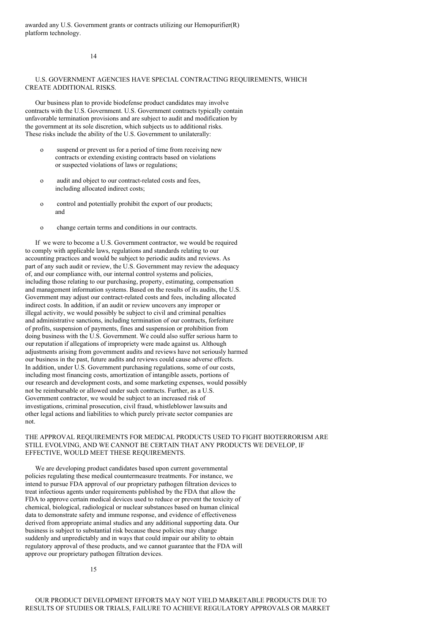awarded any U.S. Government grants or contracts utilizing our Hemopurifier(R) platform technology.

14

## U.S. GOVERNMENT AGENCIES HAVE SPECIAL CONTRACTING REQUIREMENTS, WHICH CREATE ADDITIONAL RISKS.

Our business plan to provide biodefense product candidates may involve contracts with the U.S. Government. U.S. Government contracts typically contain unfavorable termination provisions and are subject to audit and modification by the government at its sole discretion, which subjects us to additional risks. These risks include the ability of the U.S. Government to unilaterally:

- suspend or prevent us for a period of time from receiving new contracts or extending existing contracts based on violations or suspected violations of laws or regulations;
- o audit and object to our contract-related costs and fees, including allocated indirect costs;
- o control and potentially prohibit the export of our products; and
- o change certain terms and conditions in our contracts.

If we were to become a U.S. Government contractor, we would be required to comply with applicable laws, regulations and standards relating to our accounting practices and would be subject to periodic audits and reviews. As part of any such audit or review, the U.S. Government may review the adequacy of, and our compliance with, our internal control systems and policies, including those relating to our purchasing, property, estimating, compensation and management information systems. Based on the results of its audits, the U.S. Government may adjust our contract-related costs and fees, including allocated indirect costs. In addition, if an audit or review uncovers any improper or illegal activity, we would possibly be subject to civil and criminal penalties and administrative sanctions, including termination of our contracts, forfeiture of profits, suspension of payments, fines and suspension or prohibition from doing business with the U.S. Government. We could also suffer serious harm to our reputation if allegations of impropriety were made against us. Although adjustments arising from government audits and reviews have not seriously harmed our business in the past, future audits and reviews could cause adverse effects. In addition, under U.S. Government purchasing regulations, some of our costs, including most financing costs, amortization of intangible assets, portions of our research and development costs, and some marketing expenses, would possibly not be reimbursable or allowed under such contracts. Further, as a U.S. Government contractor, we would be subject to an increased risk of investigations, criminal prosecution, civil fraud, whistleblower lawsuits and other legal actions and liabilities to which purely private sector companies are not.

## THE APPROVAL REQUIREMENTS FOR MEDICAL PRODUCTS USED TO FIGHT BIOTERRORISM ARE STILL EVOLVING, AND WE CANNOT BE CERTAIN THAT ANY PRODUCTS WE DEVELOP, IF EFFECTIVE, WOULD MEET THESE REQUIREMENTS.

We are developing product candidates based upon current governmental policies regulating these medical countermeasure treatments. For instance, we intend to pursue FDA approval of our proprietary pathogen filtration devices to treat infectious agents under requirements published by the FDA that allow the FDA to approve certain medical devices used to reduce or prevent the toxicity of chemical, biological, radiological or nuclear substances based on human clinical data to demonstrate safety and immune response, and evidence of effectiveness derived from appropriate animal studies and any additional supporting data. Our business is subject to substantial risk because these policies may change suddenly and unpredictably and in ways that could impair our ability to obtain regulatory approval of these products, and we cannot guarantee that the FDA will approve our proprietary pathogen filtration devices.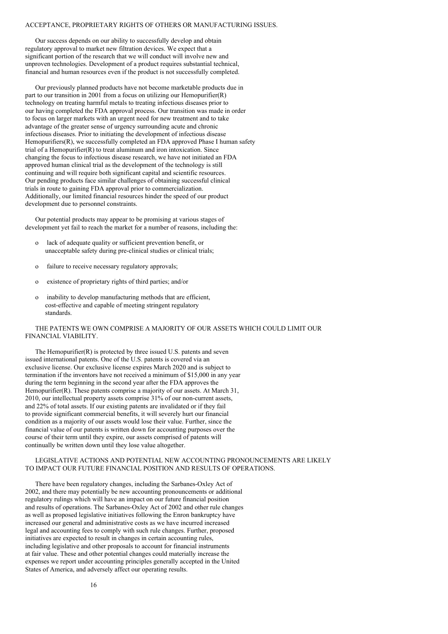## ACCEPTANCE, PROPRIETARY RIGHTS OF OTHERS OR MANUFACTURING ISSUES.

Our success depends on our ability to successfully develop and obtain regulatory approval to market new filtration devices. We expect that a significant portion of the research that we will conduct will involve new and unproven technologies. Development of a product requires substantial technical, financial and human resources even if the product is not successfully completed.

Our previously planned products have not become marketable products due in part to our transition in 2001 from a focus on utilizing our Hemopurifier(R) technology on treating harmful metals to treating infectious diseases prior to our having completed the FDA approval process. Our transition was made in order to focus on larger markets with an urgent need for new treatment and to take advantage of the greater sense of urgency surrounding acute and chronic infectious diseases. Prior to initiating the development of infectious disease Hemopurifiers(R), we successfully completed an FDA approved Phase I human safety trial of a Hemopurifier(R) to treat aluminum and iron intoxication. Since changing the focus to infectious disease research, we have not initiated an FDA approved human clinical trial as the development of the technology is still continuing and will require both significant capital and scientific resources. Our pending products face similar challenges of obtaining successful clinical trials in route to gaining FDA approval prior to commercialization. Additionally, our limited financial resources hinder the speed of our product development due to personnel constraints.

Our potential products may appear to be promising at various stages of development yet fail to reach the market for a number of reasons, including the:

- lack of adequate quality or sufficient prevention benefit, or unacceptable safety during pre-clinical studies or clinical trials;
- o failure to receive necessary regulatory approvals;
- o existence of proprietary rights of third parties; and/or
- inability to develop manufacturing methods that are efficient, cost-effective and capable of meeting stringent regulatory standards.

## THE PATENTS WE OWN COMPRISE A MAJORITY OF OUR ASSETS WHICH COULD LIMIT OUR FINANCIAL VIABILITY.

The Hemopurifier(R) is protected by three issued U.S. patents and seven issued international patents. One of the U.S. patents is covered via an exclusive license. Our exclusive license expires March 2020 and is subject to termination if the inventors have not received a minimum of \$15,000 in any year during the term beginning in the second year after the FDA approves the Hemopurifier(R). These patents comprise a majority of our assets. At March 31, 2010, our intellectual property assets comprise 31% of our non-current assets, and 22% of total assets. If our existing patents are invalidated or if they fail to provide significant commercial benefits, it will severely hurt our financial condition as a majority of our assets would lose their value. Further, since the financial value of our patents is written down for accounting purposes over the course of their term until they expire, our assets comprised of patents will continually be written down until they lose value altogether.

## LEGISLATIVE ACTIONS AND POTENTIAL NEW ACCOUNTING PRONOUNCEMENTS ARE LIKELY TO IMPACT OUR FUTURE FINANCIAL POSITION AND RESULTS OF OPERATIONS.

There have been regulatory changes, including the Sarbanes-Oxley Act of 2002, and there may potentially be new accounting pronouncements or additional regulatory rulings which will have an impact on our future financial position and results of operations. The Sarbanes-Oxley Act of 2002 and other rule changes as well as proposed legislative initiatives following the Enron bankruptcy have increased our general and administrative costs as we have incurred increased legal and accounting fees to comply with such rule changes. Further, proposed initiatives are expected to result in changes in certain accounting rules, including legislative and other proposals to account for financial instruments at fair value. These and other potential changes could materially increase the expenses we report under accounting principles generally accepted in the United States of America, and adversely affect our operating results.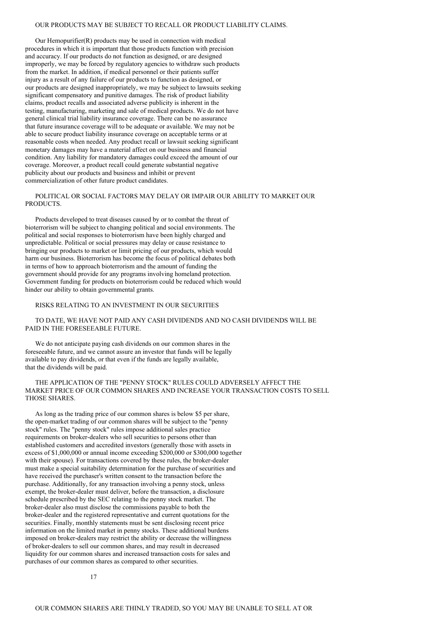## OUR PRODUCTS MAY BE SUBJECT TO RECALL OR PRODUCT LIABILITY CLAIMS.

Our Hemopurifier(R) products may be used in connection with medical procedures in which it is important that those products function with precision and accuracy. If our products do not function as designed, or are designed improperly, we may be forced by regulatory agencies to withdraw such products from the market. In addition, if medical personnel or their patients suffer injury as a result of any failure of our products to function as designed, or our products are designed inappropriately, we may be subject to lawsuits seeking significant compensatory and punitive damages. The risk of product liability claims, product recalls and associated adverse publicity is inherent in the testing, manufacturing, marketing and sale of medical products. We do not have general clinical trial liability insurance coverage. There can be no assurance that future insurance coverage will to be adequate or available. We may not be able to secure product liability insurance coverage on acceptable terms or at reasonable costs when needed. Any product recall or lawsuit seeking significant monetary damages may have a material affect on our business and financial condition. Any liability for mandatory damages could exceed the amount of our coverage. Moreover, a product recall could generate substantial negative publicity about our products and business and inhibit or prevent commercialization of other future product candidates.

## POLITICAL OR SOCIAL FACTORS MAY DELAY OR IMPAIR OUR ABILITY TO MARKET OUR PRODUCTS.

Products developed to treat diseases caused by or to combat the threat of bioterrorism will be subject to changing political and social environments. The political and social responses to bioterrorism have been highly charged and unpredictable. Political or social pressures may delay or cause resistance to bringing our products to market or limit pricing of our products, which would harm our business. Bioterrorism has become the focus of political debates both in terms of how to approach bioterrorism and the amount of funding the government should provide for any programs involving homeland protection. Government funding for products on bioterrorism could be reduced which would hinder our ability to obtain governmental grants.

### RISKS RELATING TO AN INVESTMENT IN OUR SECURITIES

## TO DATE, WE HAVE NOT PAID ANY CASH DIVIDENDS AND NO CASH DIVIDENDS WILL BE PAID IN THE FORESEEABLE FUTURE.

We do not anticipate paying cash dividends on our common shares in the foreseeable future, and we cannot assure an investor that funds will be legally available to pay dividends, or that even if the funds are legally available, that the dividends will be paid.

## THE APPLICATION OF THE "PENNY STOCK" RULES COULD ADVERSELY AFFECT THE MARKET PRICE OF OUR COMMON SHARES AND INCREASE YOUR TRANSACTION COSTS TO SELL THOSE SHARES.

As long as the trading price of our common shares is below \$5 per share, the open-market trading of our common shares will be subject to the "penny stock" rules. The "penny stock" rules impose additional sales practice requirements on broker-dealers who sell securities to persons other than established customers and accredited investors (generally those with assets in excess of \$1,000,000 or annual income exceeding \$200,000 or \$300,000 together with their spouse). For transactions covered by these rules, the broker-dealer must make a special suitability determination for the purchase of securities and have received the purchaser's written consent to the transaction before the purchase. Additionally, for any transaction involving a penny stock, unless exempt, the broker-dealer must deliver, before the transaction, a disclosure schedule prescribed by the SEC relating to the penny stock market. The broker-dealer also must disclose the commissions payable to both the broker-dealer and the registered representative and current quotations for the securities. Finally, monthly statements must be sent disclosing recent price information on the limited market in penny stocks. These additional burdens imposed on broker-dealers may restrict the ability or decrease the willingness of broker-dealers to sell our common shares, and may result in decreased liquidity for our common shares and increased transaction costs for sales and purchases of our common shares as compared to other securities.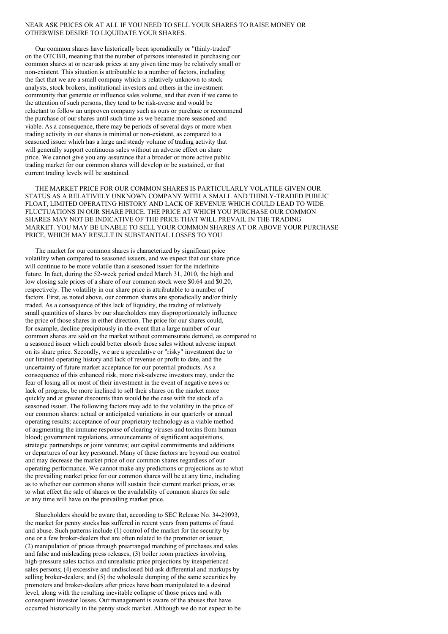### NEAR ASK PRICES OR AT ALL IF YOU NEED TO SELL YOUR SHARES TO RAISE MONEY OR OTHERWISE DESIRE TO LIQUIDATE YOUR SHARES.

Our common shares have historically been sporadically or "thinly-traded" on the OTCBB, meaning that the number of persons interested in purchasing our common shares at or near ask prices at any given time may be relatively small or non-existent. This situation is attributable to a number of factors, including the fact that we are a small company which is relatively unknown to stock analysts, stock brokers, institutional investors and others in the investment community that generate or influence sales volume, and that even if we came to the attention of such persons, they tend to be risk-averse and would be reluctant to follow an unproven company such as ours or purchase or recommend the purchase of our shares until such time as we became more seasoned and viable. As a consequence, there may be periods of several days or more when trading activity in our shares is minimal or non-existent, as compared to a seasoned issuer which has a large and steady volume of trading activity that will generally support continuous sales without an adverse effect on share price. We cannot give you any assurance that a broader or more active public trading market for our common shares will develop or be sustained, or that current trading levels will be sustained.

THE MARKET PRICE FOR OUR COMMON SHARES IS PARTICULARLY VOLATILE GIVEN OUR STATUS AS A RELATIVELY UNKNOWN COMPANY WITH A SMALL AND THINLY-TRADED PUBLIC FLOAT, LIMITED OPERATING HISTORY AND LACK OF REVENUE WHICH COULD LEAD TO WIDE FLUCTUATIONS IN OUR SHARE PRICE. THE PRICE AT WHICH YOU PURCHASE OUR COMMON SHARES MAY NOT BE INDICATIVE OF THE PRICE THAT WILL PREVAIL IN THE TRADING MARKET. YOU MAY BE UNABLE TO SELL YOUR COMMON SHARES AT OR ABOVE YOUR PURCHASE PRICE, WHICH MAY RESULT IN SUBSTANTIAL LOSSES TO YOU.

The market for our common shares is characterized by significant price volatility when compared to seasoned issuers, and we expect that our share price will continue to be more volatile than a seasoned issuer for the indefinite future. In fact, during the 52-week period ended March 31, 2010, the high and low closing sale prices of a share of our common stock were \$0.64 and \$0.20, respectively. The volatility in our share price is attributable to a number of factors. First, as noted above, our common shares are sporadically and/or thinly traded. As a consequence of this lack of liquidity, the trading of relatively small quantities of shares by our shareholders may disproportionately influence the price of those shares in either direction. The price for our shares could, for example, decline precipitously in the event that a large number of our common shares are sold on the market without commensurate demand, as compared to a seasoned issuer which could better absorb those sales without adverse impact on its share price. Secondly, we are a speculative or "risky" investment due to our limited operating history and lack of revenue or profit to date, and the uncertainty of future market acceptance for our potential products. As a consequence of this enhanced risk, more risk-adverse investors may, under the fear of losing all or most of their investment in the event of negative news or lack of progress, be more inclined to sell their shares on the market more quickly and at greater discounts than would be the case with the stock of a seasoned issuer. The following factors may add to the volatility in the price of our common shares: actual or anticipated variations in our quarterly or annual operating results; acceptance of our proprietary technology as a viable method of augmenting the immune response of clearing viruses and toxins from human blood; government regulations, announcements of significant acquisitions, strategic partnerships or joint ventures; our capital commitments and additions or departures of our key personnel. Many of these factors are beyond our control and may decrease the market price of our common shares regardless of our operating performance. We cannot make any predictions or projections as to what the prevailing market price for our common shares will be at any time, including as to whether our common shares will sustain their current market prices, or as to what effect the sale of shares or the availability of common shares for sale at any time will have on the prevailing market price.

Shareholders should be aware that, according to SEC Release No. 34-29093, the market for penny stocks has suffered in recent years from patterns of fraud and abuse. Such patterns include (1) control of the market for the security by one or a few broker-dealers that are often related to the promoter or issuer; (2) manipulation of prices through prearranged matching of purchases and sales and false and misleading press releases; (3) boiler room practices involving high-pressure sales tactics and unrealistic price projections by inexperienced sales persons; (4) excessive and undisclosed bid-ask differential and markups by selling broker-dealers; and (5) the wholesale dumping of the same securities by promoters and broker-dealers after prices have been manipulated to a desired level, along with the resulting inevitable collapse of those prices and with consequent investor losses. Our management is aware of the abuses that have occurred historically in the penny stock market. Although we do not expect to be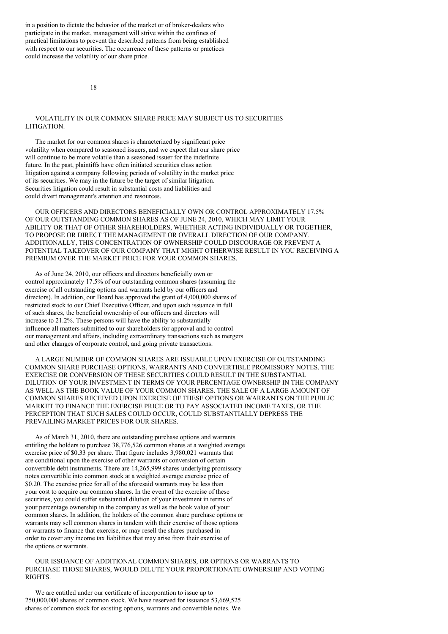in a position to dictate the behavior of the market or of broker-dealers who participate in the market, management will strive within the confines of practical limitations to prevent the described patterns from being established with respect to our securities. The occurrence of these patterns or practices could increase the volatility of our share price.

18

## VOLATILITY IN OUR COMMON SHARE PRICE MAY SUBJECT US TO SECURITIES LITIGATION.

The market for our common shares is characterized by significant price volatility when compared to seasoned issuers, and we expect that our share price will continue to be more volatile than a seasoned issuer for the indefinite future. In the past, plaintiffs have often initiated securities class action litigation against a company following periods of volatility in the market price of its securities. We may in the future be the target of similar litigation. Securities litigation could result in substantial costs and liabilities and could divert management's attention and resources.

OUR OFFICERS AND DIRECTORS BENEFICIALLY OWN OR CONTROL APPROXIMATELY 17.5% OF OUR OUTSTANDING COMMON SHARES AS OF JUNE 24, 2010, WHICH MAY LIMIT YOUR ABILITY OR THAT OF OTHER SHAREHOLDERS, WHETHER ACTING INDIVIDUALLY OR TOGETHER, TO PROPOSE OR DIRECT THE MANAGEMENT OR OVERALL DIRECTION OF OUR COMPANY. ADDITIONALLY, THIS CONCENTRATION OF OWNERSHIP COULD DISCOURAGE OR PREVENT A POTENTIAL TAKEOVER OF OUR COMPANY THAT MIGHT OTHERWISE RESULT IN YOU RECEIVING A PREMIUM OVER THE MARKET PRICE FOR YOUR COMMON SHARES.

As of June 24, 2010, our officers and directors beneficially own or control approximately 17.5% of our outstanding common shares (assuming the exercise of all outstanding options and warrants held by our officers and directors). In addition, our Board has approved the grant of 4,000,000 shares of restricted stock to our Chief Executive Officer, and upon such issuance in full of such shares, the beneficial ownership of our officers and directors will increase to 21.2%. These persons will have the ability to substantially influence all matters submitted to our shareholders for approval and to control our management and affairs, including extraordinary transactions such as mergers and other changes of corporate control, and going private transactions.

A LARGE NUMBER OF COMMON SHARES ARE ISSUABLE UPON EXERCISE OF OUTSTANDING COMMON SHARE PURCHASE OPTIONS, WARRANTS AND CONVERTIBLE PROMISSORY NOTES. THE EXERCISE OR CONVERSION OF THESE SECURITIES COULD RESULT IN THE SUBSTANTIAL DILUTION OF YOUR INVESTMENT IN TERMS OF YOUR PERCENTAGE OWNERSHIP IN THE COMPANY AS WELL AS THE BOOK VALUE OF YOUR COMMON SHARES. THE SALE OF A LARGE AMOUNT OF COMMON SHARES RECEIVED UPON EXERCISE OF THESE OPTIONS OR WARRANTS ON THE PUBLIC MARKET TO FINANCE THE EXERCISE PRICE OR TO PAY ASSOCIATED INCOME TAXES, OR THE PERCEPTION THAT SUCH SALES COULD OCCUR, COULD SUBSTANTIALLY DEPRESS THE PREVAILING MARKET PRICES FOR OUR SHARES.

As of March 31, 2010, there are outstanding purchase options and warrants entitling the holders to purchase 38,776,526 common shares at a weighted average exercise price of \$0.33 per share. That figure includes 3,980,021 warrants that are conditional upon the exercise of other warrants or conversion of certain convertible debt instruments. There are 14,265,999 shares underlying promissory notes convertible into common stock at a weighted average exercise price of \$0.20. The exercise price for all of the aforesaid warrants may be less than your cost to acquire our common shares. In the event of the exercise of these securities, you could suffer substantial dilution of your investment in terms of your percentage ownership in the company as well as the book value of your common shares. In addition, the holders of the common share purchase options or warrants may sell common shares in tandem with their exercise of those options or warrants to finance that exercise, or may resell the shares purchased in order to cover any income tax liabilities that may arise from their exercise of the options or warrants.

OUR ISSUANCE OF ADDITIONAL COMMON SHARES, OR OPTIONS OR WARRANTS TO PURCHASE THOSE SHARES, WOULD DILUTE YOUR PROPORTIONATE OWNERSHIP AND VOTING RIGHTS.

We are entitled under our certificate of incorporation to issue up to 250,000,000 shares of common stock. We have reserved for issuance 53,669,525 shares of common stock for existing options, warrants and convertible notes. We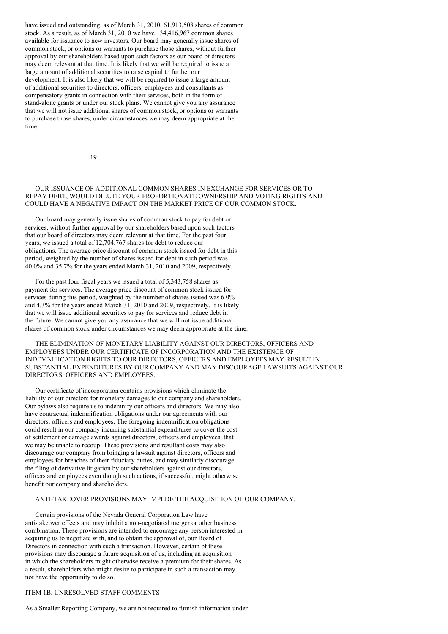have issued and outstanding, as of March 31, 2010, 61,913,508 shares of common stock. As a result, as of March 31, 2010 we have 134,416,967 common shares available for issuance to new investors. Our board may generally issue shares of common stock, or options or warrants to purchase those shares, without further approval by our shareholders based upon such factors as our board of directors may deem relevant at that time. It is likely that we will be required to issue a large amount of additional securities to raise capital to further our development. It is also likely that we will be required to issue a large amount of additional securities to directors, officers, employees and consultants as compensatory grants in connection with their services, both in the form of stand-alone grants or under our stock plans. We cannot give you any assurance that we will not issue additional shares of common stock, or options or warrants to purchase those shares, under circumstances we may deem appropriate at the time.

19

## OUR ISSUANCE OF ADDITIONAL COMMON SHARES IN EXCHANGE FOR SERVICES OR TO REPAY DEBT, WOULD DILUTE YOUR PROPORTIONATE OWNERSHIP AND VOTING RIGHTS AND COULD HAVE A NEGATIVE IMPACT ON THE MARKET PRICE OF OUR COMMON STOCK.

Our board may generally issue shares of common stock to pay for debt or services, without further approval by our shareholders based upon such factors that our board of directors may deem relevant at that time. For the past four years, we issued a total of 12,704,767 shares for debt to reduce our obligations. The average price discount of common stock issued for debt in this period, weighted by the number of shares issued for debt in such period was 40.0% and 35.7% for the years ended March 31, 2010 and 2009, respectively.

For the past four fiscal years we issued a total of 5,343,758 shares as payment for services. The average price discount of common stock issued for services during this period, weighted by the number of shares issued was 6.0% and 4.3% for the years ended March 31, 2010 and 2009, respectively. It is likely that we will issue additional securities to pay for services and reduce debt in the future. We cannot give you any assurance that we will not issue additional shares of common stock under circumstances we may deem appropriate at the time.

THE ELIMINATION OF MONETARY LIABILITY AGAINST OUR DIRECTORS, OFFICERS AND EMPLOYEES UNDER OUR CERTIFICATE OF INCORPORATION AND THE EXISTENCE OF INDEMNIFICATION RIGHTS TO OUR DIRECTORS, OFFICERS AND EMPLOYEES MAY RESULT IN SUBSTANTIAL EXPENDITURES BY OUR COMPANY AND MAY DISCOURAGE LAWSUITS AGAINST OUR DIRECTORS, OFFICERS AND EMPLOYEES.

Our certificate of incorporation contains provisions which eliminate the liability of our directors for monetary damages to our company and shareholders. Our bylaws also require us to indemnify our officers and directors. We may also have contractual indemnification obligations under our agreements with our directors, officers and employees. The foregoing indemnification obligations could result in our company incurring substantial expenditures to cover the cost of settlement or damage awards against directors, officers and employees, that we may be unable to recoup. These provisions and resultant costs may also discourage our company from bringing a lawsuit against directors, officers and employees for breaches of their fiduciary duties, and may similarly discourage the filing of derivative litigation by our shareholders against our directors, officers and employees even though such actions, if successful, might otherwise benefit our company and shareholders.

## ANTI-TAKEOVER PROVISIONS MAY IMPEDE THE ACQUISITION OF OUR COMPANY.

Certain provisions of the Nevada General Corporation Law have anti-takeover effects and may inhibit a non-negotiated merger or other business combination. These provisions are intended to encourage any person interested in acquiring us to negotiate with, and to obtain the approval of, our Board of Directors in connection with such a transaction. However, certain of these provisions may discourage a future acquisition of us, including an acquisition in which the shareholders might otherwise receive a premium for their shares. As a result, shareholders who might desire to participate in such a transaction may not have the opportunity to do so.

## ITEM 1B. UNRESOLVED STAFF COMMENTS

As a Smaller Reporting Company, we are not required to furnish information under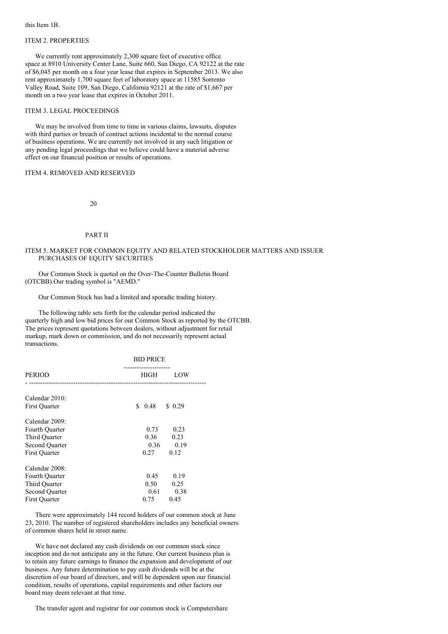this Item 1B.

## ITEM 2. PROPERTIES

We currently rent approximately 2,300 square feet of executive office space at 8910 University Center Lane, Suite 660, San Diego, CA 92122 at the rate of \$6,045 per month on a four year lease that expires in September 2013. We also rent approximately 1,700 square feet of laboratory space at 11585 Sorrento Valley Road, Suite 109, San Diego, California 92121 at the rate of \$1,667 per month on a two year lease that expires in October 2011.

## ITEM 3. LEGAL PROCEEDINGS

We may be involved from time to time in various claims, lawsuits, disputes with third parties or breach of contract actions incidental to the normal course of business operations. We are currently not involved in any such litigation or any pending legal proceedings that we believe could have a material adverse effect on our financial position or results of operations.

### ITEM 4. REMOVED AND RESERVED

 $20$ 

#### PART II

## ITEM 5. MARKET FOR COMMON EQUITY AND RELATED STOCKHOLDER MATTERS AND ISSUER PURCHASES OF EQUITY SECURITIES

Our Common Stock is quoted on the Over-The-Counter Bulletin Board (OTCBB).Our trading symbol is "AEMD."

Our Common Stock has had a limited and sporadic trading history.

The following table sets forth for the calendar period indicated the quarterly high and low bid prices for our Common Stock as reported by the OTCBB. The prices represent quotations between dealers, without adjustment for retail markup, mark down or commission, and do not necessarily represent actual transactions.

|                       | <b>BID PRICE</b> |        |  |  |
|-----------------------|------------------|--------|--|--|
| <b>PERIOD</b>         | HIGH             | LOW    |  |  |
| Calendar 2010:        |                  |        |  |  |
| First Quarter         | S<br>0.48        | \$0.29 |  |  |
| Calendar 2009:        |                  |        |  |  |
| Fourth Quarter        | 0.73             | 0.23   |  |  |
| Third Quarter         | 0.36             | 0.23   |  |  |
| <b>Second Quarter</b> | 0.36             | 0.19   |  |  |
| <b>First Quarter</b>  | 0.27             | 0.12   |  |  |
| Calendar 2008:        |                  |        |  |  |
| <b>Fourth Quarter</b> | 0.45             | 0.19   |  |  |
| Third Quarter         | 0.50             | 0.25   |  |  |
| <b>Second Quarter</b> | 0.61             | 0.38   |  |  |
| <b>First Quarter</b>  | 0.75             | 0.45   |  |  |
|                       |                  |        |  |  |

There were approximately 144 record holders of our common stock at June 23, 2010. The number of registered shareholders includes any beneficial owners of common shares held in street name.

We have not declared any cash dividends on our common stock since inception and do not anticipate any in the future. Our current business plan is to retain any future earnings to finance the expansion and development of our business. Any future determination to pay cash dividends will be at the discretion of our board of directors, and will be dependent upon our financial condition, results of operations, capital requirements and other factors our board may deem relevant at that time.

The transfer agent and registrar for our common stock is Computershare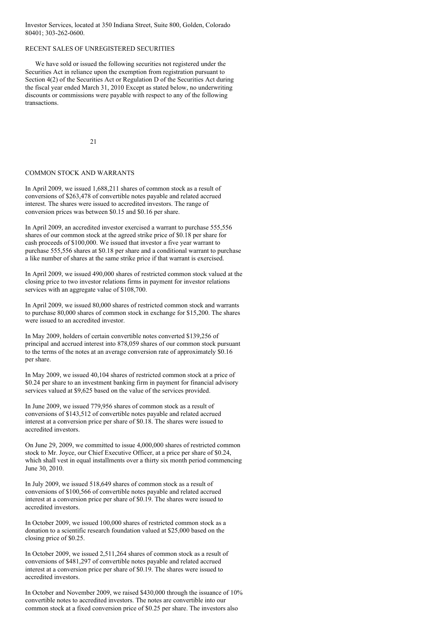Investor Services, located at 350 Indiana Street, Suite 800, Golden, Colorado 80401; 303-262-0600.

## RECENT SALES OF UNREGISTERED SECURITIES

We have sold or issued the following securities not registered under the Securities Act in reliance upon the exemption from registration pursuant to Section 4(2) of the Securities Act or Regulation D of the Securities Act during the fiscal year ended March 31, 2010 Except as stated below, no underwriting discounts or commissions were payable with respect to any of the following transactions.

21

### COMMON STOCK AND WARRANTS

In April 2009, we issued 1,688,211 shares of common stock as a result of conversions of \$263,478 of convertible notes payable and related accrued interest. The shares were issued to accredited investors. The range of conversion prices was between \$0.15 and \$0.16 per share.

In April 2009, an accredited investor exercised a warrant to purchase 555,556 shares of our common stock at the agreed strike price of \$0.18 per share for cash proceeds of \$100,000. We issued that investor a five year warrant to purchase 555,556 shares at \$0.18 per share and a conditional warrant to purchase a like number of shares at the same strike price if that warrant is exercised.

In April 2009, we issued 490,000 shares of restricted common stock valued at the closing price to two investor relations firms in payment for investor relations services with an aggregate value of \$108,700.

In April 2009, we issued 80,000 shares of restricted common stock and warrants to purchase 80,000 shares of common stock in exchange for \$15,200. The shares were issued to an accredited investor.

In May 2009, holders of certain convertible notes converted \$139,256 of principal and accrued interest into 878,059 shares of our common stock pursuant to the terms of the notes at an average conversion rate of approximately \$0.16 per share.

In May 2009, we issued 40,104 shares of restricted common stock at a price of \$0.24 per share to an investment banking firm in payment for financial advisory services valued at \$9,625 based on the value of the services provided.

In June 2009, we issued 779,956 shares of common stock as a result of conversions of \$143,512 of convertible notes payable and related accrued interest at a conversion price per share of \$0.18. The shares were issued to accredited investors.

On June 29, 2009, we committed to issue 4,000,000 shares of restricted common stock to Mr. Joyce, our Chief Executive Officer, at a price per share of \$0.24, which shall vest in equal installments over a thirty six month period commencing June 30, 2010.

In July 2009, we issued 518,649 shares of common stock as a result of conversions of \$100,566 of convertible notes payable and related accrued interest at a conversion price per share of \$0.19. The shares were issued to accredited investors.

In October 2009, we issued 100,000 shares of restricted common stock as a donation to a scientific research foundation valued at \$25,000 based on the closing price of \$0.25.

In October 2009, we issued 2,511,264 shares of common stock as a result of conversions of \$481,297 of convertible notes payable and related accrued interest at a conversion price per share of \$0.19. The shares were issued to accredited investors.

In October and November 2009, we raised \$430,000 through the issuance of 10% convertible notes to accredited investors. The notes are convertible into our common stock at a fixed conversion price of \$0.25 per share. The investors also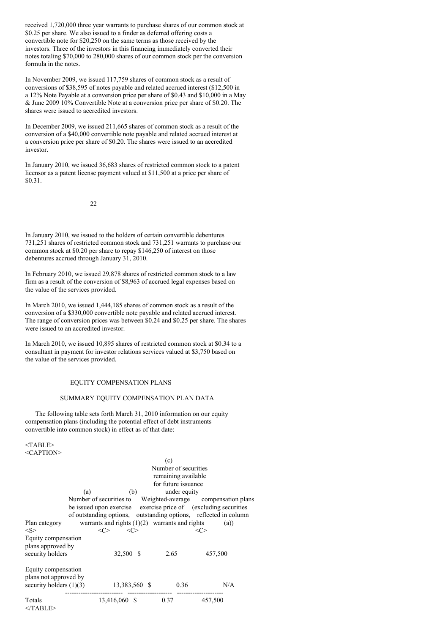received 1,720,000 three year warrants to purchase shares of our common stock at \$0.25 per share. We also issued to a finder as deferred offering costs a convertible note for \$20,250 on the same terms as those received by the investors. Three of the investors in this financing immediately converted their notes totaling \$70,000 to 280,000 shares of our common stock per the conversion formula in the notes.

In November 2009, we issued 117,759 shares of common stock as a result of conversions of \$38,595 of notes payable and related accrued interest (\$12,500 in a 12% Note Payable at a conversion price per share of \$0.43 and \$10,000 in a May & June 2009 10% Convertible Note at a conversion price per share of \$0.20. The shares were issued to accredited investors.

In December 2009, we issued 211,665 shares of common stock as a result of the conversion of a \$40,000 convertible note payable and related accrued interest at a conversion price per share of \$0.20. The shares were issued to an accredited investor.

In January 2010, we issued 36,683 shares of restricted common stock to a patent licensor as a patent license payment valued at \$11,500 at a price per share of \$0.31.

 $22$ 

In January 2010, we issued to the holders of certain convertible debentures 731,251 shares of restricted common stock and 731,251 warrants to purchase our common stock at \$0.20 per share to repay \$146,250 of interest on those debentures accrued through January 31, 2010.

In February 2010, we issued 29,878 shares of restricted common stock to a law firm as a result of the conversion of \$8,963 of accrued legal expenses based on the value of the services provided.

In March 2010, we issued 1,444,185 shares of common stock as a result of the conversion of a \$330,000 convertible note payable and related accrued interest. The range of conversion prices was between \$0.24 and \$0.25 per share. The shares were issued to an accredited investor.

In March 2010, we issued 10,895 shares of restricted common stock at \$0.34 to a consultant in payment for investor relations services valued at \$3,750 based on the value of the services provided.

## EQUITY COMPENSATION PLANS

## SUMMARY EQUITY COMPENSATION PLAN DATA

The following table sets forth March 31, 2010 information on our equity compensation plans (including the potential effect of debt instruments convertible into common stock) in effect as of that date:

 $<$ TABLE>  $\angle C$  A DTION

| NATION-               |     |                                                                      |                      |                                                                  |
|-----------------------|-----|----------------------------------------------------------------------|----------------------|------------------------------------------------------------------|
|                       |     |                                                                      | (c)                  |                                                                  |
|                       |     |                                                                      | Number of securities |                                                                  |
|                       |     |                                                                      | remaining available  |                                                                  |
|                       |     |                                                                      | for future issuance  |                                                                  |
|                       | (a) | (b)                                                                  | under equity         |                                                                  |
|                       |     |                                                                      |                      | Number of securities to Weighted-average compensation plans      |
|                       |     |                                                                      |                      | be issued upon exercise exercise price of (excluding securities) |
|                       |     |                                                                      |                      | of outstanding options, outstanding options, reflected in column |
|                       |     | Plan category warrants and rights $(1)(2)$ warrants and rights $(2)$ |                      |                                                                  |
| $<\!\!S\!\!>$         |     | $\langle C \rangle$<br>$\langle$ $\rangle$                           |                      | <∩>                                                              |
| Equity compensation   |     |                                                                      |                      |                                                                  |
| plans approved by     |     |                                                                      |                      |                                                                  |
| security holders      |     | 32,500 \$                                                            | 2.65                 | 457,500                                                          |
|                       |     |                                                                      |                      |                                                                  |
| Equity compensation   |     |                                                                      |                      |                                                                  |
| plans not approved by |     |                                                                      |                      |                                                                  |
|                       |     | security holders $(1)(3)$ 13,383,560 \$                              | 0.36                 | N/A                                                              |
| Totals                |     | 13,416,060 \$                                                        | 0.37                 | 457,500                                                          |
| $<$ /TABLE>           |     |                                                                      |                      |                                                                  |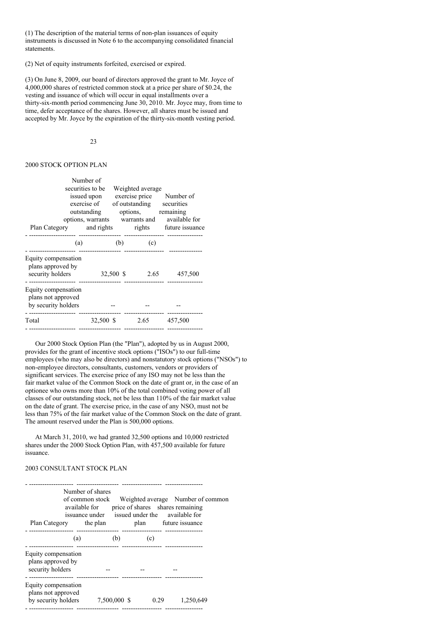(1) The description of the material terms of non-plan issuances of equity instruments is discussed in Note 6 to the accompanying consolidated financial statements.

## (2) Net of equity instruments forfeited, exercised or expired.

(3) On June 8, 2009, our board of directors approved the grant to Mr. Joyce of 4,000,000 shares of restricted common stock at a price per share of \$0.24, the vesting and issuance of which will occur in equal installments over a thirty-six-month period commencing June 30, 2010. Mr. Joyce may, from time to time, defer acceptance of the shares. However, all shares must be issued and accepted by Mr. Joyce by the expiration of the thirty-six-month vesting period.

#### 23

#### 2000 STOCK OPTION PLAN

|                                                                  | Number of<br>securities to be Weighted average<br>issued upon exercise price Number of<br>exercise of of outstanding securities<br>outstanding options, remaining<br>options, warrants warrants and available for<br>---- ------------------ ------------ |     |                | Plan Category and rights rights future issuance |
|------------------------------------------------------------------|-----------------------------------------------------------------------------------------------------------------------------------------------------------------------------------------------------------------------------------------------------------|-----|----------------|-------------------------------------------------|
|                                                                  | (a)<br>--------- -------------------                                                                                                                                                                                                                      | (b) | (c)            |                                                 |
| Equity compensation<br>plans approved by<br>security holders     |                                                                                                                                                                                                                                                           |     |                | 32,500 \$ 2.65 457,500                          |
| Equity compensation<br>plans not approved<br>by security holders |                                                                                                                                                                                                                                                           |     |                |                                                 |
| Total                                                            | -----------------                                                                                                                                                                                                                                         |     | 32,500 \$ 2.65 | 457,500                                         |

Our 2000 Stock Option Plan (the "Plan"), adopted by us in August 2000, provides for the grant of incentive stock options ("ISOs") to our full-time employees (who may also be directors) and nonstatutory stock options ("NSOs") to non-employee directors, consultants, customers, vendors or providers of significant services. The exercise price of any ISO may not be less than the fair market value of the Common Stock on the date of grant or, in the case of an optionee who owns more than 10% of the total combined voting power of all classes of our outstanding stock, not be less than 110% of the fair market value on the date of grant. The exercise price, in the case of any NSO, must not be less than 75% of the fair market value of the Common Stock on the date of grant. The amount reserved under the Plan is 500,000 options.

At March 31, 2010, we had granted 32,500 options and 10,000 restricted shares under the 2000 Stock Option Plan, with 457,500 available for future issuance.

# 2003 CONSULTANT STOCK PLAN

| Plan Category the plan                                           | Number of shares<br>of common stock |              |     |      | Weighted average Number of common<br>available for price of shares shares remaining<br>issuance under issued under the available for<br>plan future issuance |  |
|------------------------------------------------------------------|-------------------------------------|--------------|-----|------|--------------------------------------------------------------------------------------------------------------------------------------------------------------|--|
|                                                                  | (a)                                 | (b)          | (c) |      |                                                                                                                                                              |  |
| Equity compensation<br>plans approved by<br>security holders     |                                     |              |     |      |                                                                                                                                                              |  |
| Equity compensation<br>plans not approved<br>by security holders |                                     | 7,500,000 \$ |     | 0.29 | 1,250,649                                                                                                                                                    |  |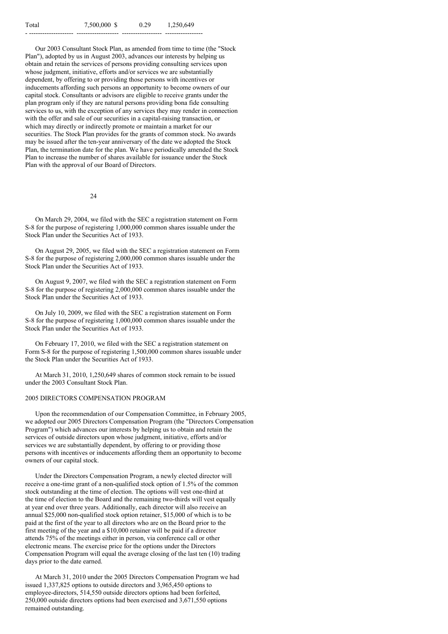| Total             | 7,500,000 \$         | 0.29                | 1,250,649         |
|-------------------|----------------------|---------------------|-------------------|
| ----------------- | -------------------- | ------------------- | ----------------- |

Our 2003 Consultant Stock Plan, as amended from time to time (the "Stock Plan"), adopted by us in August 2003, advances our interests by helping us obtain and retain the services of persons providing consulting services upon whose judgment, initiative, efforts and/or services we are substantially dependent, by offering to or providing those persons with incentives or inducements affording such persons an opportunity to become owners of our capital stock. Consultants or advisors are eligible to receive grants under the plan program only if they are natural persons providing bona fide consulting services to us, with the exception of any services they may render in connection with the offer and sale of our securities in a capital-raising transaction, or which may directly or indirectly promote or maintain a market for our securities. The Stock Plan provides for the grants of common stock. No awards may be issued after the ten-year anniversary of the date we adopted the Stock Plan, the termination date for the plan. We have periodically amended the Stock Plan to increase the number of shares available for issuance under the Stock Plan with the approval of our Board of Directors.

#### 24

On March 29, 2004, we filed with the SEC a registration statement on Form S-8 for the purpose of registering 1,000,000 common shares issuable under the Stock Plan under the Securities Act of 1933.

On August 29, 2005, we filed with the SEC a registration statement on Form S-8 for the purpose of registering 2,000,000 common shares issuable under the Stock Plan under the Securities Act of 1933.

On August 9, 2007, we filed with the SEC a registration statement on Form S-8 for the purpose of registering 2,000,000 common shares issuable under the Stock Plan under the Securities Act of 1933.

On July 10, 2009, we filed with the SEC a registration statement on Form S-8 for the purpose of registering 1,000,000 common shares issuable under the Stock Plan under the Securities Act of 1933.

On February 17, 2010, we filed with the SEC a registration statement on Form S-8 for the purpose of registering 1,500,000 common shares issuable under the Stock Plan under the Securities Act of 1933.

At March 31, 2010, 1,250,649 shares of common stock remain to be issued under the 2003 Consultant Stock Plan.

## 2005 DIRECTORS COMPENSATION PROGRAM

Upon the recommendation of our Compensation Committee, in February 2005, we adopted our 2005 Directors Compensation Program (the "Directors Compensation Program") which advances our interests by helping us to obtain and retain the services of outside directors upon whose judgment, initiative, efforts and/or services we are substantially dependent, by offering to or providing those persons with incentives or inducements affording them an opportunity to become owners of our capital stock.

Under the Directors Compensation Program, a newly elected director will receive a one-time grant of a non-qualified stock option of 1.5% of the common stock outstanding at the time of election. The options will vest one-third at the time of election to the Board and the remaining two-thirds will vest equally at year end over three years. Additionally, each director will also receive an annual \$25,000 non-qualified stock option retainer, \$15,000 of which is to be paid at the first of the year to all directors who are on the Board prior to the first meeting of the year and a \$10,000 retainer will be paid if a director attends 75% of the meetings either in person, via conference call or other electronic means. The exercise price for the options under the Directors Compensation Program will equal the average closing of the last ten (10) trading days prior to the date earned.

At March 31, 2010 under the 2005 Directors Compensation Program we had issued 1,337,825 options to outside directors and 3,965,450 options to employee-directors, 514,550 outside directors options had been forfeited, 250,000 outside directors options had been exercised and 3,671,550 options remained outstanding.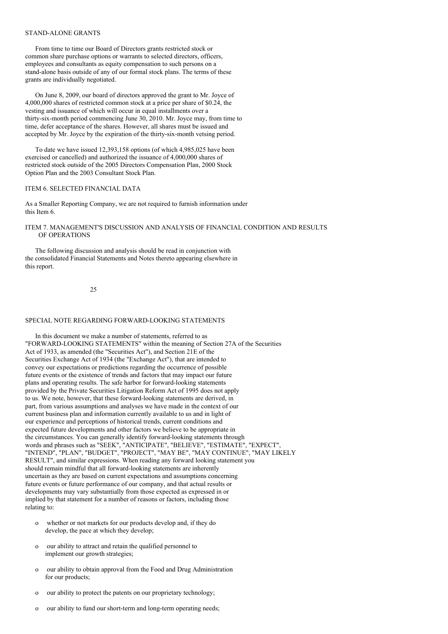#### STAND-ALONE GRANTS

From time to time our Board of Directors grants restricted stock or common share purchase options or warrants to selected directors, officers, employees and consultants as equity compensation to such persons on a stand-alone basis outside of any of our formal stock plans. The terms of these grants are individually negotiated.

On June 8, 2009, our board of directors approved the grant to Mr. Joyce of 4,000,000 shares of restricted common stock at a price per share of \$0.24, the vesting and issuance of which will occur in equal installments over a thirty-six-month period commencing June 30, 2010. Mr. Joyce may, from time to time, defer acceptance of the shares. However, all shares must be issued and accepted by Mr. Joyce by the expiration of the thirty-six-month vetsing period.

To date we have issued 12,393,158 options (of which 4,985,025 have been exercised or cancelled) and authorized the issuance of 4,000,000 shares of restricted stock outside of the 2005 Directors Compensation Plan, 2000 Stock Option Plan and the 2003 Consultant Stock Plan.

## ITEM 6. SELECTED FINANCIAL DATA

As a Smaller Reporting Company, we are not required to furnish information under this Item 6.

## ITEM 7. MANAGEMENT'S DISCUSSION AND ANALYSIS OF FINANCIAL CONDITION AND RESULTS OF OPERATIONS

The following discussion and analysis should be read in conjunction with the consolidated Financial Statements and Notes thereto appearing elsewhere in this report.

25

#### SPECIAL NOTE REGARDING FORWARD-LOOKING STATEMENTS

In this document we make a number of statements, referred to as "FORWARD-LOOKING STATEMENTS" within the meaning of Section 27A of the Securities Act of 1933, as amended (the "Securities Act"), and Section 21E of the Securities Exchange Act of 1934 (the "Exchange Act"), that are intended to convey our expectations or predictions regarding the occurrence of possible future events or the existence of trends and factors that may impact our future plans and operating results. The safe harbor for forward-looking statements provided by the Private Securities Litigation Reform Act of 1995 does not apply to us. We note, however, that these forward-looking statements are derived, in part, from various assumptions and analyses we have made in the context of our current business plan and information currently available to us and in light of our experience and perceptions of historical trends, current conditions and expected future developments and other factors we believe to be appropriate in the circumstances. You can generally identify forward-looking statements through words and phrases such as "SEEK", "ANTICIPATE", "BELIEVE", "ESTIMATE", "EXPECT", "INTEND", "PLAN", "BUDGET", "PROJECT", "MAY BE", "MAY CONTINUE", "MAY LIKELY RESULT", and similar expressions. When reading any forward looking statement you should remain mindful that all forward-looking statements are inherently uncertain as they are based on current expectations and assumptions concerning future events or future performance of our company, and that actual results or developments may vary substantially from those expected as expressed in or implied by that statement for a number of reasons or factors, including those relating to:

- o whether or not markets for our products develop and, if they do develop, the pace at which they develop;
- o our ability to attract and retain the qualified personnel to implement our growth strategies;
- o our ability to obtain approval from the Food and Drug Administration for our products;
- o our ability to protect the patents on our proprietary technology;
- o our ability to fund our short-term and long-term operating needs;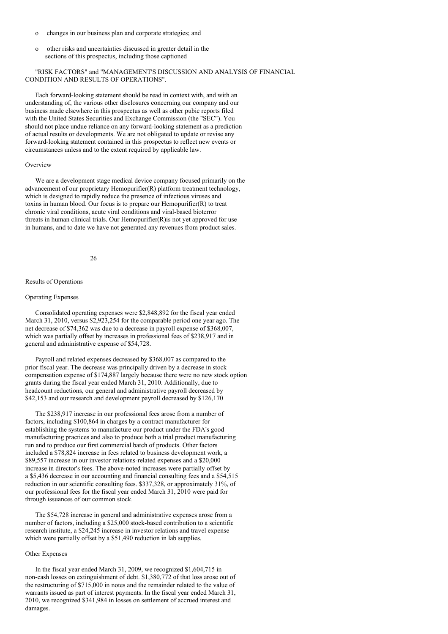- o changes in our business plan and corporate strategies; and
- o other risks and uncertainties discussed in greater detail in the sections of this prospectus, including those captioned

## "RISK FACTORS" and "MANAGEMENT'S DISCUSSION AND ANALYSIS OF FINANCIAL CONDITION AND RESULTS OF OPERATIONS".

Each forward-looking statement should be read in context with, and with an understanding of, the various other disclosures concerning our company and our business made elsewhere in this prospectus as well as other pubic reports filed with the United States Securities and Exchange Commission (the "SEC"). You should not place undue reliance on any forward-looking statement as a prediction of actual results or developments. We are not obligated to update or revise any forward-looking statement contained in this prospectus to reflect new events or circumstances unless and to the extent required by applicable law.

#### **Overview**

We are a development stage medical device company focused primarily on the advancement of our proprietary Hemopurifier(R) platform treatment technology, which is designed to rapidly reduce the presence of infectious viruses and toxins in human blood. Our focus is to prepare our Hemopurifier(R) to treat chronic viral conditions, acute viral conditions and viral-based bioterror threats in human clinical trials. Our Hemopurifier(R)is not yet approved for use in humans, and to date we have not generated any revenues from product sales.

26

# Results of Operations

#### Operating Expenses

Consolidated operating expenses were \$2,848,892 for the fiscal year ended March 31, 2010, versus \$2,923,254 for the comparable period one year ago. The net decrease of \$74,362 was due to a decrease in payroll expense of \$368,007, which was partially offset by increases in professional fees of \$238,917 and in general and administrative expense of \$54,728.

Payroll and related expenses decreased by \$368,007 as compared to the prior fiscal year. The decrease was principally driven by a decrease in stock compensation expense of \$174,887 largely because there were no new stock option grants during the fiscal year ended March 31, 2010. Additionally, due to headcount reductions, our general and administrative payroll decreased by \$42,153 and our research and development payroll decreased by \$126,170

The \$238,917 increase in our professional fees arose from a number of factors, including \$100,864 in charges by a contract manufacturer for establishing the systems to manufacture our product under the FDA's good manufacturing practices and also to produce both a trial product manufacturing run and to produce our first commercial batch of products. Other factors included a \$78,824 increase in fees related to business development work, a \$89,557 increase in our investor relations-related expenses and a \$20,000 increase in director's fees. The above-noted increases were partially offset by a \$5,436 decrease in our accounting and financial consulting fees and a \$54,515 reduction in our scientific consulting fees. \$337,328, or approximately 31%, of our professional fees for the fiscal year ended March 31, 2010 were paid for through issuances of our common stock.

The \$54,728 increase in general and administrative expenses arose from a number of factors, including a \$25,000 stock-based contribution to a scientific research institute, a \$24,245 increase in investor relations and travel expense which were partially offset by a \$51,490 reduction in lab supplies.

#### Other Expenses

In the fiscal year ended March 31, 2009, we recognized \$1,604,715 in non-cash losses on extinguishment of debt. \$1,380,772 of that loss arose out of the restructuring of \$715,000 in notes and the remainder related to the value of warrants issued as part of interest payments. In the fiscal year ended March 31, 2010, we recognized \$341,984 in losses on settlement of accrued interest and damages.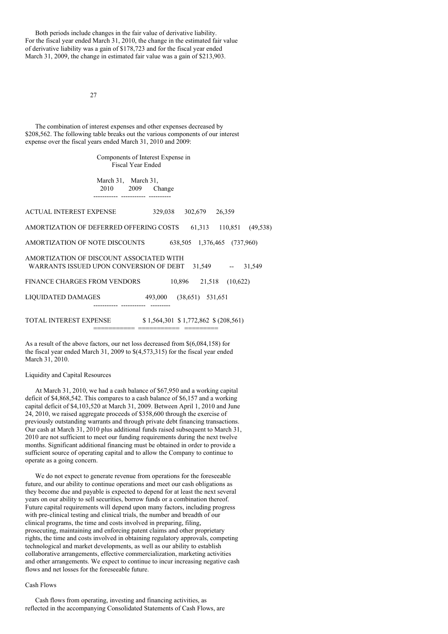Both periods include changes in the fair value of derivative liability. For the fiscal year ended March 31, 2010, the change in the estimated fair value of derivative liability was a gain of \$178,723 and for the fiscal year ended March 31, 2009, the change in estimated fair value was a gain of \$213,903.

27

The combination of interest expenses and other expenses decreased by \$208,562. The following table breaks out the various components of our interest expense over the fiscal years ended March 31, 2010 and 2009:

#### Components of Interest Expense in Fiscal Year Ended

March 31, March 31, 2010 2009 Change ----------- ----------- ----------

| ACTUAL INTEREST EXPENSE                                                             | 329,038                                 | 302,679  | 26,359                    |           |
|-------------------------------------------------------------------------------------|-----------------------------------------|----------|---------------------------|-----------|
| AMORTIZATION OF DEFERRED OFFERING COSTS                                             |                                         | 61,313   | 110,851                   | (49, 538) |
| AMORTIZATION OF NOTE DISCOUNTS                                                      |                                         | 638,505  | 1,376,465 (737,960)       |           |
| AMORTIZATION OF DISCOUNT ASSOCIATED WITH<br>WARRANTS ISSUED UPON CONVERSION OF DEBT |                                         | 31.549   | $\mathbb{H}^{\mathbb{H}}$ | 31,549    |
| FINANCE CHARGES FROM VENDORS                                                        | 10.896                                  | 21.518   | (10,622)                  |           |
| LIOUIDATED DAMAGES                                                                  | 493,000                                 | (38,651) | 531.651                   |           |
|                                                                                     |                                         |          |                           |           |
| TOTAL INTEREST EXPENSE                                                              | $$1,564,301$ $$1,772,862$ $$ (208,561)$ |          |                           |           |

=========== =========== =========

As a result of the above factors, our net loss decreased from \$(6,084,158) for the fiscal year ended March 31, 2009 to \$(4,573,315) for the fiscal year ended March 31, 2010.

Liquidity and Capital Resources

At March 31, 2010, we had a cash balance of \$67,950 and a working capital deficit of \$4,868,542. This compares to a cash balance of \$6,157 and a working capital deficit of \$4,103,520 at March 31, 2009. Between April 1, 2010 and June 24, 2010, we raised aggregate proceeds of \$358,600 through the exercise of previously outstanding warrants and through private debt financing transactions. Our cash at March 31, 2010 plus additional funds raised subsequent to March 31, 2010 are not sufficient to meet our funding requirements during the next twelve months. Significant additional financing must be obtained in order to provide a sufficient source of operating capital and to allow the Company to continue to operate as a going concern.

We do not expect to generate revenue from operations for the foreseeable future, and our ability to continue operations and meet our cash obligations as they become due and payable is expected to depend for at least the next several years on our ability to sell securities, borrow funds or a combination thereof. Future capital requirements will depend upon many factors, including progress with pre-clinical testing and clinical trials, the number and breadth of our clinical programs, the time and costs involved in preparing, filing, prosecuting, maintaining and enforcing patent claims and other proprietary rights, the time and costs involved in obtaining regulatory approvals, competing technological and market developments, as well as our ability to establish collaborative arrangements, effective commercialization, marketing activities and other arrangements. We expect to continue to incur increasing negative cash flows and net losses for the foreseeable future.

### Cash Flows

Cash flows from operating, investing and financing activities, as reflected in the accompanying Consolidated Statements of Cash Flows, are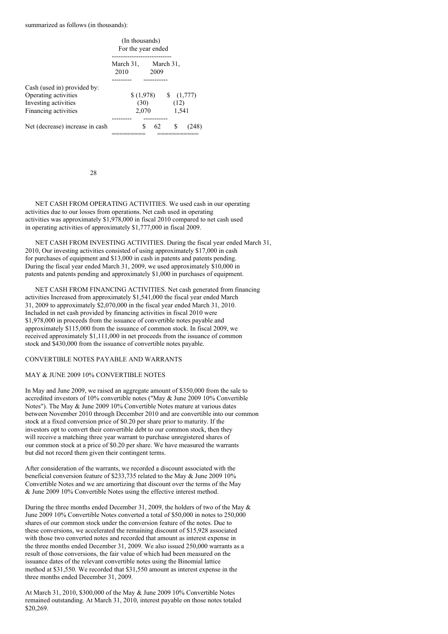summarized as follows (in thousands):

|                                 | (In thousands)<br>For the year ended |       |      |                        |  |
|---------------------------------|--------------------------------------|-------|------|------------------------|--|
|                                 | March 31,<br>2010                    |       | 2009 | March 31,              |  |
| Cash (used in) provided by:     |                                      |       |      |                        |  |
| Operating activities            |                                      |       |      | $(1,978)$ \, $(1,777)$ |  |
| Investing activities            |                                      | (30)  |      | (12)                   |  |
| Financing activities            |                                      | 2,070 |      | 1,541                  |  |
|                                 |                                      |       |      |                        |  |
| Net (decrease) increase in cash |                                      | S     | 62   | S                      |  |
|                                 |                                      |       |      |                        |  |

28

NET CASH FROM OPERATING ACTIVITIES. We used cash in our operating activities due to our losses from operations. Net cash used in operating activities was approximately \$1,978,000 in fiscal 2010 compared to net cash used in operating activities of approximately \$1,777,000 in fiscal 2009.

NET CASH FROM INVESTING ACTIVITIES. During the fiscal year ended March 31, 2010, Our investing activities consisted of using approximately \$17,000 in cash for purchases of equipment and \$13,000 in cash in patents and patents pending. During the fiscal year ended March 31, 2009, we used approximately \$10,000 in patents and patents pending and approximately \$1,000 in purchases of equipment.

NET CASH FROM FINANCING ACTIVITIES. Net cash generated from financing activities Increased from approximately \$1,541,000 the fiscal year ended March 31, 2009 to approximately \$2,070,000 in the fiscal year ended March 31, 2010. Included in net cash provided by financing activities in fiscal 2010 were \$1,978,000 in proceeds from the issuance of convertible notes payable and approximately \$115,000 from the issuance of common stock. In fiscal 2009, we received approximately \$1,111,000 in net proceeds from the issuance of common stock and \$430,000 from the issuance of convertible notes payable.

## CONVERTIBLE NOTES PAYABLE AND WARRANTS

## MAY & JUNE 2009 10% CONVERTIBLE NOTES

In May and June 2009, we raised an aggregate amount of \$350,000 from the sale to accredited investors of 10% convertible notes ("May & June 2009 10% Convertible Notes"). The May & June 2009 10% Convertible Notes mature at various dates between November 2010 through December 2010 and are convertible into our common stock at a fixed conversion price of \$0.20 per share prior to maturity. If the investors opt to convert their convertible debt to our common stock, then they will receive a matching three year warrant to purchase unregistered shares of our common stock at a price of \$0.20 per share. We have measured the warrants but did not record them given their contingent terms.

After consideration of the warrants, we recorded a discount associated with the beneficial conversion feature of \$233,735 related to the May & June 2009 10% Convertible Notes and we are amortizing that discount over the terms of the May & June 2009 10% Convertible Notes using the effective interest method.

During the three months ended December 31, 2009, the holders of two of the May & June 2009 10% Convertible Notes converted a total of \$50,000 in notes to 250,000 shares of our common stock under the conversion feature of the notes. Due to these conversions, we accelerated the remaining discount of \$15,928 associated with those two converted notes and recorded that amount as interest expense in the three months ended December 31, 2009. We also issued 250,000 warrants as a result of those conversions, the fair value of which had been measured on the issuance dates of the relevant convertible notes using the Binomial lattice method at \$31,550. We recorded that \$31,550 amount as interest expense in the three months ended December 31, 2009.

At March 31, 2010, \$300,000 of the May & June 2009 10% Convertible Notes remained outstanding. At March 31, 2010, interest payable on those notes totaled \$20,269.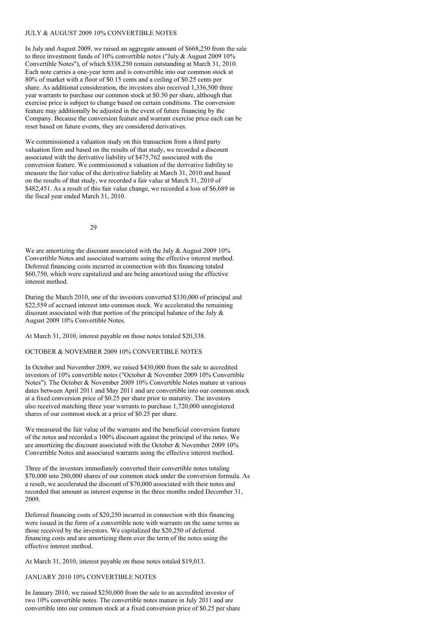### JULY & AUGUST 2009 10% CONVERTIBLE NOTES

In July and August 2009, we raised an aggregate amount of \$668,250 from the sale to three investment funds of 10% convertible notes ("July & August 2009 10% Convertible Notes"), of which \$338,250 remain outstanding at March 31, 2010. Each note carries a one-year term and is convertible into our common stock at 80% of market with a floor of \$0.15 cents and a ceiling of \$0.25 cents per share. As additional consideration, the investors also received 1,336,500 three year warrants to purchase our common stock at \$0.50 per share, although that exercise price is subject to change based on certain conditions. The conversion feature may additionally be adjusted in the event of future financing by the Company. Because the conversion feature and warrant exercise price each can be reset based on future events, they are considered derivatives.

We commissioned a valuation study on this transaction from a third party valuation firm and based on the results of that study, we recorded a discount associated with the derivative liability of \$475,762 associated with the conversion feature. We commissioned a valuation of the derivative liability to measure the fair value of the derivative liability at March 31, 2010 and based on the results of that study, we recorded a fair value at March 31, 2010 of \$482,451. As a result of this fair value change, we recorded a loss of \$6,689 in the fiscal year ended March 31, 2010.

29

We are amortizing the discount associated with the July & August 2009 10% Convertible Notes and associated warrants using the effective interest method. Deferred financing costs incurred in connection with this financing totaled \$60,750, which were capitalized and are being amortized using the effective interest method.

During the March 2010, one of the investors converted \$330,000 of principal and \$22,559 of accrued interest into common stock. We accelerated the remaining discount associated with that portion of the principal balance of the July & August 2009 10% Convertible Notes.

At March 31, 2010, interest payable on those notes totaled \$20,338.

## OCTOBER & NOVEMBER 2009 10% CONVERTIBLE NOTES

In October and November 2009, we raised \$430,000 from the sale to accredited investors of 10% convertible notes ("October & November 2009 10% Convertible Notes"). The October & November 2009 10% Convertible Notes mature at various dates between April 2011 and May 2011 and are convertible into our common stock at a fixed conversion price of \$0.25 per share prior to maturity. The investors also received matching three year warrants to purchase 1,720,000 unregistered shares of our common stock at a price of \$0.25 per share.

We measured the fair value of the warrants and the beneficial conversion feature of the notes and recorded a 100% discount against the principal of the notes. We are amortizing the discount associated with the October & November 2009 10% Convertible Notes and associated warrants using the effective interest method.

Three of the investors immediately converted their convertible notes totaling \$70,000 into 280,000 shares of our common stock under the conversion formula. As a result, we accelerated the discount of \$70,000 associated with their notes and recorded that amount as interest expense in the three months ended December 31, 2009.

Deferred financing costs of \$20,250 incurred in connection with this financing were issued in the form of a convertible note with warrants on the same terms as those received by the investors. We capitalized the \$20,250 of deferred financing costs and are amortizing them over the term of the notes using the effective interest method.

At March 31, 2010, interest payable on these notes totaled \$19,013.

## JANUARY 2010 10% CONVERTIBLE NOTES

In January 2010, we raised \$250,000 from the sale to an accredited investor of two 10% convertible notes. The convertible notes mature in July 2011 and are convertible into our common stock at a fixed conversion price of \$0.25 per share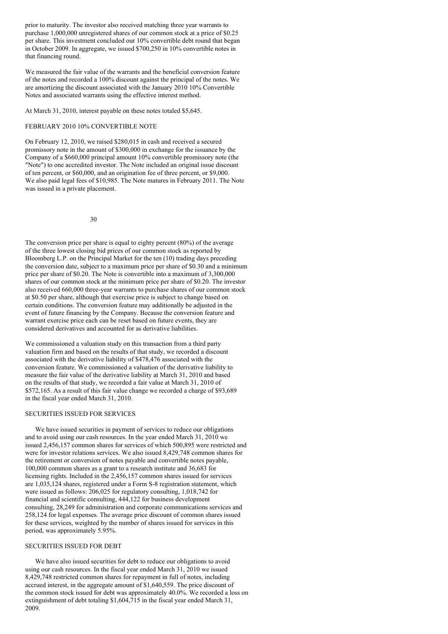prior to maturity. The investor also received matching three year warrants to purchase 1,000,000 unregistered shares of our common stock at a price of \$0.25 per share. This investment concluded our 10% convertible debt round that began in October 2009. In aggregate, we issued \$700,250 in 10% convertible notes in that financing round.

We measured the fair value of the warrants and the beneficial conversion feature of the notes and recorded a 100% discount against the principal of the notes. We are amortizing the discount associated with the January 2010 10% Convertible Notes and associated warrants using the effective interest method.

At March 31, 2010, interest payable on these notes totaled \$5,645.

#### FEBRUARY 2010 10% CONVERTIBLE NOTE

On February 12, 2010, we raised \$280,015 in cash and received a secured promissory note in the amount of \$300,000 in exchange for the issuance by the Company of a \$660,000 principal amount 10% convertible promissory note (the "Note") to one accredited investor. The Note included an original issue discount of ten percent, or \$60,000, and an origination fee of three percent, or \$9,000. We also paid legal fees of \$10,985. The Note matures in February 2011. The Note was issued in a private placement.

30

The conversion price per share is equal to eighty percent (80%) of the average of the three lowest closing bid prices of our common stock as reported by Bloomberg L.P. on the Principal Market for the ten (10) trading days preceding the conversion date, subject to a maximum price per share of \$0.30 and a minimum price per share of \$0.20. The Note is convertible into a maximum of 3,300,000 shares of our common stock at the minimum price per share of \$0.20. The investor also received 660,000 three-year warrants to purchase shares of our common stock at \$0.50 per share, although that exercise price is subject to change based on certain conditions. The conversion feature may additionally be adjusted in the event of future financing by the Company. Because the conversion feature and warrant exercise price each can be reset based on future events, they are considered derivatives and accounted for as derivative liabilities.

We commissioned a valuation study on this transaction from a third party valuation firm and based on the results of that study, we recorded a discount associated with the derivative liability of \$478,476 associated with the conversion feature. We commissioned a valuation of the derivative liability to measure the fair value of the derivative liability at March 31, 2010 and based on the results of that study, we recorded a fair value at March 31, 2010 of \$572,165. As a result of this fair value change we recorded a charge of \$93,689 in the fiscal year ended March 31, 2010.

#### SECURITIES ISSUED FOR SERVICES

We have issued securities in payment of services to reduce our obligations and to avoid using our cash resources. In the year ended March 31, 2010 we issued 2,456,157 common shares for services of which 500,895 were restricted and were for investor relations services. We also issued 8,429,748 common shares for the retirement or conversion of notes payable and convertible notes payable, 100,000 common shares as a grant to a research institute and 36,683 for licensing rights. Included in the 2,456,157 common shares issued for services are 1,035,124 shares, registered under a Form S-8 registration statement, which were issued as follows: 206,025 for regulatory consulting, 1,018,742 for financial and scientific consulting, 444,122 for business development consulting, 28,249 for administration and corporate communications services and 258,124 for legal expenses. The average price discount of common shares issued for these services, weighted by the number of shares issued for services in this period, was approximately 5.95%.

### SECURITIES ISSUED FOR DEBT

We have also issued securities for debt to reduce our obligations to avoid using our cash resources. In the fiscal year ended March 31, 2010 we issued 8,429,748 restricted common shares for repayment in full of notes, including accrued interest, in the aggregate amount of \$1,640,559. The price discount of the common stock issued for debt was approximately 40.0%. We recorded a loss on extinguishment of debt totaling \$1,604,715 in the fiscal year ended March 31, 2009.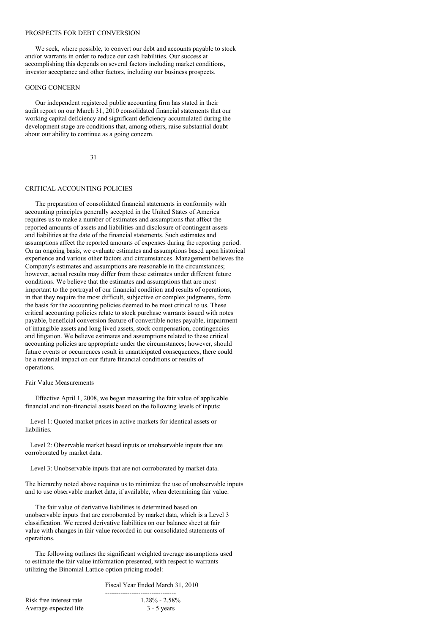## PROSPECTS FOR DEBT CONVERSION

We seek, where possible, to convert our debt and accounts payable to stock and/or warrants in order to reduce our cash liabilities. Our success at accomplishing this depends on several factors including market conditions, investor acceptance and other factors, including our business prospects.

## GOING CONCERN

Our independent registered public accounting firm has stated in their audit report on our March 31, 2010 consolidated financial statements that our working capital deficiency and significant deficiency accumulated during the development stage are conditions that, among others, raise substantial doubt about our ability to continue as a going concern.

31

## CRITICAL ACCOUNTING POLICIES

The preparation of consolidated financial statements in conformity with accounting principles generally accepted in the United States of America requires us to make a number of estimates and assumptions that affect the reported amounts of assets and liabilities and disclosure of contingent assets and liabilities at the date of the financial statements. Such estimates and assumptions affect the reported amounts of expenses during the reporting period. On an ongoing basis, we evaluate estimates and assumptions based upon historical experience and various other factors and circumstances. Management believes the Company's estimates and assumptions are reasonable in the circumstances; however, actual results may differ from these estimates under different future conditions. We believe that the estimates and assumptions that are most important to the portrayal of our financial condition and results of operations, in that they require the most difficult, subjective or complex judgments, form the basis for the accounting policies deemed to be most critical to us. These critical accounting policies relate to stock purchase warrants issued with notes payable, beneficial conversion feature of convertible notes payable, impairment of intangible assets and long lived assets, stock compensation, contingencies and litigation. We believe estimates and assumptions related to these critical accounting policies are appropriate under the circumstances; however, should future events or occurrences result in unanticipated consequences, there could be a material impact on our future financial conditions or results of operations.

### Fair Value Measurements

Effective April 1, 2008, we began measuring the fair value of applicable financial and non-financial assets based on the following levels of inputs:

Level 1: Quoted market prices in active markets for identical assets or liabilities.

Level 2: Observable market based inputs or unobservable inputs that are corroborated by market data.

Level 3: Unobservable inputs that are not corroborated by market data.

The hierarchy noted above requires us to minimize the use of unobservable inputs and to use observable market data, if available, when determining fair value.

The fair value of derivative liabilities is determined based on unobservable inputs that are corroborated by market data, which is a Level 3 classification. We record derivative liabilities on our balance sheet at fair value with changes in fair value recorded in our consolidated statements of operations.

The following outlines the significant weighted average assumptions used to estimate the fair value information presented, with respect to warrants utilizing the Binomial Lattice option pricing model:

Fiscal Year Ended March 31, 2010

| Risk free interest rate | $1.28\% - 2.58\%$ |
|-------------------------|-------------------|
| Average expected life   | $3 - 5$ years     |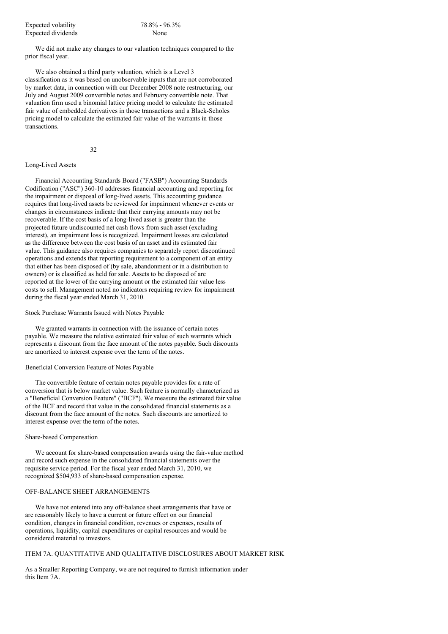We did not make any changes to our valuation techniques compared to the prior fiscal year.

We also obtained a third party valuation, which is a Level 3 classification as it was based on unobservable inputs that are not corroborated by market data, in connection with our December 2008 note restructuring, our July and August 2009 convertible notes and February convertible note. That valuation firm used a binomial lattice pricing model to calculate the estimated fair value of embedded derivatives in those transactions and a Black-Scholes pricing model to calculate the estimated fair value of the warrants in those transactions.

#### 32

#### Long-Lived Assets

Financial Accounting Standards Board ("FASB") Accounting Standards Codification ("ASC") 360-10 addresses financial accounting and reporting for the impairment or disposal of long-lived assets. This accounting guidance requires that long-lived assets be reviewed for impairment whenever events or changes in circumstances indicate that their carrying amounts may not be recoverable. If the cost basis of a long-lived asset is greater than the projected future undiscounted net cash flows from such asset (excluding interest), an impairment loss is recognized. Impairment losses are calculated as the difference between the cost basis of an asset and its estimated fair value. This guidance also requires companies to separately report discontinued operations and extends that reporting requirement to a component of an entity that either has been disposed of (by sale, abandonment or in a distribution to owners) or is classified as held for sale. Assets to be disposed of are reported at the lower of the carrying amount or the estimated fair value less costs to sell. Management noted no indicators requiring review for impairment during the fiscal year ended March 31, 2010.

Stock Purchase Warrants Issued with Notes Payable

We granted warrants in connection with the issuance of certain notes payable. We measure the relative estimated fair value of such warrants which represents a discount from the face amount of the notes payable. Such discounts are amortized to interest expense over the term of the notes.

#### Beneficial Conversion Feature of Notes Payable

The convertible feature of certain notes payable provides for a rate of conversion that is below market value. Such feature is normally characterized as a "Beneficial Conversion Feature" ("BCF"). We measure the estimated fair value of the BCF and record that value in the consolidated financial statements as a discount from the face amount of the notes. Such discounts are amortized to interest expense over the term of the notes.

### Share-based Compensation

We account for share-based compensation awards using the fair-value method and record such expense in the consolidated financial statements over the requisite service period. For the fiscal year ended March 31, 2010, we recognized \$504,933 of share-based compensation expense.

## OFF-BALANCE SHEET ARRANGEMENTS

We have not entered into any off-balance sheet arrangements that have or are reasonably likely to have a current or future effect on our financial condition, changes in financial condition, revenues or expenses, results of operations, liquidity, capital expenditures or capital resources and would be considered material to investors.

## ITEM 7A. QUANTITATIVE AND QUALITATIVE DISCLOSURES ABOUT MARKET RISK

As a Smaller Reporting Company, we are not required to furnish information under this Item 7A.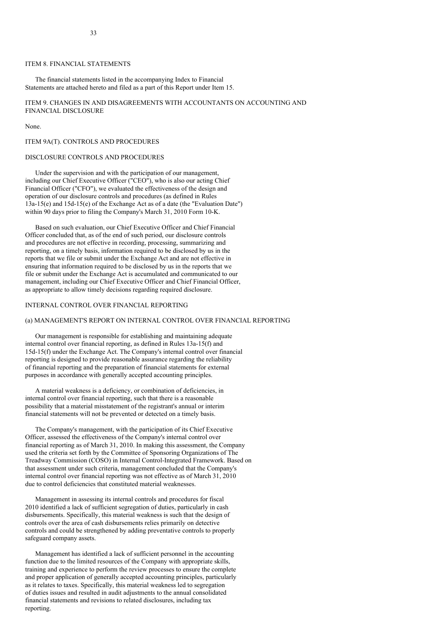## ITEM 8. FINANCIAL STATEMENTS

The financial statements listed in the accompanying Index to Financial Statements are attached hereto and filed as a part of this Report under Item 15.

ITEM 9. CHANGES IN AND DISAGREEMENTS WITH ACCOUNTANTS ON ACCOUNTING AND FINANCIAL DISCLOSURE

None.

ITEM 9A(T). CONTROLS AND PROCEDURES

#### DISCLOSURE CONTROLS AND PROCEDURES

Under the supervision and with the participation of our management, including our Chief Executive Officer ("CEO"), who is also our acting Chief Financial Officer ("CFO"), we evaluated the effectiveness of the design and operation of our disclosure controls and procedures (as defined in Rules 13a-15(e) and 15d-15(e) of the Exchange Act as of a date (the "Evaluation Date") within 90 days prior to filing the Company's March 31, 2010 Form 10-K.

Based on such evaluation, our Chief Executive Officer and Chief Financial Officer concluded that, as of the end of such period, our disclosure controls and procedures are not effective in recording, processing, summarizing and reporting, on a timely basis, information required to be disclosed by us in the reports that we file or submit under the Exchange Act and are not effective in ensuring that information required to be disclosed by us in the reports that we file or submit under the Exchange Act is accumulated and communicated to our management, including our Chief Executive Officer and Chief Financial Officer, as appropriate to allow timely decisions regarding required disclosure.

#### INTERNAL CONTROL OVER FINANCIAL REPORTING

#### (a) MANAGEMENT'S REPORT ON INTERNAL CONTROL OVER FINANCIAL REPORTING

Our management is responsible for establishing and maintaining adequate internal control over financial reporting, as defined in Rules 13a-15(f) and 15d-15(f) under the Exchange Act. The Company's internal control over financial reporting is designed to provide reasonable assurance regarding the reliability of financial reporting and the preparation of financial statements for external purposes in accordance with generally accepted accounting principles.

A material weakness is a deficiency, or combination of deficiencies, in internal control over financial reporting, such that there is a reasonable possibility that a material misstatement of the registrant's annual or interim financial statements will not be prevented or detected on a timely basis.

The Company's management, with the participation of its Chief Executive Officer, assessed the effectiveness of the Company's internal control over financial reporting as of March 31, 2010. In making this assessment, the Company used the criteria set forth by the Committee of Sponsoring Organizations of The Treadway Commission (COSO) in Internal Control-Integrated Framework. Based on that assessment under such criteria, management concluded that the Company's internal control over financial reporting was not effective as of March 31, 2010 due to control deficiencies that constituted material weaknesses.

Management in assessing its internal controls and procedures for fiscal 2010 identified a lack of sufficient segregation of duties, particularly in cash disbursements. Specifically, this material weakness is such that the design of controls over the area of cash disbursements relies primarily on detective controls and could be strengthened by adding preventative controls to properly safeguard company assets.

Management has identified a lack of sufficient personnel in the accounting function due to the limited resources of the Company with appropriate skills, training and experience to perform the review processes to ensure the complete and proper application of generally accepted accounting principles, particularly as it relates to taxes. Specifically, this material weakness led to segregation of duties issues and resulted in audit adjustments to the annual consolidated financial statements and revisions to related disclosures, including tax reporting.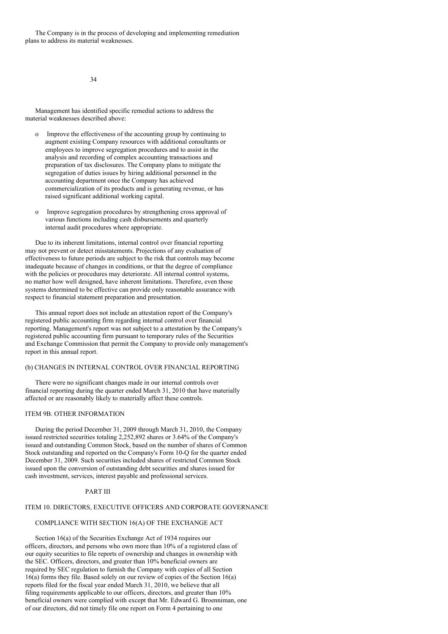The Company is in the process of developing and implementing remediation plans to address its material weaknesses.

34

Management has identified specific remedial actions to address the material weaknesses described above:

- o Improve the effectiveness of the accounting group by continuing to augment existing Company resources with additional consultants or employees to improve segregation procedures and to assist in the analysis and recording of complex accounting transactions and preparation of tax disclosures. The Company plans to mitigate the segregation of duties issues by hiring additional personnel in the accounting department once the Company has achieved commercialization of its products and is generating revenue, or has raised significant additional working capital.
- o Improve segregation procedures by strengthening cross approval of various functions including cash disbursements and quarterly internal audit procedures where appropriate.

Due to its inherent limitations, internal control over financial reporting may not prevent or detect misstatements. Projections of any evaluation of effectiveness to future periods are subject to the risk that controls may become inadequate because of changes in conditions, or that the degree of compliance with the policies or procedures may deteriorate. All internal control systems, no matter how well designed, have inherent limitations. Therefore, even those systems determined to be effective can provide only reasonable assurance with respect to financial statement preparation and presentation.

This annual report does not include an attestation report of the Company's registered public accounting firm regarding internal control over financial reporting. Management's report was not subject to a attestation by the Company's registered public accounting firm pursuant to temporary rules of the Securities and Exchange Commission that permit the Company to provide only management's report in this annual report.

## (b) CHANGES IN INTERNAL CONTROL OVER FINANCIAL REPORTING

There were no significant changes made in our internal controls over financial reporting during the quarter ended March 31, 2010 that have materially affected or are reasonably likely to materially affect these controls.

#### ITEM 9B. OTHER INFORMATION

During the period December 31, 2009 through March 31, 2010, the Company issued restricted securities totaling 2,252,892 shares or 3.64% of the Company's issued and outstanding Common Stock, based on the number of shares of Common Stock outstanding and reported on the Company's Form 10-Q for the quarter ended December 31, 2009. Such securities included shares of restricted Common Stock issued upon the conversion of outstanding debt securities and shares issued for cash investment, services, interest payable and professional services.

### PART III

# ITEM 10. DIRECTORS, EXECUTIVE OFFICERS AND CORPORATE GOVERNANCE

# COMPLIANCE WITH SECTION 16(A) OF THE EXCHANGE ACT

Section 16(a) of the Securities Exchange Act of 1934 requires our officers, directors, and persons who own more than 10% of a registered class of our equity securities to file reports of ownership and changes in ownership with the SEC. Officers, directors, and greater than 10% beneficial owners are required by SEC regulation to furnish the Company with copies of all Section 16(a) forms they file. Based solely on our review of copies of the Section 16(a) reports filed for the fiscal year ended March 31, 2010, we believe that all filing requirements applicable to our officers, directors, and greater than 10% beneficial owners were complied with except that Mr. Edward G. Broenniman, one of our directors, did not timely file one report on Form 4 pertaining to one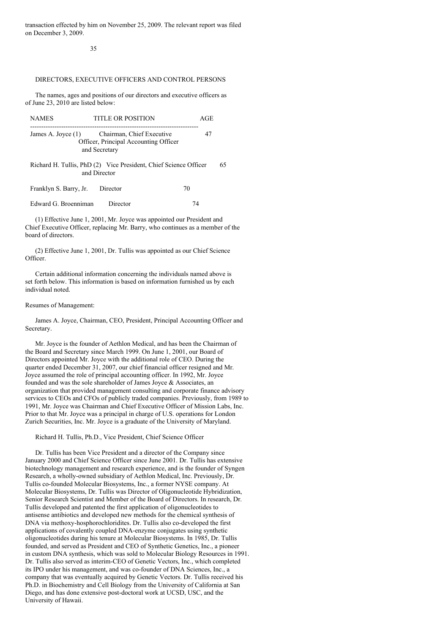transaction effected by him on November 25, 2009. The relevant report was filed on December 3, 2009.

35

## DIRECTORS, EXECUTIVE OFFICERS AND CONTROL PERSONS

The names, ages and positions of our directors and executive officers as of June 23, 2010 are listed below:

| <b>NAMES</b>           | <b>TITLE OR POSITION</b>                                                            | AGE |    |
|------------------------|-------------------------------------------------------------------------------------|-----|----|
| James A. Joyce (1)     | Chairman, Chief Executive<br>Officer, Principal Accounting Officer<br>and Secretary | 47  |    |
|                        | Richard H. Tullis, PhD (2) Vice President, Chief Science Officer<br>and Director    |     | 65 |
| Franklyn S. Barry, Jr. | Director                                                                            | 70  |    |
| Edward G. Broenniman   | Director                                                                            | 74  |    |

(1) Effective June 1, 2001, Mr. Joyce was appointed our President and Chief Executive Officer, replacing Mr. Barry, who continues as a member of the board of directors.

(2) Effective June 1, 2001, Dr. Tullis was appointed as our Chief Science Officer.

Certain additional information concerning the individuals named above is set forth below. This information is based on information furnished us by each individual noted.

## Resumes of Management:

James A. Joyce, Chairman, CEO, President, Principal Accounting Officer and Secretary.

Mr. Joyce is the founder of Aethlon Medical, and has been the Chairman of the Board and Secretary since March 1999. On June 1, 2001, our Board of Directors appointed Mr. Joyce with the additional role of CEO. During the quarter ended December 31, 2007, our chief financial officer resigned and Mr. Joyce assumed the role of principal accounting officer. In 1992, Mr. Joyce founded and was the sole shareholder of James Joyce & Associates, an organization that provided management consulting and corporate finance advisory services to CEOs and CFOs of publicly traded companies. Previously, from 1989 to 1991, Mr. Joyce was Chairman and Chief Executive Officer of Mission Labs, Inc. Prior to that Mr. Joyce was a principal in charge of U.S. operations for London Zurich Securities, Inc. Mr. Joyce is a graduate of the University of Maryland.

Richard H. Tullis, Ph.D., Vice President, Chief Science Officer

Dr. Tullis has been Vice President and a director of the Company since January 2000 and Chief Science Officer since June 2001. Dr. Tullis has extensive biotechnology management and research experience, and is the founder of Syngen Research, a wholly-owned subsidiary of Aethlon Medical, Inc. Previously, Dr. Tullis co-founded Molecular Biosystems, Inc., a former NYSE company. At Molecular Biosystems, Dr. Tullis was Director of Oligonucleotide Hybridization, Senior Research Scientist and Member of the Board of Directors. In research, Dr. Tullis developed and patented the first application of oligonucleotides to antisense antibiotics and developed new methods for the chemical synthesis of DNA via methoxy-hosphorochloridites. Dr. Tullis also co-developed the first applications of covalently coupled DNA-enzyme conjugates using synthetic oligonucleotides during his tenure at Molecular Biosystems. In 1985, Dr. Tullis founded, and served as President and CEO of Synthetic Genetics, Inc., a pioneer in custom DNA synthesis, which was sold to Molecular Biology Resources in 1991. Dr. Tullis also served as interim-CEO of Genetic Vectors, Inc., which completed its IPO under his management, and was co-founder of DNA Sciences, Inc., a company that was eventually acquired by Genetic Vectors. Dr. Tullis received his Ph.D. in Biochemistry and Cell Biology from the University of California at San Diego, and has done extensive post-doctoral work at UCSD, USC, and the University of Hawaii.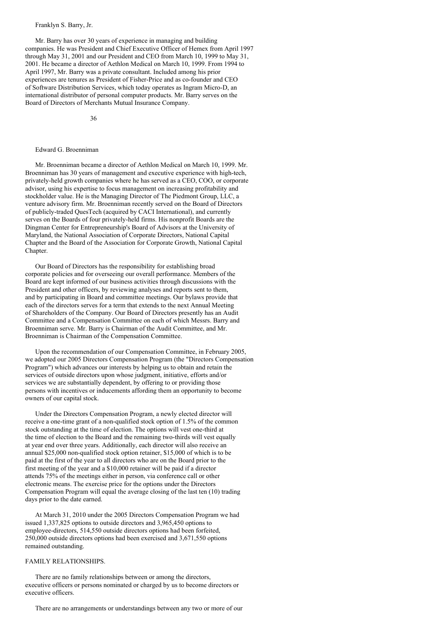#### Franklyn S. Barry, Jr.

Mr. Barry has over 30 years of experience in managing and building companies. He was President and Chief Executive Officer of Hemex from April 1997 through May 31, 2001 and our President and CEO from March 10, 1999 to May 31, 2001. He became a director of Aethlon Medical on March 10, 1999. From 1994 to April 1997, Mr. Barry was a private consultant. Included among his prior experiences are tenures as President of Fisher-Price and as co-founder and CEO of Software Distribution Services, which today operates as Ingram Micro-D, an international distributor of personal computer products. Mr. Barry serves on the Board of Directors of Merchants Mutual Insurance Company.

36

#### Edward G. Broenniman

Mr. Broenniman became a director of Aethlon Medical on March 10, 1999. Mr. Broenniman has 30 years of management and executive experience with high-tech, privately-held growth companies where he has served as a CEO, COO, or corporate advisor, using his expertise to focus management on increasing profitability and stockholder value. He is the Managing Director of The Piedmont Group, LLC, a venture advisory firm. Mr. Broenniman recently served on the Board of Directors of publicly-traded QuesTech (acquired by CACI International), and currently serves on the Boards of four privately-held firms. His nonprofit Boards are the Dingman Center for Entrepreneurship's Board of Advisors at the University of Maryland, the National Association of Corporate Directors, National Capital Chapter and the Board of the Association for Corporate Growth, National Capital Chapter.

Our Board of Directors has the responsibility for establishing broad corporate policies and for overseeing our overall performance. Members of the Board are kept informed of our business activities through discussions with the President and other officers, by reviewing analyses and reports sent to them, and by participating in Board and committee meetings. Our bylaws provide that each of the directors serves for a term that extends to the next Annual Meeting of Shareholders of the Company. Our Board of Directors presently has an Audit Committee and a Compensation Committee on each of which Messrs. Barry and Broenniman serve. Mr. Barry is Chairman of the Audit Committee, and Mr. Broenniman is Chairman of the Compensation Committee.

Upon the recommendation of our Compensation Committee, in February 2005, we adopted our 2005 Directors Compensation Program (the "Directors Compensation Program") which advances our interests by helping us to obtain and retain the services of outside directors upon whose judgment, initiative, efforts and/or services we are substantially dependent, by offering to or providing those persons with incentives or inducements affording them an opportunity to become owners of our capital stock.

Under the Directors Compensation Program, a newly elected director will receive a one-time grant of a non-qualified stock option of 1.5% of the common stock outstanding at the time of election. The options will vest one-third at the time of election to the Board and the remaining two-thirds will vest equally at year end over three years. Additionally, each director will also receive an annual \$25,000 non-qualified stock option retainer, \$15,000 of which is to be paid at the first of the year to all directors who are on the Board prior to the first meeting of the year and a \$10,000 retainer will be paid if a director attends 75% of the meetings either in person, via conference call or other electronic means. The exercise price for the options under the Directors Compensation Program will equal the average closing of the last ten (10) trading days prior to the date earned.

At March 31, 2010 under the 2005 Directors Compensation Program we had issued 1,337,825 options to outside directors and 3,965,450 options to employee-directors, 514,550 outside directors options had been forfeited, 250,000 outside directors options had been exercised and 3,671,550 options remained outstanding.

#### FAMILY RELATIONSHIPS.

There are no family relationships between or among the directors, executive officers or persons nominated or charged by us to become directors or executive officers.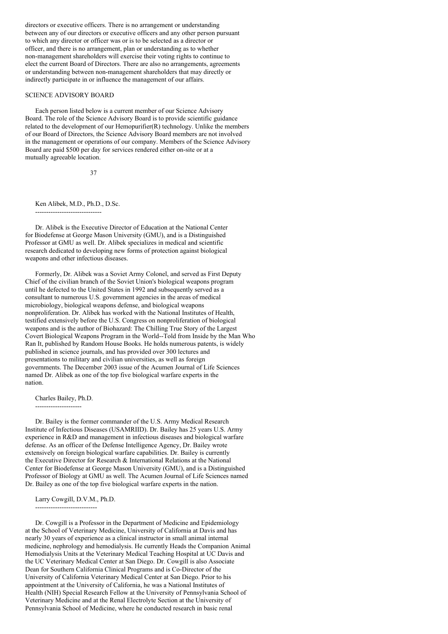directors or executive officers. There is no arrangement or understanding between any of our directors or executive officers and any other person pursuant to which any director or officer was or is to be selected as a director or officer, and there is no arrangement, plan or understanding as to whether non-management shareholders will exercise their voting rights to continue to elect the current Board of Directors. There are also no arrangements, agreements or understanding between non-management shareholders that may directly or indirectly participate in or influence the management of our affairs.

### SCIENCE ADVISORY BOARD

Each person listed below is a current member of our Science Advisory Board. The role of the Science Advisory Board is to provide scientific guidance related to the development of our Hemopurifier(R) technology. Unlike the members of our Board of Directors, the Science Advisory Board members are not involved in the management or operations of our company. Members of the Science Advisory Board are paid \$500 per day for services rendered either on-site or at a mutually agreeable location.

37

Ken Alibek, M.D., Ph.D., D.Sc.

------------------------------

Dr. Alibek is the Executive Director of Education at the National Center for Biodefense at George Mason University (GMU), and is a Distinguished Professor at GMU as well. Dr. Alibek specializes in medical and scientific research dedicated to developing new forms of protection against biological weapons and other infectious diseases.

Formerly, Dr. Alibek was a Soviet Army Colonel, and served as First Deputy Chief of the civilian branch of the Soviet Union's biological weapons program until he defected to the United States in 1992 and subsequently served as a consultant to numerous U.S. government agencies in the areas of medical microbiology, biological weapons defense, and biological weapons nonproliferation. Dr. Alibek has worked with the National Institutes of Health, testified extensively before the U.S. Congress on nonproliferation of biological weapons and is the author of Biohazard: The Chilling True Story of the Largest Covert Biological Weapons Program in the World--Told from Inside by the Man Who Ran It, published by Random House Books. He holds numerous patents, is widely published in science journals, and has provided over 300 lectures and presentations to military and civilian universities, as well as foreign governments. The December 2003 issue of the Acumen Journal of Life Sciences named Dr. Alibek as one of the top five biological warfare experts in the nation.

Charles Bailey, Ph.D. ---------------------

Dr. Bailey is the former commander of the U.S. Army Medical Research Institute of Infectious Diseases (USAMRIID). Dr. Bailey has 25 years U.S. Army experience in R&D and management in infectious diseases and biological warfare defense. As an officer of the Defense Intelligence Agency, Dr. Bailey wrote extensively on foreign biological warfare capabilities. Dr. Bailey is currently the Executive Director for Research & International Relations at the National Center for Biodefense at George Mason University (GMU), and is a Distinguished Professor of Biology at GMU as well. The Acumen Journal of Life Sciences named Dr. Bailey as one of the top five biological warfare experts in the nation.

Larry Cowgill, D.V.M., Ph.D.

----------------------------

Dr. Cowgill is a Professor in the Department of Medicine and Epidemiology at the School of Veterinary Medicine, University of California at Davis and has nearly 30 years of experience as a clinical instructor in small animal internal medicine, nephrology and hemodialysis. He currently Heads the Companion Animal Hemodialysis Units at the Veterinary Medical Teaching Hospital at UC Davis and the UC Veterinary Medical Center at San Diego. Dr. Cowgill is also Associate Dean for Southern California Clinical Programs and is Co-Director of the University of California Veterinary Medical Center at San Diego. Prior to his appointment at the University of California, he was a National Institutes of Health (NIH) Special Research Fellow at the University of Pennsylvania School of Veterinary Medicine and at the Renal Electrolyte Section at the University of Pennsylvania School of Medicine, where he conducted research in basic renal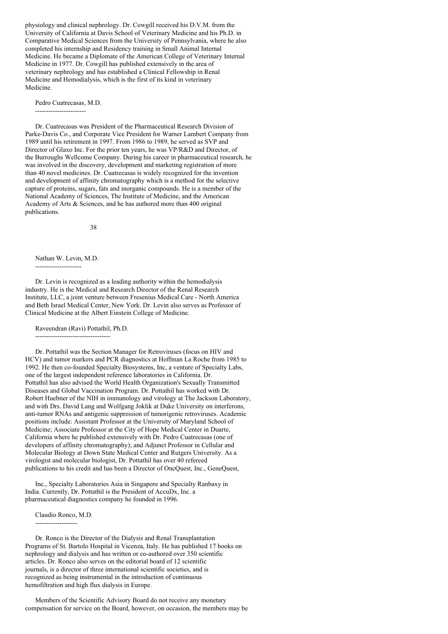physiology and clinical nephrology. Dr. Cowgill received his D.V.M. from the University of California at Davis School of Veterinary Medicine and his Ph.D. in Comparative Medical Sciences from the University of Pennsylvania, where he also completed his internship and Residency training in Small Animal Internal Medicine. He became a Diplomate of the American College of Veterinary Internal Medicine in 1977. Dr. Cowgill has published extensively in the area of veterinary nephrology and has established a Clinical Fellowship in Renal Medicine and Hemodialysis, which is the first of its kind in veterinary Medicine.

Pedro Cuatrecasas, M.D. -----------------------

Dr. Cuatrecasas was President of the Pharmaceutical Research Division of Parke-Davis Co., and Corporate Vice President for Warner Lambert Company from 1989 until his retirement in 1997. From 1986 to 1989, he served as SVP and Director of Glaxo Inc. For the prior ten years, he was VP/R&D and Director, of the Burroughs Wellcome Company. During his career in pharmaceutical research, he was involved in the discovery, development and marketing registration of more than 40 novel medicines. Dr. Cuatrecasas is widely recognized for the invention and development of affinity chromatography which is a method for the selective capture of proteins, sugars, fats and inorganic compounds. He is a member of the National Academy of Sciences, The Institute of Medicine, and the American Academy of Arts & Sciences, and he has authored more than 400 original publications.

38

Nathan W. Levin, M.D.

---------------------

Dr. Levin is recognized as a leading authority within the hemodialysis industry. He is the Medical and Research Director of the Renal Research Institute, LLC, a joint venture between Fresenius Medical Care - North America and Beth Israel Medical Center, New York. Dr. Levin also serves as Professor of Clinical Medicine at the Albert Einstein College of Medicine.

Raveendran (Ravi) Pottathil, Ph.D.

----------------------------------

Dr. Pottathil was the Section Manager for Retroviruses (focus on HIV and HCV) and tumor markers and PCR diagnostics at Hoffman La Roche from 1985 to 1992. He then co-founded Specialty Biosystems, Inc, a venture of Specialty Labs, one of the largest independent reference laboratories in California. Dr. Pottathil has also advised the World Health Organization's Sexually Transmitted Diseases and Global Vaccination Program. Dr. Pottathil has worked with Dr. Robert Huebner of the NIH in immunology and virology at The Jackson Laboratory, and with Drs. David Lang and Wolfgang Joklik at Duke University on interferons, anti-tumor RNAs and antigenic suppression of tumorigenic retroviruses. Academic positions include: Assistant Professor at the University of Maryland School of Medicine; Associate Professor at the City of Hope Medical Center in Duarte, California where he published extensively with Dr. Pedro Cuatrecasas (one of developers of affinity chromatography); and Adjunct Professor in Cellular and Molecular Biology at Down State Medical Center and Rutgers University. As a virologist and molecular biologist, Dr. Pottathil has over 40 refereed publications to his credit and has been a Director of OncQuest, Inc., GeneQuest,

Inc., Specialty Laboratories Asia in Singapore and Specialty Ranbaxy in India. Currently, Dr. Pottathil is the President of AccuDx, Inc. a pharmaceutical diagnostics company he founded in 1996.

Claudio Ronco, M.D.

-------------------

Dr. Ronco is the Director of the Dialysis and Renal Transplantation Programs of St. Bartolo Hospital in Vicenza, Italy. He has published 17 books on nephrology and dialysis and has written or co-authored over 350 scientific articles. Dr. Ronco also serves on the editorial board of 12 scientific journals, is a director of three international scientific societies, and is recognized as being instrumental in the introduction of continuous hemofiltration and high flux dialysis in Europe.

Members of the Scientific Advisory Board do not receive any monetary compensation for service on the Board, however, on occasion, the members may be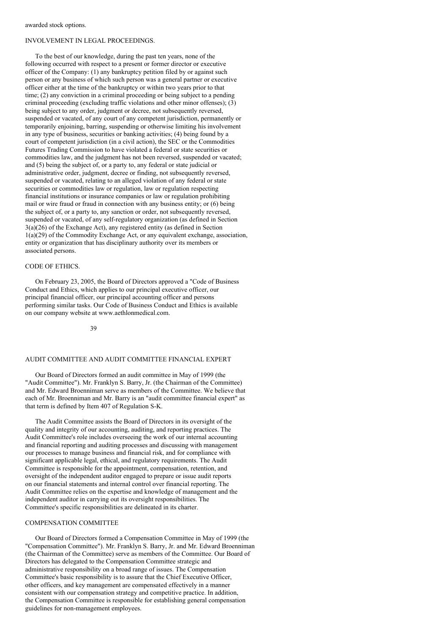### INVOLVEMENT IN LEGAL PROCEEDINGS.

To the best of our knowledge, during the past ten years, none of the following occurred with respect to a present or former director or executive officer of the Company: (1) any bankruptcy petition filed by or against such person or any business of which such person was a general partner or executive officer either at the time of the bankruptcy or within two years prior to that time; (2) any conviction in a criminal proceeding or being subject to a pending criminal proceeding (excluding traffic violations and other minor offenses); (3) being subject to any order, judgment or decree, not subsequently reversed, suspended or vacated, of any court of any competent jurisdiction, permanently or temporarily enjoining, barring, suspending or otherwise limiting his involvement in any type of business, securities or banking activities; (4) being found by a court of competent jurisdiction (in a civil action), the SEC or the Commodities Futures Trading Commission to have violated a federal or state securities or commodities law, and the judgment has not been reversed, suspended or vacated; and (5) being the subject of, or a party to, any federal or state judicial or administrative order, judgment, decree or finding, not subsequently reversed, suspended or vacated, relating to an alleged violation of any federal or state securities or commodities law or regulation, law or regulation respecting financial institutions or insurance companies or law or regulation prohibiting mail or wire fraud or fraud in connection with any business entity; or (6) being the subject of, or a party to, any sanction or order, not subsequently reversed, suspended or vacated, of any self-regulatory organization (as defined in Section  $3(a)(26)$  of the Exchange Act), any registered entity (as defined in Section 1(a)(29) of the Commodity Exchange Act, or any equivalent exchange, association, entity or organization that has disciplinary authority over its members or associated persons.

#### CODE OF ETHICS.

On February 23, 2005, the Board of Directors approved a "Code of Business Conduct and Ethics, which applies to our principal executive officer, our principal financial officer, our principal accounting officer and persons performing similar tasks. Our Code of Business Conduct and Ethics is available on our company website at www.aethlonmedical.com.

39

## AUDIT COMMITTEE AND AUDIT COMMITTEE FINANCIAL EXPERT

Our Board of Directors formed an audit committee in May of 1999 (the "Audit Committee"). Mr. Franklyn S. Barry, Jr. (the Chairman of the Committee) and Mr. Edward Broenniman serve as members of the Committee. We believe that each of Mr. Broenniman and Mr. Barry is an "audit committee financial expert" as that term is defined by Item 407 of Regulation S-K.

The Audit Committee assists the Board of Directors in its oversight of the quality and integrity of our accounting, auditing, and reporting practices. The Audit Committee's role includes overseeing the work of our internal accounting and financial reporting and auditing processes and discussing with management our processes to manage business and financial risk, and for compliance with significant applicable legal, ethical, and regulatory requirements. The Audit Committee is responsible for the appointment, compensation, retention, and oversight of the independent auditor engaged to prepare or issue audit reports on our financial statements and internal control over financial reporting. The Audit Committee relies on the expertise and knowledge of management and the independent auditor in carrying out its oversight responsibilities. The Committee's specific responsibilities are delineated in its charter.

## COMPENSATION COMMITTEE

Our Board of Directors formed a Compensation Committee in May of 1999 (the "Compensation Committee"). Mr. Franklyn S. Barry, Jr. and Mr. Edward Broenniman (the Chairman of the Committee) serve as members of the Committee. Our Board of Directors has delegated to the Compensation Committee strategic and administrative responsibility on a broad range of issues. The Compensation Committee's basic responsibility is to assure that the Chief Executive Officer, other officers, and key management are compensated effectively in a manner consistent with our compensation strategy and competitive practice. In addition, the Compensation Committee is responsible for establishing general compensation guidelines for non-management employees.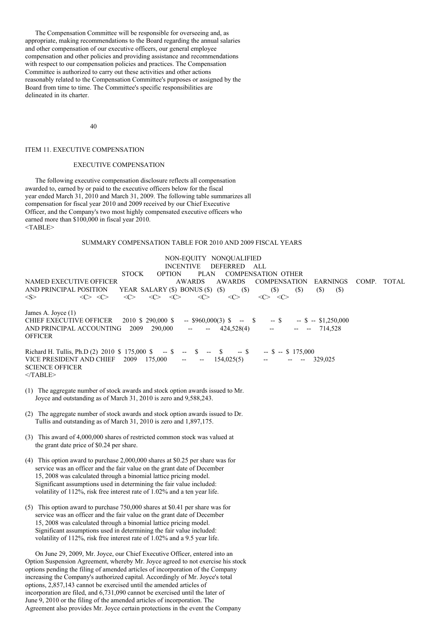The Compensation Committee will be responsible for overseeing and, as appropriate, making recommendations to the Board regarding the annual salaries and other compensation of our executive officers, our general employee compensation and other policies and providing assistance and recommendations with respect to our compensation policies and practices. The Compensation Committee is authorized to carry out these activities and other actions reasonably related to the Compensation Committee's purposes or assigned by the Board from time to time. The Committee's specific responsibilities are delineated in its charter.

40

### ITEM 11. EXECUTIVE COMPENSATION

### EXECUTIVE COMPENSATION

The following executive compensation disclosure reflects all compensation awarded to, earned by or paid to the executive officers below for the fiscal year ended March 31, 2010 and March 31, 2009. The following table summarizes all compensation for fiscal year 2010 and 2009 received by our Chief Executive Officer, and the Company's two most highly compensated executive officers who earned more than \$100,000 in fiscal year 2010.  $<$ TABLE>

## SUMMARY COMPENSATION TABLE FOR 2010 AND 2009 FISCAL YEARS

| NON-EQUITY NONQUALIFIED<br><b>INCENTIVE</b><br><b>DEFERRED</b><br>ALL<br><b>STOCK</b><br><b>OPTION</b><br><b>PLAN</b><br><b>COMPENSATION OTHER</b><br><b>AWARDS</b><br><b>AWARDS</b><br><b>COMPENSATION</b><br><b>EARNINGS</b><br>COMP. TOTAL<br>NAMED EXECUTIVE OFFICER<br>YEAR SALARY (\$) BONUS (\$) (\$)<br>$(\$)$<br>AND PRINCIPAL POSITION<br>(S)<br>$(\$)$<br>(\$)<br>(S)<br>$\langle C \rangle \langle C \rangle$<br><<><br>$<\infty$<br>$\langle C \rangle$<br><s><br/><math>&lt;\infty</math><br/>&lt;&lt;&gt;<br/><math>\langle C \rangle</math> <math>\langle C \rangle</math></s> |
|------------------------------------------------------------------------------------------------------------------------------------------------------------------------------------------------------------------------------------------------------------------------------------------------------------------------------------------------------------------------------------------------------------------------------------------------------------------------------------------------------------------------------------------------------------------------------------------------|
| James A. Joyce (1)<br>CHIEF EXECUTIVE OFFICER<br>2010 \$ 290,000 \$<br>$-$ \$960,000(3) \$ -- \$<br>$-$ \$<br>$-$ \$ $-$ \$1,250,000<br>290,000<br>2009<br>$\overline{a}$<br>424,528(4)<br>AND PRINCIPAL ACCOUNTING<br>$\sim$<br>714.528<br>$\overline{a}$<br><b>OFFICER</b>                                                                                                                                                                                                                                                                                                                   |
| Richard H. Tullis, Ph.D (2) 2010 \$175,000 \$ -- \$ -- \$ -- \$ -- \$<br>$-$ \$ $-$ \$ 175,000<br>2009 175,000<br>$  154,025(5)$<br>VICE PRESIDENT AND CHIEF<br>$\overline{\phantom{a}}$<br>329,025<br><b>SCIENCE OFFICER</b><br>$<$ /TABLE>                                                                                                                                                                                                                                                                                                                                                   |
| (1) The aggregate number of stock awards and stock option awards issued to Mr.<br>Joyce and outstanding as of March 31, 2010 is zero and 9,588,243.                                                                                                                                                                                                                                                                                                                                                                                                                                            |
| (2) The aggregate number of stock awards and stock option awards issued to Dr.<br>Tullis and outstanding as of March 31, 2010 is zero and 1,897,175.                                                                                                                                                                                                                                                                                                                                                                                                                                           |
| (3) This award of 4,000,000 shares of restricted common stock was valued at<br>the grant date price of \$0.24 per share.                                                                                                                                                                                                                                                                                                                                                                                                                                                                       |
| (4) This option award to purchase 2,000,000 shares at \$0.25 per share was for<br>service was an officer and the fair value on the grant date of December<br>15, 2008 was calculated through a binomial lattice pricing model.<br>Significant assumptions used in determining the fair value included:<br>volatility of 112%, risk free interest rate of 1.02% and a ten year life.                                                                                                                                                                                                            |
| (5) This option award to purchase 750,000 shares at \$0.41 per share was for<br>service was an officer and the fair value on the grant date of December<br>15, 2008 was calculated through a binomial lattice pricing model.<br>Significant assumptions used in determining the fair value included:<br>volatility of 112%, risk free interest rate of 1.02% and a 9.5 year life.                                                                                                                                                                                                              |
| On June 29, 2009, Mr. Joyce, our Chief Executive Officer, entered into an<br>Option Suspension Agreement, whereby Mr. Joyce agreed to not exercise his stock<br>options pending the filing of amended articles of incorporation of the Company<br>increasing the Company's authorized capital. Accordingly of Mr. Joyce's total<br>options, 2,857,143 cannot be exercised until the amended articles of<br>incorporation are filed, and 6,731,090 cannot be exercised until the later of                                                                                                       |

June 9, 2010 or the filing of the amended articles of incorporation. The Agreement also provides Mr. Joyce certain protections in the event the Company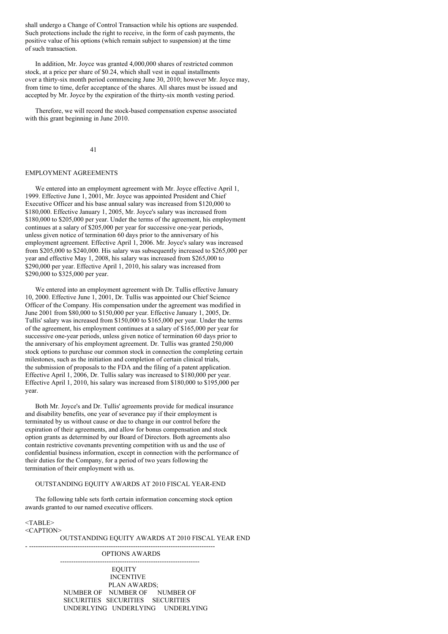shall undergo a Change of Control Transaction while his options are suspended. Such protections include the right to receive, in the form of cash payments, the positive value of his options (which remain subject to suspension) at the time of such transaction.

In addition, Mr. Joyce was granted 4,000,000 shares of restricted common stock, at a price per share of \$0.24, which shall vest in equal installments over a thirty-six month period commencing June 30, 2010; however Mr. Joyce may, from time to time, defer acceptance of the shares. All shares must be issued and accepted by Mr. Joyce by the expiration of the thirty-six month vesting period.

Therefore, we will record the stock-based compensation expense associated with this grant beginning in June 2010.

#### 41

#### EMPLOYMENT AGREEMENTS

We entered into an employment agreement with Mr. Joyce effective April 1, 1999. Effective June 1, 2001, Mr. Joyce was appointed President and Chief Executive Officer and his base annual salary was increased from \$120,000 to \$180,000. Effective January 1, 2005, Mr. Joyce's salary was increased from \$180,000 to \$205,000 per year. Under the terms of the agreement, his employment continues at a salary of \$205,000 per year for successive one-year periods, unless given notice of termination 60 days prior to the anniversary of his employment agreement. Effective April 1, 2006. Mr. Joyce's salary was increased from \$205,000 to \$240,000. His salary was subsequently increased to \$265,000 per year and effective May 1, 2008, his salary was increased from \$265,000 to \$290,000 per year. Effective April 1, 2010, his salary was increased from \$290,000 to \$325,000 per year.

We entered into an employment agreement with Dr. Tullis effective January 10, 2000. Effective June 1, 2001, Dr. Tullis was appointed our Chief Science Officer of the Company. His compensation under the agreement was modified in June 2001 from \$80,000 to \$150,000 per year. Effective January 1, 2005, Dr. Tullis' salary was increased from \$150,000 to \$165,000 per year. Under the terms of the agreement, his employment continues at a salary of \$165,000 per year for successive one-year periods, unless given notice of termination 60 days prior to the anniversary of his employment agreement. Dr. Tullis was granted 250,000 stock options to purchase our common stock in connection the completing certain milestones, such as the initiation and completion of certain clinical trials, the submission of proposals to the FDA and the filing of a patent application. Effective April 1, 2006, Dr. Tullis salary was increased to \$180,000 per year. Effective April 1, 2010, his salary was increased from \$180,000 to \$195,000 per year.

Both Mr. Joyce's and Dr. Tullis' agreements provide for medical insurance and disability benefits, one year of severance pay if their employment is terminated by us without cause or due to change in our control before the expiration of their agreements, and allow for bonus compensation and stock option grants as determined by our Board of Directors. Both agreements also contain restrictive covenants preventing competition with us and the use of confidential business information, except in connection with the performance of their duties for the Company, for a period of two years following the termination of their employment with us.

### OUTSTANDING EQUITY AWARDS AT 2010 FISCAL YEAR-END

The following table sets forth certain information concerning stock option awards granted to our named executive officers.

 $<$ TABLE $>$ <CAPTION>

OUTSTANDING EQUITY AWARDS AT 2010 FISCAL YEAR END - ------------------------------------------------------------------------------------

OPTIONS AWARDS

--------------------------------------------------------------- EQUITY INCENTIVE PLAN AWARDS; NUMBER OF NUMBER OF NUMBER OF SECURITIES SECURITIES SECURITIES UNDERLYING UNDERLYING UNDERLYING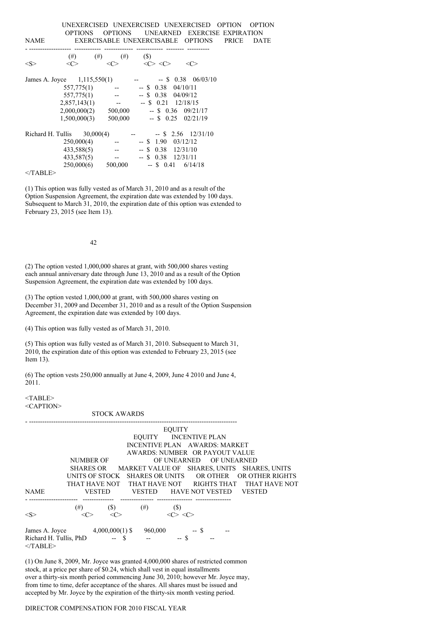UNEXERCISED UNEXERCISED UNEXERCISED OPTION OPTION OPTIONS OPTIONS UNEARNED EXERCISE EXPIRATION NAME EXERCISABLE UNEXERCISABLE OPTIONS PRICE DATE - ------------------- ------------ ------------- ------------ -------- ---------- (#) (#) (#) (\$)<br>
<
C>  $\langle$  (= C)  $\langle$  C)  $\langle$  C)  $\langle$  C)  $\langle S \rangle$   $\langle C \rangle$   $\langle C \rangle$   $\langle C \rangle$   $\langle C \rangle$   $\langle C \rangle$ James A. Joyce 1,115,550(1) -- -- \$ 0.38 06/03/10<br>557,775(1) -- -- \$ 0.38 04/10/11  $\frac{1}{5}$  0.38 04/10/11<br> $-$  \$ 0.38 04/09/12 557,775(1) -- - \$ 0.38 04/09/12 2,857,143(1) -- - \$ 0.21 12/18/15<br>2,000,000(2) 500,000 - \$ 0.36 09/21  $2,000,000(2)$  500,000 -- \$ 0.36 09/21/17 1,500,000(3) 500,000 -- \$ 0.25 02/21/19 Richard H. Tullis  $30,000(4)$  --  $\frac{12}{31/10}$  $250,000(4)$  -- - \$ 1.90 03/12/12  $433,588(5)$  --  $-$  \$ 0.38 12/31/10<br> $433,587(5)$  --  $-$  \$ 0.38 12/31/11  $-$  \$ 0.38 12/31/11 250,000(6) 500,000 -- \$ 0.41 6/14/18  $<$ /TABLE>

(1) This option was fully vested as of March 31, 2010 and as a result of the Option Suspension Agreement, the expiration date was extended by 100 days. Subsequent to March 31, 2010, the expiration date of this option was extended to February 23, 2015 (see Item 13).

42

(2) The option vested 1,000,000 shares at grant, with 500,000 shares vesting each annual anniversary date through June 13, 2010 and as a result of the Option Suspension Agreement, the expiration date was extended by 100 days.

(3) The option vested 1,000,000 at grant, with 500,000 shares vesting on December 31, 2009 and December 31, 2010 and as a result of the Option Suspension Agreement, the expiration date was extended by 100 days.

(4) This option was fully vested as of March 31, 2010.

(5) This option was fully vested as of March 31, 2010. Subsequent to March 31, 2010, the expiration date of this option was extended to February 23, 2015 (see Item 13).

(6) The option vests 250,000 annually at June 4, 2009, June 4 2010 and June 4, 2011.

<TABLE> <CAPTION>

STOCK AWARDS

|                                      |                  |                              | <b>EQUITY</b>          |                                |                                                       |
|--------------------------------------|------------------|------------------------------|------------------------|--------------------------------|-------------------------------------------------------|
|                                      |                  | <b>EQUITY</b>                |                        | <b>INCENTIVE PLAN</b>          |                                                       |
|                                      |                  |                              |                        | INCENTIVE PLAN AWARDS: MARKET  |                                                       |
|                                      |                  |                              |                        | AWARDS: NUMBER OR PAYOUT VALUE |                                                       |
|                                      | <b>NUMBER OF</b> |                              |                        | OF UNEARNED OF UNEARNED        |                                                       |
|                                      | <b>SHARES OR</b> |                              |                        |                                | MARKET VALUE OF SHARES, UNITS SHARES, UNITS           |
|                                      | UNITS OF STOCK   |                              | <b>SHARES OR UNITS</b> | OR OTHER                       | OR OTHER RIGHTS                                       |
|                                      |                  |                              |                        |                                | THAT HAVE NOT THAT HAVE NOT RIGHTS THAT THAT HAVE NOT |
| <b>NAME</b>                          | <b>VESTED</b>    | <b>VESTED</b>                |                        | HAVE NOT VESTED VESTED         |                                                       |
|                                      | (#)              | (\$)<br>$^{(#)}$             | (S)                    |                                |                                                       |
| $<\!\!S\!\!>$                        |                  |                              | $\langle$ ( $\rangle$  |                                |                                                       |
| James A. Joyce                       |                  | $4,000,000(1)$ \$<br>960,000 |                        | $-$ \$                         |                                                       |
| Richard H. Tullis, PhD<br>$<$ TABLE> |                  | S                            |                        |                                |                                                       |

(1) On June 8, 2009, Mr. Joyce was granted 4,000,000 shares of restricted common stock, at a price per share of \$0.24, which shall vest in equal installments over a thirty-six month period commencing June 30, 2010; however Mr. Joyce may, from time to time, defer acceptance of the shares. All shares must be issued and accepted by Mr. Joyce by the expiration of the thirty-six month vesting period.

### DIRECTOR COMPENSATION FOR 2010 FISCAL YEAR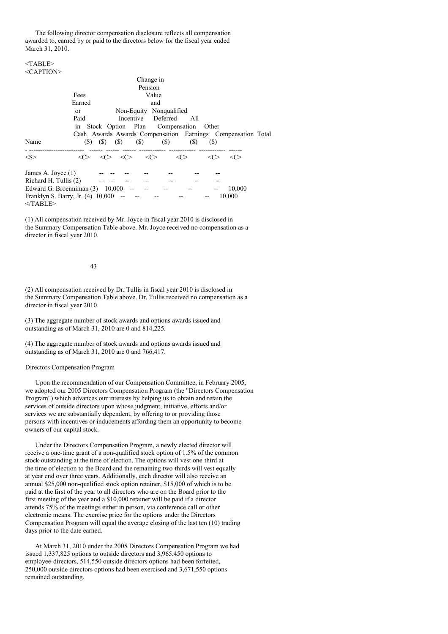The following director compensation disclosure reflects all compensation awarded to, earned by or paid to the directors below for the fiscal year ended March 31, 2010.

 $<$ TABLE> <CAPTION>

Change in Pension Fees Value Earned and or Non-Equity Nonqualified Paid Incentive Deferred All in Stock Option Plan Compensation Other Cash Awards Awards Compensation Earnings Compensation Total Name (\$) (\$) (\$) (\$) (\$) (\$) (\$) - ------------------------- ------ ------ ------ ------------ ------------ ------------ ------ <S> <C> <C> <C> <C> <C> <C> <C> James A. Joyce (1) -- -- -- -- --<br>Richard H. Tullis (2) -- -- -- -- -- --Richard H. Tullis (2) -- -- -- -- -- -- -- Edward G. Broenniman (3) 10,000 -- - - - - - - - - - 10,000 Franklyn S. Barry, Jr. (4) 10,000 -- -- -- -- -- -- -- 10,000  $<$ /TABLE>

(1) All compensation received by Mr. Joyce in fiscal year 2010 is disclosed in the Summary Compensation Table above. Mr. Joyce received no compensation as a director in fiscal year 2010.

#### 43

(2) All compensation received by Dr. Tullis in fiscal year 2010 is disclosed in the Summary Compensation Table above. Dr. Tullis received no compensation as a director in fiscal year 2010.

(3) The aggregate number of stock awards and options awards issued and outstanding as of March 31, 2010 are 0 and 814,225.

(4) The aggregate number of stock awards and options awards issued and outstanding as of March 31, 2010 are 0 and 766,417.

### Directors Compensation Program

Upon the recommendation of our Compensation Committee, in February 2005, we adopted our 2005 Directors Compensation Program (the "Directors Compensation Program") which advances our interests by helping us to obtain and retain the services of outside directors upon whose judgment, initiative, efforts and/or services we are substantially dependent, by offering to or providing those persons with incentives or inducements affording them an opportunity to become owners of our capital stock.

Under the Directors Compensation Program, a newly elected director will receive a one-time grant of a non-qualified stock option of 1.5% of the common stock outstanding at the time of election. The options will vest one-third at the time of election to the Board and the remaining two-thirds will vest equally at year end over three years. Additionally, each director will also receive an annual \$25,000 non-qualified stock option retainer, \$15,000 of which is to be paid at the first of the year to all directors who are on the Board prior to the first meeting of the year and a \$10,000 retainer will be paid if a director attends 75% of the meetings either in person, via conference call or other electronic means. The exercise price for the options under the Directors Compensation Program will equal the average closing of the last ten (10) trading days prior to the date earned.

At March 31, 2010 under the 2005 Directors Compensation Program we had issued 1,337,825 options to outside directors and 3,965,450 options to employee-directors, 514,550 outside directors options had been forfeited, 250,000 outside directors options had been exercised and 3,671,550 options remained outstanding.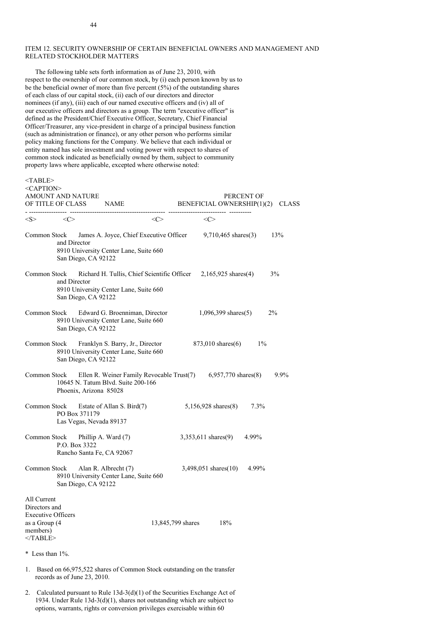## ITEM 12. SECURITY OWNERSHIP OF CERTAIN BENEFICIAL OWNERS AND MANAGEMENT AND RELATED STOCKHOLDER MATTERS

The following table sets forth information as of June 23, 2010, with respect to the ownership of our common stock, by (i) each person known by us to be the beneficial owner of more than five percent  $(5%)$  of the outstanding shares of each class of our capital stock, (ii) each of our directors and director nominees (if any), (iii) each of our named executive officers and (iv) all of our executive officers and directors as a group. The term "executive officer" is defined as the President/Chief Executive Officer, Secretary, Chief Financial Officer/Treasurer, any vice-president in charge of a principal business function (such as administration or finance), or any other person who performs similar policy making functions for the Company. We believe that each individual or entity named has sole investment and voting power with respect to shares of common stock indicated as beneficially owned by them, subject to community property laws where applicable, excepted where otherwise noted:

 $<$ TABLE $>$  $\angle C$  A PTION

| $\chi$ CAF LIUN $\chi$<br>AMOUNT AND NATURE<br>OF TITLE OF CLASS<br><b>NAME</b>                                   | PERCENT OF<br>BENEFICIAL OWNERSHIP(1)(2) CLASS                        |  |
|-------------------------------------------------------------------------------------------------------------------|-----------------------------------------------------------------------|--|
| ----------- -------------------<br>$<\ge$<br><<>                                                                  | $<\infty$<br>$<\infty$                                                |  |
| Common Stock<br>and Director<br>8910 University Center Lane, Suite 660<br>San Diego, CA 92122                     | James A. Joyce, Chief Executive Officer 9,710,465 shares(3)<br>13%    |  |
| Common Stock<br>and Director<br>8910 University Center Lane, Suite 660<br>San Diego, CA 92122                     | Richard H. Tullis, Chief Scientific Officer 2,165,925 shares(4)<br>3% |  |
| Common Stock<br>8910 University Center Lane, Suite 660<br>San Diego, CA 92122                                     | Edward G. Broenniman, Director<br>$1,096,399$ shares $(5)$<br>$2\%$   |  |
| Franklyn S. Barry, Jr., Director<br>Common Stock<br>8910 University Center Lane, Suite 660<br>San Diego, CA 92122 | 873,010 shares(6)<br>$1\%$                                            |  |
| Common Stock<br>10645 N. Tatum Blvd. Suite 200-166<br>Phoenix, Arizona 85028                                      | Ellen R. Weiner Family Revocable Trust(7) 6,957,770 shares(8)<br>9.9% |  |
| Estate of Allan S. Bird(7)<br>Common Stock<br>PO Box 371179<br>Las Vegas, Nevada 89137                            | $5,156,928$ shares $(8)$<br>7.3%                                      |  |
| Common Stock<br>Phillip A. Ward (7)<br>P.O. Box 3322<br>Rancho Santa Fe, CA 92067                                 | 3,353,611 shares(9)<br>4.99%                                          |  |
| Common Stock Alan R. Albrecht (7)<br>8910 University Center Lane, Suite 660<br>San Diego, CA 92122                | 3,498,051 shares(10)<br>4.99%                                         |  |
| All Current<br>Directors and<br><b>Executive Officers</b><br>as a Group (4<br>members)<br>$<$ /TABLE>             | 18%<br>13,845,799 shares                                              |  |
| * Less than $1\%$ .                                                                                               |                                                                       |  |

- 1. Based on 66,975,522 shares of Common Stock outstanding on the transfer records as of June 23, 2010.
- 2. Calculated pursuant to Rule 13d-3(d)(1) of the Securities Exchange Act of 1934. Under Rule 13d-3(d)(1), shares not outstanding which are subject to options, warrants, rights or conversion privileges exercisable within 60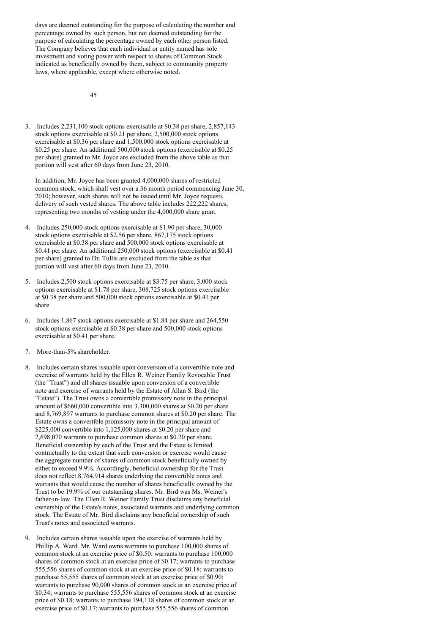days are deemed outstanding for the purpose of calculating the number and percentage owned by such person, but not deemed outstanding for the purpose of calculating the percentage owned by each other person listed. The Company believes that each individual or entity named has sole investment and voting power with respect to shares of Common Stock indicated as beneficially owned by them, subject to community property laws, where applicable, except where otherwise noted.

45

3. Includes 2,231,100 stock options exercisable at \$0.38 per share, 2,857,143 stock options exercisable at \$0.21 per share, 2,500,000 stock options exercisable at \$0.36 per share and 1,500,000 stock options exercisable at \$0.25 per share. An additional 500,000 stock options (exercisable at \$0.25 per share) granted to Mr. Joyce are excluded from the above table as that portion will vest after 60 days from June 23, 2010.

In addition, Mr. Joyce has been granted 4,000,000 shares of restricted common stock, which shall vest over a 36 month period commencing June 30, 2010; however, such shares will not be issued until Mr. Joyce requests delivery of such vested shares. The above table includes 222,222 shares, representing two months of vesting under the 4,000,000 share grant.

- 4. Includes 250,000 stock options exercisable at \$1.90 per share, 30,000 stock options exercisable at \$2.56 per share, 867,175 stock options exercisable at \$0.38 per share and 500,000 stock options exercisable at \$0.41 per share. An additional 250,000 stock options (exercisable at \$0.41 per share) granted to Dr. Tullis are excluded from the table as that portion will vest after 60 days from June 23, 2010.
- 5. Includes 2,500 stock options exercisable at \$3.75 per share, 3,000 stock options exercisable at \$1.78 per share, 308,725 stock options exercisable at \$0.38 per share and 500,000 stock options exercisable at \$0.41 per share.
- 6. Includes 1,867 stock options exercisable at \$1.84 per share and 264,550 stock options exercisable at \$0.38 per share and 500,000 stock options exercisable at \$0.41 per share.
- 7. More-than-5% shareholder.
- 8. Includes certain shares issuable upon conversion of a convertible note and exercise of warrants held by the Ellen R. Weiner Family Revocable Trust (the "Trust") and all shares issuable upon conversion of a convertible note and exercise of warrants held by the Estate of Allan S. Bird (the "Estate"). The Trust owns a convertible promissory note in the principal amount of \$660,000 convertible into 3,300,000 shares at \$0.20 per share and 8,769,897 warrants to purchase common shares at \$0.20 per share. The Estate owns a convertible promissory note in the principal amount of \$225,000 convertible into 1,125,000 shares at \$0.20 per share and 2,698,070 warrants to purchase common shares at \$0.20 per share. Beneficial ownership by each of the Trust and the Estate is limited contractually to the extent that such conversion or exercise would cause the aggregate number of shares of common stock beneficially owned by either to exceed 9.9%. Accordingly, beneficial ownership for the Trust does not reflect 8,764,914 shares underlying the convertible notes and warrants that would cause the number of shares beneficially owned by the Trust to be 19.9% of our outstanding shares. Mr. Bird was Ms. Weiner's father-in-law. The Ellen R. Weiner Family Trust disclaims any beneficial ownership of the Estate's notes, associated warrants and underlying common stock. The Estate of Mr. Bird disclaims any beneficial ownership of such Trust's notes and associated warrants.
- 9. Includes certain shares issuable upon the exercise of warrants held by Phillip A. Ward. Mr. Ward owns warrants to purchase 100,000 shares of common stock at an exercise price of \$0.50; warrants to purchase 100,000 shares of common stock at an exercise price of \$0.17; warrants to purchase 555,556 shares of common stock at an exercise price of \$0.18; warrants to purchase 55,555 shares of common stock at an exercise price of \$0.90; warrants to purchase 90,000 shares of common stock at an exercise price of \$0.34; warrants to purchase 555,556 shares of common stock at an exercise price of \$0.18; warrants to purchase 194,118 shares of common stock at an exercise price of \$0.17; warrants to purchase 555,556 shares of common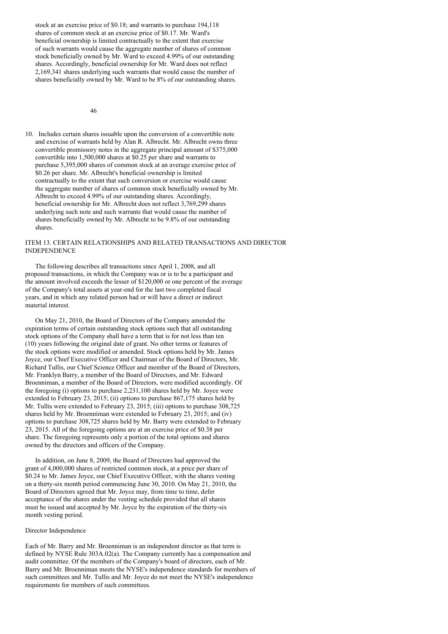stock at an exercise price of \$0.18; and warrants to purchase 194,118 shares of common stock at an exercise price of \$0.17. Mr. Ward's beneficial ownership is limited contractually to the extent that exercise of such warrants would cause the aggregate number of shares of common stock beneficially owned by Mr. Ward to exceed 4.99% of our outstanding shares. Accordingly, beneficial ownership for Mr. Ward does not reflect 2,169,341 shares underlying such warrants that would cause the number of shares beneficially owned by Mr. Ward to be 8% of our outstanding shares.

46

10. Includes certain shares issuable upon the conversion of a convertible note and exercise of warrants held by Alan R. Albrecht. Mr. Albrecht owns three convertible promissory notes in the aggregate principal amount of \$375,000 convertible into 1,500,000 shares at \$0.25 per share and warrants to purchase 5,395,000 shares of common stock at an average exercise price of \$0.26 per share. Mr. Albrecht's beneficial ownership is limited contractually to the extent that such conversion or exercise would cause the aggregate number of shares of common stock beneficially owned by Mr. Albrecht to exceed 4.99% of our outstanding shares. Accordingly, beneficial ownership for Mr. Albrecht does not reflect 3,769,299 shares underlying such note and such warrants that would cause the number of shares beneficially owned by Mr. Albrecht to be 9.8% of our outstanding shares.

## ITEM 13. CERTAIN RELATIONSHIPS AND RELATED TRANSACTIONS AND DIRECTOR INDEPENDENCE

The following describes all transactions since April 1, 2008, and all proposed transactions, in which the Company was or is to be a participant and the amount involved exceeds the lesser of \$120,000 or one percent of the average of the Company's total assets at year-end for the last two completed fiscal years, and in which any related person had or will have a direct or indirect material interest.

On May 21, 2010, the Board of Directors of the Company amended the expiration terms of certain outstanding stock options such that all outstanding stock options of the Company shall have a term that is for not less than ten (10) years following the original date of grant. No other terms or features of the stock options were modified or amended. Stock options held by Mr. James Joyce, our Chief Executive Officer and Chairman of the Board of Directors, Mr. Richard Tullis, our Chief Science Officer and member of the Board of Directors, Mr. Franklyn Barry, a member of the Board of Directors, and Mr. Edward Broenniman, a member of the Board of Directors, were modified accordingly. Of the foregoing (i) options to purchase 2,231,100 shares held by Mr. Joyce were extended to February 23, 2015; (ii) options to purchase 867,175 shares held by Mr. Tullis were extended to February 23, 2015; (iii) options to purchase 308,725 shares held by Mr. Broenniman were extended to February 23, 2015; and (iv) options to purchase 308,725 shares held by Mr. Barry were extended to February 23, 2015. All of the foregoing options are at an exercise price of \$0.38 per share. The foregoing represents only a portion of the total options and shares owned by the directors and officers of the Company.

In addition, on June 8, 2009, the Board of Directors had approved the grant of 4,000,000 shares of restricted common stock, at a price per share of \$0.24 to Mr. James Joyce, our Chief Executive Officer, with the shares vesting on a thirty-six month period commencing June 30, 2010. On May 21, 2010, the Board of Directors agreed that Mr. Joyce may, from time to time, defer acceptance of the shares under the vesting schedule provided that all shares must be issued and accepted by Mr. Joyce by the expiration of the thirty-six month vesting period.

## Director Independence

Each of Mr. Barry and Mr. Broenniman is an independent director as that term is defined by NYSE Rule 303A.02(a). The Company currently has a compensation and audit committee. Of the members of the Company's board of directors, each of Mr. Barry and Mr. Broenniman meets the NYSE's independence standards for members of such committees and Mr. Tullis and Mr. Joyce do not meet the NYSE's independence requirements for members of such committees.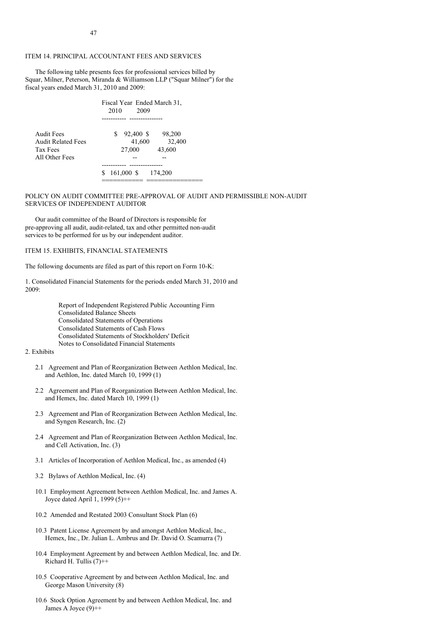## ITEM 14. PRINCIPAL ACCOUNTANT FEES AND SERVICES

The following table presents fees for professional services billed by Squar, Milner, Peterson, Miranda & Williamson LLP ("Squar Milner") for the fiscal years ended March 31, 2010 and 2009:

|                                                                                     | Fiscal Year Ended March 31,<br>2010<br>2009                      |  |  |  |  |  |  |
|-------------------------------------------------------------------------------------|------------------------------------------------------------------|--|--|--|--|--|--|
| <b>Audit Fees</b><br><b>Audit Related Fees</b><br><b>Tax Fees</b><br>All Other Fees | 92,400 \$<br>98,200<br>S<br>41,600<br>32,400<br>27,000<br>43,600 |  |  |  |  |  |  |
|                                                                                     | $161,000 \text{ S}$<br>174,200                                   |  |  |  |  |  |  |

### POLICY ON AUDIT COMMITTEE PRE-APPROVAL OF AUDIT AND PERMISSIBLE NON-AUDIT SERVICES OF INDEPENDENT AUDITOR

Our audit committee of the Board of Directors is responsible for pre-approving all audit, audit-related, tax and other permitted non-audit services to be performed for us by our independent auditor.

### ITEM 15. EXHIBITS, FINANCIAL STATEMENTS

The following documents are filed as part of this report on Form 10-K:

1. Consolidated Financial Statements for the periods ended March 31, 2010 and 2009:

> Report of Independent Registered Public Accounting Firm Consolidated Balance Sheets Consolidated Statements of Operations Consolidated Statements of Cash Flows Consolidated Statements of Stockholders' Deficit Notes to Consolidated Financial Statements

## 2. Exhibits

- 2.1 Agreement and Plan of Reorganization Between Aethlon Medical, Inc. and Aethlon, Inc. dated March 10, 1999 (1)
- 2.2 Agreement and Plan of Reorganization Between Aethlon Medical, Inc. and Hemex, Inc. dated March 10, 1999 (1)
- 2.3 Agreement and Plan of Reorganization Between Aethlon Medical, Inc. and Syngen Research, Inc. (2)
- 2.4 Agreement and Plan of Reorganization Between Aethlon Medical, Inc. and Cell Activation, Inc. (3)
- 3.1 Articles of Incorporation of Aethlon Medical, Inc., as amended (4)
- 3.2 Bylaws of Aethlon Medical, Inc. (4)
- 10.1 Employment Agreement between Aethlon Medical, Inc. and James A. Joyce dated April 1, 1999 (5)++
- 10.2 Amended and Restated 2003 Consultant Stock Plan (6)
- 10.3 Patent License Agreement by and amongst Aethlon Medical, Inc., Hemex, Inc., Dr. Julian L. Ambrus and Dr. David O. Scamurra (7)
- 10.4 Employment Agreement by and between Aethlon Medical, Inc. and Dr. Richard H. Tullis (7)++
- 10.5 Cooperative Agreement by and between Aethlon Medical, Inc. and George Mason University (8)
- 10.6 Stock Option Agreement by and between Aethlon Medical, Inc. and James A Joyce (9)++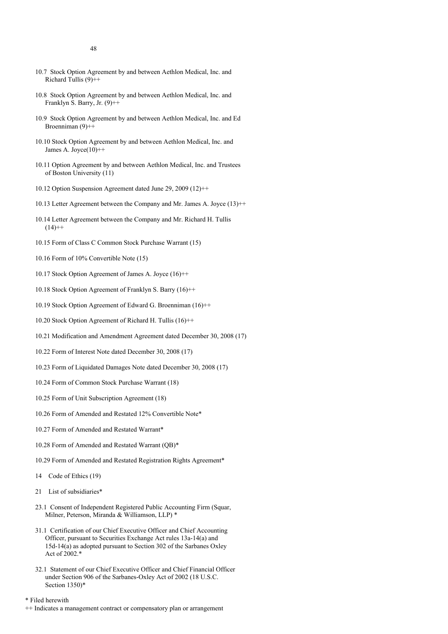- 10.7 Stock Option Agreement by and between Aethlon Medical, Inc. and Richard Tullis (9)++
- 10.8 Stock Option Agreement by and between Aethlon Medical, Inc. and Franklyn S. Barry, Jr. (9)++
- 10.9 Stock Option Agreement by and between Aethlon Medical, Inc. and Ed Broenniman (9)++
- 10.10 Stock Option Agreement by and between Aethlon Medical, Inc. and James A. Joyce(10)++
- 10.11 Option Agreement by and between Aethlon Medical, Inc. and Trustees of Boston University (11)
- 10.12 Option Suspension Agreement dated June 29, 2009 (12)++
- 10.13 Letter Agreement between the Company and Mr. James A. Joyce (13)++
- 10.14 Letter Agreement between the Company and Mr. Richard H. Tullis  $(14)$ ++
- 10.15 Form of Class C Common Stock Purchase Warrant (15)
- 10.16 Form of 10% Convertible Note (15)
- 10.17 Stock Option Agreement of James A. Joyce (16)++
- 10.18 Stock Option Agreement of Franklyn S. Barry (16)++
- 10.19 Stock Option Agreement of Edward G. Broenniman (16)++
- 10.20 Stock Option Agreement of Richard H. Tullis (16)++
- 10.21 Modification and Amendment Agreement dated December 30, 2008 (17)
- 10.22 Form of Interest Note dated December 30, 2008 (17)
- 10.23 Form of Liquidated Damages Note dated December 30, 2008 (17)
- 10.24 Form of Common Stock Purchase Warrant (18)
- 10.25 Form of Unit Subscription Agreement (18)
- 10.26 Form of Amended and Restated 12% Convertible Note\*
- 10.27 Form of Amended and Restated Warrant\*
- 10.28 Form of Amended and Restated Warrant (QB)\*
- 10.29 Form of Amended and Restated Registration Rights Agreement\*
- 14 Code of Ethics (19)
- 21 List of subsidiaries\*
- 23.1 Consent of Independent Registered Public Accounting Firm (Squar, Milner, Peterson, Miranda & Williamson, LLP) \*
- 31.1 Certification of our Chief Executive Officer and Chief Accounting Officer, pursuant to Securities Exchange Act rules 13a-14(a) and 15d-14(a) as adopted pursuant to Section 302 of the Sarbanes Oxley Act of 2002.\*
- 32.1 Statement of our Chief Executive Officer and Chief Financial Officer under Section 906 of the Sarbanes-Oxley Act of 2002 (18 U.S.C. Section 1350)\*
- \* Filed herewith
- ++ Indicates a management contract or compensatory plan or arrangement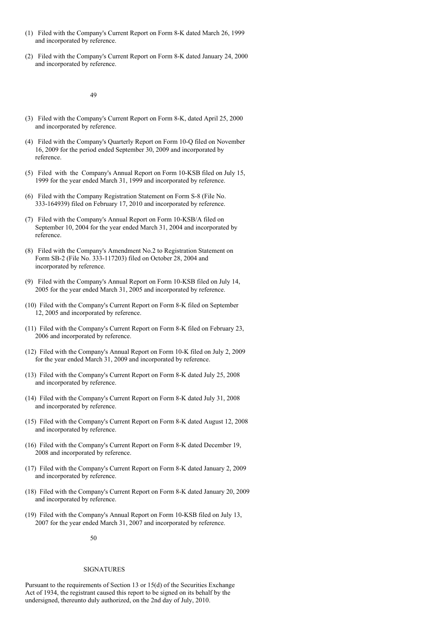- (1) Filed with the Company's Current Report on Form 8-K dated March 26, 1999 and incorporated by reference.
- (2) Filed with the Company's Current Report on Form 8-K dated January 24, 2000 and incorporated by reference.

49

- (3) Filed with the Company's Current Report on Form 8-K, dated April 25, 2000 and incorporated by reference.
- (4) Filed with the Company's Quarterly Report on Form 10-Q filed on November 16, 2009 for the period ended September 30, 2009 and incorporated by reference.
- (5) Filed with the Company's Annual Report on Form 10-KSB filed on July 15, 1999 for the year ended March 31, 1999 and incorporated by reference.
- (6) Filed with the Company Registration Statement on Form S-8 (File No. 333-164939) filed on February 17, 2010 and incorporated by reference.
- (7) Filed with the Company's Annual Report on Form 10-KSB/A filed on September 10, 2004 for the year ended March 31, 2004 and incorporated by reference.
- (8) Filed with the Company's Amendment No.2 to Registration Statement on Form SB-2 (File No. 333-117203) filed on October 28, 2004 and incorporated by reference.
- (9) Filed with the Company's Annual Report on Form 10-KSB filed on July 14, 2005 for the year ended March 31, 2005 and incorporated by reference.
- (10) Filed with the Company's Current Report on Form 8-K filed on September 12, 2005 and incorporated by reference.
- (11) Filed with the Company's Current Report on Form 8-K filed on February 23, 2006 and incorporated by reference.
- (12) Filed with the Company's Annual Report on Form 10-K filed on July 2, 2009 for the year ended March 31, 2009 and incorporated by reference.
- (13) Filed with the Company's Current Report on Form 8-K dated July 25, 2008 and incorporated by reference.
- (14) Filed with the Company's Current Report on Form 8-K dated July 31, 2008 and incorporated by reference.
- (15) Filed with the Company's Current Report on Form 8-K dated August 12, 2008 and incorporated by reference.
- (16) Filed with the Company's Current Report on Form 8-K dated December 19, 2008 and incorporated by reference.
- (17) Filed with the Company's Current Report on Form 8-K dated January 2, 2009 and incorporated by reference.
- (18) Filed with the Company's Current Report on Form 8-K dated January 20, 2009 and incorporated by reference.
- (19) Filed with the Company's Annual Report on Form 10-KSB filed on July 13, 2007 for the year ended March 31, 2007 and incorporated by reference.

50

### SIGNATURES

Pursuant to the requirements of Section 13 or 15(d) of the Securities Exchange Act of 1934, the registrant caused this report to be signed on its behalf by the undersigned, thereunto duly authorized, on the 2nd day of July, 2010.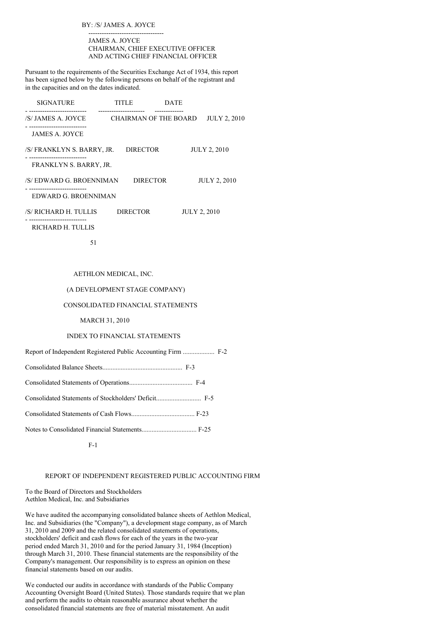---------------------------------- JAMES A. JOYCE CHAIRMAN, CHIEF EXECUTIVE OFFICER AND ACTING CHIEF FINANCIAL OFFICER

Pursuant to the requirements of the Securities Exchange Act of 1934, this report has been signed below by the following persons on behalf of the registrant and in the capacities and on the dates indicated.

| <b>SIGNATURE</b>                                    | TITLE           | <b>DATE</b>                  |                     |                     |  |
|-----------------------------------------------------|-----------------|------------------------------|---------------------|---------------------|--|
| /S/ JAMES A. JOYCE                                  |                 | <b>CHAIRMAN OF THE BOARD</b> |                     | <b>JULY 2, 2010</b> |  |
| <b>JAMES A. JOYCE</b>                               |                 |                              |                     |                     |  |
| /S/ FRANKLYN S. BARRY, JR.                          | <b>DIRECTOR</b> |                              |                     | <b>JULY 2, 2010</b> |  |
| . -----------------------<br>FRANKLYN S. BARRY, JR. |                 |                              |                     |                     |  |
| /S/ EDWARD G. BROENNIMAN                            |                 | <b>DIRECTOR</b>              |                     | <b>JULY 2, 2010</b> |  |
| EDWARD G. BROENNIMAN                                |                 |                              |                     |                     |  |
| /S/ RICHARD H. TULLIS                               | <b>DIRECTOR</b> |                              | <b>JULY 2, 2010</b> |                     |  |
| RICHARD H-TIII I IS                                 |                 |                              |                     |                     |  |

RICHARD H. TULLIS

51

### AETHLON MEDICAL, INC.

### (A DEVELOPMENT STAGE COMPANY)

## CONSOLIDATED FINANCIAL STATEMENTS

### MARCH 31, 2010

## INDEX TO FINANCIAL STATEMENTS

F-1

## REPORT OF INDEPENDENT REGISTERED PUBLIC ACCOUNTING FIRM

To the Board of Directors and Stockholders Aethlon Medical, Inc. and Subsidiaries

We have audited the accompanying consolidated balance sheets of Aethlon Medical, Inc. and Subsidiaries (the "Company"), a development stage company, as of March 31, 2010 and 2009 and the related consolidated statements of operations, stockholders' deficit and cash flows for each of the years in the two-year period ended March 31, 2010 and for the period January 31, 1984 (Inception) through March 31, 2010. These financial statements are the responsibility of the Company's management. Our responsibility is to express an opinion on these financial statements based on our audits.

We conducted our audits in accordance with standards of the Public Company Accounting Oversight Board (United States). Those standards require that we plan and perform the audits to obtain reasonable assurance about whether the consolidated financial statements are free of material misstatement. An audit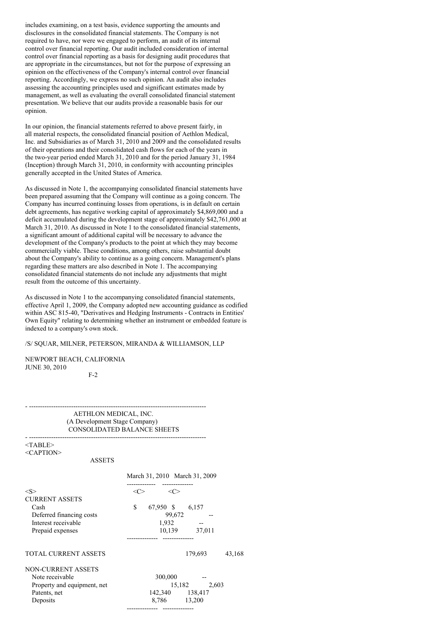includes examining, on a test basis, evidence supporting the amounts and disclosures in the consolidated financial statements. The Company is not required to have, nor were we engaged to perform, an audit of its internal control over financial reporting. Our audit included consideration of internal control over financial reporting as a basis for designing audit procedures that are appropriate in the circumstances, but not for the purpose of expressing an opinion on the effectiveness of the Company's internal control over financial reporting. Accordingly, we express no such opinion. An audit also includes assessing the accounting principles used and significant estimates made by management, as well as evaluating the overall consolidated financial statement presentation. We believe that our audits provide a reasonable basis for our opinion.

In our opinion, the financial statements referred to above present fairly, in all material respects, the consolidated financial position of Aethlon Medical, Inc. and Subsidiaries as of March 31, 2010 and 2009 and the consolidated results of their operations and their consolidated cash flows for each of the years in the two-year period ended March 31, 2010 and for the period January 31, 1984 (Inception) through March 31, 2010, in conformity with accounting principles generally accepted in the United States of America.

As discussed in Note 1, the accompanying consolidated financial statements have been prepared assuming that the Company will continue as a going concern. The Company has incurred continuing losses from operations, is in default on certain debt agreements, has negative working capital of approximately \$4,869,000 and a deficit accumulated during the development stage of approximately \$42,761,000 at March 31, 2010. As discussed in Note 1 to the consolidated financial statements, a significant amount of additional capital will be necessary to advance the development of the Company's products to the point at which they may become commercially viable. These conditions, among others, raise substantial doubt about the Company's ability to continue as a going concern. Management's plans regarding these matters are also described in Note 1. The accompanying consolidated financial statements do not include any adjustments that might result from the outcome of this uncertainty.

As discussed in Note 1 to the accompanying consolidated financial statements, effective April 1, 2009, the Company adopted new accounting guidance as codified within ASC 815-40, "Derivatives and Hedging Instruments - Contracts in Entities' Own Equity" relating to determining whether an instrument or embedded feature is indexed to a company's own stock.

/S/ SQUAR, MILNER, PETERSON, MIRANDA & WILLIAMSON, LLP

NEWPORT BEACH, CALIFORNIA JUNE 30, 2010 F-2

- -------------------------------------------------------------------------------- AETHLON MEDICAL, INC. (A Development Stage Company) CONSOLIDATED BALANCE SHEETS

- --------------------------------------------------------------------------------  $<$ TABLE>

<CAPTION>

# ASSETS

|                               | March 31, 2010 March 31, 2009 |  |  |  |  |  |  |  |
|-------------------------------|-------------------------------|--|--|--|--|--|--|--|
| $<\!\!S\!\!>$                 | <c><br/>&lt;்</c>             |  |  |  |  |  |  |  |
| <b>CURRENT ASSETS</b><br>Cash | \$<br>67,950 \$<br>6,157      |  |  |  |  |  |  |  |
| Deferred financing costs      | 99,672                        |  |  |  |  |  |  |  |
| Interest receivable           | 1,932                         |  |  |  |  |  |  |  |
| Prepaid expenses              | 10,139<br>37,011              |  |  |  |  |  |  |  |
|                               |                               |  |  |  |  |  |  |  |
| <b>TOTAL CURRENT ASSETS</b>   | 179,693<br>43,168             |  |  |  |  |  |  |  |
| NON-CURRENT ASSETS            |                               |  |  |  |  |  |  |  |
| Note receivable               | 300,000                       |  |  |  |  |  |  |  |
| Property and equipment, net   | 2,603<br>15,182               |  |  |  |  |  |  |  |
| Patents, net                  | 142,340 138,417               |  |  |  |  |  |  |  |
| Deposits                      | 8,786<br>13,200               |  |  |  |  |  |  |  |
|                               | --------------                |  |  |  |  |  |  |  |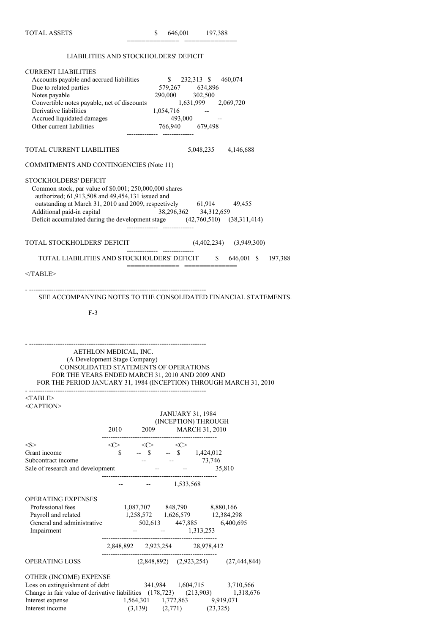# LIABILITIES AND STOCKHOLDERS' DEFICIT

============== ==============

| <b>CURRENT LIABILITIES</b><br>Accounts payable and accrued liabilities<br>Due to related parties<br>Notes payable<br>Convertible notes payable, net of discounts<br>Derivative liabilities<br>Accrued liquidated damages<br>Other current liabilities                                                                 |                          |                                                                 | $1,054,716$ --                    | $$232,313 \text{ } $460,074$<br>579,267 634,896<br>290,000 302,500<br>1,631,999 2,069,720<br>493,000<br>766,940 679,498 |        |           |  |
|-----------------------------------------------------------------------------------------------------------------------------------------------------------------------------------------------------------------------------------------------------------------------------------------------------------------------|--------------------------|-----------------------------------------------------------------|-----------------------------------|-------------------------------------------------------------------------------------------------------------------------|--------|-----------|--|
| TOTAL CURRENT LIABILITIES                                                                                                                                                                                                                                                                                             |                          |                                                                 |                                   | 5,048,235 4,146,688                                                                                                     |        |           |  |
| COMMITMENTS AND CONTINGENCIES (Note 11)                                                                                                                                                                                                                                                                               |                          |                                                                 |                                   |                                                                                                                         |        |           |  |
| STOCKHOLDERS' DEFICIT<br>Common stock, par value of \$0.001; 250,000,000 shares<br>authorized; 61,913,508 and 49,454,131 issued and<br>outstanding at March 31, 2010 and 2009, respectively 61,914 49,455<br>Additional paid-in capital<br>Deficit accumulated during the development stage (42,760,510) (38,311,414) | 38,296,362 34,312,659    |                                                                 |                                   |                                                                                                                         |        |           |  |
| TOTAL STOCKHOLDERS' DEFICIT                                                                                                                                                                                                                                                                                           |                          |                                                                 |                                   | $(4,402,234)$ $(3,949,300)$                                                                                             |        |           |  |
| TOTAL LIABILITIES AND STOCKHOLDERS' DEFICIT \$ 646,001 \$ 197,388                                                                                                                                                                                                                                                     |                          |                                                                 |                                   |                                                                                                                         |        |           |  |
| $<$ TABLE>                                                                                                                                                                                                                                                                                                            |                          |                                                                 |                                   |                                                                                                                         |        |           |  |
| SEE ACCOMPANYING NOTES TO THE CONSOLIDATED FINANCIAL STATEMENTS.<br>$F-3$                                                                                                                                                                                                                                             |                          |                                                                 |                                   |                                                                                                                         |        |           |  |
| (A Development Stage Company)<br>CONSOLIDATED STATEMENTS OF OPERATIONS<br>FOR THE YEARS ENDED MARCH 31, 2010 AND 2009 AND<br>FOR THE PERIOD JANUARY 31, 1984 (INCEPTION) THROUGH MARCH 31, 2010                                                                                                                       | AETHLON MEDICAL, INC.    |                                                                 |                                   |                                                                                                                         |        |           |  |
| <table></table>                                                                                                                                                                                                                                                                                                       |                          |                                                                 |                                   |                                                                                                                         |        |           |  |
| <caption></caption>                                                                                                                                                                                                                                                                                                   | 2010 2009 MARCH 31, 2010 |                                                                 |                                   | <b>JANUARY 31, 1984</b><br>(INCEPTION) THROUGH                                                                          |        |           |  |
| $<\!\!S\!\!>$                                                                                                                                                                                                                                                                                                         | <<>                      | $\langle C \rangle$                                             | $\langle C \rangle$               |                                                                                                                         |        |           |  |
| Grant income<br>Subcontract income                                                                                                                                                                                                                                                                                    | \$                       | $-$ \$ $-$ \$ 1,424,012<br>$   73,746$                          |                                   |                                                                                                                         |        |           |  |
| Sale of research and development                                                                                                                                                                                                                                                                                      |                          |                                                                 | $\sim 10^{11}$ and $\sim 10^{11}$ |                                                                                                                         | 35,810 |           |  |
|                                                                                                                                                                                                                                                                                                                       |                          | $-1,533,568$                                                    |                                   |                                                                                                                         |        |           |  |
| <b>OPERATING EXPENSES</b><br>Professional fees<br>Payroll and related<br>General and administrative 502,613 447,885 6,400,695<br>Impairment -- 1,313,253<br>Impairment                                                                                                                                                |                          | 1,087,707 848,790 8,880,166<br>1,258,572 1,626,579 12,384,298   |                                   |                                                                                                                         |        |           |  |
|                                                                                                                                                                                                                                                                                                                       |                          |                                                                 |                                   |                                                                                                                         |        |           |  |
| <b>OPERATING LOSS</b>                                                                                                                                                                                                                                                                                                 |                          | $(2,848,892)$ $(2,923,254)$ $(27,444,844)$                      |                                   |                                                                                                                         |        |           |  |
| OTHER (INCOME) EXPENSE<br>Loss on extinguishment of debt 341,984 1,604,715 3,710,566<br>Change in fair value of derivative liabilities (178,723) (213,903)<br>Interest expense<br>Interest income                                                                                                                     |                          | 1,564,301 1,772,863 9,919,071<br>$(3,139)$ $(2,771)$ $(23,325)$ |                                   |                                                                                                                         |        | 1,318,676 |  |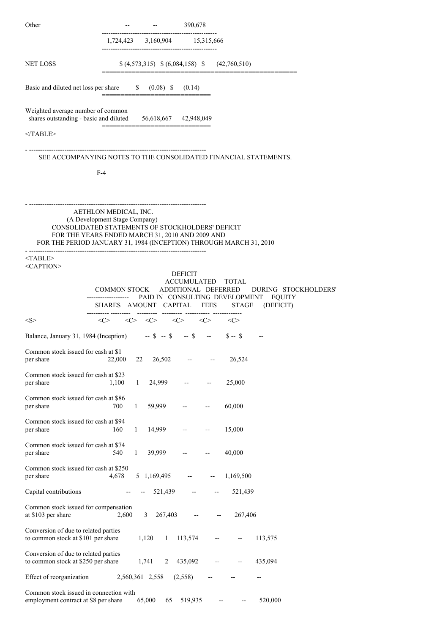| Other                                                                          | $-390,678$                                                                                                                                                                                                                          |
|--------------------------------------------------------------------------------|-------------------------------------------------------------------------------------------------------------------------------------------------------------------------------------------------------------------------------------|
|                                                                                | 1,724,423 3,160,904 15,315,666<br>--------------------------------------                                                                                                                                                            |
| <b>NET LOSS</b>                                                                | $(4,573,315)$ $(6,084,158)$ $(42,760,510)$                                                                                                                                                                                          |
|                                                                                | Basic and diluted net loss per share $$ (0.08) $ (0.14)$                                                                                                                                                                            |
| Weighted average number of common                                              | shares outstanding - basic and diluted 56,618,667 42,948,049                                                                                                                                                                        |
| $<$ /TABLE>                                                                    |                                                                                                                                                                                                                                     |
|                                                                                | SEE ACCOMPANYING NOTES TO THE CONSOLIDATED FINANCIAL STATEMENTS.<br>$F-4$                                                                                                                                                           |
|                                                                                | AETHLON MEDICAL, INC.<br>(A Development Stage Company)<br>CONSOLIDATED STATEMENTS OF STOCKHOLDERS' DEFICIT<br>FOR THE YEARS ENDED MARCH 31, 2010 AND 2009 AND<br>FOR THE PERIOD JANUARY 31, 1984 (INCEPTION) THROUGH MARCH 31, 2010 |
| $<$ TABLE><br><caption></caption>                                              |                                                                                                                                                                                                                                     |
|                                                                                | <b>DEFICIT</b><br>ACCUMULATED TOTAL<br>COMMON STOCK ADDITIONAL DEFERRED<br>DURING STOCKHOLDERS'<br>PAID IN CONSULTING DEVELOPMENT<br>-------------------<br><b>EQUITY</b><br>SHARES AMOUNT CAPITAL FEES STAGE (DEFICIT)             |
| $<\!\!S\!\!>$                                                                  | $\langle \langle \rangle \rangle$ $\langle \langle \rangle \rangle$ $\langle \langle \rangle \rangle$ $\langle \langle \rangle$ $\langle \langle \rangle \rangle$ $\langle \langle \rangle$                                         |
|                                                                                | Balance, January 31, 1984 (Inception) -- $\$ - $ - $ - $ - $ - $ - $ - $$                                                                                                                                                           |
| Common stock issued for cash at \$1<br>per share                               | 22,000 22 26,502<br>26,524                                                                                                                                                                                                          |
| Common stock issued for cash at \$23<br>per share                              | 1,100<br>$\mathbf{1}$<br>24,999<br>25,000                                                                                                                                                                                           |
| Common stock issued for cash at \$86<br>per share                              | 59,999<br>700<br>1<br>60,000                                                                                                                                                                                                        |
| Common stock issued for cash at \$94<br>per share                              | 160<br>$\mathbf{1}$<br>14,999<br>15,000                                                                                                                                                                                             |
| Common stock issued for cash at \$74<br>per share                              | 540<br>$\mathbf{1}$<br>39,999<br>40,000                                                                                                                                                                                             |
| Common stock issued for cash at \$250<br>per share                             | 4,678<br>5 1,169,495<br>1,169,500                                                                                                                                                                                                   |
| Capital contributions                                                          | 521,439<br>521,439                                                                                                                                                                                                                  |
| Common stock issued for compensation<br>at \$103 per share                     | 2,600<br>3<br>267,403<br>267,406                                                                                                                                                                                                    |
| Conversion of due to related parties<br>to common stock at \$101 per share     | 1,120<br>$\mathbf{1}$<br>113,574<br>113,575                                                                                                                                                                                         |
| Conversion of due to related parties<br>to common stock at \$250 per share     | 2<br>435,092<br>1,741<br>435,094                                                                                                                                                                                                    |
| Effect of reorganization                                                       | 2,560,361 2,558<br>(2,558)<br>$-$                                                                                                                                                                                                   |
| Common stock issued in connection with<br>employment contract at \$8 per share | 65,000<br>519,935<br>520,000<br>65<br>$- -$<br>$- -$                                                                                                                                                                                |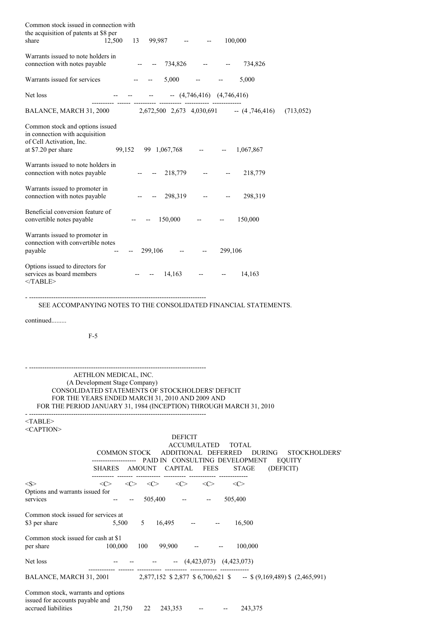| Common stock issued in connection with<br>the acquisition of patents at \$8 per<br>share<br>99,987 --<br>100,000<br>12,500<br>13<br>$\hspace{0.05cm} \dashrightarrow$                                                                                                                                                                                                                                                     |
|---------------------------------------------------------------------------------------------------------------------------------------------------------------------------------------------------------------------------------------------------------------------------------------------------------------------------------------------------------------------------------------------------------------------------|
| Warrants issued to note holders in<br>connection with notes payable<br>-- 734,826<br>734,826<br>$\frac{1}{2}$ and $\frac{1}{2}$<br>$\hspace{0.05cm} \dashrightarrow$                                                                                                                                                                                                                                                      |
| Warrants issued for services<br>5,000<br>5,000                                                                                                                                                                                                                                                                                                                                                                            |
| Net loss<br>$  (4,746,416)$ $(4,746,416)$                                                                                                                                                                                                                                                                                                                                                                                 |
| BALANCE, MARCH 31, 2000 2,672,500 2,673 4,030,691 -- (4,746,416) (713,052)                                                                                                                                                                                                                                                                                                                                                |
| Common stock and options issued<br>in connection with acquisition<br>of Cell Activation, Inc.<br>at \$7.20 per share<br>99,152<br>$99 \t1,067,768$ -- --<br>1,067,867                                                                                                                                                                                                                                                     |
| Warrants issued to note holders in<br>connection with notes payable<br>218,779<br>218,779<br>$\sim$ $-$                                                                                                                                                                                                                                                                                                                   |
| Warrants issued to promoter in<br>connection with notes payable<br>298,319 --<br>298,319                                                                                                                                                                                                                                                                                                                                  |
| Beneficial conversion feature of<br>convertible notes payable<br>150,000<br>150,000                                                                                                                                                                                                                                                                                                                                       |
| Warrants issued to promoter in<br>connection with convertible notes<br>payable<br>$-299,106$ $ -$<br>299,106                                                                                                                                                                                                                                                                                                              |
| Options issued to directors for<br>services as board members<br>14,163<br>14,163<br>$\mathcal{L}_{\mathcal{F}}$<br>$<$ /TABLE>                                                                                                                                                                                                                                                                                            |
| SEE ACCOMPANYING NOTES TO THE CONSOLIDATED FINANCIAL STATEMENTS.                                                                                                                                                                                                                                                                                                                                                          |
| continued                                                                                                                                                                                                                                                                                                                                                                                                                 |
| $F-5$                                                                                                                                                                                                                                                                                                                                                                                                                     |
|                                                                                                                                                                                                                                                                                                                                                                                                                           |
|                                                                                                                                                                                                                                                                                                                                                                                                                           |
| AETHLON MEDICAL, INC.<br>(A Development Stage Company)<br>CONSOLIDATED STATEMENTS OF STOCKHOLDERS' DEFICIT<br>FOR THE YEARS ENDED MARCH 31, 2010 AND 2009 AND<br>FOR THE PERIOD JANUARY 31, 1984 (INCEPTION) THROUGH MARCH 31, 2010                                                                                                                                                                                       |
| $<$ TABLE><br><caption></caption>                                                                                                                                                                                                                                                                                                                                                                                         |
| <b>DEFICIT</b><br>ACCUMULATED<br><b>TOTAL</b>                                                                                                                                                                                                                                                                                                                                                                             |
| ADDITIONAL DEFERRED<br><b>COMMON STOCK</b><br><b>DURING</b><br><b>STOCKHOLDERS'</b>                                                                                                                                                                                                                                                                                                                                       |
| ------------------- PAID IN CONSULTING DEVELOPMENT<br><b>EQUITY</b><br>SHARES AMOUNT CAPITAL FEES<br>STAGE<br>(DEFICIT)                                                                                                                                                                                                                                                                                                   |
| < S ><br>$\langle\langle\!\langle\!\langle\rangle\rangle\rangle-\langle\langle\!\langle\rangle\rangle\rangle-\langle\langle\!\langle\rangle\rangle\rangle-\langle\langle\!\langle\rangle\rangle\rangle-\langle\langle\!\langle\rangle\rangle\rangle-\langle\langle\!\langle\rangle\rangle\rangle-\langle\!\langle\rangle\rangle\rangle$<br>Options and warrants issued for<br>-- -- $505,400$ -- -- $505,400$<br>services |
| Common stock issued for services at<br>\$3 per share<br>$5,500$ 5 $16,495$ -- -<br>16,500                                                                                                                                                                                                                                                                                                                                 |
| Common stock issued for cash at \$1<br>$100,000$ $100$ $99,900$ -- -<br>per share<br>100,000                                                                                                                                                                                                                                                                                                                              |
| Net loss<br>-- -- -- -- $(4,423,073)$ $(4,423,073)$                                                                                                                                                                                                                                                                                                                                                                       |
| BALANCE, MARCH 31, 2001 2,877,152 \$2,877 \$6,700,621 \$ - \$ (9,169,489) \$ (2,465,991)                                                                                                                                                                                                                                                                                                                                  |
| Common stock, warrants and options<br>issued for accounts payable and<br>accrued liabilities<br>21,750<br>22 243,353 -- 243,375                                                                                                                                                                                                                                                                                           |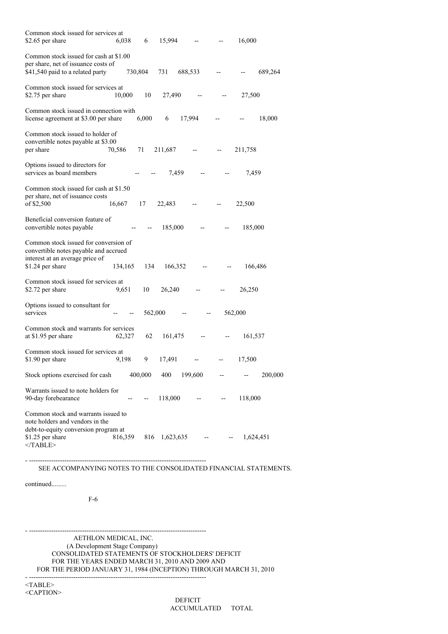| Common stock issued for services at<br>\$2.65 per share                                                                                           | 6,038   | 6       | 15,994                   |         |         | 16,000    |
|---------------------------------------------------------------------------------------------------------------------------------------------------|---------|---------|--------------------------|---------|---------|-----------|
| Common stock issued for cash at \$1.00<br>per share, net of issuance costs of<br>\$41,540 paid to a related party                                 |         | 730,804 | 731                      | 688,533 |         | 689,264   |
| Common stock issued for services at<br>\$2.75 per share                                                                                           | 10,000  | 10      | 27,490                   |         |         | 27,500    |
| Common stock issued in connection with<br>license agreement at \$3.00 per share                                                                   |         | 6,000   | 6                        | 17,994  |         | 18,000    |
| Common stock issued to holder of<br>convertible notes payable at \$3.00<br>per share                                                              | 70,586  | 71      | 211,687                  |         |         | 211,758   |
| Options issued to directors for<br>services as board members                                                                                      |         |         | 7,459                    |         |         | 7,459     |
| Common stock issued for cash at \$1.50<br>per share, net of issuance costs<br>of \$2,500                                                          | 16,667  | 17      | 22,483                   |         |         | 22,500    |
| Beneficial conversion feature of<br>convertible notes payable                                                                                     |         |         | 185,000                  |         |         | 185,000   |
| Common stock issued for conversion of<br>convertible notes payable and accrued<br>interest at an average price of<br>\$1.24 per share             | 134,165 | 134     | 166,352                  |         |         | 166,486   |
| Common stock issued for services at<br>\$2.72 per share                                                                                           | 9,651   | 10      | 26,240                   |         |         | 26,250    |
| Options issued to consultant for<br>services                                                                                                      |         | 562,000 | $\overline{\phantom{a}}$ |         | 562,000 |           |
| Common stock and warrants for services<br>at \$1.95 per share                                                                                     | 62,327  | 62      | 161,475                  |         |         | 161,537   |
| Common stock issued for services at<br>\$1.90 per share                                                                                           | 9,198   | 9       | 17,491                   | --      |         | 17,500    |
| Stock options exercised for cash                                                                                                                  |         | 400,000 | 400                      | 199,600 |         | 200,000   |
| Warrants issued to note holders for<br>90-day forebearance                                                                                        |         |         | 118,000                  |         | --      | 118,000   |
| Common stock and warrants issued to<br>note holders and vendors in the<br>debt-to-equity conversion program at<br>\$1.25 per share<br>$<$ /TABLE> | 816,359 | 816     | 1,623,635                |         |         | 1,624,451 |

- -------------------------------------------------------------------------------- SEE ACCOMPANYING NOTES TO THE CONSOLIDATED FINANCIAL STATEMENTS.

continued.........

F-6

- -------------------------------------------------------------------------------- AETHLON MEDICAL, INC. (A Development Stage Company) CONSOLIDATED STATEMENTS OF STOCKHOLDERS' DEFICIT FOR THE YEARS ENDED MARCH 31, 2010 AND 2009 AND FOR THE PERIOD JANUARY 31, 1984 (INCEPTION) THROUGH MARCH 31, 2010 - --------------------------------------------------------------------------------

<TABLE> <CAPTION>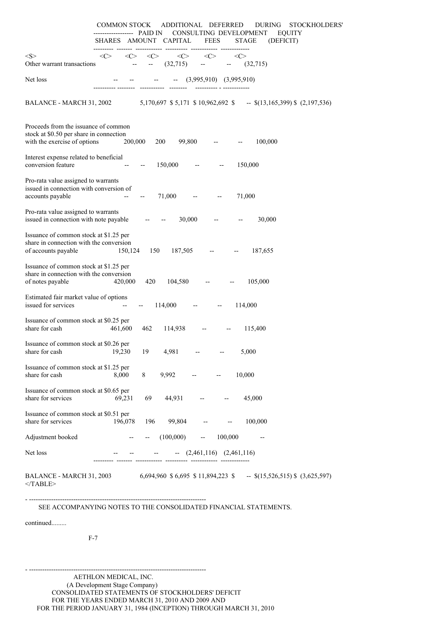|                                                                                                                 |                                         | COMMON STOCK                                          | ADDITIONAL DEFERRED                                 |                                 |                                 | <b>DURING</b>                          | STOCKHOLDERS'                                                            |
|-----------------------------------------------------------------------------------------------------------------|-----------------------------------------|-------------------------------------------------------|-----------------------------------------------------|---------------------------------|---------------------------------|----------------------------------------|--------------------------------------------------------------------------|
|                                                                                                                 |                                         | ----------------    PAID IN                           | SHARES AMOUNT CAPITAL FEES                          |                                 |                                 | CONSULTING DEVELOPMENT<br><b>STAGE</b> | <b>EQUITY</b><br>(DEFICIT)                                               |
| $<\!\!S\!\!>$<br>Other warrant transactions                                                                     | $\langle C \rangle$ $\langle C \rangle$ | $\overline{\phantom{a}}$                              | $\langle C \rangle$ $\langle C \rangle$<br>(32,715) | <<>                             |                                 | $\langle C \rangle$<br>(32,715)        |                                                                          |
| Net loss                                                                                                        |                                         |                                                       |                                                     | $(3,995,910)$ $(3,995,910)$     |                                 |                                        |                                                                          |
| BALANCE - MARCH 31, 2002 5, 170, 697 \$5, 171 \$10, 962, 692 \$ -- \$(13, 165, 399) \$ (2, 197, 536)            |                                         |                                                       |                                                     |                                 |                                 |                                        |                                                                          |
| Proceeds from the issuance of common<br>stock at \$0.50 per share in connection<br>with the exercise of options |                                         | 200,000                                               | 200                                                 | 99,800                          | $\frac{1}{2}$ and $\frac{1}{2}$ | 100,000                                |                                                                          |
| Interest expense related to beneficial<br>conversion feature                                                    |                                         |                                                       | 150,000                                             |                                 |                                 | 150,000                                |                                                                          |
| Pro-rata value assigned to warrants<br>issued in connection with conversion of<br>accounts payable              |                                         |                                                       | 71,000                                              |                                 |                                 | 71,000                                 |                                                                          |
| Pro-rata value assigned to warrants<br>issued in connection with note payable                                   |                                         |                                                       |                                                     | 30,000                          |                                 | 30,000                                 |                                                                          |
| Issuance of common stock at \$1.25 per<br>share in connection with the conversion<br>of accounts payable        |                                         | 150,124                                               | 150<br>187,505                                      |                                 |                                 | 187,655                                |                                                                          |
| Issuance of common stock at \$1.25 per<br>share in connection with the conversion<br>of notes payable           | 420,000                                 | 420                                                   | 104,580                                             | $\sim$                          |                                 | 105,000                                |                                                                          |
| Estimated fair market value of options<br>issued for services                                                   |                                         |                                                       | 114,000                                             |                                 |                                 | 114,000                                |                                                                          |
| Issuance of common stock at \$0.25 per<br>share for cash                                                        | 461,600                                 | 462                                                   | 114,938                                             | $\sim$ $\sim$                   |                                 | 115,400                                |                                                                          |
| Issuance of common stock at \$0.26 per<br>share for cash                                                        | 19,230                                  | 19                                                    | 4,981                                               | $\frac{1}{2}$ and $\frac{1}{2}$ | $\overline{\phantom{a}}$        | 5,000                                  |                                                                          |
| Issuance of common stock at \$1.25 per<br>share for cash                                                        | 8.000                                   | 8                                                     | $9,992$ -- --                                       |                                 |                                 | 10,000                                 |                                                                          |
| Issuance of common stock at \$0.65 per<br>share for services                                                    | 69,231                                  | 69                                                    | 44,931                                              |                                 |                                 | 45,000                                 |                                                                          |
| Issuance of common stock at \$0.51 per<br>share for services                                                    |                                         | 196,078<br>196                                        | 99,804                                              | $- -$                           |                                 | 100,000                                |                                                                          |
| Adjustment booked                                                                                               |                                         | $\mathord{\hspace{1pt}\text{--}\hspace{1pt}}$<br>$--$ | (100,000)                                           |                                 | $-100,000$                      |                                        |                                                                          |
| Net loss                                                                                                        |                                         |                                                       | $  (2,461,116)$ $(2,461,116)$                       |                                 |                                 |                                        |                                                                          |
| BALANCE - MARCH 31, 2003<br>$<$ TABLE>                                                                          |                                         |                                                       |                                                     |                                 |                                 |                                        | $6,694,960$ \$ $6,695$ \$ 11,894,223 \$ -- \$(15,526,515) \$ (3,625,597) |

## SEE ACCOMPANYING NOTES TO THE CONSOLIDATED FINANCIAL STATEMENTS.

- --------------------------------------------------------------------------------

continued.........

F-7

AETHLON MEDICAL, INC. (A Development Stage Company) CONSOLIDATED STATEMENTS OF STOCKHOLDERS' DEFICIT FOR THE YEARS ENDED MARCH 31, 2010 AND 2009 AND FOR THE PERIOD JANUARY 31, 1984 (INCEPTION) THROUGH MARCH 31, 2010

- --------------------------------------------------------------------------------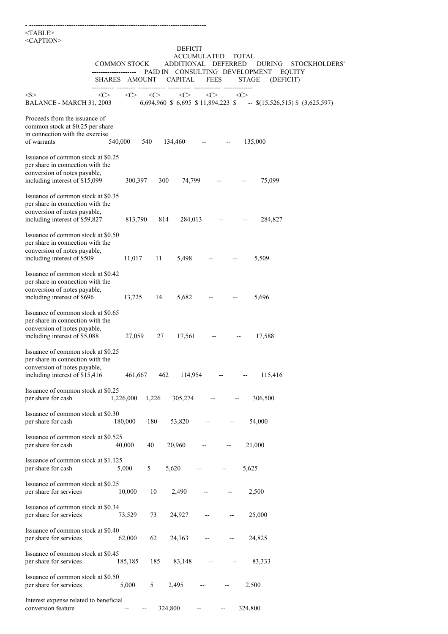## $<$ TABLE> <CAPTION>

- --------------------------------------------------------------------------------

|                                                                                                                                          |                            |               |       | <b>DEFICIT</b>                                   |                          |                          |               |                                   |  |
|------------------------------------------------------------------------------------------------------------------------------------------|----------------------------|---------------|-------|--------------------------------------------------|--------------------------|--------------------------|---------------|-----------------------------------|--|
|                                                                                                                                          | <b>COMMON STOCK</b>        |               |       | ADDITIONAL DEFERRED                              | ACCUMULATED              | <b>TOTAL</b>             | <b>DURING</b> | <b>STOCKHOLDERS'</b>              |  |
|                                                                                                                                          | ----------------<br>SHARES | <b>AMOUNT</b> |       | PAID IN CONSULTING DEVELOPMENT<br><b>CAPITAL</b> | <b>FEES</b>              | <b>STAGE</b>             | (DEFICIT)     | <b>EQUITY</b>                     |  |
|                                                                                                                                          |                            |               |       |                                                  |                          |                          |               |                                   |  |
| $<\!\!S\!\!>$<br>BALANCE - MARCH 31, 2003                                                                                                | <c></c>                    | $<\infty$     | <<>   | $<\infty$<br>6,694,960 \$ 6,695 \$ 11,894,223 \$ | $\langle C \rangle$      | <<>                      |               | $-$ \$(15,526,515) \$ (3,625,597) |  |
| Proceeds from the issuance of<br>common stock at \$0.25 per share<br>in connection with the exercise<br>of warrants                      | 540,000                    | 540           |       | 134,460                                          |                          |                          | 135,000       |                                   |  |
|                                                                                                                                          |                            |               |       |                                                  |                          |                          |               |                                   |  |
| Issuance of common stock at \$0.25<br>per share in connection with the<br>conversion of notes payable,<br>including interest of \$15,099 |                            | 300,397       | 300   | 74,799                                           |                          |                          | 75,099        |                                   |  |
| Issuance of common stock at \$0.35<br>per share in connection with the                                                                   |                            |               |       |                                                  |                          |                          |               |                                   |  |
| conversion of notes payable,<br>including interest of \$59,827                                                                           |                            | 813,790       | 814   | 284,013                                          |                          |                          | 284,827       |                                   |  |
| Issuance of common stock at \$0.50<br>per share in connection with the                                                                   |                            |               |       |                                                  |                          |                          |               |                                   |  |
| conversion of notes payable,                                                                                                             |                            |               |       |                                                  |                          |                          |               |                                   |  |
| including interest of \$509                                                                                                              |                            | 11,017        | 11    | 5,498                                            |                          |                          | 5,509         |                                   |  |
| Issuance of common stock at \$0.42<br>per share in connection with the                                                                   |                            |               |       |                                                  |                          |                          |               |                                   |  |
| conversion of notes payable,                                                                                                             |                            |               |       | 5,682                                            |                          |                          |               |                                   |  |
| including interest of \$696<br>Issuance of common stock at \$0.65<br>per share in connection with the<br>conversion of notes payable,    |                            | 13,725        | 14    |                                                  |                          |                          | 5,696         |                                   |  |
| including interest of \$5,088                                                                                                            |                            | 27,059        | 27    | 17,561                                           | $\overline{\phantom{m}}$ | $\overline{\phantom{a}}$ | 17,588        |                                   |  |
| Issuance of common stock at \$0.25<br>per share in connection with the<br>conversion of notes payable,<br>including interest of \$15,416 |                            | 461,667       | 462   | 114,954                                          |                          |                          | 115,416       |                                   |  |
| Issuance of common stock at \$0.25<br>per share for cash                                                                                 |                            | 1,226,000     | 1,226 | 305,274                                          |                          |                          | 306,500       |                                   |  |
|                                                                                                                                          |                            |               |       |                                                  |                          |                          |               |                                   |  |
| Issuance of common stock at \$0.30<br>per share for cash                                                                                 |                            | 180,000       | 180   | 53,820                                           |                          |                          | 54,000        |                                   |  |
| Issuance of common stock at \$0.525<br>per share for cash                                                                                |                            | 40,000        | 40    | 20,960                                           |                          |                          | 21,000        |                                   |  |
| Issuance of common stock at \$1.125<br>per share for cash                                                                                |                            | 5,000         | 5     | 5,620                                            |                          | 5,625                    |               |                                   |  |
| Issuance of common stock at \$0.25<br>per share for services                                                                             |                            | 10,000        | 10    | 2,490                                            |                          |                          | 2,500         |                                   |  |
| Issuance of common stock at \$0.34<br>per share for services                                                                             |                            | 73,529        | 73    | 24,927                                           |                          |                          | 25,000        |                                   |  |
| Issuance of common stock at \$0.40<br>per share for services                                                                             |                            | 62,000        | 62    | 24,763                                           |                          |                          | 24,825        |                                   |  |
| Issuance of common stock at \$0.45<br>per share for services                                                                             |                            | 185,185       | 185   | 83,148                                           |                          |                          | 83,333        |                                   |  |
| Issuance of common stock at \$0.50<br>per share for services                                                                             |                            | 5,000         | 5     | 2,495                                            |                          | 2,500                    |               |                                   |  |
| Interest expense related to beneficial<br>conversion feature                                                                             |                            |               |       | 324,800                                          |                          | 324,800                  |               |                                   |  |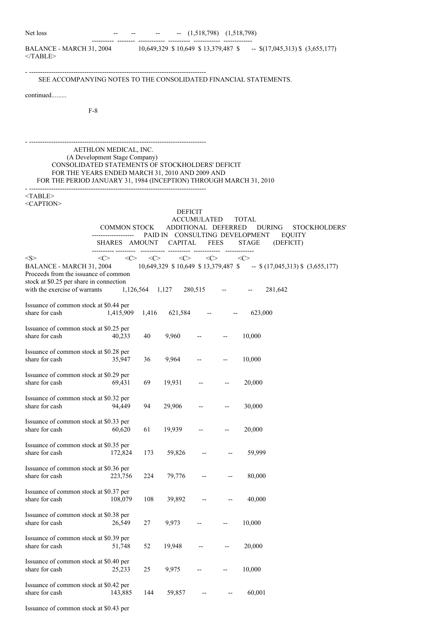| Net loss                                                                                                                                                                  |                                                                                                                                                                                                                                                                                                                                |     | $   (1,518,798)$ $(1,518,798)$ |                          |                          |                                                                                                         |
|---------------------------------------------------------------------------------------------------------------------------------------------------------------------------|--------------------------------------------------------------------------------------------------------------------------------------------------------------------------------------------------------------------------------------------------------------------------------------------------------------------------------|-----|--------------------------------|--------------------------|--------------------------|---------------------------------------------------------------------------------------------------------|
| $<$ TABLE>                                                                                                                                                                |                                                                                                                                                                                                                                                                                                                                |     |                                |                          |                          | BALANCE - MARCH 31, 2004 10,649,329 \$10,649 \$13,379,487 \$ -- \$(17,045,313) \$ (3,655,177)           |
| SEE ACCOMPANYING NOTES TO THE CONSOLIDATED FINANCIAL STATEMENTS.                                                                                                          |                                                                                                                                                                                                                                                                                                                                |     |                                |                          |                          |                                                                                                         |
|                                                                                                                                                                           |                                                                                                                                                                                                                                                                                                                                |     |                                |                          |                          |                                                                                                         |
| continued                                                                                                                                                                 |                                                                                                                                                                                                                                                                                                                                |     |                                |                          |                          |                                                                                                         |
| $F-8$                                                                                                                                                                     |                                                                                                                                                                                                                                                                                                                                |     |                                |                          |                          |                                                                                                         |
|                                                                                                                                                                           |                                                                                                                                                                                                                                                                                                                                |     |                                |                          |                          |                                                                                                         |
| CONSOLIDATED STATEMENTS OF STOCKHOLDERS' DEFICIT<br>FOR THE YEARS ENDED MARCH 31, 2010 AND 2009 AND<br>FOR THE PERIOD JANUARY 31, 1984 (INCEPTION) THROUGH MARCH 31, 2010 | AETHLON MEDICAL, INC.<br>(A Development Stage Company)                                                                                                                                                                                                                                                                         |     |                                |                          |                          |                                                                                                         |
| <table></table>                                                                                                                                                           |                                                                                                                                                                                                                                                                                                                                |     |                                |                          |                          |                                                                                                         |
| <caption></caption>                                                                                                                                                       |                                                                                                                                                                                                                                                                                                                                |     | <b>DEFICIT</b>                 |                          |                          |                                                                                                         |
|                                                                                                                                                                           |                                                                                                                                                                                                                                                                                                                                |     |                                |                          | ACCUMULATED TOTAL        | COMMON STOCK ADDITIONAL DEFERRED DURING STOCKHOLDERS'                                                   |
|                                                                                                                                                                           | ------------------    PAID IN    CONSULTING DEVELOPMENT<br>SHARES AMOUNT CAPITAL FEES STAGE                                                                                                                                                                                                                                    |     |                                |                          |                          | <b>EQUITY</b><br>(DEFICIT)                                                                              |
| $<\leq>$                                                                                                                                                                  | $\langle\langle\!\langle\!\langle\rangle\rangle\rangle-\langle\langle\!\langle\rangle\rangle\rangle-\langle\langle\!\langle\rangle\rangle\rangle-\langle\langle\!\langle\rangle\rangle\rangle-\langle\langle\!\langle\rangle\rangle\rangle-\langle\langle\!\langle\rangle\rangle\rangle-\langle\!\langle\rangle\rangle\rangle$ |     |                                |                          |                          |                                                                                                         |
| Proceeds from the issuance of common<br>stock at \$0.25 per share in connection<br>with the exercise of warrants $1,126,564$ $1,127$ $280,515$ -                          |                                                                                                                                                                                                                                                                                                                                |     |                                |                          |                          | BALANCE - MARCH 31, 2004 10,649,329 \$10,649 \$13,379,487 \$ -- \$(17,045,313) \$(3,655,177)<br>281,642 |
| Issuance of common stock at \$0.44 per                                                                                                                                    |                                                                                                                                                                                                                                                                                                                                |     |                                |                          |                          |                                                                                                         |
| share for cash                                                                                                                                                            | $1,415,909$ $1,416$ $621,584$ --                                                                                                                                                                                                                                                                                               |     |                                |                          |                          | 623,000                                                                                                 |
| Issuance of common stock at \$0.25 per<br>share for cash                                                                                                                  | 40,233                                                                                                                                                                                                                                                                                                                         | 40  | $9,960$ --                     |                          |                          | 10,000                                                                                                  |
| Issuance of common stock at \$0.28 per<br>share for cash                                                                                                                  | 35,947                                                                                                                                                                                                                                                                                                                         | 36  | 9,964                          | $\overline{\phantom{a}}$ |                          | 10,000                                                                                                  |
| Issuance of common stock at \$0.29 per<br>share for cash                                                                                                                  | 69,431                                                                                                                                                                                                                                                                                                                         | 69  | 19,931                         |                          |                          | 20,000                                                                                                  |
| Issuance of common stock at \$0.32 per<br>share for cash                                                                                                                  | 94,449                                                                                                                                                                                                                                                                                                                         | 94  | 29,906                         |                          |                          | 30,000                                                                                                  |
| Issuance of common stock at \$0.33 per<br>share for cash                                                                                                                  | 60,620                                                                                                                                                                                                                                                                                                                         | 61  | 19,939                         |                          |                          | 20,000                                                                                                  |
| Issuance of common stock at \$0.35 per<br>share for cash                                                                                                                  | 172,824                                                                                                                                                                                                                                                                                                                        | 173 | 59,826                         |                          |                          | 59,999                                                                                                  |
| Issuance of common stock at \$0.36 per<br>share for cash                                                                                                                  | 223,756                                                                                                                                                                                                                                                                                                                        | 224 | 79,776                         |                          |                          | 80,000                                                                                                  |
| Issuance of common stock at \$0.37 per<br>share for cash                                                                                                                  | 108,079                                                                                                                                                                                                                                                                                                                        | 108 | 39,892                         |                          |                          | 40,000                                                                                                  |
| Issuance of common stock at \$0.38 per<br>share for cash                                                                                                                  | 26,549                                                                                                                                                                                                                                                                                                                         | 27  | 9,973                          |                          |                          | 10,000                                                                                                  |
| Issuance of common stock at \$0.39 per<br>share for cash                                                                                                                  | 51,748                                                                                                                                                                                                                                                                                                                         | 52  | 19,948                         |                          |                          | 20,000                                                                                                  |
| Issuance of common stock at \$0.40 per<br>share for cash                                                                                                                  | 25,233                                                                                                                                                                                                                                                                                                                         | 25  | 9,975                          |                          |                          | 10,000                                                                                                  |
| Issuance of common stock at \$0.42 per<br>share for cash                                                                                                                  | 143,885                                                                                                                                                                                                                                                                                                                        | 144 | 59,857                         |                          | $\overline{\phantom{m}}$ | 60,001                                                                                                  |

Issuance of common stock at \$0.43 per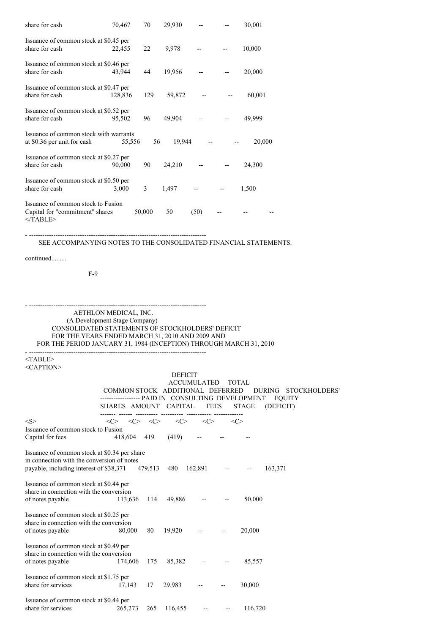| share for cash                                | 70,467  | 70     | 29,930 |      | 30,001 |
|-----------------------------------------------|---------|--------|--------|------|--------|
| Issuance of common stock at \$0.45 per        |         |        |        |      |        |
| share for cash                                | 22,455  | 22     | 9,978  |      | 10,000 |
| Issuance of common stock at \$0.46 per        |         |        |        |      |        |
| share for cash                                | 43,944  | 44     | 19,956 |      | 20,000 |
| Issuance of common stock at \$0.47 per        |         |        |        |      |        |
| share for cash                                | 128,836 | 129    | 59,872 |      | 60,001 |
| Issuance of common stock at \$0.52 per        |         |        |        |      |        |
| share for cash                                | 95,502  | 96     | 49,904 |      | 49,999 |
| Issuance of common stock with warrants        |         |        |        |      |        |
| at \$0.36 per unit for cash                   | 55,556  | 56     | 19,944 |      | 20,000 |
| Issuance of common stock at \$0.27 per        |         |        |        |      |        |
| share for cash                                | 90,000  | 90     | 24,210 |      | 24,300 |
| Issuance of common stock at \$0.50 per        |         |        |        |      |        |
| share for cash                                | 3,000   | 3      | 1,497  |      | 1,500  |
| Issuance of common stock to Fusion            |         |        |        |      |        |
| Capital for "commitment" shares<br>$<$ TABLE> |         | 50,000 | 50     | (50) |        |

## SEE ACCOMPANYING NOTES TO THE CONSOLIDATED FINANCIAL STATEMENTS.

continued.........

F-9

AETHLON MEDICAL, INC. (A Development Stage Company) CONSOLIDATED STATEMENTS OF STOCKHOLDERS' DEFICIT FOR THE YEARS ENDED MARCH 31, 2010 AND 2009 AND FOR THE PERIOD JANUARY 31, 1984 (INCEPTION) THROUGH MARCH 31, 2010

- --------------------------------------------------------------------------------

- --------------------------------------------------------------------------------

- --------------------------------------------------------------------------------

<TABLE> <CAPTION>

|                                                                                                                                               |                                                                                                 |     | <b>DEFICIT</b> | <b>ACCUMULATED</b>  | <b>TOTAL</b>        |                                       |  |
|-----------------------------------------------------------------------------------------------------------------------------------------------|-------------------------------------------------------------------------------------------------|-----|----------------|---------------------|---------------------|---------------------------------------|--|
|                                                                                                                                               | COMMON STOCK ADDITIONAL DEFERRED                                                                |     |                |                     |                     | DURING STOCKHOLDERS'<br><b>EQUITY</b> |  |
|                                                                                                                                               | SHARES AMOUNT CAPITAL                                                                           |     |                | <b>FEES</b>         | <b>STAGE</b>        | (DEFICIT)                             |  |
| < S >                                                                                                                                         | $\langle \zeta \rangle$ $\langle \zeta \rangle$ $\langle \zeta \rangle$ $\langle \zeta \rangle$ |     |                | $\langle C \rangle$ | $\langle C \rangle$ |                                       |  |
| Issuance of common stock to Fusion                                                                                                            |                                                                                                 |     |                |                     |                     |                                       |  |
| Capital for fees                                                                                                                              | 418,604 419                                                                                     |     | (419)          |                     |                     |                                       |  |
| Issuance of common stock at \$0.34 per share<br>in connection with the conversion of notes<br>payable, including interest of \$38,371 479,513 |                                                                                                 |     | 480            | $162,891$ -- --     |                     | 163,371                               |  |
| Issuance of common stock at \$0.44 per<br>share in connection with the conversion<br>of notes payable                                         | 113,636                                                                                         | 114 | 49,886         |                     | 50,000              |                                       |  |
| Issuance of common stock at \$0.25 per<br>share in connection with the conversion<br>of notes payable                                         | 80,000                                                                                          | 80  | 19,920         |                     | 20,000              |                                       |  |
| Issuance of common stock at \$0.49 per<br>share in connection with the conversion<br>of notes payable                                         | 174,606                                                                                         | 175 | 85,382         |                     | 85,557              |                                       |  |
| Issuance of common stock at \$1.75 per<br>share for services                                                                                  | 17,143                                                                                          | 17  | 29,983 --      |                     | 30,000              |                                       |  |
| Issuance of common stock at \$0.44 per<br>share for services                                                                                  | 265,273                                                                                         | 265 | 116,455        |                     | 116,720             |                                       |  |
|                                                                                                                                               |                                                                                                 |     |                |                     |                     |                                       |  |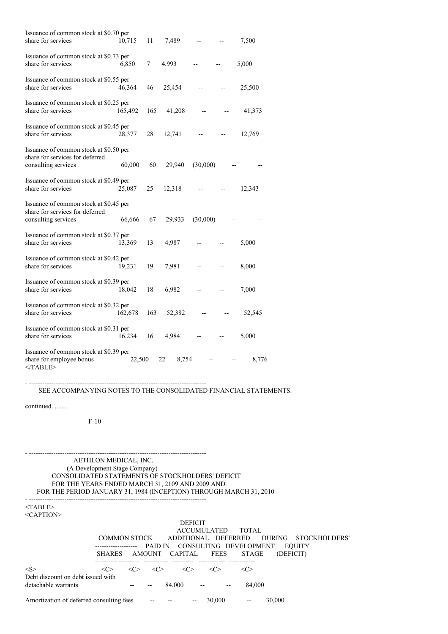| Issuance of common stock at \$0.70 per<br>share for services                                     | 10,715  | 11  | 7,489       |          | 7,500  |
|--------------------------------------------------------------------------------------------------|---------|-----|-------------|----------|--------|
| Issuance of common stock at \$0.73 per<br>share for services                                     | 6,850   | 7   | 4,993       |          | 5,000  |
| Issuance of common stock at \$0.55 per<br>share for services                                     | 46,364  | 46  | 25,454      |          | 25,500 |
| Issuance of common stock at \$0.25 per<br>share for services                                     | 165,492 | 165 | 41,208      |          | 41,373 |
| Issuance of common stock at \$0.45 per<br>share for services                                     | 28,377  | 28  | 12,741      |          | 12,769 |
| Issuance of common stock at \$0.50 per<br>share for services for deferred<br>consulting services | 60,000  | 60  | 29,940      | (30,000) |        |
| Issuance of common stock at \$0.49 per<br>share for services                                     | 25,087  | 25  | 12,318      |          | 12,343 |
| Issuance of common stock at \$0.45 per<br>share for services for deferred<br>consulting services | 66,666  | 67  | 29,933      | (30,000) |        |
| Issuance of common stock at \$0.37 per<br>share for services                                     | 13,369  | 13  | 4,987       |          | 5,000  |
| Issuance of common stock at \$0.42 per<br>share for services                                     | 19,231  | 19  | 7,981       |          | 8,000  |
| Issuance of common stock at \$0.39 per<br>share for services                                     | 18,042  | 18  | 6,982       | $-$      | 7,000  |
| Issuance of common stock at \$0.32 per<br>share for services                                     | 162,678 | 163 | 52,382      |          | 52,545 |
| Issuance of common stock at \$0.31 per<br>share for services                                     | 16,234  | 16  | 4,984       |          | 5,000  |
| Issuance of common stock at \$0.39 per<br>share for employee bonus<br>$<$ /TABLE>                | 22,500  |     | 22<br>8,754 |          | 8,776  |

SEE ACCOMPANYING NOTES TO THE CONSOLIDATED FINANCIAL STATEMENTS.

continued.........

F-10

- --------------------------------------------------------------------------------

- --------------------------------------------------------------------------------

AETHLON MEDICAL, INC. (A Development Stage Company) CONSOLIDATED STATEMENTS OF STOCKHOLDERS' DEFICIT FOR THE YEARS ENDED MARCH 31, 2109 AND 2009 AND FOR THE PERIOD JANUARY 31, 1984 (INCEPTION) THROUGH MARCH 31, 2010 - --------------------------------------------------------------------------------

 $<$ TABLE> <CAPTION>

|                                                                                                      |               |      |                | <b>DEFICIT</b>     |                                |                          |                      |
|------------------------------------------------------------------------------------------------------|---------------|------|----------------|--------------------|--------------------------------|--------------------------|----------------------|
|                                                                                                      |               |      |                |                    |                                |                          |                      |
|                                                                                                      |               |      |                | <b>ACCUMULATED</b> |                                | TOTAL                    |                      |
|                                                                                                      | COMMON STOCK  |      |                |                    | ADDITIONAL DEFERRED            |                          | DURING STOCKHOLDERS' |
|                                                                                                      |               |      |                |                    | PAID IN CONSULTING DEVELOPMENT |                          | <b>EOUITY</b>        |
|                                                                                                      | <b>SHARES</b> |      | AMOUNT CAPITAL |                    | FEES                           | <b>STAGE</b>             | (DEFICIT)            |
|                                                                                                      |               |      |                |                    |                                |                          |                      |
|                                                                                                      |               |      |                |                    |                                |                          |                      |
| $<\!\!S\!\!>$                                                                                        | <c></c>       | <(`> | $\ll$          | <(`>               | $\langle$ $\cap$               | <<>                      |                      |
|                                                                                                      |               |      |                |                    |                                |                          |                      |
|                                                                                                      |               |      |                |                    |                                |                          |                      |
|                                                                                                      |               |      |                |                    |                                |                          |                      |
|                                                                                                      |               |      |                | $- -$              | 30,000                         | $\hspace{0.05cm} \ldots$ | 30,000               |
| Debt discount on debt issued with<br>detachable warrants<br>Amortization of deferred consulting fees |               |      |                | 84,000             | and the company of the         | 84,000                   |                      |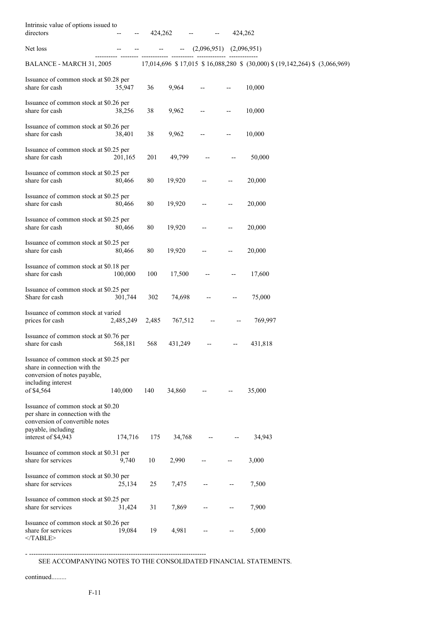| Intrinsic value of options issued to<br>directors                                                                                                      |           | 424,262 |         |                             | 424,262                  |                                                                          |
|--------------------------------------------------------------------------------------------------------------------------------------------------------|-----------|---------|---------|-----------------------------|--------------------------|--------------------------------------------------------------------------|
| Net loss                                                                                                                                               |           |         |         | $(2,096,951)$ $(2,096,951)$ |                          |                                                                          |
| BALANCE - MARCH 31, 2005                                                                                                                               |           |         |         |                             |                          | 17,014,696 \$17,015 \$16,088,280 \$(30,000) \$(19,142,264) \$(3,066,969) |
| Issuance of common stock at \$0.28 per<br>share for cash                                                                                               | 35,947    | 36      | 9,964   |                             | $\overline{\phantom{m}}$ | 10,000                                                                   |
| Issuance of common stock at \$0.26 per<br>share for cash                                                                                               | 38,256    | 38      | 9,962   |                             |                          | 10,000                                                                   |
| Issuance of common stock at \$0.26 per<br>share for cash                                                                                               | 38,401    | 38      | 9,962   |                             |                          | 10,000                                                                   |
| Issuance of common stock at \$0.25 per<br>share for cash                                                                                               | 201,165   | 201     | 49,799  |                             |                          | 50,000                                                                   |
| Issuance of common stock at \$0.25 per<br>share for cash                                                                                               | 80,466    | 80      | 19,920  |                             |                          | 20,000                                                                   |
| Issuance of common stock at \$0.25 per<br>share for cash                                                                                               | 80,466    | 80      | 19,920  |                             |                          | 20,000                                                                   |
| Issuance of common stock at \$0.25 per<br>share for cash                                                                                               | 80,466    | 80      | 19,920  |                             | --                       | 20,000                                                                   |
| Issuance of common stock at \$0.25 per<br>share for cash                                                                                               | 80,466    | 80      | 19,920  |                             | $-$                      | 20,000                                                                   |
| Issuance of common stock at \$0.18 per<br>share for cash                                                                                               | 100,000   | 100     | 17,500  |                             |                          | 17,600                                                                   |
| Issuance of common stock at \$0.25 per<br>Share for cash                                                                                               | 301,744   | 302     | 74,698  |                             |                          | 75,000                                                                   |
| Issuance of common stock at varied<br>prices for cash                                                                                                  | 2,485,249 | 2,485   | 767,512 |                             |                          | 769,997                                                                  |
| Issuance of common stock at \$0.76 per<br>share for cash                                                                                               | 568,181   | 568     | 431,249 |                             |                          | 431,818                                                                  |
| Issuance of common stock at \$0.25 per<br>share in connection with the<br>conversion of notes payable,<br>including interest<br>of \$4,564             | 140,000   | 140     | 34,860  | $- -$                       | $\overline{\phantom{m}}$ | 35,000                                                                   |
| Issuance of common stock at \$0.20<br>per share in connection with the<br>conversion of convertible notes<br>payable, including<br>interest of \$4,943 | 174,716   | 175     | 34,768  |                             |                          | 34,943                                                                   |
| Issuance of common stock at \$0.31 per<br>share for services                                                                                           | 9,740     | 10      | 2,990   |                             |                          | 3,000                                                                    |
| Issuance of common stock at \$0.30 per<br>share for services                                                                                           | 25,134    | 25      | 7,475   |                             |                          | 7,500                                                                    |
| Issuance of common stock at \$0.25 per<br>share for services                                                                                           | 31,424    | 31      | 7,869   |                             |                          | 7,900                                                                    |
| Issuance of common stock at \$0.26 per<br>share for services<br>$<$ /TABLE>                                                                            | 19,084    | 19      | 4,981   |                             |                          | 5,000                                                                    |

- -------------------------------------------------------------------------------- SEE ACCOMPANYING NOTES TO THE CONSOLIDATED FINANCIAL STATEMENTS.

continued.........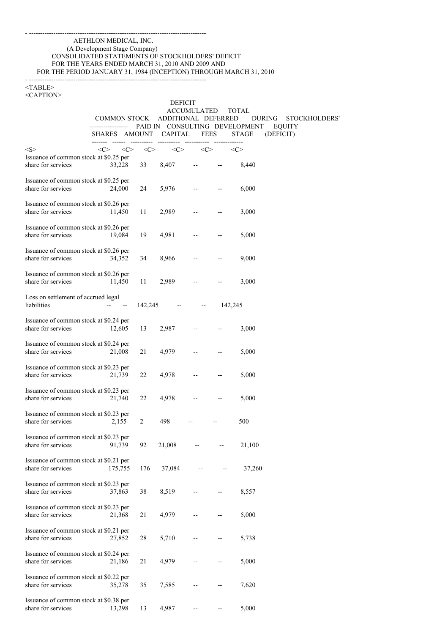AETHLON MEDICAL, INC. (A Development Stage Company) CONSOLIDATED STATEMENTS OF STOCKHOLDERS' DEFICIT FOR THE YEARS ENDED MARCH 31, 2010 AND 2009 AND FOR THE PERIOD JANUARY 31, 1984 (INCEPTION) THROUGH MARCH 31, 2010 - --------------------------------------------------------------------------------

## <TABLE> <CAPTION>

|                                                              |         |                                     | <b>DEFICIT</b>      | ACCUMULATED         |             | <b>TOTAL</b>                                   |                                |
|--------------------------------------------------------------|---------|-------------------------------------|---------------------|---------------------|-------------|------------------------------------------------|--------------------------------|
|                                                              |         | COMMON STOCK ADDITIONAL DEFERRED    |                     |                     |             |                                                | <b>DURING</b><br>STOCKHOLDERS' |
|                                                              |         | SHARES AMOUNT                       | CAPITAL             |                     | <b>FEES</b> | PAID IN CONSULTING DEVELOPMENT<br><b>STAGE</b> | <b>EQUITY</b><br>(DEFICIT)     |
| < S >                                                        | <<>     | $\langle C \rangle$<br><<>          | $\langle C \rangle$ | $\langle C \rangle$ |             | $<\infty$                                      |                                |
| Issuance of common stock at \$0.25 per<br>share for services | 33,228  | 33                                  | 8,407               |                     |             | 8,440                                          |                                |
| Issuance of common stock at \$0.25 per                       |         |                                     |                     |                     |             |                                                |                                |
| share for services                                           | 24,000  | 24                                  | 5,976               |                     |             | 6,000                                          |                                |
| Issuance of common stock at \$0.26 per<br>share for services | 11,450  | 11                                  | 2,989               |                     |             | 3,000                                          |                                |
| Issuance of common stock at \$0.26 per<br>share for services | 19,084  | 19                                  | 4,981               |                     |             | 5,000                                          |                                |
| Issuance of common stock at \$0.26 per<br>share for services | 34,352  | 34                                  | 8,966               |                     |             | 9,000                                          |                                |
| Issuance of common stock at \$0.26 per<br>share for services | 11,450  | 11                                  | 2,989               |                     |             | 3,000                                          |                                |
| Loss on settlement of accrued legal<br>liabilities           |         | 142,245<br>$\overline{\phantom{m}}$ |                     |                     |             | 142,245                                        |                                |
| Issuance of common stock at \$0.24 per<br>share for services | 12,605  | 13                                  | 2,987               |                     |             | 3,000                                          |                                |
| Issuance of common stock at \$0.24 per<br>share for services | 21,008  | 21                                  | 4,979               |                     |             | 5,000                                          |                                |
| Issuance of common stock at \$0.23 per<br>share for services | 21,739  | 22                                  | 4,978               |                     |             | 5,000                                          |                                |
| Issuance of common stock at \$0.23 per<br>share for services | 21,740  | 22                                  | 4,978               |                     |             | 5,000                                          |                                |
| Issuance of common stock at \$0.23 per<br>share for services | 2,155   | 2                                   | 498                 |                     |             | 500                                            |                                |
| Issuance of common stock at \$0.23 per<br>share for services | 91,739  | 92                                  | 21,008              |                     |             | 21,100                                         |                                |
| Issuance of common stock at \$0.21 per<br>share for services | 175,755 | 176                                 | 37,084              |                     |             | 37,260                                         |                                |
| Issuance of common stock at \$0.23 per<br>share for services | 37,863  | 38                                  | 8,519               |                     |             | 8,557                                          |                                |
| Issuance of common stock at \$0.23 per<br>share for services | 21,368  | 21                                  | 4,979               |                     |             | 5,000                                          |                                |
| Issuance of common stock at \$0.21 per<br>share for services | 27,852  | 28                                  | 5,710               |                     |             | 5,738                                          |                                |
| Issuance of common stock at \$0.24 per<br>share for services | 21,186  | 21                                  | 4,979               |                     |             | 5,000                                          |                                |
| Issuance of common stock at \$0.22 per<br>share for services | 35,278  | 35                                  | 7,585               |                     |             | 7,620                                          |                                |
| Issuance of common stock at \$0.38 per<br>share for services | 13,298  | 13                                  | 4,987               |                     |             | 5,000                                          |                                |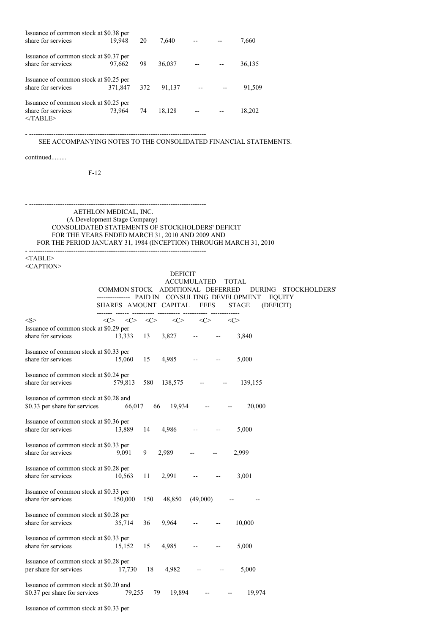| Issuance of common stock at \$0.38 per<br>share for services                                                          | 19,948                                                                                                                  | 20  | 7,640          |                 |                         | 7,660        |                            |
|-----------------------------------------------------------------------------------------------------------------------|-------------------------------------------------------------------------------------------------------------------------|-----|----------------|-----------------|-------------------------|--------------|----------------------------|
| Issuance of common stock at \$0.37 per<br>share for services                                                          | 97,662                                                                                                                  | 98  | 36,037         | $\sim$ - $\sim$ | $\hspace{0.1em} \dashv$ | 36,135       |                            |
| Issuance of common stock at \$0.25 per<br>share for services                                                          | 371,847                                                                                                                 | 372 | 91,137         |                 |                         | 91,509       |                            |
| Issuance of common stock at \$0.25 per<br>share for services<br>$<$ /TABLE>                                           | 73,964                                                                                                                  | 74  | 18,128         |                 |                         | 18,202       |                            |
| SEE ACCOMPANYING NOTES TO THE CONSOLIDATED FINANCIAL STATEMENTS.                                                      |                                                                                                                         |     |                |                 |                         |              |                            |
| continued                                                                                                             |                                                                                                                         |     |                |                 |                         |              |                            |
| $F-12$                                                                                                                |                                                                                                                         |     |                |                 |                         |              |                            |
|                                                                                                                       |                                                                                                                         |     |                |                 |                         |              |                            |
|                                                                                                                       | AETHLON MEDICAL, INC.                                                                                                   |     |                |                 |                         |              |                            |
| CONSOLIDATED STATEMENTS OF STOCKHOLDERS' DEFICIT                                                                      | (A Development Stage Company)                                                                                           |     |                |                 |                         |              |                            |
| FOR THE YEARS ENDED MARCH 31, 2010 AND 2009 AND<br>FOR THE PERIOD JANUARY 31, 1984 (INCEPTION) THROUGH MARCH 31, 2010 |                                                                                                                         |     |                |                 |                         |              |                            |
| <table><br/><caption></caption></table>                                                                               |                                                                                                                         |     |                |                 |                         |              |                            |
|                                                                                                                       |                                                                                                                         |     | <b>DEFICIT</b> | ACCUMULATED     |                         | <b>TOTAL</b> |                            |
|                                                                                                                       | COMMON STOCK ADDITIONAL DEFERRED                                                                                        |     |                |                 |                         |              | DURING STOCKHOLDERS'       |
|                                                                                                                       | -------------- PAID IN CONSULTING DEVELOPMENT<br>SHARES AMOUNT CAPITAL FEES                                             |     |                |                 |                         | <b>STAGE</b> | <b>EQUITY</b><br>(DEFICIT) |
| $<\!\!S\!\!>$                                                                                                         | $\langle C \rangle$ $\langle C \rangle$ $\langle C \rangle$ $\langle C \rangle$ $\langle C \rangle$ $\langle C \rangle$ |     |                |                 |                         |              |                            |
| Issuance of common stock at \$0.29 per<br>share for services                                                          | 13,333                                                                                                                  | 13  | 3,827          |                 |                         | 3,840        |                            |
| Issuance of common stock at \$0.33 per<br>share for services                                                          | 15,060                                                                                                                  | 15  | $4,985$ -- --  |                 |                         | 5,000        |                            |
| Issuance of common stock at \$0.24 per<br>share for services                                                          | 579,813                                                                                                                 | 580 | 138,575        |                 |                         | 139,155      |                            |
| Issuance of common stock at \$0.28 and<br>\$0.33 per share for services                                               | 66,017                                                                                                                  |     | 19,934<br>66   |                 |                         | 20,000       |                            |
| Issuance of common stock at \$0.36 per<br>share for services                                                          | 13,889                                                                                                                  | 14  | 4,986          |                 |                         | 5,000        |                            |
| Issuance of common stock at \$0.33 per<br>share for services                                                          | 9,091                                                                                                                   | 9   | 2,989          |                 |                         | 2,999        |                            |
| Issuance of common stock at \$0.28 per<br>share for services                                                          | 10,563                                                                                                                  | 11  | 2,991          |                 |                         | 3,001        |                            |
| Issuance of common stock at \$0.33 per<br>share for services                                                          | 150,000                                                                                                                 | 150 | 48,850         | (49,000)        |                         |              |                            |
| Issuance of common stock at \$0.28 per<br>share for services                                                          | 35,714                                                                                                                  | 36  | 9,964          |                 |                         | 10,000       |                            |
| Issuance of common stock at \$0.33 per<br>share for services                                                          | 15,152                                                                                                                  | 15  | 4,985          |                 |                         | 5,000        |                            |
| Issuance of common stock at \$0.28 per<br>per share for services                                                      | 17,730                                                                                                                  | 18  | 4,982          |                 | $-\, -$                 | 5,000        |                            |
| Issuance of common stock at \$0.20 and<br>\$0.37 per share for services                                               | 79,255                                                                                                                  |     | 79<br>19,894   |                 |                         | 19,974       |                            |
|                                                                                                                       |                                                                                                                         |     |                |                 |                         |              |                            |

Issuance of common stock at \$0.33 per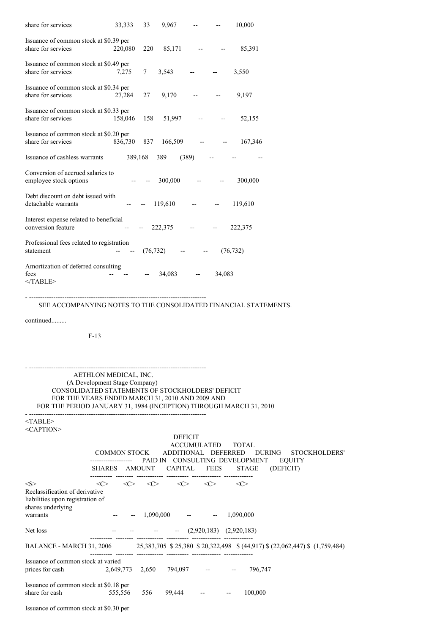| share for services                                                                       | 33,333  | 33                       | 9,967            |            |                                                                  | 10,000  |  |  |
|------------------------------------------------------------------------------------------|---------|--------------------------|------------------|------------|------------------------------------------------------------------|---------|--|--|
| Issuance of common stock at \$0.39 per<br>share for services                             | 220,080 | 220                      | $85,171$ --      |            |                                                                  | 85,391  |  |  |
| Issuance of common stock at \$0.49 per<br>share for services                             | 7,275   | 7                        | $3,543$ -- --    |            |                                                                  | 3,550   |  |  |
| Issuance of common stock at \$0.34 per<br>share for services                             | 27,284  | 27                       | 9,170            |            |                                                                  | 9,197   |  |  |
| Issuance of common stock at \$0.33 per<br>share for services                             | 158,046 | 158                      | 51,997           | $\sim$ $-$ |                                                                  | 52,155  |  |  |
| Issuance of common stock at \$0.20 per<br>share for services                             | 836,730 | 837                      | 166,509          |            | $\begin{array}{ccc} -\epsilon & \epsilon & \epsilon \end{array}$ | 167,346 |  |  |
| Issuance of cashless warrants                                                            | 389,168 |                          | 389              | (389)      |                                                                  |         |  |  |
| Conversion of accrued salaries to<br>employee stock options                              |         |                          | $300,000$ -- --  |            |                                                                  | 300,000 |  |  |
| Debt discount on debt issued with<br>detachable warrants                                 |         |                          | $-$ 119,610 -- - |            |                                                                  | 119,610 |  |  |
| Interest expense related to beneficial<br>conversion feature                             |         |                          | $-222,375$ $ -$  |            |                                                                  | 222,375 |  |  |
| Professional fees related to registration<br>$(76, 732)$ -- --<br>statement<br>(76, 732) |         |                          |                  |            |                                                                  |         |  |  |
| Amortization of deferred consulting<br>fees<br>$<$ TABLE>                                |         | $\overline{\phantom{m}}$ | $34,083$ --      |            | 34,083                                                           |         |  |  |
| GEE A CCOMBANIVING MOTES TO THE COMSOLIDATED ENJAMCIAL STATE                             |         |                          |                  |            |                                                                  |         |  |  |

SEE ACCOMPANYING NOTES TO THE CONSOLIDATED FINANCIAL STATEMENTS.

- --------------------------------------------------------------------------------

continued.........

F-13

AETHLON MEDICAL, INC. (A Development Stage Company) CONSOLIDATED STATEMENTS OF STOCKHOLDERS' DEFICIT FOR THE YEARS ENDED MARCH 31, 2010 AND 2009 AND FOR THE PERIOD JANUARY 31, 1984 (INCEPTION) THROUGH MARCH 31, 2010 - --------------------------------------------------------------------------------

<TABLE>

<CAPTION>

# DEFICIT ACCUMULATED TOTAL COMMON STOCK ADDITIONAL DEFERRED DURING STOCKHOLDERS' ------------------- PAID IN CONSULTING DEVELOPMENT EQUITY SHARES AMOUNT CAPITAL FEES STAGE (DEFICIT) ---------- -------- ------------ ---------- ------------- ------------- <S> <C> <C> <C> <C> <C> <C> Reclassification of derivative liabilities upon registration of shares underlying warrants -- -- 1,090,000 -- - 1,090,000 Net loss -- -- - - - - (2,920,183) (2,920,183) ---------- -------- ------------ ---------- ------------- ------------- BALANCE - MARCH 31, 2006 25,383,705 \$ 25,380 \$ 20,322,498 \$ (44,917) \$ (22,062,447) \$ (1,759,484) ---------- -------- ------------ ---------- ------------- ------------- Issuance of common stock at varied prices for cash 2,649,773 2,650 794,097 -- - 796,747 Issuance of common stock at \$0.18 per share for cash 555,556 556 99,444 -- - 100,000 Issuance of common stock at \$0.30 per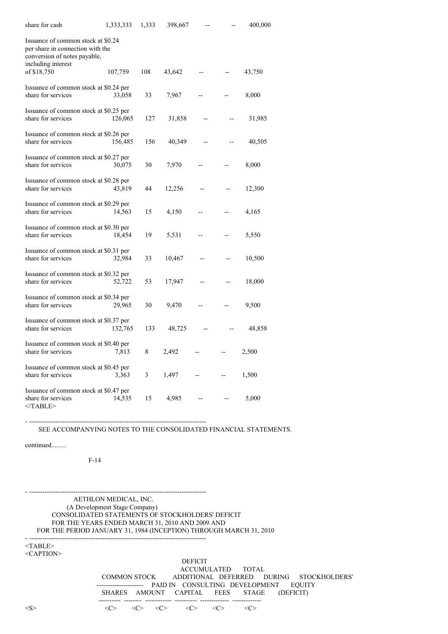| share for cash                                                                                         | 1,333,333 | 1,333 | 398,667 |     |    | 400,000 |
|--------------------------------------------------------------------------------------------------------|-----------|-------|---------|-----|----|---------|
| Issuance of common stock at \$0.24<br>per share in connection with the<br>conversion of notes payable, |           |       |         |     |    |         |
| including interest<br>of \$18,750                                                                      | 107,759   | 108   | 43,642  | $-$ |    | 43,750  |
| Issuance of common stock at \$0.24 per<br>share for services                                           | 33,058    | 33    | 7,967   |     |    | 8,000   |
| Issuance of common stock at \$0.25 per<br>share for services                                           | 126,065   | 127   | 31,858  | $-$ |    | 31,985  |
| Issuance of common stock at \$0.26 per<br>share for services                                           | 156,485   | 156   | 40,349  | $-$ |    | 40,505  |
| Issuance of common stock at \$0.27 per<br>share for services                                           | 30,075    | 30    | 7,970   |     |    | 8,000   |
| Issuance of common stock at \$0.28 per<br>share for services                                           | 43,819    | 44    | 12,256  |     |    | 12,300  |
| Issuance of common stock at \$0.29 per<br>share for services                                           | 14,563    | 15    | 4,150   | $-$ | -- | 4,165   |
| Issuance of common stock at \$0.30 per<br>share for services                                           | 18.454    | 19    | 5,531   | $-$ |    | 5,550   |
| Issuance of common stock at \$0.31 per<br>share for services                                           | 32,984    | 33    | 10,467  |     |    | 10,500  |
| Issuance of common stock at \$0.32 per<br>share for services                                           | 52,722    | 53    | 17,947  | $-$ |    | 18,000  |
| Issuance of common stock at \$0.34 per<br>share for services                                           | 29,965    | 30    | 9,470   |     |    | 9,500   |
| Issuance of common stock at \$0.37 per<br>share for services                                           | 132,765   | 133   | 48,725  | $-$ |    | 48,858  |
| Issuance of common stock at \$0.40 per<br>share for services                                           | 7,813     | 8     | 2,492   |     |    | 2,500   |
| Issuance of common stock at \$0.45 per<br>share for services                                           | 3,363     | 3     | 1,497   |     |    | 1,500   |
| Issuance of common stock at \$0.47 per<br>share for services<br>$<$ TABLE>                             | 14,535    | 15    | 4,985   |     |    | 5,000   |

- --------------------------------------------------------------------------------

SEE ACCOMPANYING NOTES TO THE CONSOLIDATED FINANCIAL STATEMENTS.

continued.........

F-14

- --------------------------------------------------------------------------------

AETHLON MEDICAL, INC. (A Development Stage Company) CONSOLIDATED STATEMENTS OF STOCKHOLDERS' DEFICIT FOR THE YEARS ENDED MARCH 31, 2010 AND 2009 AND FOR THE PERIOD JANUARY 31, 1984 (INCEPTION) THROUGH MARCH 31, 2010 - --------------------------------------------------------------------------------

<TABLE> <CAPTION>

> DEFICIT ACCUMULATED TOTAL COMMON STOCK ADDITIONAL DEFERRED DURING STOCKHOLDERS' --------------------- PAID IN CONSULTING DEVELOPMENT EQUITY SHARES AMOUNT CAPITAL FEES STAGE (DEFICIT)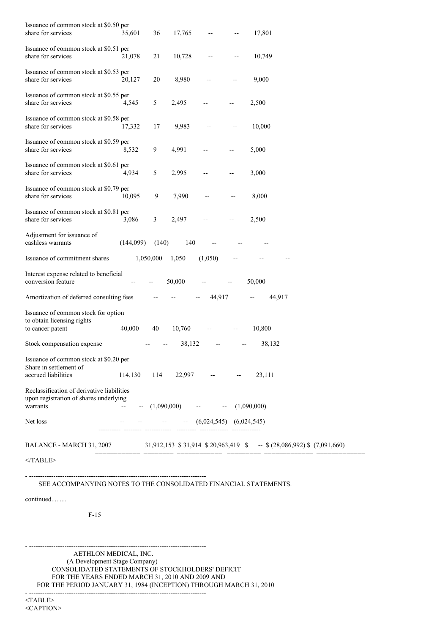| Issuance of common stock at \$0.50 per<br>share for services                                     | 35,601                        | 36    | 17,765          |                                      | 17,801                                                              |
|--------------------------------------------------------------------------------------------------|-------------------------------|-------|-----------------|--------------------------------------|---------------------------------------------------------------------|
| Issuance of common stock at \$0.51 per<br>share for services                                     | 21,078                        | 21    | 10,728          |                                      | 10,749                                                              |
| Issuance of common stock at \$0.53 per<br>share for services                                     | 20,127                        | 20    | 8,980           |                                      | 9,000                                                               |
| Issuance of common stock at \$0.55 per<br>share for services                                     | 4,545                         | 5     | 2,495           |                                      | 2,500                                                               |
| Issuance of common stock at \$0.58 per<br>share for services                                     | 17,332                        | 17    | 9,983           |                                      | 10,000                                                              |
| Issuance of common stock at \$0.59 per<br>share for services                                     | 8,532                         | 9     | 4,991           |                                      | 5,000                                                               |
| Issuance of common stock at \$0.61 per<br>share for services                                     | 4,934                         | 5     | 2,995           |                                      | 3,000                                                               |
| Issuance of common stock at \$0.79 per<br>share for services                                     | 10,095                        | 9     | 7,990           |                                      | 8,000                                                               |
| Issuance of common stock at \$0.81 per<br>share for services                                     | 3,086                         | 3     | 2,497           |                                      | 2,500                                                               |
| Adjustment for issuance of<br>cashless warrants                                                  | (144,099)                     | (140) | 140             |                                      |                                                                     |
| Issuance of commitment shares                                                                    | 1,050,000                     |       | 1,050           | (1,050)                              |                                                                     |
| Interest expense related to beneficial<br>conversion feature                                     |                               |       | 50,000          |                                      | 50,000                                                              |
| Amortization of deferred consulting fees                                                         |                               |       |                 | 44,917                               | 44,917                                                              |
| Issuance of common stock for option<br>to obtain licensing rights<br>to cancer patent            | 40,000                        | 40    | 10,760          |                                      | 10,800                                                              |
| Stock compensation expense                                                                       |                               |       | 38,132          |                                      | 38,132                                                              |
| Issuance of common stock at \$0.20 per<br>Share in settlement of<br>accrued liabilities          | $114,130$ $114$ $22,997$ -- - |       |                 |                                      | 23,111                                                              |
| Reclassification of derivative liabilities<br>upon registration of shares underlying<br>warrants |                               |       | $- (1,090,000)$ | $\sim$ $ \sim$                       | (1,090,000)                                                         |
| Net loss                                                                                         |                               |       |                 | -- - - - $(6,024,545)$ $(6,024,545)$ |                                                                     |
| BALANCE - MARCH 31, 2007                                                                         |                               |       |                 |                                      | 31,912,153 \$31,914 \$20,963,419 \$ -- \$(28,086,992) \$(7,091,660) |

 $<$ /TABLE>

SEE ACCOMPANYING NOTES TO THE CONSOLIDATED FINANCIAL STATEMENTS.

continued.........

F-15

- --------------------------------------------------------------------------------

- --------------------------------------------------------------------------------

AETHLON MEDICAL, INC. (A Development Stage Company) CONSOLIDATED STATEMENTS OF STOCKHOLDERS' DEFICIT FOR THE YEARS ENDED MARCH 31, 2010 AND 2009 AND FOR THE PERIOD JANUARY 31, 1984 (INCEPTION) THROUGH MARCH 31, 2010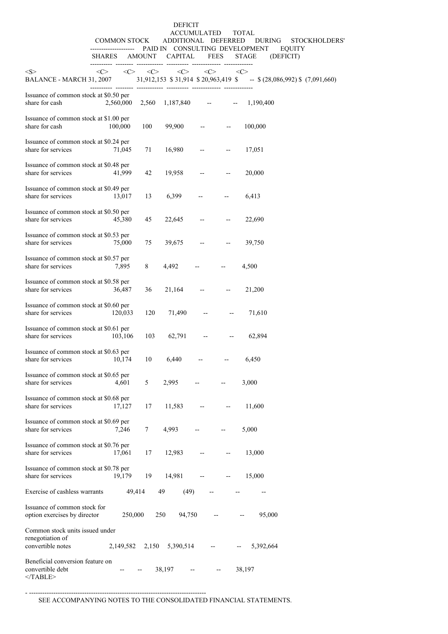### DEFICIT ACCUMULATED TOTAL COMMON STOCK ADDITIONAL DEFERRED DURING STOCKHOLDERS' -------------------- PAID IN CONSULTING DEVELOPMENT EQUITY SHARES AMOUNT CAPITAL FEES STAGE (DEFICIT)

| $<\!\!S\!\!>$<br>BALANCE - MARCH 31, 2007 31, 912, 153 \$ 31, 914 \$ 20, 963, 419 \$ -- \$ (28, 086, 992) \$ (7, 091, 660) | $\langle \langle \rangle \rangle$ $\langle \langle \rangle \rangle$ $\langle \langle \rangle \rangle$ $\langle \langle \rangle \rangle$ $\langle \langle \rangle$ |                  |                              |                                                                                                                                                                                                                                                                                                                                                                                              | $\langle \cdot \rangle$                       |                              |  |
|----------------------------------------------------------------------------------------------------------------------------|-------------------------------------------------------------------------------------------------------------------------------------------------------------------|------------------|------------------------------|----------------------------------------------------------------------------------------------------------------------------------------------------------------------------------------------------------------------------------------------------------------------------------------------------------------------------------------------------------------------------------------------|-----------------------------------------------|------------------------------|--|
| Issuance of common stock at \$0.50 per<br>share for cash                                                                   |                                                                                                                                                                   |                  | 2,560,000 2,560 1,187,840 -- |                                                                                                                                                                                                                                                                                                                                                                                              | $- -$                                         | 1,190,400                    |  |
| Issuance of common stock at \$1.00 per<br>share for cash                                                                   | 100,000                                                                                                                                                           | 100              | 99,900                       |                                                                                                                                                                                                                                                                                                                                                                                              | $\mathord{\hspace{1pt}\text{--}\hspace{1pt}}$ | 100,000                      |  |
| Issuance of common stock at \$0.24 per<br>share for services                                                               | 71,045                                                                                                                                                            | 71               | 16,980                       |                                                                                                                                                                                                                                                                                                                                                                                              | $\overline{\phantom{m}}$                      | 17,051                       |  |
| Issuance of common stock at \$0.48 per<br>share for services                                                               | 41,999                                                                                                                                                            | 42               | 19,958                       |                                                                                                                                                                                                                                                                                                                                                                                              |                                               | 20,000                       |  |
| Issuance of common stock at \$0.49 per<br>share for services                                                               | 13,017                                                                                                                                                            | 13               | 6,399                        |                                                                                                                                                                                                                                                                                                                                                                                              |                                               | 6,413                        |  |
| Issuance of common stock at \$0.50 per<br>share for services                                                               | 45,380                                                                                                                                                            | 45               | 22,645                       |                                                                                                                                                                                                                                                                                                                                                                                              |                                               | 22,690                       |  |
| Issuance of common stock at \$0.53 per<br>share for services                                                               | 75,000                                                                                                                                                            | 75               | 39,675                       |                                                                                                                                                                                                                                                                                                                                                                                              |                                               | 39,750                       |  |
| Issuance of common stock at \$0.57 per<br>share for services                                                               | 7,895                                                                                                                                                             | 8                | 4,492                        |                                                                                                                                                                                                                                                                                                                                                                                              |                                               | 4,500                        |  |
| Issuance of common stock at \$0.58 per<br>share for services                                                               | 36,487                                                                                                                                                            | 36               | 21,164                       | $\frac{1}{2} \frac{1}{2} \frac{1}{2} \frac{1}{2} \frac{1}{2} \frac{1}{2} \frac{1}{2} \frac{1}{2} \frac{1}{2} \frac{1}{2} \frac{1}{2} \frac{1}{2} \frac{1}{2} \frac{1}{2} \frac{1}{2} \frac{1}{2} \frac{1}{2} \frac{1}{2} \frac{1}{2} \frac{1}{2} \frac{1}{2} \frac{1}{2} \frac{1}{2} \frac{1}{2} \frac{1}{2} \frac{1}{2} \frac{1}{2} \frac{1}{2} \frac{1}{2} \frac{1}{2} \frac{1}{2} \frac{$ |                                               | 21,200                       |  |
| Issuance of common stock at \$0.60 per<br>share for services                                                               | 120,033                                                                                                                                                           | 120              | 71,490                       |                                                                                                                                                                                                                                                                                                                                                                                              |                                               | 71,610                       |  |
| Issuance of common stock at \$0.61 per<br>share for services                                                               | 103,106                                                                                                                                                           | 103              | $62,791$ --                  |                                                                                                                                                                                                                                                                                                                                                                                              | $\overline{\phantom{a}}$                      | 62,894                       |  |
| Issuance of common stock at \$0.63 per<br>share for services                                                               | 10,174                                                                                                                                                            | 10               | $6,440$ -- --                |                                                                                                                                                                                                                                                                                                                                                                                              |                                               | 6,450                        |  |
| Issuance of common stock at \$0.65 per<br>share for services                                                               | 4,601                                                                                                                                                             | 5                | 2,995                        | $\overline{\phantom{a}}$                                                                                                                                                                                                                                                                                                                                                                     |                                               | 3,000                        |  |
| Issuance of common stock at \$0.68 per<br>share for services                                                               | 17,127                                                                                                                                                            | 17               | 11,583                       |                                                                                                                                                                                                                                                                                                                                                                                              |                                               | 11,600                       |  |
| Issuance of common stock at \$0.69 per<br>share for services                                                               | 7,246                                                                                                                                                             | 7                | 4,993                        |                                                                                                                                                                                                                                                                                                                                                                                              |                                               | 5,000                        |  |
| Issuance of common stock at \$0.76 per<br>share for services                                                               | 17,061                                                                                                                                                            | 17               | 12,983                       |                                                                                                                                                                                                                                                                                                                                                                                              |                                               | 13,000                       |  |
| Issuance of common stock at \$0.78 per<br>share for services                                                               | 19,179                                                                                                                                                            | 19               | 14,981                       |                                                                                                                                                                                                                                                                                                                                                                                              |                                               | 15,000                       |  |
| Exercise of cashless warrants                                                                                              |                                                                                                                                                                   | 49,414           | (49)<br>49                   |                                                                                                                                                                                                                                                                                                                                                                                              |                                               |                              |  |
| Issuance of common stock for<br>option exercises by director                                                               | 250,000                                                                                                                                                           |                  | 250<br>94,750                |                                                                                                                                                                                                                                                                                                                                                                                              |                                               | 95,000                       |  |
| Common stock units issued under<br>renegotiation of                                                                        |                                                                                                                                                                   |                  |                              |                                                                                                                                                                                                                                                                                                                                                                                              |                                               |                              |  |
| convertible notes<br>Beneficial conversion feature on<br>convertible debt<br>$<$ TABLE>                                    | 2,149,582                                                                                                                                                         | 2,150<br>$-\, -$ | 5,390,514<br>38,197          | $\qquad \qquad -$                                                                                                                                                                                                                                                                                                                                                                            | $\frac{1}{2}$ and $\frac{1}{2}$<br>$-\!$      | 5,392,664<br>$-\!$<br>38,197 |  |

- --------------------------------------------------------------------------------

SEE ACCOMPANYING NOTES TO THE CONSOLIDATED FINANCIAL STATEMENTS.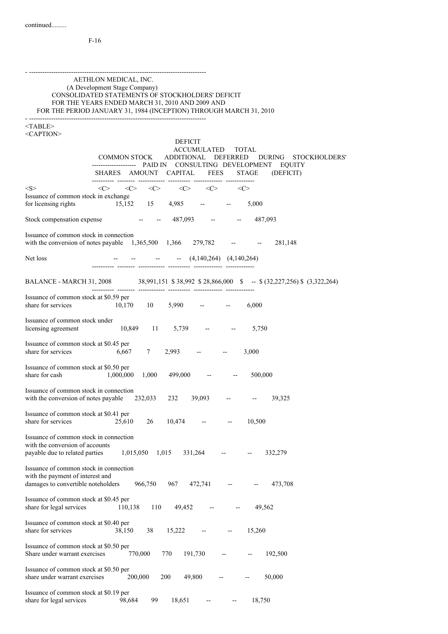### AETHLON MEDICAL, INC. (A Development Stage Company) CONSOLIDATED STATEMENTS OF STOCKHOLDERS' DEFICIT FOR THE YEARS ENDED MARCH 31, 2010 AND 2009 AND FOR THE PERIOD JANUARY 31, 1984 (INCEPTION) THROUGH MARCH 31, 2010 - --------------------------------------------------------------------------------

- --------------------------------------------------------------------------------

<TABLE> <CAPTION>

DEFICIT ACCUMULATED TOTAL COMMON STOCK ADDITIONAL DEFERRED DURING STOCKHOLDERS' -------------------- PAID IN CONSULTING DEVELOPMENT EQUITY SHARES AMOUNT CAPITAL FEES STAGE (DEFICIT) ---------- -------- ------------ ---------- ------------- -------------  $\langle \mathbb{S} \rangle$   $\langle \mathbb{C} \rangle$   $\langle \mathbb{C} \rangle$   $\langle \mathbb{C} \rangle$   $\langle \mathbb{C} \rangle$   $\langle \mathbb{C} \rangle$   $\langle \mathbb{C} \rangle$ Issuance of common stock in exchange for licensing rights 15,152 15 4,985 -- - 5,000 Stock compensation expense -- -- 487,093 -- - 487,093 Issuance of common stock in connection with the conversion of notes payable 1,365,500 1,366 279,782 -- - 281,148 Net loss -- -- -- -- - (4,140,264) (4,140,264) ---------- -------- ------------ ---------- ------------- ------------- BALANCE - MARCH 31, 2008 38,991,151 \$ 38,992 \$ 28,866,000 \$ -- \$ (32,227,256) \$ (3,322,264) ---------- -------- ------------ ---------- ------------- ------------- Issuance of common stock at \$0.59 per share for services 10,170 10 5,990 -- - 6,000 Issuance of common stock under licensing agreement 10,849 11 5,739 -- - 5,750 Issuance of common stock at \$0.45 per share for services  $6,667$   $7$   $2,993$  -- -  $3,000$ Issuance of common stock at \$0.50 per share for cash  $1,000,000$   $1,000$   $499,000$  -- - 500,000 Issuance of common stock in connection with the conversion of notes payable 232,033 232 39,093 -- - - 39,325 Issuance of common stock at \$0.41 per share for services 25,610 26 10,474 -- - 10,500 Issuance of common stock in connection with the conversion of accounts payable due to related parties  $1,015,050$   $1,015$   $331,264$  --  $332,279$ Issuance of common stock in connection with the payment of interest and damages to convertible noteholders  $966,750$   $967$   $472,741$  --  $473,708$ Issuance of common stock at \$0.45 per share for legal services 110,138 110 49,452 -- - 49,562 Issuance of common stock at \$0.40 per share for services 38,150 38 15,222 -- - 15,260 Issuance of common stock at \$0.50 per Share under warrant exercises 770,000 770 191,730 -- - 192,500 Issuance of common stock at \$0.50 per share under warrant exercises  $200,000$   $200$   $49,800$  -- -- 50,000 Issuance of common stock at \$0.19 per share for legal services 98,684 99 18,651 -- - 18,750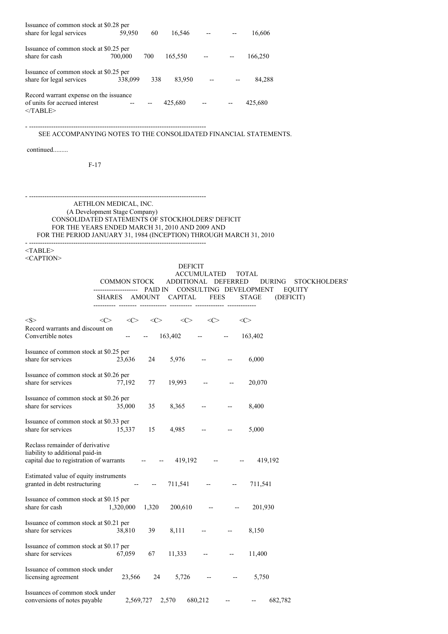| Issuance of common stock at \$0.28 per<br>share for legal services | 59,950  | 60  | 16.546  |  | 16,606  |
|--------------------------------------------------------------------|---------|-----|---------|--|---------|
|                                                                    |         |     |         |  |         |
| Issuance of common stock at \$0.25 per                             |         |     |         |  |         |
| share for cash                                                     | 700,000 | 700 | 165,550 |  | 166,250 |
| Issuance of common stock at \$0.25 per                             |         |     |         |  |         |
|                                                                    |         |     |         |  |         |
| share for legal services                                           | 338,099 | 338 | 83,950  |  | 84,288  |
| Record warrant expense on the issuance                             |         |     |         |  |         |
| of units for accrued interest                                      |         |     | 425,680 |  | 425,680 |
| $<$ TABLE>                                                         |         |     |         |  |         |
|                                                                    |         |     |         |  |         |

## SEE ACCOMPANYING NOTES TO THE CONSOLIDATED FINANCIAL STATEMENTS.

continued.........

F-17

- --------------------------------------------------------------------------------

### - -------------------------------------------------------------------------------- AETHLON MEDICAL, INC. (A Development Stage Company) CONSOLIDATED STATEMENTS OF STOCKHOLDERS' DEFICIT FOR THE YEARS ENDED MARCH 31, 2010 AND 2009 AND FOR THE PERIOD JANUARY 31, 1984 (INCEPTION) THROUGH MARCH 31, 2010 - --------------------------------------------------------------------------------

 $<$  TABLE>  $\,$ <CAPTION>

|                                                                                                                                     |           |                     | <b>DEFICIT</b> |                             |                                 |           |  |  |
|-------------------------------------------------------------------------------------------------------------------------------------|-----------|---------------------|----------------|-----------------------------|---------------------------------|-----------|--|--|
| <b>ACCUMULATED</b><br><b>TOTAL</b><br>ADDITIONAL DEFERRED<br><b>STOCKHOLDERS'</b><br><b>COMMON STOCK</b><br><b>DURING</b>           |           |                     |                |                             |                                 |           |  |  |
| -------------- PAID IN CONSULTING DEVELOPMENT<br><b>EQUITY</b><br>SHARES AMOUNT CAPITAL<br><b>FEES</b><br><b>STAGE</b>              |           |                     |                |                             |                                 |           |  |  |
|                                                                                                                                     |           |                     |                |                             |                                 | (DEFICIT) |  |  |
| < S ><br>$<\!\!C\!\!>$<br>Record warrants and discount on                                                                           | <<>       | $\langle C \rangle$ | <<>            | $\langle C \rangle$         | $<\!\!C\!\!>$                   |           |  |  |
| Convertible notes                                                                                                                   |           |                     | 163,402        |                             |                                 | 163,402   |  |  |
| Issuance of common stock at \$0.25 per<br>share for services                                                                        | 23,636    | 24                  | 5,976          |                             |                                 | 6,000     |  |  |
| Issuance of common stock at \$0.26 per<br>share for services                                                                        | 77,192    | 77                  | 19,993         | $ -$                        |                                 | 20,070    |  |  |
| Issuance of common stock at \$0.26 per<br>share for services                                                                        | 35,000    | 35                  | 8,365          |                             |                                 | 8,400     |  |  |
| Issuance of common stock at \$0.33 per<br>share for services                                                                        | 15,337    | 15                  | 4,985          |                             |                                 | 5,000     |  |  |
| Reclass remainder of derivative<br>liability to additional paid-in<br>capital due to registration of warrants<br>419,192<br>419,192 |           |                     |                |                             |                                 |           |  |  |
| Estimated value of equity instruments<br>granted in debt restructuring                                                              |           |                     | $711,541$ --   |                             | $\overline{\phantom{a}}$        | 711,541   |  |  |
| Issuance of common stock at \$0.15 per<br>share for cash                                                                            | 1,320,000 | 1,320               | 200,610        | $\overline{a}$              |                                 | 201,930   |  |  |
| Issuance of common stock at \$0.21 per<br>share for services                                                                        | 38,810    | 39                  | 8,111          |                             |                                 | 8,150     |  |  |
| Issuance of common stock at \$0.17 per<br>share for services                                                                        | 67,059    | 67                  | 11,333         | $\mathcal{L}_{\mathcal{F}}$ |                                 | 11,400    |  |  |
| Issuance of common stock under<br>licensing agreement                                                                               | 23,566    | 24                  | 5,726          | $\frac{1}{2}$               |                                 | 5,750     |  |  |
| Issuances of common stock under<br>conversions of notes payable                                                                     | 2,569,727 |                     | 2,570          | 680,212                     | $\frac{1}{2}$ and $\frac{1}{2}$ | 682,782   |  |  |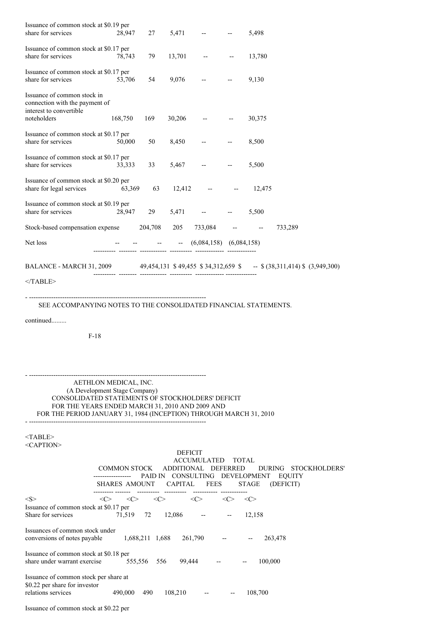| Issuance of common stock at \$0.19 per<br>share for services                                                                                                                                 | 28,947                                                                                                                                                                                          | 27      |                | $5,471$ -- --                                            | 5,498                                                                                             |  |
|----------------------------------------------------------------------------------------------------------------------------------------------------------------------------------------------|-------------------------------------------------------------------------------------------------------------------------------------------------------------------------------------------------|---------|----------------|----------------------------------------------------------|---------------------------------------------------------------------------------------------------|--|
| Issuance of common stock at \$0.17 per<br>share for services                                                                                                                                 | 78,743                                                                                                                                                                                          | 79      |                | $13,701$ --                                              | 13,780                                                                                            |  |
| Issuance of common stock at \$0.17 per<br>share for services                                                                                                                                 | 53,706                                                                                                                                                                                          | 54      | 9,076          |                                                          | 9,130                                                                                             |  |
| Issuance of common stock in<br>connection with the payment of<br>interest to convertible<br>noteholders                                                                                      | 168,750                                                                                                                                                                                         | 169     |                | $30,206$ --                                              | 30,375                                                                                            |  |
| Issuance of common stock at \$0.17 per<br>share for services                                                                                                                                 | 50,000                                                                                                                                                                                          | 50      | 8,450          |                                                          | 8,500                                                                                             |  |
| Issuance of common stock at \$0.17 per<br>share for services                                                                                                                                 | 33,333                                                                                                                                                                                          | 33      |                | $5,467$ --                                               | 5,500                                                                                             |  |
| Issuance of common stock at \$0.20 per<br>share for legal services                                                                                                                           | 63,369                                                                                                                                                                                          |         |                | 63 12,412 -- -                                           | 12,475                                                                                            |  |
| Issuance of common stock at \$0.19 per<br>share for services                                                                                                                                 | 28,947                                                                                                                                                                                          | 29      |                | $5,471$ -- --                                            | 5,500                                                                                             |  |
| Stock-based compensation expense                                                                                                                                                             |                                                                                                                                                                                                 | 204,708 | 205            | 733,084                                                  | 733,289<br>$\sim$ 100 $\sim$ 100 $\sim$                                                           |  |
| Net loss                                                                                                                                                                                     |                                                                                                                                                                                                 |         |                | -- -- $(6,084,158)$ $(6,084,158)$                        |                                                                                                   |  |
| BALANCE - MARCH 31, 2009 49,454,131 \$49,455 \$34,312,659 \$ -- \$(38,311,414) \$(3,949,300)<br>$<$ /TABLE><br>SEE ACCOMPANYING NOTES TO THE CONSOLIDATED FINANCIAL STATEMENTS.<br>continued |                                                                                                                                                                                                 |         |                |                                                          |                                                                                                   |  |
| $F-18$                                                                                                                                                                                       |                                                                                                                                                                                                 |         |                |                                                          |                                                                                                   |  |
| FOR THE PERIOD JANUARY 31, 1984 (INCEPTION) THROUGH MARCH 31, 2010                                                                                                                           | AETHLON MEDICAL, INC.<br>(A Development Stage Company)<br>CONSOLIDATED STATEMENTS OF STOCKHOLDERS' DEFICIT<br>FOR THE YEARS ENDED MARCH 31, 2010 AND 2009 AND                                   |         |                |                                                          |                                                                                                   |  |
| <table><br/><caption></caption></table>                                                                                                                                                      | COMMON STOCK ADDITIONAL DEFERRED<br>SHARES AMOUNT CAPITAL FEES                                                                                                                                  |         | <b>DEFICIT</b> | ACCUMULATED TOTAL                                        | DURING STOCKHOLDERS'<br>---------------- PAID IN CONSULTING DEVELOPMENT EQUITY<br>STAGE (DEFICIT) |  |
| <s><br/>Issuance of common stock at \$0.17 per<br/>Share for services</s>                                                                                                                    | $\langle\langle\!\langle\!\langle\rangle\rangle\rangle\rangle$ $\langle\langle\!\langle\rangle\rangle\rangle\rangle\rangle$ $\langle\langle\!\langle\rangle\rangle\rangle\rangle\rangle\rangle$ |         |                | ---------- ----------- -<br>71,519 72 12,086 -- - 12,158 |                                                                                                   |  |
| Issuances of common stock under<br>conversions of notes payable 1,688,211 1,688 261,790 -- - -                                                                                               |                                                                                                                                                                                                 |         |                |                                                          | 263,478                                                                                           |  |
| Issuance of common stock at \$0.18 per<br>share under warrant exercise                                                                                                                       |                                                                                                                                                                                                 |         |                | 555,556 556 99,444 -- -                                  | 100,000                                                                                           |  |
| Issuance of common stock per share at<br>\$0.22 per share for investor                                                                                                                       |                                                                                                                                                                                                 |         |                |                                                          |                                                                                                   |  |

Issuance of common stock at \$0.22 per

relations services 490,000 490 108,210 -- - 108,700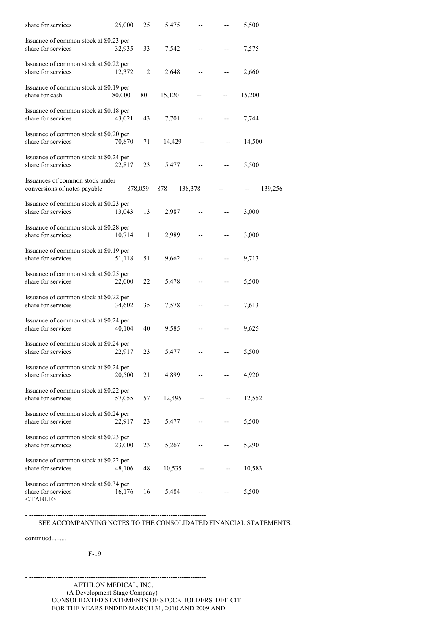| share for services                                                          | 25,000 | 25      | 5,475  |                          |    | 5,500   |
|-----------------------------------------------------------------------------|--------|---------|--------|--------------------------|----|---------|
| Issuance of common stock at \$0.23 per<br>share for services                | 32,935 | 33      | 7,542  |                          |    | 7,575   |
| Issuance of common stock at \$0.22 per<br>share for services                | 12,372 | 12      | 2,648  | --                       |    | 2,660   |
| Issuance of common stock at \$0.19 per<br>share for cash                    | 80,000 | 80      | 15,120 |                          |    | 15,200  |
| Issuance of common stock at \$0.18 per<br>share for services                | 43,021 | 43      | 7,701  |                          |    | 7,744   |
| Issuance of common stock at \$0.20 per<br>share for services                | 70,870 | 71      | 14,429 |                          |    | 14,500  |
| Issuance of common stock at \$0.24 per<br>share for services                | 22,817 | 23      | 5,477  |                          |    | 5,500   |
| Issuances of common stock under<br>conversions of notes payable             |        | 878,059 | 878    | 138,378                  |    | 139,256 |
| Issuance of common stock at \$0.23 per<br>share for services                | 13,043 | 13      | 2,987  |                          |    | 3,000   |
| Issuance of common stock at \$0.28 per<br>share for services                | 10,714 | 11      | 2,989  |                          |    | 3,000   |
| Issuance of common stock at \$0.19 per<br>share for services                | 51,118 | 51      | 9,662  |                          |    | 9,713   |
| Issuance of common stock at \$0.25 per<br>share for services                | 22,000 | 22      | 5,478  | --                       |    | 5,500   |
| Issuance of common stock at \$0.22 per<br>share for services                | 34,602 | 35      | 7,578  | --                       | -- | 7,613   |
| Issuance of common stock at \$0.24 per<br>share for services                | 40,104 | 40      | 9,585  |                          |    | 9,625   |
| Issuance of common stock at \$0.24 per<br>share for services                | 22,917 | 23      | 5,477  | $\overline{\phantom{a}}$ |    | 5,500   |
| Issuance of common stock at \$0.24 per<br>share for services                | 20,500 | 21      | 4,899  |                          |    | 4,920   |
| Issuance of common stock at \$0.22 per<br>share for services                | 57,055 | 57      | 12,495 |                          |    | 12,552  |
| Issuance of common stock at \$0.24 per<br>share for services                | 22,917 | 23      | 5,477  |                          |    | 5,500   |
| Issuance of common stock at \$0.23 per<br>share for services                | 23,000 | 23      | 5,267  |                          | -- | 5,290   |
| Issuance of common stock at \$0.22 per<br>share for services                | 48,106 | 48      | 10,535 |                          |    | 10,583  |
| Issuance of common stock at \$0.34 per<br>share for services<br>$<$ /TABLE> | 16,176 | 16      | 5,484  |                          |    | 5,500   |

# SEE ACCOMPANYING NOTES TO THE CONSOLIDATED FINANCIAL STATEMENTS.

continued.........

F-19

- --------------------------------------------------------------------------------

- --------------------------------------------------------------------------------

AETHLON MEDICAL, INC. (A Development Stage Company) CONSOLIDATED STATEMENTS OF STOCKHOLDERS' DEFICIT FOR THE YEARS ENDED MARCH 31, 2010 AND 2009 AND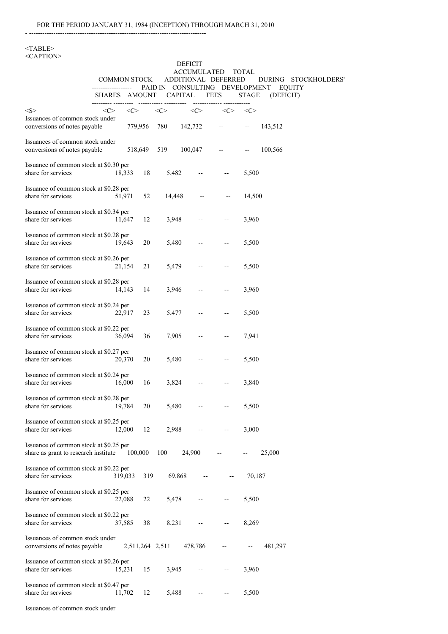- --------------------------------------------------------------------------------

## <TABLE> <CAPTION>

| wan noiv                                                                         |               | COMMON STOCK    |            | <b>DEFICIT</b><br>ACCUMULATED  | ADDITIONAL DEFERRED                           | <b>TOTAL</b>             | DURING STOCKHOLDERS'       |
|----------------------------------------------------------------------------------|---------------|-----------------|------------|--------------------------------|-----------------------------------------------|--------------------------|----------------------------|
|                                                                                  | <b>SHARES</b> | AMOUNT CAPITAL  |            |                                | PAID IN CONSULTING DEVELOPMENT<br><b>FEES</b> | <b>STAGE</b>             | <b>EQUITY</b><br>(DEFICIT) |
| $<\!\!S\!\!>$<br>Issuances of common stock under<br>conversions of notes payable | <<>           | <<><br>779,956  | <<><br>780 | $\langle C \rangle$<br>142,732 | <<>                                           | $\langle$ C>             | 143,512                    |
| Issuances of common stock under<br>conversions of notes payable                  |               | 518,649         | 519        | 100,047                        | $\frac{1}{2}$ and $\frac{1}{2}$               |                          | 100,566                    |
| Issuance of common stock at \$0.30 per<br>share for services                     |               | 18,333<br>18    | 5,482      | $- -$                          |                                               | 5,500                    |                            |
| Issuance of common stock at \$0.28 per<br>share for services                     |               | 51,971<br>52    | 14,448     |                                |                                               | 14,500                   |                            |
| Issuance of common stock at \$0.34 per<br>share for services                     |               | 11,647<br>12    | 3,948      |                                |                                               | 3,960                    |                            |
| Issuance of common stock at \$0.28 per<br>share for services                     |               | 19,643<br>20    | 5,480      |                                |                                               | 5,500                    |                            |
| Issuance of common stock at \$0.26 per<br>share for services                     |               | 21,154<br>21    | 5,479      |                                |                                               | 5,500                    |                            |
| Issuance of common stock at \$0.28 per<br>share for services                     |               | 14,143<br>14    | 3,946      |                                |                                               | 3,960                    |                            |
| Issuance of common stock at \$0.24 per<br>share for services                     |               | 22,917<br>23    | 5,477      |                                | $-$                                           | 5,500                    |                            |
| Issuance of common stock at \$0.22 per<br>share for services                     |               | 36,094<br>36    | 7,905      |                                |                                               | 7,941                    |                            |
| Issuance of common stock at \$0.27 per<br>share for services                     |               | 20,370<br>20    | 5,480      |                                |                                               | 5,500                    |                            |
| Issuance of common stock at \$0.24 per<br>share for services                     |               | 16,000<br>16    | 3,824      |                                |                                               | 3,840                    |                            |
| Issuance of common stock at \$0.28 per<br>share for services                     |               | 19,784<br>20    | 5,480      |                                |                                               | 5,500                    |                            |
| Issuance of common stock at \$0.25 per<br>share for services                     |               | 12,000<br>12    | 2,988      |                                |                                               | 3,000                    |                            |
| Issuance of common stock at \$0.25 per<br>share as grant to research institute   |               | 100,000         | 100        | 24,900                         |                                               | $\overline{\phantom{a}}$ | 25,000                     |
| Issuance of common stock at \$0.22 per<br>share for services                     |               | 319<br>319,033  |            | 69,868                         |                                               | 70,187                   |                            |
| Issuance of common stock at \$0.25 per<br>share for services                     |               | 22,088<br>22    | 5,478      |                                |                                               | 5,500                    |                            |
| Issuance of common stock at \$0.22 per<br>share for services                     |               | 38<br>37,585    | 8,231      |                                |                                               | 8,269                    |                            |
| Issuances of common stock under<br>conversions of notes payable                  |               | 2,511,264 2,511 |            | 478,786                        |                                               |                          | 481,297                    |
| Issuance of common stock at \$0.26 per<br>share for services                     |               | 15,231<br>15    | 3,945      |                                |                                               | 3,960                    |                            |
| Issuance of common stock at \$0.47 per<br>share for services                     |               | 11,702<br>12    | 5,488      | --                             | --                                            | 5,500                    |                            |

Issuances of common stock under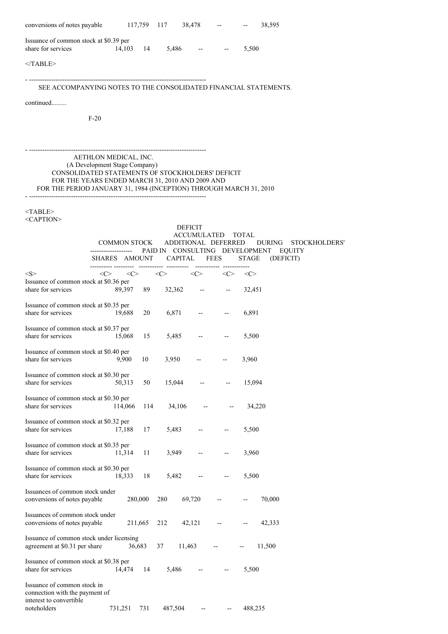| conversions of notes payable $117,759$ $117$ $38,478$ -                                                                                                                   |                                                        |         |     |                                                                                                                                                                                                                                                                                                |                          |                   |         | 38,595                                                                                                                         |
|---------------------------------------------------------------------------------------------------------------------------------------------------------------------------|--------------------------------------------------------|---------|-----|------------------------------------------------------------------------------------------------------------------------------------------------------------------------------------------------------------------------------------------------------------------------------------------------|--------------------------|-------------------|---------|--------------------------------------------------------------------------------------------------------------------------------|
| Issuance of common stock at \$0.39 per<br>share for services                                                                                                              |                                                        | 14,103  |     | $14$ $5,486$ -- - $5,500$                                                                                                                                                                                                                                                                      |                          |                   |         |                                                                                                                                |
| $<$ TABLE>                                                                                                                                                                |                                                        |         |     |                                                                                                                                                                                                                                                                                                |                          |                   |         |                                                                                                                                |
| SEE ACCOMPANYING NOTES TO THE CONSOLIDATED FINANCIAL STATEMENTS.                                                                                                          |                                                        |         |     |                                                                                                                                                                                                                                                                                                |                          |                   |         |                                                                                                                                |
| continued                                                                                                                                                                 |                                                        |         |     |                                                                                                                                                                                                                                                                                                |                          |                   |         |                                                                                                                                |
|                                                                                                                                                                           | $F-20$                                                 |         |     |                                                                                                                                                                                                                                                                                                |                          |                   |         |                                                                                                                                |
| CONSOLIDATED STATEMENTS OF STOCKHOLDERS' DEFICIT<br>FOR THE YEARS ENDED MARCH 31, 2010 AND 2009 AND<br>FOR THE PERIOD JANUARY 31, 1984 (INCEPTION) THROUGH MARCH 31, 2010 | AETHLON MEDICAL, INC.<br>(A Development Stage Company) |         |     |                                                                                                                                                                                                                                                                                                |                          |                   |         |                                                                                                                                |
| <table><br/><caption></caption></table>                                                                                                                                   |                                                        |         |     |                                                                                                                                                                                                                                                                                                |                          |                   |         |                                                                                                                                |
|                                                                                                                                                                           |                                                        |         |     | SHARES AMOUNT CAPITAL FEES STAGE                                                                                                                                                                                                                                                               | <b>DEFICIT</b>           | ACCUMULATED TOTAL |         | COMMON STOCK ADDITIONAL DEFERRED DURING STOCKHOLDERS'<br>------------------ PAID IN CONSULTING DEVELOPMENT EQUITY<br>(DEFICIT) |
| < S >                                                                                                                                                                     |                                                        |         |     | $\begin{array}{ccccccccc} \text{\ensuremath{\langle C \rangle}} & & \text{\ensuremath{\langle C \rangle}} & & \text{\ensuremath{\langle C \rangle}} & & \text{\ensuremath{\langle C \rangle}} & & \text{\ensuremath{\langle C \rangle}} & & \text{\ensuremath{\langle C \rangle}} \end{array}$ |                          |                   |         |                                                                                                                                |
| Issuance of common stock at \$0.36 per<br>share for services                                                                                                              |                                                        | 89,397  |     | $89 \t 32,362 \t - \t -$                                                                                                                                                                                                                                                                       |                          |                   | 32,451  |                                                                                                                                |
| Issuance of common stock at \$0.35 per<br>share for services                                                                                                              |                                                        | 19,688  | 20  |                                                                                                                                                                                                                                                                                                |                          | $6,871$ -- --     | 6,891   |                                                                                                                                |
| Issuance of common stock at \$0.37 per<br>share for services                                                                                                              |                                                        | 15,068  | 15  | 5,485                                                                                                                                                                                                                                                                                          |                          |                   | 5,500   |                                                                                                                                |
| Issuance of common stock at \$0.40 per<br>share for services 9,900 10                                                                                                     |                                                        |         |     | 3,950                                                                                                                                                                                                                                                                                          | --                       |                   | 3,960   |                                                                                                                                |
| Issuance of common stock at \$0.30 per<br>share for services                                                                                                              |                                                        | 50,313  | 50  | 15,044                                                                                                                                                                                                                                                                                         |                          |                   | 15,094  |                                                                                                                                |
| Issuance of common stock at \$0.30 per<br>share for services                                                                                                              |                                                        | 114,066 | 114 | 34,106                                                                                                                                                                                                                                                                                         |                          |                   | 34,220  |                                                                                                                                |
| Issuance of common stock at \$0.32 per<br>share for services                                                                                                              |                                                        | 17,188  | 17  | 5,483                                                                                                                                                                                                                                                                                          |                          |                   | 5,500   |                                                                                                                                |
| Issuance of common stock at \$0.35 per<br>share for services                                                                                                              |                                                        | 11,314  | 11  | 3,949                                                                                                                                                                                                                                                                                          | $- -$                    | $-$               | 3,960   |                                                                                                                                |
| Issuance of common stock at \$0.30 per<br>share for services                                                                                                              |                                                        | 18,333  | 18  | 5,482                                                                                                                                                                                                                                                                                          | $- -$                    |                   | 5,500   |                                                                                                                                |
| Issuances of common stock under<br>conversions of notes payable                                                                                                           |                                                        | 280,000 |     | 280                                                                                                                                                                                                                                                                                            | 69,720                   |                   |         | 70,000                                                                                                                         |
| Issuances of common stock under<br>conversions of notes payable                                                                                                           |                                                        | 211,665 |     | 212                                                                                                                                                                                                                                                                                            | 42,121                   |                   |         | 42,333                                                                                                                         |
| Issuance of common stock under licensing<br>agreement at \$0.31 per share                                                                                                 |                                                        | 36,683  |     | 37                                                                                                                                                                                                                                                                                             | 11,463                   |                   |         | 11,500                                                                                                                         |
| Issuance of common stock at \$0.38 per<br>share for services                                                                                                              |                                                        | 14,474  | 14  | 5,486                                                                                                                                                                                                                                                                                          |                          |                   | 5,500   |                                                                                                                                |
| Issuance of common stock in<br>connection with the payment of<br>interest to convertible<br>noteholders                                                                   |                                                        | 731,251 | 731 | 487,504                                                                                                                                                                                                                                                                                        | $\overline{\phantom{a}}$ |                   | 488,235 |                                                                                                                                |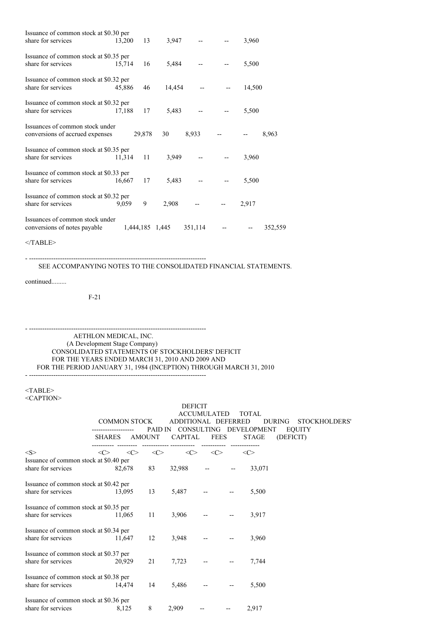| Issuance of common stock at \$0.30 per |        |                 |        |                          |        |         |
|----------------------------------------|--------|-----------------|--------|--------------------------|--------|---------|
| share for services                     | 13,200 | 13              | 3,947  |                          | 3,960  |         |
| Issuance of common stock at \$0.35 per |        |                 |        |                          |        |         |
| share for services                     | 15,714 | 16              | 5,484  |                          | 5,500  |         |
| Issuance of common stock at \$0.32 per |        |                 |        |                          |        |         |
| share for services                     | 45,886 | 46              | 14,454 |                          | 14,500 |         |
| Issuance of common stock at \$0.32 per |        |                 |        |                          |        |         |
| share for services                     | 17,188 | 17              | 5,483  |                          | 5,500  |         |
| Issuances of common stock under        |        |                 |        |                          |        |         |
| conversions of accrued expenses        |        | 29,878          | 30     | 8,933                    |        | 8,963   |
| Issuance of common stock at \$0.35 per |        |                 |        |                          |        |         |
| share for services                     | 11,314 | 11              | 3,949  |                          | 3,960  |         |
| Issuance of common stock at \$0.33 per |        |                 |        |                          |        |         |
| share for services                     | 16,667 | 17              | 5,483  | $\overline{\phantom{a}}$ | 5,500  |         |
| Issuance of common stock at \$0.32 per |        |                 |        |                          |        |         |
| share for services                     | 9,059  | 9               | 2,908  | $-\!$                    | 2,917  |         |
| Issuances of common stock under        |        |                 |        |                          |        |         |
| conversions of notes payable           |        | 1,444,185 1,445 |        | 351,114                  |        | 352,559 |
| $<$ TABLE>                             |        |                 |        |                          |        |         |

### SEE ACCOMPANYING NOTES TO THE CONSOLIDATED FINANCIAL STATEMENTS.

continued.........

F-21

- --------------------------------------------------------------------------------

- --------------------------------------------------------------------------------

AETHLON MEDICAL, INC. (A Development Stage Company) CONSOLIDATED STATEMENTS OF STOCKHOLDERS' DEFICIT FOR THE YEARS ENDED MARCH 31, 2010 AND 2009 AND FOR THE PERIOD JANUARY 31, 1984 (INCEPTION) THROUGH MARCH 31, 2010 - --------------------------------------------------------------------------------

# $<$ TABLE $>$

<CAPTION>

|                                        |                     |                     |                     | <b>DEFICIT</b>                 |                     |                          |              |               |               |  |
|----------------------------------------|---------------------|---------------------|---------------------|--------------------------------|---------------------|--------------------------|--------------|---------------|---------------|--|
|                                        |                     |                     |                     |                                | <b>ACCUMULATED</b>  |                          | <b>TOTAL</b> |               |               |  |
|                                        | COMMON STOCK        |                     |                     | ADDITIONAL DEFERRED            |                     |                          |              | <b>DURING</b> | STOCKHOLDERS' |  |
|                                        |                     |                     |                     | PAID IN CONSULTING DEVELOPMENT |                     |                          |              |               | <b>EQUITY</b> |  |
|                                        |                     |                     |                     | SHARES AMOUNT CAPITAL FEES     |                     |                          | STAGE        | (DEFICIT)     |               |  |
| $<\!\!S\!\!>$                          | $\langle C \rangle$ | $\langle C \rangle$ | $\langle C \rangle$ | $\langle C \rangle$            | $\langle C \rangle$ |                          | <<>          |               |               |  |
| Issuance of common stock at \$0.40 per |                     |                     |                     |                                |                     |                          |              |               |               |  |
| share for services                     | 82,678              |                     | 83                  | 32,988                         | <b>ARCHITECT</b>    |                          | 33,071       |               |               |  |
| Issuance of common stock at \$0.42 per |                     |                     |                     |                                |                     |                          |              |               |               |  |
| share for services                     | 13,095              |                     | 13                  | 5,487                          |                     |                          | 5,500        |               |               |  |
| Issuance of common stock at \$0.35 per |                     |                     |                     |                                |                     |                          |              |               |               |  |
| share for services                     | 11,065              |                     | 11                  | 3,906                          |                     | $\overline{\phantom{a}}$ | 3,917        |               |               |  |
| Issuance of common stock at \$0.34 per |                     |                     |                     |                                |                     |                          |              |               |               |  |
| share for services                     | 11,647              |                     | 12                  | 3,948                          |                     |                          | 3,960        |               |               |  |
| Issuance of common stock at \$0.37 per |                     |                     |                     |                                |                     |                          |              |               |               |  |
| share for services                     | 20,929              |                     | 21                  | 7,723                          |                     |                          | 7,744        |               |               |  |
| Issuance of common stock at \$0.38 per |                     |                     |                     |                                |                     |                          |              |               |               |  |
| share for services                     | 14,474              |                     | 14                  | 5,486                          |                     |                          | 5,500        |               |               |  |
| Issuance of common stock at \$0.36 per |                     |                     |                     |                                |                     |                          |              |               |               |  |
| share for services                     | 8,125               |                     | 8                   | 2,909                          | <b>ARCHITECT</b>    | $\overline{\phantom{a}}$ | 2,917        |               |               |  |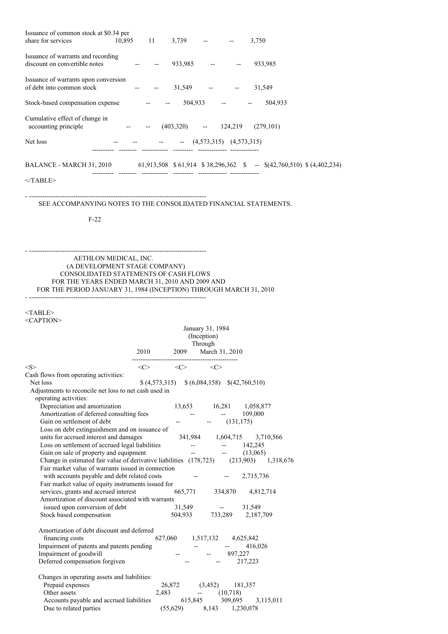| Issuance of common stock at \$0.34 per<br>share for services        | 10,895 | -11 | $3,739$ -- --               |            | 3,750                                                                    |
|---------------------------------------------------------------------|--------|-----|-----------------------------|------------|--------------------------------------------------------------------------|
| Issuance of warrants and recording<br>discount on convertible notes |        |     | 933,985                     |            | 933,985                                                                  |
| Issuance of warrants upon conversion<br>of debt into common stock   |        |     | $31,549$ -- --              |            | 31,549                                                                   |
| Stock-based compensation expense                                    |        |     |                             | 504,933 -- | 504,933                                                                  |
| Cumulative effect of change in<br>accounting principle.             |        |     | $(403,320)$ -- 124,219      |            | (279,101)                                                                |
| Net loss                                                            |        |     | $-$ (4,573,315) (4,573,315) |            |                                                                          |
| BALANCE - MARCH 31, 2010                                            |        |     |                             |            | $61,913,508$ \$ 61,914 \$ 38,296,362 \$ -- \$(42,760,510) \$ (4,402,234) |
| $<$ TABLE>                                                          |        |     |                             |            |                                                                          |
|                                                                     |        |     |                             |            |                                                                          |

#### SEE ACCOMPANYING NOTES TO THE CONSOLIDATED FINANCIAL STATEMENTS.

F-22

- -------------------------------------------------------------------------------- AETHLON MEDICAL, INC. (A DEVELOPMENT STAGE COMPANY) CONSOLIDATED STATEMENTS OF CASH FLOWS FOR THE YEARS ENDED MARCH 31, 2010 AND 2009 AND FOR THE PERIOD JANUARY 31, 1984 (INCEPTION) THROUGH MARCH 31, 2010

- --------------------------------------------------------------------------------

# <TABLE>

<CAPTION>

|                                                                                                                               |                                                             | January 31, 1984<br>(Inception)<br>Through<br>2010 2009 March 31, 2010 |                             |
|-------------------------------------------------------------------------------------------------------------------------------|-------------------------------------------------------------|------------------------------------------------------------------------|-----------------------------|
| < S >                                                                                                                         | $\langle C \rangle$ $\langle C \rangle$ $\langle C \rangle$ |                                                                        |                             |
| Cash flows from operating activities:                                                                                         |                                                             |                                                                        |                             |
| Net loss                                                                                                                      |                                                             | $(4,573,315)$ $(6,084,158)$ $(42,760,510)$                             |                             |
| Adjustments to reconcile net loss to net cash used in<br>operating activities:                                                |                                                             |                                                                        |                             |
| Depreciation and amortization                                                                                                 |                                                             | $13,653$ $16,281$ $1,058,877$                                          |                             |
| Amortization of deferred consulting fees                                                                                      |                                                             | $  109,000$                                                            |                             |
| Gain on settlement of debt                                                                                                    |                                                             | $-$ (131,175)                                                          |                             |
| Loss on debt extinguishment and on issuance of                                                                                |                                                             |                                                                        |                             |
| units for accrued interest and damages                                                                                        |                                                             |                                                                        | 341,984 1,604,715 3,710,566 |
| Loss on settlement of accrued legal liabilities -- - 142,245                                                                  |                                                             |                                                                        |                             |
| Gain on sale of property and equipment                                                                                        |                                                             | <b>ARCHITECT</b>                                                       | $-$ (13,065)                |
| Change in estimated fair value of derivative liabilities (178,723) (213,903) 1,318,676                                        |                                                             |                                                                        |                             |
| Fair market value of warrants issued in connection                                                                            |                                                             |                                                                        |                             |
| with accounts payable and debt related costs                                                                                  |                                                             | $-2,715,736$                                                           |                             |
| Fair market value of equity instruments issued for                                                                            |                                                             |                                                                        |                             |
| services, grants and accrued interest                                                                                         |                                                             | 665,771 334,870 4,812,714                                              |                             |
| Amortization of discount associated with warrants                                                                             |                                                             |                                                                        |                             |
|                                                                                                                               |                                                             |                                                                        |                             |
| issued upon conversion of debt<br>31,549 -- 31,549<br>504,933 733,289 2,187,709<br>Stock based compensation                   |                                                             |                                                                        |                             |
| Amortization of debt discount and deferred                                                                                    |                                                             |                                                                        |                             |
| financing costs                                                                                                               |                                                             | 627,060 1,517,132 4,625,842                                            |                             |
| Impairment of patents and patents pending                                                                                     |                                                             | $\frac{1}{2}$                                                          | 416,026                     |
|                                                                                                                               |                                                             | $-897,227$                                                             |                             |
| mpanniem or goodwill<br>Deferred compensation forgiven                                                                        |                                                             |                                                                        | 217,223                     |
| Changes in operating assets and liabilities:                                                                                  |                                                             |                                                                        |                             |
| Prepaid expenses                                                                                                              |                                                             | 26,872 (3,452) 181,357                                                 |                             |
|                                                                                                                               |                                                             |                                                                        |                             |
| Other assets<br>Other assets<br>Accounts payable and accrued liabilities<br>$2,483$ - (10,718)<br>$615,845$ 309,695 3,115,011 |                                                             |                                                                        |                             |
| Due to related parties                                                                                                        |                                                             | $(55,629)$ 8,143 1,230,078                                             |                             |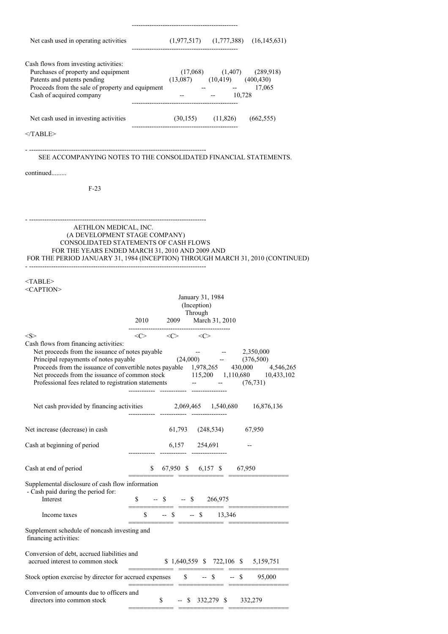| Net cash used in operating activities (1,977,517) (1,777,388) (16,145,631)                                                                                                                                                                                                                                                                                          |                                                                                         |                                                 |                                            |                                                               |                                                                                                                                                                                                                                                                                                                                                                                                  |
|---------------------------------------------------------------------------------------------------------------------------------------------------------------------------------------------------------------------------------------------------------------------------------------------------------------------------------------------------------------------|-----------------------------------------------------------------------------------------|-------------------------------------------------|--------------------------------------------|---------------------------------------------------------------|--------------------------------------------------------------------------------------------------------------------------------------------------------------------------------------------------------------------------------------------------------------------------------------------------------------------------------------------------------------------------------------------------|
| Cash flows from investing activities:<br>Purchases of property and equipment (17,068) (1,407) (289,918)<br>Patents and patents pending<br>Proceeds from the sale of property and equipment<br>Cash of acquired company                                                                                                                                              |                                                                                         | $\mathcal{L}_{\mathcal{A}}$ . The $\mathcal{A}$ |                                            | $-10,728$                                                     | $(13,087)$ $(10,419)$ $(400,430)$<br>$  17,065$                                                                                                                                                                                                                                                                                                                                                  |
| Net cash used in investing activities                                                                                                                                                                                                                                                                                                                               |                                                                                         |                                                 |                                            |                                                               | $(30,155)$ $(11,826)$ $(662,555)$                                                                                                                                                                                                                                                                                                                                                                |
| $<$ TABLE>                                                                                                                                                                                                                                                                                                                                                          |                                                                                         |                                                 |                                            |                                                               |                                                                                                                                                                                                                                                                                                                                                                                                  |
| SEE ACCOMPANYING NOTES TO THE CONSOLIDATED FINANCIAL STATEMENTS.                                                                                                                                                                                                                                                                                                    |                                                                                         |                                                 |                                            |                                                               |                                                                                                                                                                                                                                                                                                                                                                                                  |
| continued                                                                                                                                                                                                                                                                                                                                                           |                                                                                         |                                                 |                                            |                                                               |                                                                                                                                                                                                                                                                                                                                                                                                  |
| $F-23$                                                                                                                                                                                                                                                                                                                                                              |                                                                                         |                                                 |                                            |                                                               |                                                                                                                                                                                                                                                                                                                                                                                                  |
|                                                                                                                                                                                                                                                                                                                                                                     |                                                                                         |                                                 |                                            |                                                               |                                                                                                                                                                                                                                                                                                                                                                                                  |
| AETHLON MEDICAL, INC.<br>(A DEVELOPMENT STAGE COMPANY)<br><b>CONSOLIDATED STATEMENTS OF CASH FLOWS</b><br>FOR THE YEARS ENDED MARCH 31, 2010 AND 2009 AND<br>FOR THE PERIOD JANUARY 31, 1984 (INCEPTION) THROUGH MARCH 31, 2010 (CONTINUED)                                                                                                                         |                                                                                         |                                                 |                                            |                                                               |                                                                                                                                                                                                                                                                                                                                                                                                  |
| $<$ TABLE>                                                                                                                                                                                                                                                                                                                                                          |                                                                                         |                                                 |                                            |                                                               |                                                                                                                                                                                                                                                                                                                                                                                                  |
| <caption></caption>                                                                                                                                                                                                                                                                                                                                                 |                                                                                         |                                                 | January 31, 1984<br>(Inception)<br>Through |                                                               |                                                                                                                                                                                                                                                                                                                                                                                                  |
| < S >                                                                                                                                                                                                                                                                                                                                                               | 2010 2009 March 31, 2010<br>$\langle C \rangle$ $\langle C \rangle$ $\langle C \rangle$ |                                                 |                                            |                                                               |                                                                                                                                                                                                                                                                                                                                                                                                  |
| Cash flows from financing activities:<br>Net proceeds from the issuance of notes payable -- - - 2,350,000<br>Principal repayments of notes payable<br>Proceeds from the issuance of convertible notes payable 1,978,265 430,000 4,546,265<br>Net proceeds from the issuance of common stock<br>Professional fees related to registration statements -- - - (76,731) |                                                                                         |                                                 |                                            |                                                               | $(24,000)$ -- $(376,500)$<br>$115,200$ $1,110,680$ $10,433,102$                                                                                                                                                                                                                                                                                                                                  |
| Net cash provided by financing activities 2,069,465 1,540,680 16,876,136                                                                                                                                                                                                                                                                                            |                                                                                         |                                                 |                                            |                                                               |                                                                                                                                                                                                                                                                                                                                                                                                  |
| Net increase (decrease) in cash                                                                                                                                                                                                                                                                                                                                     |                                                                                         |                                                 |                                            |                                                               | 61,793 (248,534) 67,950                                                                                                                                                                                                                                                                                                                                                                          |
| Cash at beginning of period                                                                                                                                                                                                                                                                                                                                         |                                                                                         | 6,157 254,691                                   |                                            |                                                               |                                                                                                                                                                                                                                                                                                                                                                                                  |
| Cash at end of period                                                                                                                                                                                                                                                                                                                                               |                                                                                         |                                                 |                                            | $$67,950 \$6,157 \$67,950$                                    |                                                                                                                                                                                                                                                                                                                                                                                                  |
| Supplemental disclosure of cash flow information<br>- Cash paid during the period for:<br>Interest                                                                                                                                                                                                                                                                  | S.                                                                                      |                                                 |                                            |                                                               |                                                                                                                                                                                                                                                                                                                                                                                                  |
| Income taxes                                                                                                                                                                                                                                                                                                                                                        |                                                                                         |                                                 |                                            | $\$\quad -\quad \$\quad -\quad \$\quad -\quad \$\quad 13,346$ | $-$ \$ $-$ \$ 266,975<br>$\frac{\ }{\ }$ $\frac{\ }{\ }$ $\frac{\ }{\ }$ $\frac{\ }{\ }$ $\frac{\ }{\ }$ $\frac{\ }{\ }$ $\frac{\ }{\ }$ $\frac{\ }{\ }$ $\frac{\ }{\ }$ $\frac{\ }{\ }$ $\frac{\ }{\ }$ $\frac{\ }{\ }$ $\frac{\ }{\ }$ $\frac{\ }{\ }$ $\frac{\ }{\ }$ $\frac{\ }{\ }$ $\frac{\ }{\ }$ $\frac{\ }{\ }$ $\frac{\ }{\ }$ $\frac{\ }{\ }$ $\frac{\ }{\ }$ $\frac{\ }{\ }$ $\frac$ |
| Supplement schedule of noncash investing and<br>financing activities:                                                                                                                                                                                                                                                                                               |                                                                                         |                                                 |                                            |                                                               |                                                                                                                                                                                                                                                                                                                                                                                                  |
| Conversion of debt, accrued liabilities and<br>accrued interest to common stock                                                                                                                                                                                                                                                                                     |                                                                                         |                                                 |                                            |                                                               | \$1,640,559 \$722,106 \$5,159,751                                                                                                                                                                                                                                                                                                                                                                |
| Stock option exercise by director for accrued expenses $\$$ -- $\$$ -- $\$$ 95,000                                                                                                                                                                                                                                                                                  |                                                                                         |                                                 |                                            |                                                               |                                                                                                                                                                                                                                                                                                                                                                                                  |
| Conversion of amounts due to officers and<br>directors into common stock                                                                                                                                                                                                                                                                                            | \$                                                                                      | ______________________________                  |                                            |                                                               | $-$ \$ 332,279 \$ 332,279                                                                                                                                                                                                                                                                                                                                                                        |
|                                                                                                                                                                                                                                                                                                                                                                     |                                                                                         |                                                 |                                            |                                                               |                                                                                                                                                                                                                                                                                                                                                                                                  |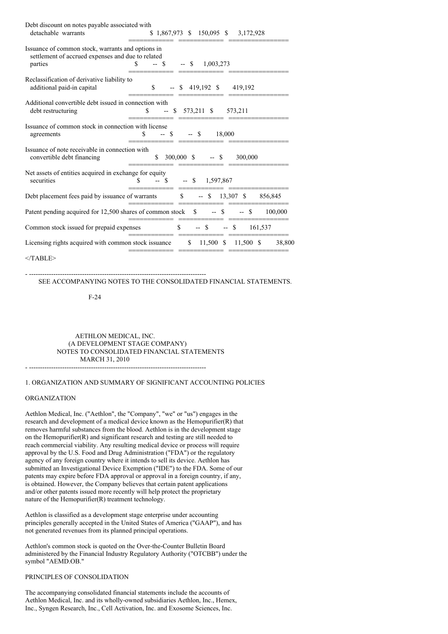| Debt discount on notes payable associated with<br>detachable warrants                                             |                                                   | \$1,867,973 \$150,095 \$3,172,928      |         |         |
|-------------------------------------------------------------------------------------------------------------------|---------------------------------------------------|----------------------------------------|---------|---------|
| Issuance of common stock, warrants and options in<br>settlement of accrued expenses and due to related<br>parties | $\$\quad -\quad \$\quad -\quad \$\quad 1,003,273$ |                                        |         |         |
| Reclassification of derivative liability to<br>additional paid-in capital                                         |                                                   | $\text{\$}$ -- \\$ 419,192 \\$ 419,192 |         |         |
| Additional convertible debt issued in connection with<br>debt restructuring                                       | $\$\quad -\quad \$$ 573,211 \; 573,211            |                                        |         |         |
| Issuance of common stock in connection with license<br>agreements                                                 |                                                   | $-$ \$ $-$ \$ 18,000                   |         |         |
| Issuance of note receivable in connection with<br>convertible debt financing                                      |                                                   | $$300,000 \text{ } $-.8$               | 300,000 |         |
| Net assets of entities acquired in exchange for equity<br>securities                                              | $\$\quad -\quad \$\quad -\quad \$\quad 1,597,867$ |                                        |         |         |
| Debt placement fees paid by issuance of warrants $\qquad$ \$ - \$ 13,307 \$                                       |                                                   |                                        |         | 856.845 |
| Patent pending acquired for 12,500 shares of common stock \$ -- \$ -- \$                                          |                                                   |                                        |         | 100,000 |
| Common stock issued for prepaid expenses                                                                          |                                                   | $S \t - S \t - S$                      |         | 161,537 |
| Licensing rights acquired with common stock issuance \$ 11,500 \$ 11,500 \$                                       |                                                   |                                        |         | 38,800  |
| $1000 + 2000 = 200$                                                                                               |                                                   |                                        |         |         |

 $<$ /TABLE>

#### SEE ACCOMPANYING NOTES TO THE CONSOLIDATED FINANCIAL STATEMENTS.

F-24

- --------------------------------------------------------------------------------

AETHLON MEDICAL, INC. (A DEVELOPMENT STAGE COMPANY) NOTES TO CONSOLIDATED FINANCIAL STATEMENTS MARCH 31, 2010 - --------------------------------------------------------------------------------

# 1. ORGANIZATION AND SUMMARY OF SIGNIFICANT ACCOUNTING POLICIES

# ORGANIZATION

Aethlon Medical, Inc. ("Aethlon", the "Company", "we" or "us") engages in the research and development of a medical device known as the Hemopurifier(R) that removes harmful substances from the blood. Aethlon is in the development stage on the Hemopurifier(R) and significant research and testing are still needed to reach commercial viability. Any resulting medical device or process will require approval by the U.S. Food and Drug Administration ("FDA") or the regulatory agency of any foreign country where it intends to sell its device. Aethlon has submitted an Investigational Device Exemption ("IDE") to the FDA. Some of our patents may expire before FDA approval or approval in a foreign country, if any, is obtained. However, the Company believes that certain patent applications and/or other patents issued more recently will help protect the proprietary nature of the Hemopurifier(R) treatment technology.

Aethlon is classified as a development stage enterprise under accounting principles generally accepted in the United States of America ("GAAP"), and has not generated revenues from its planned principal operations.

Aethlon's common stock is quoted on the Over-the-Counter Bulletin Board administered by the Financial Industry Regulatory Authority ("OTCBB") under the symbol "AEMD.OB."

## PRINCIPLES OF CONSOLIDATION

The accompanying consolidated financial statements include the accounts of Aethlon Medical, Inc. and its wholly-owned subsidiaries Aethlon, Inc., Hemex, Inc., Syngen Research, Inc., Cell Activation, Inc. and Exosome Sciences, Inc.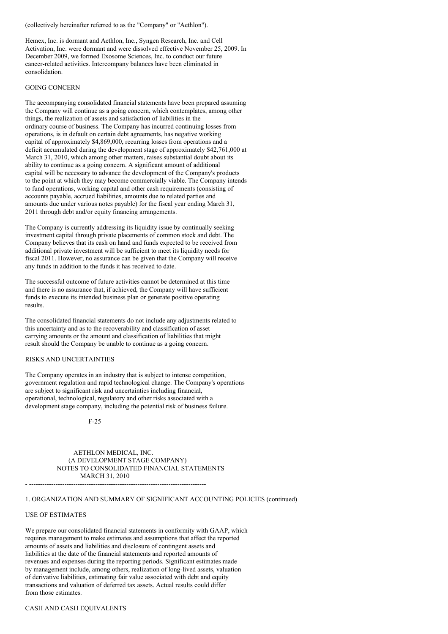(collectively hereinafter referred to as the "Company" or "Aethlon").

Hemex, Inc. is dormant and Aethlon, Inc., Syngen Research, Inc. and Cell Activation, Inc. were dormant and were dissolved effective November 25, 2009. In December 2009, we formed Exosome Sciences, Inc. to conduct our future cancer-related activities. Intercompany balances have been eliminated in consolidation.

# GOING CONCERN

The accompanying consolidated financial statements have been prepared assuming the Company will continue as a going concern, which contemplates, among other things, the realization of assets and satisfaction of liabilities in the ordinary course of business. The Company has incurred continuing losses from operations, is in default on certain debt agreements, has negative working capital of approximately \$4,869,000, recurring losses from operations and a deficit accumulated during the development stage of approximately \$42,761,000 at March 31, 2010, which among other matters, raises substantial doubt about its ability to continue as a going concern. A significant amount of additional capital will be necessary to advance the development of the Company's products to the point at which they may become commercially viable. The Company intends to fund operations, working capital and other cash requirements (consisting of accounts payable, accrued liabilities, amounts due to related parties and amounts due under various notes payable) for the fiscal year ending March 31, 2011 through debt and/or equity financing arrangements.

The Company is currently addressing its liquidity issue by continually seeking investment capital through private placements of common stock and debt. The Company believes that its cash on hand and funds expected to be received from additional private investment will be sufficient to meet its liquidity needs for fiscal 2011. However, no assurance can be given that the Company will receive any funds in addition to the funds it has received to date.

The successful outcome of future activities cannot be determined at this time and there is no assurance that, if achieved, the Company will have sufficient funds to execute its intended business plan or generate positive operating results.

The consolidated financial statements do not include any adjustments related to this uncertainty and as to the recoverability and classification of asset carrying amounts or the amount and classification of liabilities that might result should the Company be unable to continue as a going concern.

# RISKS AND UNCERTAINTIES

The Company operates in an industry that is subject to intense competition, government regulation and rapid technological change. The Company's operations are subject to significant risk and uncertainties including financial, operational, technological, regulatory and other risks associated with a development stage company, including the potential risk of business failure.

F-25

AETHLON MEDICAL, INC. (A DEVELOPMENT STAGE COMPANY) NOTES TO CONSOLIDATED FINANCIAL STATEMENTS MARCH 31, 2010

- --------------------------------------------------------------------------------

# 1. ORGANIZATION AND SUMMARY OF SIGNIFICANT ACCOUNTING POLICIES (continued)

# USE OF ESTIMATES

We prepare our consolidated financial statements in conformity with GAAP, which requires management to make estimates and assumptions that affect the reported amounts of assets and liabilities and disclosure of contingent assets and liabilities at the date of the financial statements and reported amounts of revenues and expenses during the reporting periods. Significant estimates made by management include, among others, realization of long-lived assets, valuation of derivative liabilities, estimating fair value associated with debt and equity transactions and valuation of deferred tax assets. Actual results could differ from those estimates.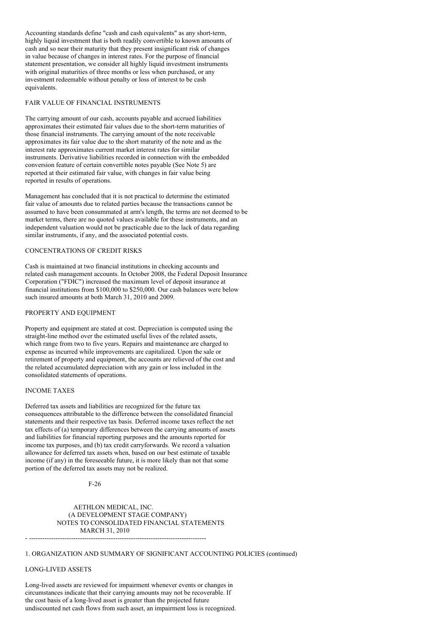Accounting standards define "cash and cash equivalents" as any short-term, highly liquid investment that is both readily convertible to known amounts of cash and so near their maturity that they present insignificant risk of changes in value because of changes in interest rates. For the purpose of financial statement presentation, we consider all highly liquid investment instruments with original maturities of three months or less when purchased, or any investment redeemable without penalty or loss of interest to be cash equivalents.

## FAIR VALUE OF FINANCIAL INSTRUMENTS

The carrying amount of our cash, accounts payable and accrued liabilities approximates their estimated fair values due to the short-term maturities of those financial instruments. The carrying amount of the note receivable approximates its fair value due to the short maturity of the note and as the interest rate approximates current market interest rates for similar instruments. Derivative liabilities recorded in connection with the embedded conversion feature of certain convertible notes payable (See Note 5) are reported at their estimated fair value, with changes in fair value being reported in results of operations.

Management has concluded that it is not practical to determine the estimated fair value of amounts due to related parties because the transactions cannot be assumed to have been consummated at arm's length, the terms are not deemed to be market terms, there are no quoted values available for these instruments, and an independent valuation would not be practicable due to the lack of data regarding similar instruments, if any, and the associated potential costs.

# CONCENTRATIONS OF CREDIT RISKS

Cash is maintained at two financial institutions in checking accounts and related cash management accounts. In October 2008, the Federal Deposit Insurance Corporation ("FDIC") increased the maximum level of deposit insurance at financial institutions from \$100,000 to \$250,000. Our cash balances were below such insured amounts at both March 31, 2010 and 2009.

## PROPERTY AND EQUIPMENT

Property and equipment are stated at cost. Depreciation is computed using the straight-line method over the estimated useful lives of the related assets, which range from two to five years. Repairs and maintenance are charged to expense as incurred while improvements are capitalized. Upon the sale or retirement of property and equipment, the accounts are relieved of the cost and the related accumulated depreciation with any gain or loss included in the consolidated statements of operations.

## INCOME TAXES

Deferred tax assets and liabilities are recognized for the future tax consequences attributable to the difference between the consolidated financial statements and their respective tax basis. Deferred income taxes reflect the net tax effects of (a) temporary differences between the carrying amounts of assets and liabilities for financial reporting purposes and the amounts reported for income tax purposes, and (b) tax credit carryforwards. We record a valuation allowance for deferred tax assets when, based on our best estimate of taxable income (if any) in the foreseeable future, it is more likely than not that some portion of the deferred tax assets may not be realized.

# F-26

AETHLON MEDICAL, INC. (A DEVELOPMENT STAGE COMPANY) NOTES TO CONSOLIDATED FINANCIAL STATEMENTS MARCH 31, 2010 - --------------------------------------------------------------------------------

# 1. ORGANIZATION AND SUMMARY OF SIGNIFICANT ACCOUNTING POLICIES (continued)

## LONG-LIVED ASSETS

Long-lived assets are reviewed for impairment whenever events or changes in circumstances indicate that their carrying amounts may not be recoverable. If the cost basis of a long-lived asset is greater than the projected future undiscounted net cash flows from such asset, an impairment loss is recognized.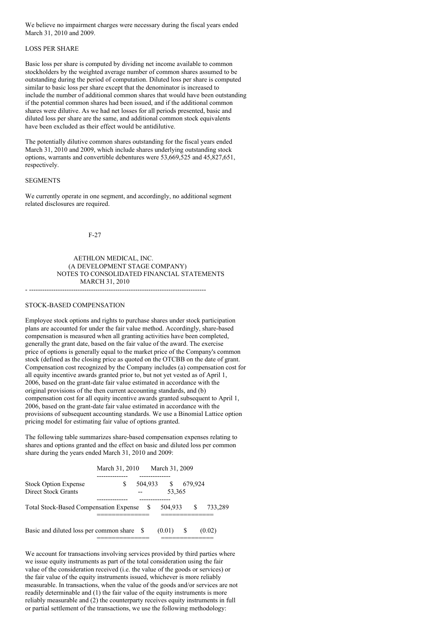We believe no impairment charges were necessary during the fiscal years ended March 31, 2010 and 2009.

# LOSS PER SHARE

Basic loss per share is computed by dividing net income available to common stockholders by the weighted average number of common shares assumed to be outstanding during the period of computation. Diluted loss per share is computed similar to basic loss per share except that the denominator is increased to include the number of additional common shares that would have been outstanding if the potential common shares had been issued, and if the additional common shares were dilutive. As we had net losses for all periods presented, basic and diluted loss per share are the same, and additional common stock equivalents have been excluded as their effect would be antidilutive.

The potentially dilutive common shares outstanding for the fiscal years ended March 31, 2010 and 2009, which include shares underlying outstanding stock options, warrants and convertible debentures were 53,669,525 and 45,827,651, respectively.

## **SEGMENTS**

We currently operate in one segment, and accordingly, no additional segment related disclosures are required.

F-27

## AETHLON MEDICAL, INC. (A DEVELOPMENT STAGE COMPANY) NOTES TO CONSOLIDATED FINANCIAL STATEMENTS MARCH 31, 2010

- --------------------------------------------------------------------------------

#### STOCK-BASED COMPENSATION

Employee stock options and rights to purchase shares under stock participation plans are accounted for under the fair value method. Accordingly, share-based compensation is measured when all granting activities have been completed, generally the grant date, based on the fair value of the award. The exercise price of options is generally equal to the market price of the Company's common stock (defined as the closing price as quoted on the OTCBB on the date of grant. Compensation cost recognized by the Company includes (a) compensation cost for all equity incentive awards granted prior to, but not yet vested as of April 1, 2006, based on the grant-date fair value estimated in accordance with the original provisions of the then current accounting standards, and (b) compensation cost for all equity incentive awards granted subsequent to April 1, 2006, based on the grant-date fair value estimated in accordance with the provisions of subsequent accounting standards. We use a Binomial Lattice option pricing model for estimating fair value of options granted.

The following table summarizes share-based compensation expenses relating to shares and options granted and the effect on basic and diluted loss per common share during the years ended March 31, 2010 and 2009:

|                                               | March 31, 2010 |         | March 31, 2009 |              |         |
|-----------------------------------------------|----------------|---------|----------------|--------------|---------|
|                                               |                |         |                |              |         |
| <b>Stock Option Expense</b>                   | S              | 504,933 | S              | 679.924      |         |
| <b>Direct Stock Grants</b>                    |                |         | 53,365         |              |         |
|                                               |                |         |                |              |         |
| <b>Total Stock-Based Compensation Expense</b> |                | S       | 504.933        | <sup>8</sup> | 733.289 |
|                                               |                |         |                |              |         |
|                                               |                |         |                |              |         |
| Basic and diluted loss per common share       |                |         | (0.01)         |              | (0.02)  |

We account for transactions involving services provided by third parties where we issue equity instruments as part of the total consideration using the fair value of the consideration received (i.e. the value of the goods or services) or the fair value of the equity instruments issued, whichever is more reliably measurable. In transactions, when the value of the goods and/or services are not readily determinable and (1) the fair value of the equity instruments is more reliably measurable and (2) the counterparty receives equity instruments in full or partial settlement of the transactions, we use the following methodology:

============== ==============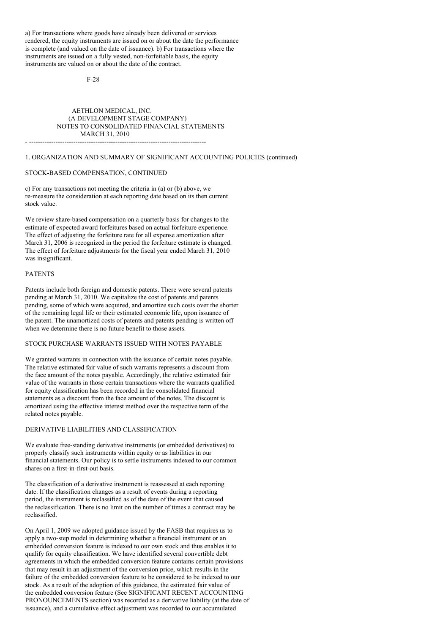a) For transactions where goods have already been delivered or services rendered, the equity instruments are issued on or about the date the performance is complete (and valued on the date of issuance). b) For transactions where the instruments are issued on a fully vested, non-forfeitable basis, the equity instruments are valued on or about the date of the contract.

F-28

AETHLON MEDICAL, INC. (A DEVELOPMENT STAGE COMPANY) NOTES TO CONSOLIDATED FINANCIAL STATEMENTS MARCH 31, 2010 - --------------------------------------------------------------------------------

#### 1. ORGANIZATION AND SUMMARY OF SIGNIFICANT ACCOUNTING POLICIES (continued)

#### STOCK-BASED COMPENSATION, CONTINUED

c) For any transactions not meeting the criteria in (a) or (b) above, we re-measure the consideration at each reporting date based on its then current stock value.

We review share-based compensation on a quarterly basis for changes to the estimate of expected award forfeitures based on actual forfeiture experience. The effect of adjusting the forfeiture rate for all expense amortization after March 31, 2006 is recognized in the period the forfeiture estimate is changed. The effect of forfeiture adjustments for the fiscal year ended March 31, 2010 was insignificant.

#### PATENTS

Patents include both foreign and domestic patents. There were several patents pending at March 31, 2010. We capitalize the cost of patents and patents pending, some of which were acquired, and amortize such costs over the shorter of the remaining legal life or their estimated economic life, upon issuance of the patent. The unamortized costs of patents and patents pending is written off when we determine there is no future benefit to those assets.

# STOCK PURCHASE WARRANTS ISSUED WITH NOTES PAYABLE

We granted warrants in connection with the issuance of certain notes payable. The relative estimated fair value of such warrants represents a discount from the face amount of the notes payable. Accordingly, the relative estimated fair value of the warrants in those certain transactions where the warrants qualified for equity classification has been recorded in the consolidated financial statements as a discount from the face amount of the notes. The discount is amortized using the effective interest method over the respective term of the related notes payable.

#### DERIVATIVE LIABILITIES AND CLASSIFICATION

We evaluate free-standing derivative instruments (or embedded derivatives) to properly classify such instruments within equity or as liabilities in our financial statements. Our policy is to settle instruments indexed to our common shares on a first-in-first-out basis.

The classification of a derivative instrument is reassessed at each reporting date. If the classification changes as a result of events during a reporting period, the instrument is reclassified as of the date of the event that caused the reclassification. There is no limit on the number of times a contract may be reclassified.

On April 1, 2009 we adopted guidance issued by the FASB that requires us to apply a two-step model in determining whether a financial instrument or an embedded conversion feature is indexed to our own stock and thus enables it to qualify for equity classification. We have identified several convertible debt agreements in which the embedded conversion feature contains certain provisions that may result in an adjustment of the conversion price, which results in the failure of the embedded conversion feature to be considered to be indexed to our stock. As a result of the adoption of this guidance, the estimated fair value of the embedded conversion feature (See SIGNIFICANT RECENT ACCOUNTING PRONOUNCEMENTS section) was recorded as a derivative liability (at the date of issuance), and a cumulative effect adjustment was recorded to our accumulated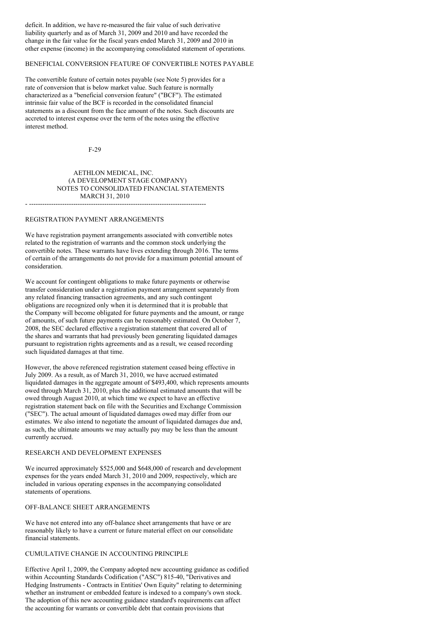deficit. In addition, we have re-measured the fair value of such derivative liability quarterly and as of March 31, 2009 and 2010 and have recorded the change in the fair value for the fiscal years ended March 31, 2009 and 2010 in other expense (income) in the accompanying consolidated statement of operations.

# BENEFICIAL CONVERSION FEATURE OF CONVERTIBLE NOTES PAYABLE

The convertible feature of certain notes payable (see Note 5) provides for a rate of conversion that is below market value. Such feature is normally characterized as a "beneficial conversion feature" ("BCF"). The estimated intrinsic fair value of the BCF is recorded in the consolidated financial statements as a discount from the face amount of the notes. Such discounts are accreted to interest expense over the term of the notes using the effective interest method.

F-29

AETHLON MEDICAL, INC. (A DEVELOPMENT STAGE COMPANY) NOTES TO CONSOLIDATED FINANCIAL STATEMENTS MARCH 31, 2010

- --------------------------------------------------------------------------------

#### REGISTRATION PAYMENT ARRANGEMENTS

We have registration payment arrangements associated with convertible notes related to the registration of warrants and the common stock underlying the convertible notes. These warrants have lives extending through 2016. The terms of certain of the arrangements do not provide for a maximum potential amount of consideration.

We account for contingent obligations to make future payments or otherwise transfer consideration under a registration payment arrangement separately from any related financing transaction agreements, and any such contingent obligations are recognized only when it is determined that it is probable that the Company will become obligated for future payments and the amount, or range of amounts, of such future payments can be reasonably estimated. On October 7, 2008, the SEC declared effective a registration statement that covered all of the shares and warrants that had previously been generating liquidated damages pursuant to registration rights agreements and as a result, we ceased recording such liquidated damages at that time.

However, the above referenced registration statement ceased being effective in July 2009. As a result, as of March 31, 2010, we have accrued estimated liquidated damages in the aggregate amount of \$493,400, which represents amounts owed through March 31, 2010, plus the additional estimated amounts that will be owed through August 2010, at which time we expect to have an effective registration statement back on file with the Securities and Exchange Commission ("SEC"). The actual amount of liquidated damages owed may differ from our estimates. We also intend to negotiate the amount of liquidated damages due and, as such, the ultimate amounts we may actually pay may be less than the amount currently accrued.

# RESEARCH AND DEVELOPMENT EXPENSES

We incurred approximately \$525,000 and \$648,000 of research and development expenses for the years ended March 31, 2010 and 2009, respectively, which are included in various operating expenses in the accompanying consolidated statements of operations.

## OFF-BALANCE SHEET ARRANGEMENTS

We have not entered into any off-balance sheet arrangements that have or are reasonably likely to have a current or future material effect on our consolidate financial statements.

## CUMULATIVE CHANGE IN ACCOUNTING PRINCIPLE

Effective April 1, 2009, the Company adopted new accounting guidance as codified within Accounting Standards Codification ("ASC") 815-40, "Derivatives and Hedging Instruments - Contracts in Entities' Own Equity" relating to determining whether an instrument or embedded feature is indexed to a company's own stock. The adoption of this new accounting guidance standard's requirements can affect the accounting for warrants or convertible debt that contain provisions that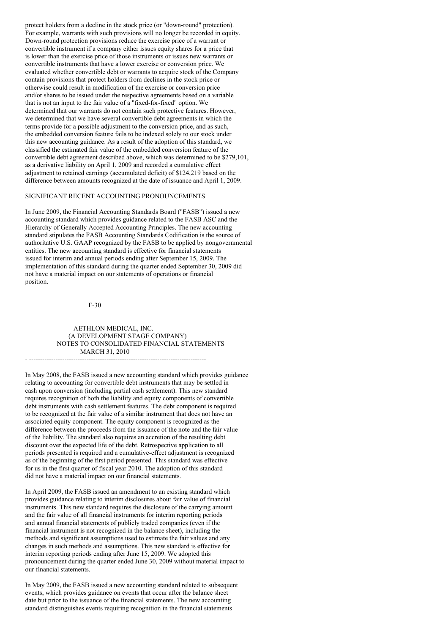protect holders from a decline in the stock price (or "down-round" protection). For example, warrants with such provisions will no longer be recorded in equity. Down-round protection provisions reduce the exercise price of a warrant or convertible instrument if a company either issues equity shares for a price that is lower than the exercise price of those instruments or issues new warrants or convertible instruments that have a lower exercise or conversion price. We evaluated whether convertible debt or warrants to acquire stock of the Company contain provisions that protect holders from declines in the stock price or otherwise could result in modification of the exercise or conversion price and/or shares to be issued under the respective agreements based on a variable that is not an input to the fair value of a "fixed-for-fixed" option. We determined that our warrants do not contain such protective features. However, we determined that we have several convertible debt agreements in which the terms provide for a possible adjustment to the conversion price, and as such, the embedded conversion feature fails to be indexed solely to our stock under this new accounting guidance. As a result of the adoption of this standard, we classified the estimated fair value of the embedded conversion feature of the convertible debt agreement described above, which was determined to be \$279,101, as a derivative liability on April 1, 2009 and recorded a cumulative effect adjustment to retained earnings (accumulated deficit) of \$124,219 based on the difference between amounts recognized at the date of issuance and April 1, 2009.

## SIGNIFICANT RECENT ACCOUNTING PRONOUNCEMENTS

In June 2009, the Financial Accounting Standards Board ("FASB") issued a new accounting standard which provides guidance related to the FASB ASC and the Hierarchy of Generally Accepted Accounting Principles. The new accounting standard stipulates the FASB Accounting Standards Codification is the source of authoritative U.S. GAAP recognized by the FASB to be applied by nongovernmental entities. The new accounting standard is effective for financial statements issued for interim and annual periods ending after September 15, 2009. The implementation of this standard during the quarter ended September 30, 2009 did not have a material impact on our statements of operations or financial position.

F-30

AETHLON MEDICAL, INC. (A DEVELOPMENT STAGE COMPANY) NOTES TO CONSOLIDATED FINANCIAL STATEMENTS MARCH 31, 2010 - --------------------------------------------------------------------------------

In May 2008, the FASB issued a new accounting standard which provides guidance relating to accounting for convertible debt instruments that may be settled in cash upon conversion (including partial cash settlement). This new standard requires recognition of both the liability and equity components of convertible debt instruments with cash settlement features. The debt component is required to be recognized at the fair value of a similar instrument that does not have an associated equity component. The equity component is recognized as the difference between the proceeds from the issuance of the note and the fair value of the liability. The standard also requires an accretion of the resulting debt discount over the expected life of the debt. Retrospective application to all periods presented is required and a cumulative-effect adjustment is recognized as of the beginning of the first period presented. This standard was effective for us in the first quarter of fiscal year 2010. The adoption of this standard did not have a material impact on our financial statements.

In April 2009, the FASB issued an amendment to an existing standard which provides guidance relating to interim disclosures about fair value of financial instruments. This new standard requires the disclosure of the carrying amount and the fair value of all financial instruments for interim reporting periods and annual financial statements of publicly traded companies (even if the financial instrument is not recognized in the balance sheet), including the methods and significant assumptions used to estimate the fair values and any changes in such methods and assumptions. This new standard is effective for interim reporting periods ending after June 15, 2009. We adopted this pronouncement during the quarter ended June 30, 2009 without material impact to our financial statements.

In May 2009, the FASB issued a new accounting standard related to subsequent events, which provides guidance on events that occur after the balance sheet date but prior to the issuance of the financial statements. The new accounting standard distinguishes events requiring recognition in the financial statements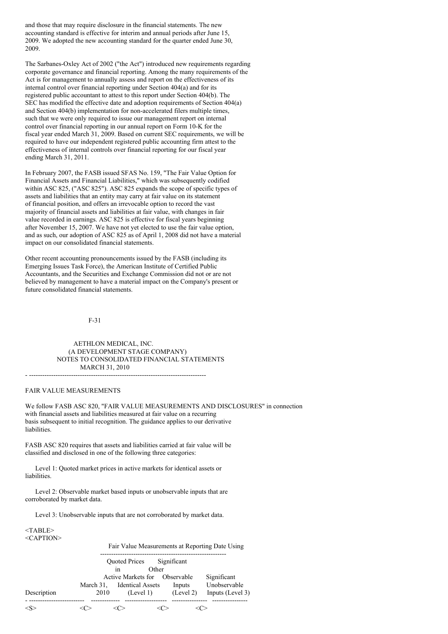and those that may require disclosure in the financial statements. The new accounting standard is effective for interim and annual periods after June 15, 2009. We adopted the new accounting standard for the quarter ended June 30, 2009.

The Sarbanes-Oxley Act of 2002 ("the Act") introduced new requirements regarding corporate governance and financial reporting. Among the many requirements of the Act is for management to annually assess and report on the effectiveness of its internal control over financial reporting under Section 404(a) and for its registered public accountant to attest to this report under Section 404(b). The SEC has modified the effective date and adoption requirements of Section 404(a) and Section 404(b) implementation for non-accelerated filers multiple times, such that we were only required to issue our management report on internal control over financial reporting in our annual report on Form 10-K for the fiscal year ended March 31, 2009. Based on current SEC requirements, we will be required to have our independent registered public accounting firm attest to the effectiveness of internal controls over financial reporting for our fiscal year ending March 31, 2011.

In February 2007, the FASB issued SFAS No. 159, "The Fair Value Option for Financial Assets and Financial Liabilities," which was subsequently codified within ASC 825, ("ASC 825"). ASC 825 expands the scope of specific types of assets and liabilities that an entity may carry at fair value on its statement of financial position, and offers an irrevocable option to record the vast majority of financial assets and liabilities at fair value, with changes in fair value recorded in earnings. ASC 825 is effective for fiscal years beginning after November 15, 2007. We have not yet elected to use the fair value option, and as such, our adoption of ASC 825 as of April 1, 2008 did not have a material impact on our consolidated financial statements.

Other recent accounting pronouncements issued by the FASB (including its Emerging Issues Task Force), the American Institute of Certified Public Accountants, and the Securities and Exchange Commission did not or are not believed by management to have a material impact on the Company's present or future consolidated financial statements.

#### F-31

AETHLON MEDICAL, INC. (A DEVELOPMENT STAGE COMPANY) NOTES TO CONSOLIDATED FINANCIAL STATEMENTS MARCH 31, 2010 - --------------------------------------------------------------------------------

#### FAIR VALUE MEASUREMENTS

We follow FASB ASC 820, "FAIR VALUE MEASUREMENTS AND DISCLOSURES" in connection with financial assets and liabilities measured at fair value on a recurring basis subsequent to initial recognition. The guidance applies to our derivative liabilities.

FASB ASC 820 requires that assets and liabilities carried at fair value will be classified and disclosed in one of the following three categories:

Level 1: Quoted market prices in active markets for identical assets or liabilities.

Level 2: Observable market based inputs or unobservable inputs that are corroborated by market data.

Level 3: Unobservable inputs that are not corroborated by market data.

<TABLE> <CAPTION>

> Fair Value Measurements at Reporting Date Using --------------------------------------------------------- Quoted Prices Significant in Other

|             |           | Active Markets for Observable |           | Significant      |
|-------------|-----------|-------------------------------|-----------|------------------|
|             | March 31. | <b>Identical Assets</b>       | Inputs    | Unobservable     |
| Description | 2010      | (Level 1)                     | (Level 2) | Inputs (Level 3) |
| <s></s>     | ี⊂ >      | <เ ิ>                         | <∈<br><ো> |                  |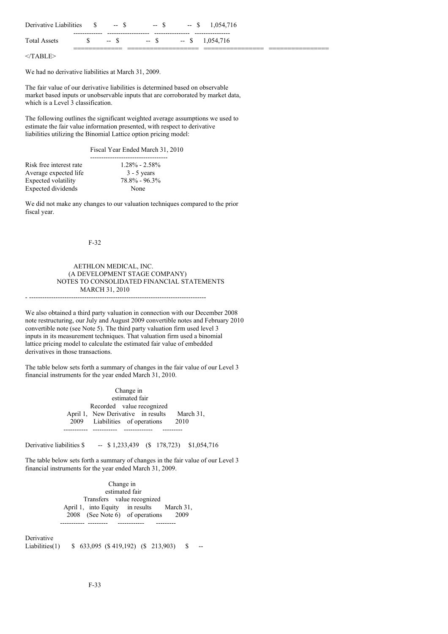| Derivative Liabilities $\$$ -- $\$$ -- $\$$ -- $\$$ -- $\$$ 1,054,716 |  |                                                                                                         |  |  |
|-----------------------------------------------------------------------|--|---------------------------------------------------------------------------------------------------------|--|--|
| <b>Total Assets</b>                                                   |  | $\text{\$\$}$ - $\text{\$\$}$ - $\text{\$\$}$ - $\text{\$\$}$ - $\text{\$\$}$ - $\text{\$\$}$ 1.054.716 |  |  |
|                                                                       |  |                                                                                                         |  |  |

 $<$ /TABLE>

We had no derivative liabilities at March 31, 2009.

The fair value of our derivative liabilities is determined based on observable market based inputs or unobservable inputs that are corroborated by market data, which is a Level 3 classification.

The following outlines the significant weighted average assumptions we used to estimate the fair value information presented, with respect to derivative liabilities utilizing the Binomial Lattice option pricing model:

Fiscal Year Ended March 31, 2010

| Risk free interest rate | $1.28\% - 2.58\%$ |
|-------------------------|-------------------|
| Average expected life   | $3 - 5$ years     |
| Expected volatility     | $78.8\% - 96.3\%$ |
| Expected dividends      | None              |

We did not make any changes to our valuation techniques compared to the prior fiscal year.

# F-32

# AETHLON MEDICAL, INC. (A DEVELOPMENT STAGE COMPANY) NOTES TO CONSOLIDATED FINANCIAL STATEMENTS MARCH 31, 2010

- --------------------------------------------------------------------------------

We also obtained a third party valuation in connection with our December 2008 note restructuring, our July and August 2009 convertible notes and February 2010 convertible note (see Note 5). The third party valuation firm used level 3 inputs in its measurement techniques. That valuation firm used a binomial lattice pricing model to calculate the estimated fair value of embedded derivatives in those transactions.

The table below sets forth a summary of changes in the fair value of our Level 3 financial instruments for the year ended March 31, 2010.

> Change in estimated fair Recorded value recognized April 1, New Derivative in results March 31, 2009 Liabilities of operations 2010 ----------- ----------- ------------- ---------

Derivative liabilities \$ -- \$ 1,233,439 (\$ 178,723) \$1,054,716

The table below sets forth a summary of changes in the fair value of our Level 3 financial instruments for the year ended March 31, 2009.

> Change in estimated fair Transfers value recognized April 1, into Equity in results March 31, 2008 (See Note 6) of operations 2009 ---------- --------- ------------ -----

Derivative

Liabilities(1) \$ 633,095 (\$ 419,192) (\$ 213,903) \$ --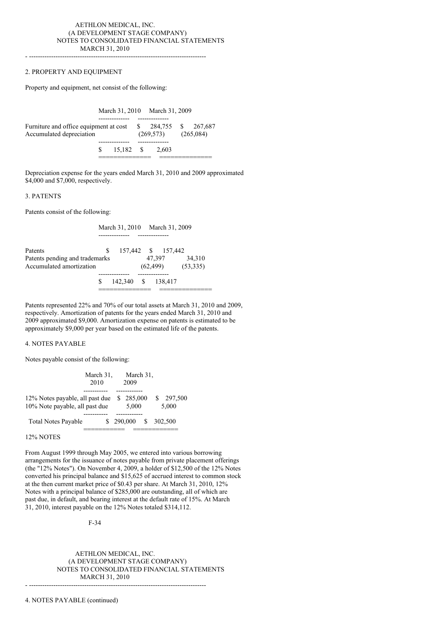2. PROPERTY AND EQUIPMENT

Property and equipment, net consist of the following:

|                          | March 31, 2010 March 31, 2009 |            |  |                                 |  |  |
|--------------------------|-------------------------------|------------|--|---------------------------------|--|--|
| Accumulated depreciation |                               | (269, 573) |  | 284,755 \$ 267,687<br>(265,084) |  |  |
|                          |                               |            |  |                                 |  |  |
|                          | S.                            | 15.182 \$  |  | 2.603                           |  |  |
|                          |                               |            |  |                                 |  |  |

- --------------------------------------------------------------------------------

Depreciation expense for the years ended March 31, 2010 and 2009 approximated \$4,000 and \$7,000, respectively.

# 3. PATENTS

Patents consist of the following:

|                                |   | March 31, 2010 March 31, 2009 |  |                    |           |
|--------------------------------|---|-------------------------------|--|--------------------|-----------|
| Patents                        | S |                               |  | 157,442 \$ 157,442 |           |
| Patents pending and trademarks |   |                               |  | 47.397             | 34.310    |
| Accumulated amortization       |   |                               |  | (62.499)           | (53, 335) |
|                                | S | 142,340 \$                    |  | 138,417            |           |
|                                |   | ___________                   |  |                    |           |

Patents represented 22% and 70% of our total assets at March 31, 2010 and 2009, respectively. Amortization of patents for the years ended March 31, 2010 and 2009 approximated \$9,000. Amortization expense on patents is estimated to be approximately \$9,000 per year based on the estimated life of the patents.

# 4. NOTES PAYABLE

Notes payable consist of the following:

|                                 | March 31,<br>2010 | 2009    | March 31, |         |
|---------------------------------|-------------------|---------|-----------|---------|
|                                 |                   |         |           |         |
| 12% Notes payable, all past due |                   | 285,000 |           | 297,500 |
| 10% Note payable, all past due  |                   | 5.000   |           | 5,000   |
|                                 |                   |         |           |         |
| <b>Total Notes Payable</b>      |                   | 290,000 | S         | 302,500 |
| 12% NOTES                       |                   |         |           |         |

From August 1999 through May 2005, we entered into various borrowing arrangements for the issuance of notes payable from private placement offerings (the "12% Notes"). On November 4, 2009, a holder of \$12,500 of the 12% Notes converted his principal balance and \$15,625 of accrued interest to common stock at the then current market price of \$0.43 per share. At March 31, 2010, 12% Notes with a principal balance of \$285,000 are outstanding, all of which are past due, in default, and bearing interest at the default rate of 15%. At March 31, 2010, interest payable on the 12% Notes totaled \$314,112.

# F-34

AETHLON MEDICAL, INC. (A DEVELOPMENT STAGE COMPANY) NOTES TO CONSOLIDATED FINANCIAL STATEMENTS MARCH 31, 2010 - --------------------------------------------------------------------------------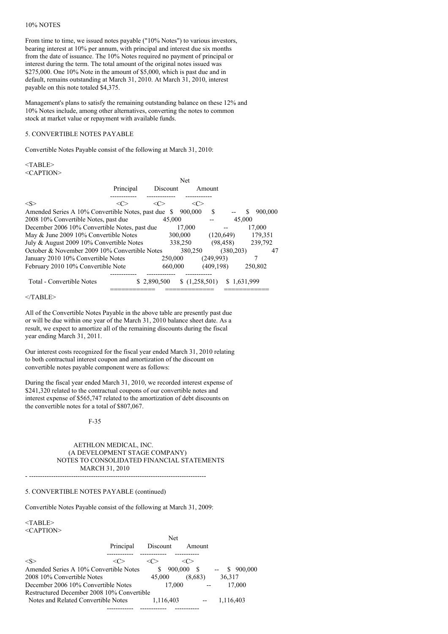## 10% NOTES

From time to time, we issued notes payable ("10% Notes") to various investors, bearing interest at 10% per annum, with principal and interest due six months from the date of issuance. The 10% Notes required no payment of principal or interest during the term. The total amount of the original notes issued was \$275,000. One 10% Note in the amount of \$5,000, which is past due and in default, remains outstanding at March 31, 2010. At March 31, 2010, interest payable on this note totaled \$4,375.

Management's plans to satisfy the remaining outstanding balance on these 12% and 10% Notes include, among other alternatives, converting the notes to common stock at market value or repayment with available funds.

## 5. CONVERTIBLE NOTES PAYABLE

Convertible Notes Payable consist of the following at March 31, 2010:

<TABLE> <CAPTION>

|                                                     |           |                 | <b>Net</b> |               |           |             |         |
|-----------------------------------------------------|-----------|-----------------|------------|---------------|-----------|-------------|---------|
|                                                     | Principal | <b>Discount</b> |            | Amount        |           |             |         |
|                                                     |           |                 |            |               |           |             |         |
| $<\!\!S\!\!>$                                       |           |                 |            | <1 >          |           |             |         |
| Amended Series A 10% Convertible Notes, past due \$ |           |                 | 900,000    | S             |           | S           | 900,000 |
| 2008 10% Convertible Notes, past due                |           | 45,000          |            |               |           | 45,000      |         |
| December 2006 10% Convertible Notes, past due       |           |                 | 17,000     |               |           | 17,000      |         |
| May & June 2009 10% Convertible Notes               |           |                 | 300,000    | (120, 649)    |           | 179,351     |         |
| July & August 2009 10% Convertible Notes            |           |                 | 338,250    |               | (98, 458) | 239,792     |         |
| October & November 2009 10% Convertible Notes       |           |                 | 380,250    |               | (380,203) |             | 47      |
| January 2010 10% Convertible Notes                  |           | 250,000         |            | (249,993)     |           | 7           |         |
| February 2010 10% Convertible Note                  |           | 660,000         |            | (409, 198)    |           | 250,802     |         |
| Total - Convertible Notes                           |           | \$2,890,500     |            | \$(1,258,501) |           | \$1,631,999 |         |

 $<$ /TABLE>

All of the Convertible Notes Payable in the above table are presently past due or will be due within one year of the March 31, 2010 balance sheet date. As a result, we expect to amortize all of the remaining discounts during the fiscal year ending March 31, 2011.

Our interest costs recognized for the fiscal year ended March 31, 2010 relating to both contractual interest coupon and amortization of the discount on convertible notes payable component were as follows:

During the fiscal year ended March 31, 2010, we recorded interest expense of \$241,320 related to the contractual coupons of our convertible notes and interest expense of \$565,747 related to the amortization of debt discounts on the convertible notes for a total of \$807,067.

#### F-35

## AETHLON MEDICAL, INC. (A DEVELOPMENT STAGE COMPANY) NOTES TO CONSOLIDATED FINANCIAL STATEMENTS MARCH 31, 2010

- --------------------------------------------------------------------------------

# 5. CONVERTIBLE NOTES PAYABLE (continued)

Convertible Notes Payable consist of the following at March 31, 2009:

 $<$ TABLE $>$ <CAPTION>

|                                            |          | <b>Net</b> |         |           |           |
|--------------------------------------------|----------|------------|---------|-----------|-----------|
| Principal                                  | Discount |            | Amount  |           |           |
|                                            |          |            |         |           |           |
| <s></s>                                    |          | <ো>        |         |           |           |
| Amended Series A 10% Convertible Notes     | S        | 900,000    | -S      |           | \$900,000 |
| 2008 10% Convertible Notes                 | 45,000   |            | (8,683) | 36,317    |           |
| December 2006 10% Convertible Notes        |          | 17,000     |         |           | 17.000    |
| Restructured December 2008 10% Convertible |          |            |         |           |           |
| Notes and Related Convertible Notes        |          | 1,116,403  |         | 1.116.403 |           |
|                                            |          |            |         |           |           |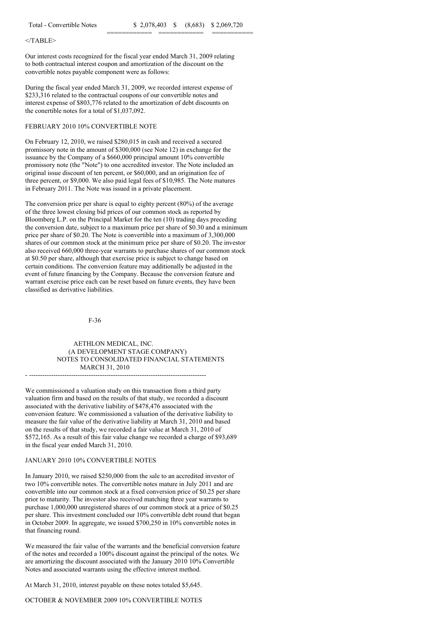$<$ /TABLE>

Our interest costs recognized for the fiscal year ended March 31, 2009 relating to both contractual interest coupon and amortization of the discount on the convertible notes payable component were as follows:

During the fiscal year ended March 31, 2009, we recorded interest expense of \$233,316 related to the contractual coupons of our convertible notes and interest expense of \$803,776 related to the amortization of debt discounts on the conertible notes for a total of \$1,037,092.

#### FEBRUARY 2010 10% CONVERTIBLE NOTE

On February 12, 2010, we raised \$280,015 in cash and received a secured promissory note in the amount of \$300,000 (see Note 12) in exchange for the issuance by the Company of a \$660,000 principal amount 10% convertible promissory note (the "Note") to one accredited investor. The Note included an original issue discount of ten percent, or \$60,000, and an origination fee of three percent, or \$9,000. We also paid legal fees of \$10,985. The Note matures in February 2011. The Note was issued in a private placement.

The conversion price per share is equal to eighty percent (80%) of the average of the three lowest closing bid prices of our common stock as reported by Bloomberg L.P. on the Principal Market for the ten (10) trading days preceding the conversion date, subject to a maximum price per share of \$0.30 and a minimum price per share of \$0.20. The Note is convertible into a maximum of 3,300,000 shares of our common stock at the minimum price per share of \$0.20. The investor also received 660,000 three-year warrants to purchase shares of our common stock at \$0.50 per share, although that exercise price is subject to change based on certain conditions. The conversion feature may additionally be adjusted in the event of future financing by the Company. Because the conversion feature and warrant exercise price each can be reset based on future events, they have been classified as derivative liabilities.

F-36

AETHLON MEDICAL, INC. (A DEVELOPMENT STAGE COMPANY) NOTES TO CONSOLIDATED FINANCIAL STATEMENTS MARCH 31, 2010 - --------------------------------------------------------------------------------

We commissioned a valuation study on this transaction from a third party valuation firm and based on the results of that study, we recorded a discount associated with the derivative liability of \$478,476 associated with the conversion feature. We commissioned a valuation of the derivative liability to measure the fair value of the derivative liability at March 31, 2010 and based on the results of that study, we recorded a fair value at March 31, 2010 of \$572,165. As a result of this fair value change we recorded a charge of \$93,689 in the fiscal year ended March 31, 2010.

## JANUARY 2010 10% CONVERTIBLE NOTES

In January 2010, we raised \$250,000 from the sale to an accredited investor of two 10% convertible notes. The convertible notes mature in July 2011 and are convertible into our common stock at a fixed conversion price of \$0.25 per share prior to maturity. The investor also received matching three year warrants to purchase 1,000,000 unregistered shares of our common stock at a price of \$0.25 per share. This investment concluded our 10% convertible debt round that began in October 2009. In aggregate, we issued \$700,250 in 10% convertible notes in that financing round.

We measured the fair value of the warrants and the beneficial conversion feature of the notes and recorded a 100% discount against the principal of the notes. We are amortizing the discount associated with the January 2010 10% Convertible Notes and associated warrants using the effective interest method.

At March 31, 2010, interest payable on these notes totaled \$5,645.

#### OCTOBER & NOVEMBER 2009 10% CONVERTIBLE NOTES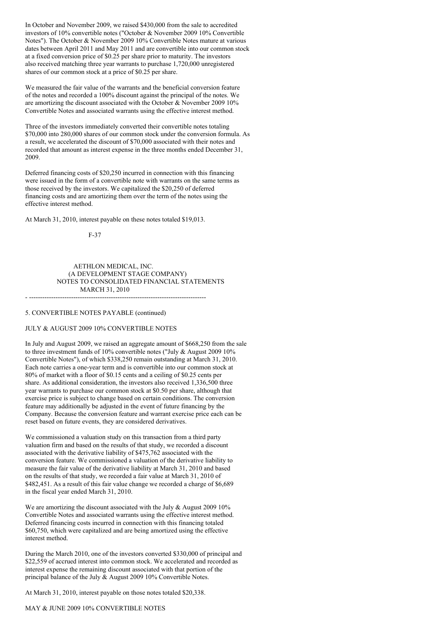In October and November 2009, we raised \$430,000 from the sale to accredited investors of 10% convertible notes ("October & November 2009 10% Convertible Notes"). The October & November 2009 10% Convertible Notes mature at various dates between April 2011 and May 2011 and are convertible into our common stock at a fixed conversion price of \$0.25 per share prior to maturity. The investors also received matching three year warrants to purchase 1,720,000 unregistered shares of our common stock at a price of \$0.25 per share.

We measured the fair value of the warrants and the beneficial conversion feature of the notes and recorded a 100% discount against the principal of the notes. We are amortizing the discount associated with the October & November 2009 10% Convertible Notes and associated warrants using the effective interest method.

Three of the investors immediately converted their convertible notes totaling \$70,000 into 280,000 shares of our common stock under the conversion formula. As a result, we accelerated the discount of \$70,000 associated with their notes and recorded that amount as interest expense in the three months ended December 31, 2009.

Deferred financing costs of \$20,250 incurred in connection with this financing were issued in the form of a convertible note with warrants on the same terms as those received by the investors. We capitalized the \$20,250 of deferred financing costs and are amortizing them over the term of the notes using the effective interest method.

At March 31, 2010, interest payable on these notes totaled \$19,013.

F-37

AETHLON MEDICAL, INC. (A DEVELOPMENT STAGE COMPANY) NOTES TO CONSOLIDATED FINANCIAL STATEMENTS MARCH 31, 2010

- --------------------------------------------------------------------------------

## 5. CONVERTIBLE NOTES PAYABLE (continued)

### JULY & AUGUST 2009 10% CONVERTIBLE NOTES

In July and August 2009, we raised an aggregate amount of \$668,250 from the sale to three investment funds of 10% convertible notes ("July & August 2009 10% Convertible Notes"), of which \$338,250 remain outstanding at March 31, 2010. Each note carries a one-year term and is convertible into our common stock at 80% of market with a floor of \$0.15 cents and a ceiling of \$0.25 cents per share. As additional consideration, the investors also received 1,336,500 three year warrants to purchase our common stock at \$0.50 per share, although that exercise price is subject to change based on certain conditions. The conversion feature may additionally be adjusted in the event of future financing by the Company. Because the conversion feature and warrant exercise price each can be reset based on future events, they are considered derivatives.

We commissioned a valuation study on this transaction from a third party valuation firm and based on the results of that study, we recorded a discount associated with the derivative liability of \$475,762 associated with the conversion feature. We commissioned a valuation of the derivative liability to measure the fair value of the derivative liability at March 31, 2010 and based on the results of that study, we recorded a fair value at March 31, 2010 of \$482,451. As a result of this fair value change we recorded a charge of \$6,689 in the fiscal year ended March 31, 2010.

We are amortizing the discount associated with the July & August 2009 10% Convertible Notes and associated warrants using the effective interest method. Deferred financing costs incurred in connection with this financing totaled \$60,750, which were capitalized and are being amortized using the effective interest method.

During the March 2010, one of the investors converted \$330,000 of principal and \$22,559 of accrued interest into common stock. We accelerated and recorded as interest expense the remaining discount associated with that portion of the principal balance of the July & August 2009 10% Convertible Notes.

At March 31, 2010, interest payable on those notes totaled \$20,338.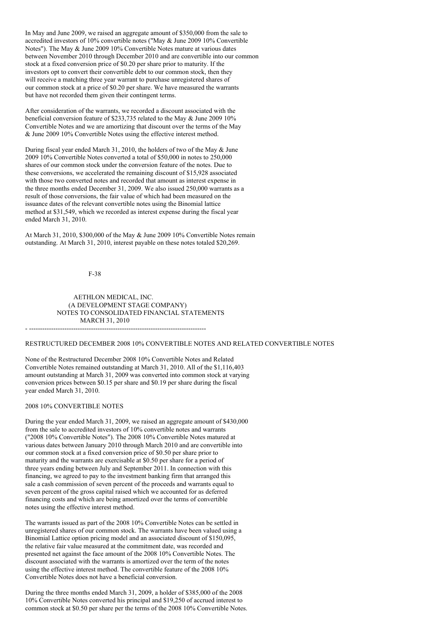In May and June 2009, we raised an aggregate amount of \$350,000 from the sale to accredited investors of 10% convertible notes ("May & June 2009 10% Convertible Notes"). The May & June 2009 10% Convertible Notes mature at various dates between November 2010 through December 2010 and are convertible into our common stock at a fixed conversion price of \$0.20 per share prior to maturity. If the investors opt to convert their convertible debt to our common stock, then they will receive a matching three year warrant to purchase unregistered shares of our common stock at a price of \$0.20 per share. We have measured the warrants but have not recorded them given their contingent terms.

After consideration of the warrants, we recorded a discount associated with the beneficial conversion feature of \$233,735 related to the May & June 2009 10% Convertible Notes and we are amortizing that discount over the terms of the May & June 2009 10% Convertible Notes using the effective interest method.

During fiscal year ended March 31, 2010, the holders of two of the May & June 2009 10% Convertible Notes converted a total of \$50,000 in notes to 250,000 shares of our common stock under the conversion feature of the notes. Due to these conversions, we accelerated the remaining discount of \$15,928 associated with those two converted notes and recorded that amount as interest expense in the three months ended December 31, 2009. We also issued 250,000 warrants as a result of those conversions, the fair value of which had been measured on the issuance dates of the relevant convertible notes using the Binomial lattice method at \$31,549, which we recorded as interest expense during the fiscal year ended March 31, 2010.

At March 31, 2010, \$300,000 of the May & June 2009 10% Convertible Notes remain outstanding. At March 31, 2010, interest payable on these notes totaled \$20,269.

#### F-38

AETHLON MEDICAL, INC. (A DEVELOPMENT STAGE COMPANY) NOTES TO CONSOLIDATED FINANCIAL STATEMENTS MARCH 31, 2010

- --------------------------------------------------------------------------------

RESTRUCTURED DECEMBER 2008 10% CONVERTIBLE NOTES AND RELATED CONVERTIBLE NOTES

None of the Restructured December 2008 10% Convertible Notes and Related Convertible Notes remained outstanding at March 31, 2010. All of the \$1,116,403 amount outstanding at March 31, 2009 was converted into common stock at varying conversion prices between \$0.15 per share and \$0.19 per share during the fiscal year ended March 31, 2010.

2008 10% CONVERTIBLE NOTES

During the year ended March 31, 2009, we raised an aggregate amount of \$430,000 from the sale to accredited investors of 10% convertible notes and warrants ("2008 10% Convertible Notes"). The 2008 10% Convertible Notes matured at various dates between January 2010 through March 2010 and are convertible into our common stock at a fixed conversion price of \$0.50 per share prior to maturity and the warrants are exercisable at \$0.50 per share for a period of three years ending between July and September 2011. In connection with this financing, we agreed to pay to the investment banking firm that arranged this sale a cash commission of seven percent of the proceeds and warrants equal to seven percent of the gross capital raised which we accounted for as deferred financing costs and which are being amortized over the terms of convertible notes using the effective interest method.

The warrants issued as part of the 2008 10% Convertible Notes can be settled in unregistered shares of our common stock. The warrants have been valued using a Binomial Lattice option pricing model and an associated discount of \$150,095, the relative fair value measured at the commitment date, was recorded and presented net against the face amount of the 2008 10% Convertible Notes. The discount associated with the warrants is amortized over the term of the notes using the effective interest method. The convertible feature of the 2008 10% Convertible Notes does not have a beneficial conversion.

During the three months ended March 31, 2009, a holder of \$385,000 of the 2008 10% Convertible Notes converted his principal and \$19,250 of accrued interest to common stock at \$0.50 per share per the terms of the 2008 10% Convertible Notes.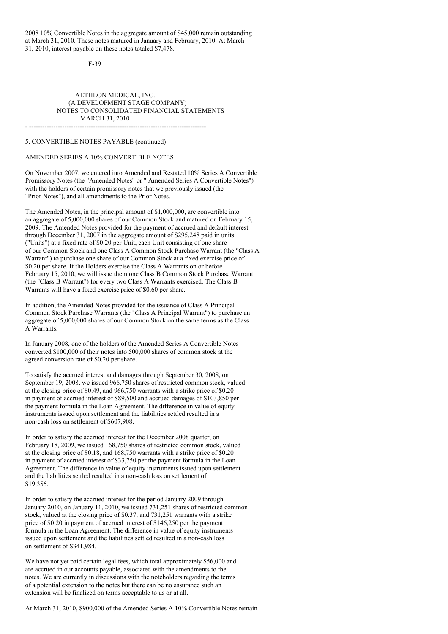2008 10% Convertible Notes in the aggregate amount of \$45,000 remain outstanding at March 31, 2010. These notes matured in January and February, 2010. At March 31, 2010, interest payable on these notes totaled \$7,478.

F-39

AETHLON MEDICAL, INC. (A DEVELOPMENT STAGE COMPANY) NOTES TO CONSOLIDATED FINANCIAL STATEMENTS MARCH 31, 2010

#### - --------------------------------------------------------------------------------

#### 5. CONVERTIBLE NOTES PAYABLE (continued)

#### AMENDED SERIES A 10% CONVERTIBLE NOTES

On November 2007, we entered into Amended and Restated 10% Series A Convertible Promissory Notes (the "Amended Notes" or " Amended Series A Convertible Notes") with the holders of certain promissory notes that we previously issued (the "Prior Notes"), and all amendments to the Prior Notes.

The Amended Notes, in the principal amount of \$1,000,000, are convertible into an aggregate of 5,000,000 shares of our Common Stock and matured on February 15, 2009. The Amended Notes provided for the payment of accrued and default interest through December 31, 2007 in the aggregate amount of \$295,248 paid in units ("Units") at a fixed rate of \$0.20 per Unit, each Unit consisting of one share of our Common Stock and one Class A Common Stock Purchase Warrant (the "Class A Warrant") to purchase one share of our Common Stock at a fixed exercise price of \$0.20 per share. If the Holders exercise the Class A Warrants on or before February 15, 2010, we will issue them one Class B Common Stock Purchase Warrant (the "Class B Warrant") for every two Class A Warrants exercised. The Class B Warrants will have a fixed exercise price of \$0.60 per share.

In addition, the Amended Notes provided for the issuance of Class A Principal Common Stock Purchase Warrants (the "Class A Principal Warrant") to purchase an aggregate of 5,000,000 shares of our Common Stock on the same terms as the Class A Warrants.

In January 2008, one of the holders of the Amended Series A Convertible Notes converted \$100,000 of their notes into 500,000 shares of common stock at the agreed conversion rate of \$0.20 per share.

To satisfy the accrued interest and damages through September 30, 2008, on September 19, 2008, we issued 966,750 shares of restricted common stock, valued at the closing price of \$0.49, and 966,750 warrants with a strike price of \$0.20 in payment of accrued interest of \$89,500 and accrued damages of \$103,850 per the payment formula in the Loan Agreement. The difference in value of equity instruments issued upon settlement and the liabilities settled resulted in a non-cash loss on settlement of \$607,908.

In order to satisfy the accrued interest for the December 2008 quarter, on February 18, 2009, we issued 168,750 shares of restricted common stock, valued at the closing price of \$0.18, and 168,750 warrants with a strike price of \$0.20 in payment of accrued interest of \$33,750 per the payment formula in the Loan Agreement. The difference in value of equity instruments issued upon settlement and the liabilities settled resulted in a non-cash loss on settlement of \$19,355.

In order to satisfy the accrued interest for the period January 2009 through January 2010, on January 11, 2010, we issued 731,251 shares of restricted common stock, valued at the closing price of \$0.37, and 731,251 warrants with a strike price of \$0.20 in payment of accrued interest of \$146,250 per the payment formula in the Loan Agreement. The difference in value of equity instruments issued upon settlement and the liabilities settled resulted in a non-cash loss on settlement of \$341,984.

We have not yet paid certain legal fees, which total approximately \$56,000 and are accrued in our accounts payable, associated with the amendments to the notes. We are currently in discussions with the noteholders regarding the terms of a potential extension to the notes but there can be no assurance such an extension will be finalized on terms acceptable to us or at all.

At March 31, 2010, \$900,000 of the Amended Series A 10% Convertible Notes remain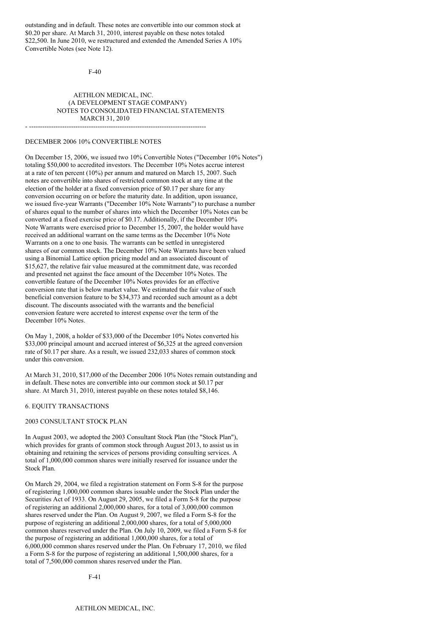outstanding and in default. These notes are convertible into our common stock at \$0.20 per share. At March 31, 2010, interest payable on these notes totaled \$22,500. In June 2010, we restructured and extended the Amended Series A 10% Convertible Notes (see Note 12).

F-40

AETHLON MEDICAL, INC. (A DEVELOPMENT STAGE COMPANY) NOTES TO CONSOLIDATED FINANCIAL STATEMENTS MARCH 31, 2010

#### DECEMBER 2006 10% CONVERTIBLE NOTES

- --------------------------------------------------------------------------------

On December 15, 2006, we issued two 10% Convertible Notes ("December 10% Notes") totaling \$50,000 to accredited investors. The December 10% Notes accrue interest at a rate of ten percent (10%) per annum and matured on March 15, 2007. Such notes are convertible into shares of restricted common stock at any time at the election of the holder at a fixed conversion price of \$0.17 per share for any conversion occurring on or before the maturity date. In addition, upon issuance, we issued five-year Warrants ("December 10% Note Warrants") to purchase a number of shares equal to the number of shares into which the December 10% Notes can be converted at a fixed exercise price of \$0.17. Additionally, if the December 10% Note Warrants were exercised prior to December 15, 2007, the holder would have received an additional warrant on the same terms as the December 10% Note Warrants on a one to one basis. The warrants can be settled in unregistered shares of our common stock. The December 10% Note Warrants have been valued using a Binomial Lattice option pricing model and an associated discount of \$15,627, the relative fair value measured at the commitment date, was recorded and presented net against the face amount of the December 10% Notes. The convertible feature of the December 10% Notes provides for an effective conversion rate that is below market value. We estimated the fair value of such beneficial conversion feature to be \$34,373 and recorded such amount as a debt discount. The discounts associated with the warrants and the beneficial conversion feature were accreted to interest expense over the term of the December 10% Notes.

On May 1, 2008, a holder of \$33,000 of the December 10% Notes converted his \$33,000 principal amount and accrued interest of \$6,325 at the agreed conversion rate of \$0.17 per share. As a result, we issued 232,033 shares of common stock under this conversion.

At March 31, 2010, \$17,000 of the December 2006 10% Notes remain outstanding and in default. These notes are convertible into our common stock at \$0.17 per share. At March 31, 2010, interest payable on these notes totaled \$8,146.

6. EQUITY TRANSACTIONS

#### 2003 CONSULTANT STOCK PLAN

In August 2003, we adopted the 2003 Consultant Stock Plan (the "Stock Plan"), which provides for grants of common stock through August 2013, to assist us in obtaining and retaining the services of persons providing consulting services. A total of 1,000,000 common shares were initially reserved for issuance under the Stock Plan.

On March 29, 2004, we filed a registration statement on Form S-8 for the purpose of registering 1,000,000 common shares issuable under the Stock Plan under the Securities Act of 1933. On August 29, 2005, we filed a Form S-8 for the purpose of registering an additional 2,000,000 shares, for a total of 3,000,000 common shares reserved under the Plan. On August 9, 2007, we filed a Form S-8 for the purpose of registering an additional 2,000,000 shares, for a total of 5,000,000 common shares reserved under the Plan. On July 10, 2009, we filed a Form S-8 for the purpose of registering an additional 1,000,000 shares, for a total of 6,000,000 common shares reserved under the Plan. On February 17, 2010, we filed a Form S-8 for the purpose of registering an additional 1,500,000 shares, for a total of 7,500,000 common shares reserved under the Plan.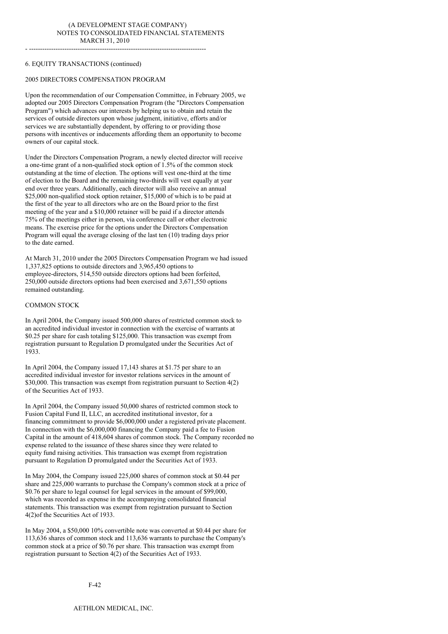#### 6. EQUITY TRANSACTIONS (continued)

## 2005 DIRECTORS COMPENSATION PROGRAM

- --------------------------------------------------------------------------------

Upon the recommendation of our Compensation Committee, in February 2005, we adopted our 2005 Directors Compensation Program (the "Directors Compensation Program") which advances our interests by helping us to obtain and retain the services of outside directors upon whose judgment, initiative, efforts and/or services we are substantially dependent, by offering to or providing those persons with incentives or inducements affording them an opportunity to become owners of our capital stock.

Under the Directors Compensation Program, a newly elected director will receive a one-time grant of a non-qualified stock option of 1.5% of the common stock outstanding at the time of election. The options will vest one-third at the time of election to the Board and the remaining two-thirds will vest equally at year end over three years. Additionally, each director will also receive an annual \$25,000 non-qualified stock option retainer, \$15,000 of which is to be paid at the first of the year to all directors who are on the Board prior to the first meeting of the year and a \$10,000 retainer will be paid if a director attends 75% of the meetings either in person, via conference call or other electronic means. The exercise price for the options under the Directors Compensation Program will equal the average closing of the last ten (10) trading days prior to the date earned.

At March 31, 2010 under the 2005 Directors Compensation Program we had issued 1,337,825 options to outside directors and 3,965,450 options to employee-directors, 514,550 outside directors options had been forfeited, 250,000 outside directors options had been exercised and 3,671,550 options remained outstanding.

## COMMON STOCK

In April 2004, the Company issued 500,000 shares of restricted common stock to an accredited individual investor in connection with the exercise of warrants at \$0.25 per share for cash totaling \$125,000. This transaction was exempt from registration pursuant to Regulation D promulgated under the Securities Act of 1933.

In April 2004, the Company issued 17,143 shares at \$1.75 per share to an accredited individual investor for investor relations services in the amount of \$30,000. This transaction was exempt from registration pursuant to Section 4(2) of the Securities Act of 1933.

In April 2004, the Company issued 50,000 shares of restricted common stock to Fusion Capital Fund II, LLC, an accredited institutional investor, for a financing commitment to provide \$6,000,000 under a registered private placement. In connection with the \$6,000,000 financing the Company paid a fee to Fusion Capital in the amount of 418,604 shares of common stock. The Company recorded no expense related to the issuance of these shares since they were related to equity fund raising activities. This transaction was exempt from registration pursuant to Regulation D promulgated under the Securities Act of 1933.

In May 2004, the Company issued 225,000 shares of common stock at \$0.44 per share and 225,000 warrants to purchase the Company's common stock at a price of \$0.76 per share to legal counsel for legal services in the amount of \$99,000, which was recorded as expense in the accompanying consolidated financial statements. This transaction was exempt from registration pursuant to Section 4(2)of the Securities Act of 1933.

In May 2004, a \$50,000 10% convertible note was converted at \$0.44 per share for 113,636 shares of common stock and 113,636 warrants to purchase the Company's common stock at a price of \$0.76 per share. This transaction was exempt from registration pursuant to Section 4(2) of the Securities Act of 1933.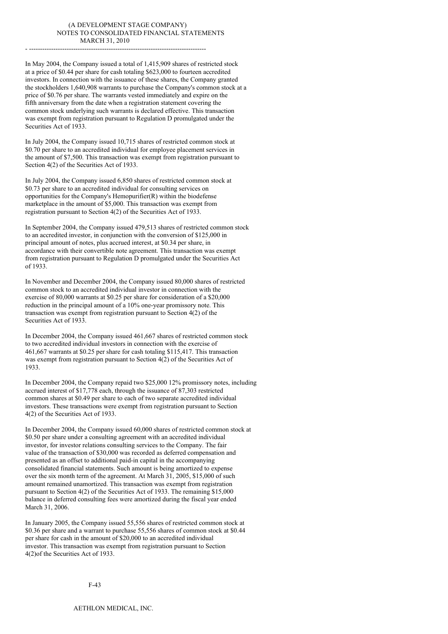#### (A DEVELOPMENT STAGE COMPANY) NOTES TO CONSOLIDATED FINANCIAL STATEMENTS MARCH 31, 2010

- --------------------------------------------------------------------------------

In May 2004, the Company issued a total of 1,415,909 shares of restricted stock at a price of \$0.44 per share for cash totaling \$623,000 to fourteen accredited investors. In connection with the issuance of these shares, the Company granted the stockholders 1,640,908 warrants to purchase the Company's common stock at a price of \$0.76 per share. The warrants vested immediately and expire on the fifth anniversary from the date when a registration statement covering the common stock underlying such warrants is declared effective. This transaction was exempt from registration pursuant to Regulation D promulgated under the Securities Act of 1933.

In July 2004, the Company issued 10,715 shares of restricted common stock at \$0.70 per share to an accredited individual for employee placement services in the amount of \$7,500. This transaction was exempt from registration pursuant to Section  $4(2)$  of the Securities Act of 1933.

In July 2004, the Company issued 6,850 shares of restricted common stock at \$0.73 per share to an accredited individual for consulting services on opportunities for the Company's Hemopurifier(R) within the biodefense marketplace in the amount of \$5,000. This transaction was exempt from registration pursuant to Section 4(2) of the Securities Act of 1933.

In September 2004, the Company issued 479,513 shares of restricted common stock to an accredited investor, in conjunction with the conversion of \$125,000 in principal amount of notes, plus accrued interest, at \$0.34 per share, in accordance with their convertible note agreement. This transaction was exempt from registration pursuant to Regulation D promulgated under the Securities Act of 1933.

In November and December 2004, the Company issued 80,000 shares of restricted common stock to an accredited individual investor in connection with the exercise of 80,000 warrants at \$0.25 per share for consideration of a \$20,000 reduction in the principal amount of a 10% one-year promissory note. This transaction was exempt from registration pursuant to Section 4(2) of the Securities Act of 1933.

In December 2004, the Company issued 461,667 shares of restricted common stock to two accredited individual investors in connection with the exercise of 461,667 warrants at \$0.25 per share for cash totaling \$115,417. This transaction was exempt from registration pursuant to Section 4(2) of the Securities Act of 1933.

In December 2004, the Company repaid two \$25,000 12% promissory notes, including accrued interest of \$17,778 each, through the issuance of 87,303 restricted common shares at \$0.49 per share to each of two separate accredited individual investors. These transactions were exempt from registration pursuant to Section 4(2) of the Securities Act of 1933.

In December 2004, the Company issued 60,000 shares of restricted common stock at \$0.50 per share under a consulting agreement with an accredited individual investor, for investor relations consulting services to the Company. The fair value of the transaction of \$30,000 was recorded as deferred compensation and presented as an offset to additional paid-in capital in the accompanying consolidated financial statements. Such amount is being amortized to expense over the six month term of the agreement. At March 31, 2005, \$15,000 of such amount remained unamortized. This transaction was exempt from registration pursuant to Section 4(2) of the Securities Act of 1933. The remaining \$15,000 balance in deferred consulting fees were amortized during the fiscal year ended March 31, 2006.

In January 2005, the Company issued 55,556 shares of restricted common stock at \$0.36 per share and a warrant to purchase 55,556 shares of common stock at \$0.44 per share for cash in the amount of \$20,000 to an accredited individual investor. This transaction was exempt from registration pursuant to Section 4(2)of the Securities Act of 1933.

F-43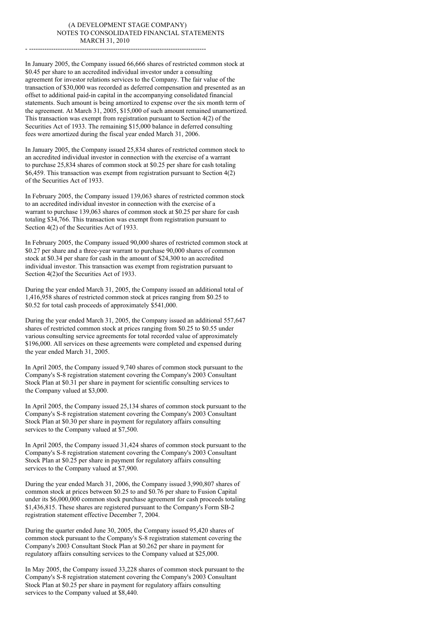#### (A DEVELOPMENT STAGE COMPANY) NOTES TO CONSOLIDATED FINANCIAL STATEMENTS MARCH 31, 2010

- --------------------------------------------------------------------------------

In January 2005, the Company issued 66,666 shares of restricted common stock at \$0.45 per share to an accredited individual investor under a consulting agreement for investor relations services to the Company. The fair value of the transaction of \$30,000 was recorded as deferred compensation and presented as an offset to additional paid-in capital in the accompanying consolidated financial statements. Such amount is being amortized to expense over the six month term of the agreement. At March 31, 2005, \$15,000 of such amount remained unamortized. This transaction was exempt from registration pursuant to Section 4(2) of the Securities Act of 1933. The remaining \$15,000 balance in deferred consulting fees were amortized during the fiscal year ended March 31, 2006.

In January 2005, the Company issued 25,834 shares of restricted common stock to an accredited individual investor in connection with the exercise of a warrant to purchase 25,834 shares of common stock at \$0.25 per share for cash totaling \$6,459. This transaction was exempt from registration pursuant to Section 4(2) of the Securities Act of 1933.

In February 2005, the Company issued 139,063 shares of restricted common stock to an accredited individual investor in connection with the exercise of a warrant to purchase 139,063 shares of common stock at \$0.25 per share for cash totaling \$34,766. This transaction was exempt from registration pursuant to Section  $4(2)$  of the Securities Act of 1933.

In February 2005, the Company issued 90,000 shares of restricted common stock at \$0.27 per share and a three-year warrant to purchase 90,000 shares of common stock at \$0.34 per share for cash in the amount of \$24,300 to an accredited individual investor. This transaction was exempt from registration pursuant to Section 4(2)of the Securities Act of 1933.

During the year ended March 31, 2005, the Company issued an additional total of 1,416,958 shares of restricted common stock at prices ranging from \$0.25 to \$0.52 for total cash proceeds of approximately \$541,000.

During the year ended March 31, 2005, the Company issued an additional 557,647 shares of restricted common stock at prices ranging from \$0.25 to \$0.55 under various consulting service agreements for total recorded value of approximately \$196,000. All services on these agreements were completed and expensed during the year ended March 31, 2005.

In April 2005, the Company issued 9,740 shares of common stock pursuant to the Company's S-8 registration statement covering the Company's 2003 Consultant Stock Plan at \$0.31 per share in payment for scientific consulting services to the Company valued at \$3,000.

In April 2005, the Company issued 25,134 shares of common stock pursuant to the Company's S-8 registration statement covering the Company's 2003 Consultant Stock Plan at \$0.30 per share in payment for regulatory affairs consulting services to the Company valued at \$7,500.

In April 2005, the Company issued 31,424 shares of common stock pursuant to the Company's S-8 registration statement covering the Company's 2003 Consultant Stock Plan at \$0.25 per share in payment for regulatory affairs consulting services to the Company valued at \$7,900.

During the year ended March 31, 2006, the Company issued 3,990,807 shares of common stock at prices between \$0.25 to and \$0.76 per share to Fusion Capital under its \$6,000,000 common stock purchase agreement for cash proceeds totaling \$1,436,815. These shares are registered pursuant to the Company's Form SB-2 registration statement effective December 7, 2004.

During the quarter ended June 30, 2005, the Company issued 95,420 shares of common stock pursuant to the Company's S-8 registration statement covering the Company's 2003 Consultant Stock Plan at \$0.262 per share in payment for regulatory affairs consulting services to the Company valued at \$25,000.

In May 2005, the Company issued 33,228 shares of common stock pursuant to the Company's S-8 registration statement covering the Company's 2003 Consultant Stock Plan at \$0.25 per share in payment for regulatory affairs consulting services to the Company valued at \$8,440.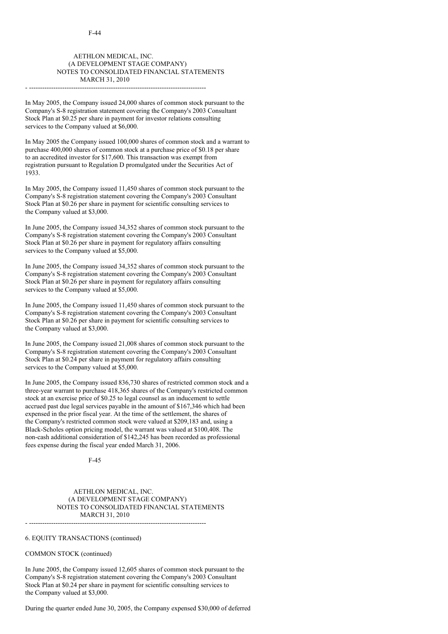## AETHLON MEDICAL, INC. (A DEVELOPMENT STAGE COMPANY) NOTES TO CONSOLIDATED FINANCIAL STATEMENTS MARCH 31, 2010

- --------------------------------------------------------------------------------

In May 2005, the Company issued 24,000 shares of common stock pursuant to the Company's S-8 registration statement covering the Company's 2003 Consultant Stock Plan at \$0.25 per share in payment for investor relations consulting services to the Company valued at \$6,000.

In May 2005 the Company issued 100,000 shares of common stock and a warrant to purchase 400,000 shares of common stock at a purchase price of \$0.18 per share to an accredited investor for \$17,600. This transaction was exempt from registration pursuant to Regulation D promulgated under the Securities Act of 1933.

In May 2005, the Company issued 11,450 shares of common stock pursuant to the Company's S-8 registration statement covering the Company's 2003 Consultant Stock Plan at \$0.26 per share in payment for scientific consulting services to the Company valued at \$3,000.

In June 2005, the Company issued 34,352 shares of common stock pursuant to the Company's S-8 registration statement covering the Company's 2003 Consultant Stock Plan at \$0.26 per share in payment for regulatory affairs consulting services to the Company valued at \$5,000.

In June 2005, the Company issued 34,352 shares of common stock pursuant to the Company's S-8 registration statement covering the Company's 2003 Consultant Stock Plan at \$0.26 per share in payment for regulatory affairs consulting services to the Company valued at \$5,000.

In June 2005, the Company issued 11,450 shares of common stock pursuant to the Company's S-8 registration statement covering the Company's 2003 Consultant Stock Plan at \$0.26 per share in payment for scientific consulting services to the Company valued at \$3,000.

In June 2005, the Company issued 21,008 shares of common stock pursuant to the Company's S-8 registration statement covering the Company's 2003 Consultant Stock Plan at \$0.24 per share in payment for regulatory affairs consulting services to the Company valued at \$5,000.

In June 2005, the Company issued 836,730 shares of restricted common stock and a three-year warrant to purchase 418,365 shares of the Company's restricted common stock at an exercise price of \$0.25 to legal counsel as an inducement to settle accrued past due legal services payable in the amount of \$167,346 which had been expensed in the prior fiscal year. At the time of the settlement, the shares of the Company's restricted common stock were valued at \$209,183 and, using a Black-Scholes option pricing model, the warrant was valued at \$100,408. The non-cash additional consideration of \$142,245 has been recorded as professional fees expense during the fiscal year ended March 31, 2006.

F-45

AETHLON MEDICAL, INC. (A DEVELOPMENT STAGE COMPANY) NOTES TO CONSOLIDATED FINANCIAL STATEMENTS MARCH 31, 2010

- --------------------------------------------------------------------------------

6. EQUITY TRANSACTIONS (continued)

#### COMMON STOCK (continued)

In June 2005, the Company issued 12,605 shares of common stock pursuant to the Company's S-8 registration statement covering the Company's 2003 Consultant Stock Plan at \$0.24 per share in payment for scientific consulting services to the Company valued at \$3,000.

During the quarter ended June 30, 2005, the Company expensed \$30,000 of deferred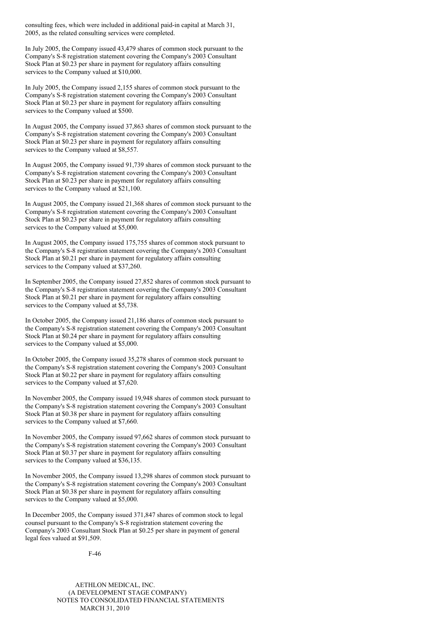consulting fees, which were included in additional paid-in capital at March 31, 2005, as the related consulting services were completed.

In July 2005, the Company issued 43,479 shares of common stock pursuant to the Company's S-8 registration statement covering the Company's 2003 Consultant Stock Plan at \$0.23 per share in payment for regulatory affairs consulting services to the Company valued at \$10,000.

In July 2005, the Company issued 2,155 shares of common stock pursuant to the Company's S-8 registration statement covering the Company's 2003 Consultant Stock Plan at \$0.23 per share in payment for regulatory affairs consulting services to the Company valued at \$500.

In August 2005, the Company issued 37,863 shares of common stock pursuant to the Company's S-8 registration statement covering the Company's 2003 Consultant Stock Plan at \$0.23 per share in payment for regulatory affairs consulting services to the Company valued at \$8,557.

In August 2005, the Company issued 91,739 shares of common stock pursuant to the Company's S-8 registration statement covering the Company's 2003 Consultant Stock Plan at \$0.23 per share in payment for regulatory affairs consulting services to the Company valued at \$21,100.

In August 2005, the Company issued 21,368 shares of common stock pursuant to the Company's S-8 registration statement covering the Company's 2003 Consultant Stock Plan at \$0.23 per share in payment for regulatory affairs consulting services to the Company valued at \$5,000.

In August 2005, the Company issued 175,755 shares of common stock pursuant to the Company's S-8 registration statement covering the Company's 2003 Consultant Stock Plan at \$0.21 per share in payment for regulatory affairs consulting services to the Company valued at \$37,260.

In September 2005, the Company issued 27,852 shares of common stock pursuant to the Company's S-8 registration statement covering the Company's 2003 Consultant Stock Plan at \$0.21 per share in payment for regulatory affairs consulting services to the Company valued at \$5,738.

In October 2005, the Company issued 21,186 shares of common stock pursuant to the Company's S-8 registration statement covering the Company's 2003 Consultant Stock Plan at \$0.24 per share in payment for regulatory affairs consulting services to the Company valued at \$5,000.

In October 2005, the Company issued 35,278 shares of common stock pursuant to the Company's S-8 registration statement covering the Company's 2003 Consultant Stock Plan at \$0.22 per share in payment for regulatory affairs consulting services to the Company valued at \$7,620.

In November 2005, the Company issued 19,948 shares of common stock pursuant to the Company's S-8 registration statement covering the Company's 2003 Consultant Stock Plan at \$0.38 per share in payment for regulatory affairs consulting services to the Company valued at \$7,660.

In November 2005, the Company issued 97,662 shares of common stock pursuant to the Company's S-8 registration statement covering the Company's 2003 Consultant Stock Plan at \$0.37 per share in payment for regulatory affairs consulting services to the Company valued at \$36,135.

In November 2005, the Company issued 13,298 shares of common stock pursuant to the Company's S-8 registration statement covering the Company's 2003 Consultant Stock Plan at \$0.38 per share in payment for regulatory affairs consulting services to the Company valued at \$5,000.

In December 2005, the Company issued 371,847 shares of common stock to legal counsel pursuant to the Company's S-8 registration statement covering the Company's 2003 Consultant Stock Plan at \$0.25 per share in payment of general legal fees valued at \$91,509.

F-46

AETHLON MEDICAL, INC. (A DEVELOPMENT STAGE COMPANY) NOTES TO CONSOLIDATED FINANCIAL STATEMENTS MARCH 31, 2010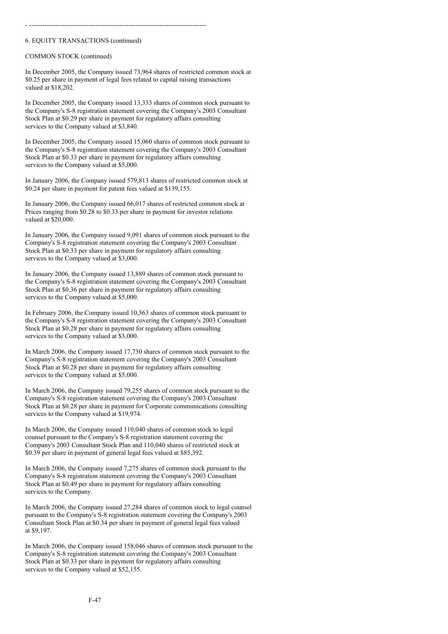# 6. EQUITY TRANSACTIONS (continued)

COMMON STOCK (continued)

In December 2005, the Company issued 73,964 shares of restricted common stock at \$0.25 per share in payment of legal fees related to capital raising transactions valued at \$18,202.

- --------------------------------------------------------------------------------

In December 2005, the Company issued 13,333 shares of common stock pursuant to the Company's S-8 registration statement covering the Company's 2003 Consultant Stock Plan at \$0.29 per share in payment for regulatory affairs consulting services to the Company valued at \$3,840.

In December 2005, the Company issued 15,060 shares of common stock pursuant to the Company's S-8 registration statement covering the Company's 2003 Consultant Stock Plan at \$0.33 per share in payment for regulatory affairs consulting services to the Company valued at \$5,000.

In January 2006, the Company issued 579,813 shares of restricted common stock at \$0.24 per share in payment for patent fees valued at \$139,155.

In January 2006, the Company issued 66,017 shares of restricted common stock at Prices ranging from \$0.28 to \$0.33 per share in payment for investor relations valued at \$20,000.

In January 2006, the Company issued 9,091 shares of common stock pursuant to the Company's S-8 registration statement covering the Company's 2003 Consultant Stock Plan at \$0.33 per share in payment for regulatory affairs consulting services to the Company valued at \$3,000.

In January 2006, the Company issued 13,889 shares of common stock pursuant to the Company's S-8 registration statement covering the Company's 2003 Consultant Stock Plan at \$0.36 per share in payment for regulatory affairs consulting services to the Company valued at \$5,000.

In February 2006, the Company issued 10,563 shares of common stock pursuant to the Company's S-8 registration statement covering the Company's 2003 Consultant Stock Plan at \$0.28 per share in payment for regulatory affairs consulting services to the Company valued at \$3,000.

In March 2006, the Company issued 17,730 shares of common stock pursuant to the Company's S-8 registration statement covering the Company's 2003 Consultant Stock Plan at \$0.28 per share in payment for regulatory affairs consulting services to the Company valued at \$5,000.

In March 2006, the Company issued 79,255 shares of common stock pursuant to the Company's S-8 registration statement covering the Company's 2003 Consultant Stock Plan at \$0.28 per share in payment for Corporate communications consulting services to the Company valued at \$19,974.

In March 2006, the Company issued 110,040 shares of common stock to legal counsel pursuant to the Company's S-8 registration statement covering the Company's 2003 Consultant Stock Plan and 110,040 shares of restricted stock at \$0.39 per share in payment of general legal fees valued at \$85,392.

In March 2006, the Company issued 7,275 shares of common stock pursuant to the Company's S-8 registration statement covering the Company's 2003 Consultant Stock Plan at \$0.49 per share in payment for regulatory affairs consulting services to the Company.

In March 2006, the Company issued 27,284 shares of common stock to legal counsel pursuant to the Company's S-8 registration statement covering the Company's 2003 Consultant Stock Plan at \$0.34 per share in payment of general legal fees valued at \$9,197.

In March 2006, the Company issued 158,046 shares of common stock pursuant to the Company's S-8 registration statement covering the Company's 2003 Consultant Stock Plan at \$0.33 per share in payment for regulatory affairs consulting services to the Company valued at \$52,155.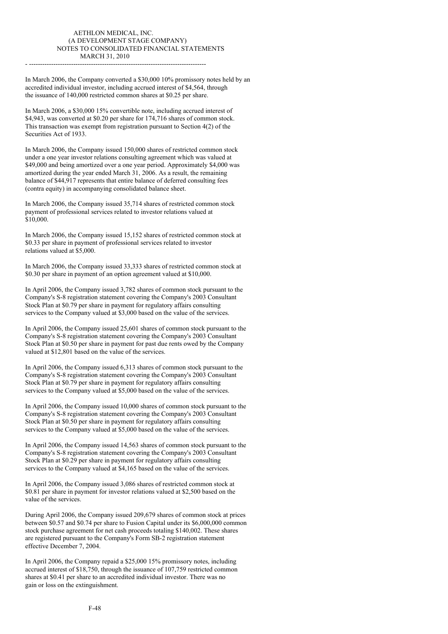## AETHLON MEDICAL, INC. (A DEVELOPMENT STAGE COMPANY) NOTES TO CONSOLIDATED FINANCIAL STATEMENTS MARCH 31, 2010 - --------------------------------------------------------------------------------

In March 2006, the Company converted a \$30,000 10% promissory notes held by an accredited individual investor, including accrued interest of \$4,564, through the issuance of 140,000 restricted common shares at \$0.25 per share.

In March 2006, a \$30,000 15% convertible note, including accrued interest of \$4,943, was converted at \$0.20 per share for 174,716 shares of common stock. This transaction was exempt from registration pursuant to Section 4(2) of the Securities Act of 1933.

In March 2006, the Company issued 150,000 shares of restricted common stock under a one year investor relations consulting agreement which was valued at \$49,000 and being amortized over a one year period. Approximately \$4,000 was amortized during the year ended March 31, 2006. As a result, the remaining balance of \$44,917 represents that entire balance of deferred consulting fees (contra equity) in accompanying consolidated balance sheet.

In March 2006, the Company issued 35,714 shares of restricted common stock payment of professional services related to investor relations valued at \$10,000.

In March 2006, the Company issued 15,152 shares of restricted common stock at \$0.33 per share in payment of professional services related to investor relations valued at \$5,000.

In March 2006, the Company issued 33,333 shares of restricted common stock at \$0.30 per share in payment of an option agreement valued at \$10,000.

In April 2006, the Company issued 3,782 shares of common stock pursuant to the Company's S-8 registration statement covering the Company's 2003 Consultant Stock Plan at \$0.79 per share in payment for regulatory affairs consulting services to the Company valued at \$3,000 based on the value of the services.

In April 2006, the Company issued 25,601 shares of common stock pursuant to the Company's S-8 registration statement covering the Company's 2003 Consultant Stock Plan at \$0.50 per share in payment for past due rents owed by the Company valued at \$12,801 based on the value of the services.

In April 2006, the Company issued 6,313 shares of common stock pursuant to the Company's S-8 registration statement covering the Company's 2003 Consultant Stock Plan at \$0.79 per share in payment for regulatory affairs consulting services to the Company valued at \$5,000 based on the value of the services.

In April 2006, the Company issued 10,000 shares of common stock pursuant to the Company's S-8 registration statement covering the Company's 2003 Consultant Stock Plan at \$0.50 per share in payment for regulatory affairs consulting services to the Company valued at \$5,000 based on the value of the services.

In April 2006, the Company issued 14,563 shares of common stock pursuant to the Company's S-8 registration statement covering the Company's 2003 Consultant Stock Plan at \$0.29 per share in payment for regulatory affairs consulting services to the Company valued at \$4,165 based on the value of the services.

In April 2006, the Company issued 3,086 shares of restricted common stock at \$0.81 per share in payment for investor relations valued at \$2,500 based on the value of the services.

During April 2006, the Company issued 209,679 shares of common stock at prices between \$0.57 and \$0.74 per share to Fusion Capital under its \$6,000,000 common stock purchase agreement for net cash proceeds totaling \$140,002. These shares are registered pursuant to the Company's Form SB-2 registration statement effective December 7, 2004.

In April 2006, the Company repaid a \$25,000 15% promissory notes, including accrued interest of \$18,750, through the issuance of 107,759 restricted common shares at \$0.41 per share to an accredited individual investor. There was no gain or loss on the extinguishment.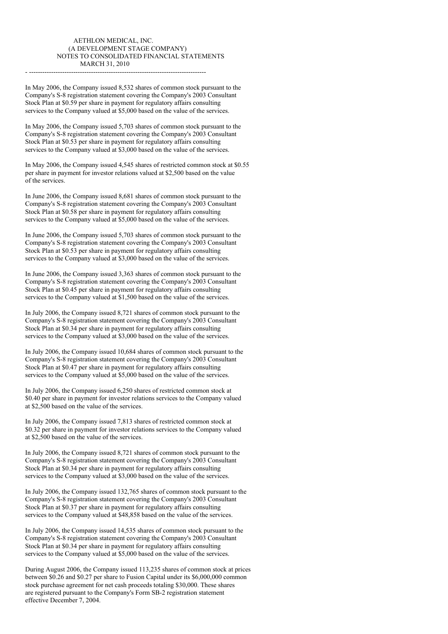## AETHLON MEDICAL, INC. (A DEVELOPMENT STAGE COMPANY) NOTES TO CONSOLIDATED FINANCIAL STATEMENTS MARCH 31, 2010

In May 2006, the Company issued 8,532 shares of common stock pursuant to the Company's S-8 registration statement covering the Company's 2003 Consultant Stock Plan at \$0.59 per share in payment for regulatory affairs consulting services to the Company valued at \$5,000 based on the value of the services.

- --------------------------------------------------------------------------------

In May 2006, the Company issued 5,703 shares of common stock pursuant to the Company's S-8 registration statement covering the Company's 2003 Consultant Stock Plan at \$0.53 per share in payment for regulatory affairs consulting services to the Company valued at \$3,000 based on the value of the services.

In May 2006, the Company issued 4,545 shares of restricted common stock at \$0.55 per share in payment for investor relations valued at \$2,500 based on the value of the services.

In June 2006, the Company issued 8,681 shares of common stock pursuant to the Company's S-8 registration statement covering the Company's 2003 Consultant Stock Plan at \$0.58 per share in payment for regulatory affairs consulting services to the Company valued at \$5,000 based on the value of the services.

In June 2006, the Company issued 5,703 shares of common stock pursuant to the Company's S-8 registration statement covering the Company's 2003 Consultant Stock Plan at \$0.53 per share in payment for regulatory affairs consulting services to the Company valued at \$3,000 based on the value of the services.

In June 2006, the Company issued 3,363 shares of common stock pursuant to the Company's S-8 registration statement covering the Company's 2003 Consultant Stock Plan at \$0.45 per share in payment for regulatory affairs consulting services to the Company valued at \$1,500 based on the value of the services.

In July 2006, the Company issued 8,721 shares of common stock pursuant to the Company's S-8 registration statement covering the Company's 2003 Consultant Stock Plan at \$0.34 per share in payment for regulatory affairs consulting services to the Company valued at \$3,000 based on the value of the services.

In July 2006, the Company issued 10,684 shares of common stock pursuant to the Company's S-8 registration statement covering the Company's 2003 Consultant Stock Plan at \$0.47 per share in payment for regulatory affairs consulting services to the Company valued at \$5,000 based on the value of the services.

In July 2006, the Company issued 6,250 shares of restricted common stock at \$0.40 per share in payment for investor relations services to the Company valued at \$2,500 based on the value of the services.

In July 2006, the Company issued 7,813 shares of restricted common stock at \$0.32 per share in payment for investor relations services to the Company valued at \$2,500 based on the value of the services.

In July 2006, the Company issued 8,721 shares of common stock pursuant to the Company's S-8 registration statement covering the Company's 2003 Consultant Stock Plan at \$0.34 per share in payment for regulatory affairs consulting services to the Company valued at \$3,000 based on the value of the services.

In July 2006, the Company issued 132,765 shares of common stock pursuant to the Company's S-8 registration statement covering the Company's 2003 Consultant Stock Plan at \$0.37 per share in payment for regulatory affairs consulting services to the Company valued at \$48,858 based on the value of the services.

In July 2006, the Company issued 14,535 shares of common stock pursuant to the Company's S-8 registration statement covering the Company's 2003 Consultant Stock Plan at \$0.34 per share in payment for regulatory affairs consulting services to the Company valued at \$5,000 based on the value of the services.

During August 2006, the Company issued 113,235 shares of common stock at prices between \$0.26 and \$0.27 per share to Fusion Capital under its \$6,000,000 common stock purchase agreement for net cash proceeds totaling \$30,000. These shares are registered pursuant to the Company's Form SB-2 registration statement effective December 7, 2004.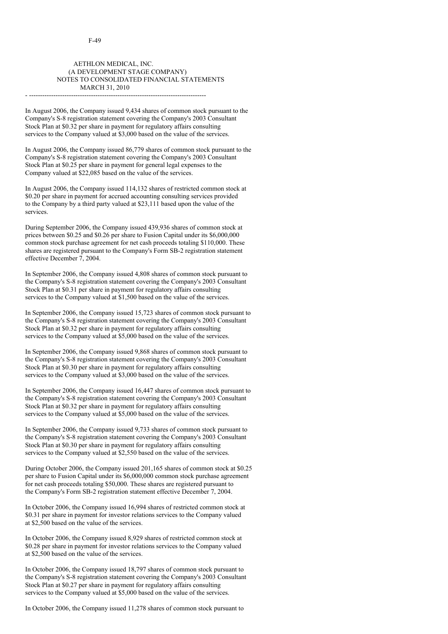## AETHLON MEDICAL, INC. (A DEVELOPMENT STAGE COMPANY) NOTES TO CONSOLIDATED FINANCIAL STATEMENTS MARCH 31, 2010 - --------------------------------------------------------------------------------

In August 2006, the Company issued 9,434 shares of common stock pursuant to the Company's S-8 registration statement covering the Company's 2003 Consultant Stock Plan at \$0.32 per share in payment for regulatory affairs consulting services to the Company valued at \$3,000 based on the value of the services.

In August 2006, the Company issued 86,779 shares of common stock pursuant to the Company's S-8 registration statement covering the Company's 2003 Consultant Stock Plan at \$0.25 per share in payment for general legal expenses to the Company valued at \$22,085 based on the value of the services.

In August 2006, the Company issued 114,132 shares of restricted common stock at \$0.20 per share in payment for accrued accounting consulting services provided to the Company by a third party valued at \$23,111 based upon the value of the services.

During September 2006, the Company issued 439,936 shares of common stock at prices between \$0.25 and \$0.26 per share to Fusion Capital under its \$6,000,000 common stock purchase agreement for net cash proceeds totaling \$110,000. These shares are registered pursuant to the Company's Form SB-2 registration statement effective December 7, 2004.

In September 2006, the Company issued 4,808 shares of common stock pursuant to the Company's S-8 registration statement covering the Company's 2003 Consultant Stock Plan at \$0.31 per share in payment for regulatory affairs consulting services to the Company valued at \$1,500 based on the value of the services.

In September 2006, the Company issued 15,723 shares of common stock pursuant to the Company's S-8 registration statement covering the Company's 2003 Consultant Stock Plan at \$0.32 per share in payment for regulatory affairs consulting services to the Company valued at \$5,000 based on the value of the services.

In September 2006, the Company issued 9,868 shares of common stock pursuant to the Company's S-8 registration statement covering the Company's 2003 Consultant Stock Plan at \$0.30 per share in payment for regulatory affairs consulting services to the Company valued at \$3,000 based on the value of the services.

In September 2006, the Company issued 16,447 shares of common stock pursuant to the Company's S-8 registration statement covering the Company's 2003 Consultant Stock Plan at \$0.32 per share in payment for regulatory affairs consulting services to the Company valued at \$5,000 based on the value of the services.

In September 2006, the Company issued 9,733 shares of common stock pursuant to the Company's S-8 registration statement covering the Company's 2003 Consultant Stock Plan at \$0.30 per share in payment for regulatory affairs consulting services to the Company valued at \$2,550 based on the value of the services.

During October 2006, the Company issued 201,165 shares of common stock at \$0.25 per share to Fusion Capital under its \$6,000,000 common stock purchase agreement for net cash proceeds totaling \$50,000. These shares are registered pursuant to the Company's Form SB-2 registration statement effective December 7, 2004.

In October 2006, the Company issued 16,994 shares of restricted common stock at \$0.31 per share in payment for investor relations services to the Company valued at \$2,500 based on the value of the services.

In October 2006, the Company issued 8,929 shares of restricted common stock at \$0.28 per share in payment for investor relations services to the Company valued at \$2,500 based on the value of the services.

In October 2006, the Company issued 18,797 shares of common stock pursuant to the Company's S-8 registration statement covering the Company's 2003 Consultant Stock Plan at \$0.27 per share in payment for regulatory affairs consulting services to the Company valued at \$5,000 based on the value of the services.

In October 2006, the Company issued 11,278 shares of common stock pursuant to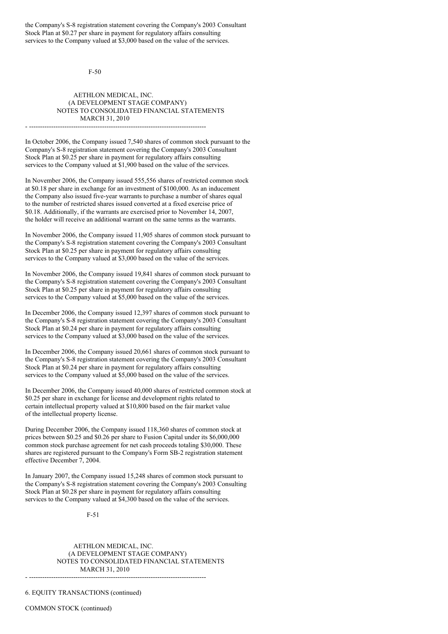the Company's S-8 registration statement covering the Company's 2003 Consultant Stock Plan at \$0.27 per share in payment for regulatory affairs consulting services to the Company valued at \$3,000 based on the value of the services.

#### F-50

## AETHLON MEDICAL, INC. (A DEVELOPMENT STAGE COMPANY) NOTES TO CONSOLIDATED FINANCIAL STATEMENTS MARCH 31, 2010

In October 2006, the Company issued 7,540 shares of common stock pursuant to the Company's S-8 registration statement covering the Company's 2003 Consultant Stock Plan at \$0.25 per share in payment for regulatory affairs consulting services to the Company valued at \$1,900 based on the value of the services.

- --------------------------------------------------------------------------------

In November 2006, the Company issued 555,556 shares of restricted common stock at \$0.18 per share in exchange for an investment of \$100,000. As an inducement the Company also issued five-year warrants to purchase a number of shares equal to the number of restricted shares issued converted at a fixed exercise price of \$0.18. Additionally, if the warrants are exercised prior to November 14, 2007, the holder will receive an additional warrant on the same terms as the warrants.

In November 2006, the Company issued 11,905 shares of common stock pursuant to the Company's S-8 registration statement covering the Company's 2003 Consultant Stock Plan at \$0.25 per share in payment for regulatory affairs consulting services to the Company valued at \$3,000 based on the value of the services.

In November 2006, the Company issued 19,841 shares of common stock pursuant to the Company's S-8 registration statement covering the Company's 2003 Consultant Stock Plan at \$0.25 per share in payment for regulatory affairs consulting services to the Company valued at \$5,000 based on the value of the services.

In December 2006, the Company issued 12,397 shares of common stock pursuant to the Company's S-8 registration statement covering the Company's 2003 Consultant Stock Plan at \$0.24 per share in payment for regulatory affairs consulting services to the Company valued at \$3,000 based on the value of the services.

In December 2006, the Company issued 20,661 shares of common stock pursuant to the Company's S-8 registration statement covering the Company's 2003 Consultant Stock Plan at \$0.24 per share in payment for regulatory affairs consulting services to the Company valued at \$5,000 based on the value of the services.

In December 2006, the Company issued 40,000 shares of restricted common stock at \$0.25 per share in exchange for license and development rights related to certain intellectual property valued at \$10,800 based on the fair market value of the intellectual property license.

During December 2006, the Company issued 118,360 shares of common stock at prices between \$0.25 and \$0.26 per share to Fusion Capital under its \$6,000,000 common stock purchase agreement for net cash proceeds totaling \$30,000. These shares are registered pursuant to the Company's Form SB-2 registration statement effective December 7, 2004.

In January 2007, the Company issued 15,248 shares of common stock pursuant to the Company's S-8 registration statement covering the Company's 2003 Consulting Stock Plan at \$0.28 per share in payment for regulatory affairs consulting services to the Company valued at \$4,300 based on the value of the services.

F-51

AETHLON MEDICAL, INC. (A DEVELOPMENT STAGE COMPANY) NOTES TO CONSOLIDATED FINANCIAL STATEMENTS MARCH 31, 2010

- --------------------------------------------------------------------------------

6. EQUITY TRANSACTIONS (continued)

COMMON STOCK (continued)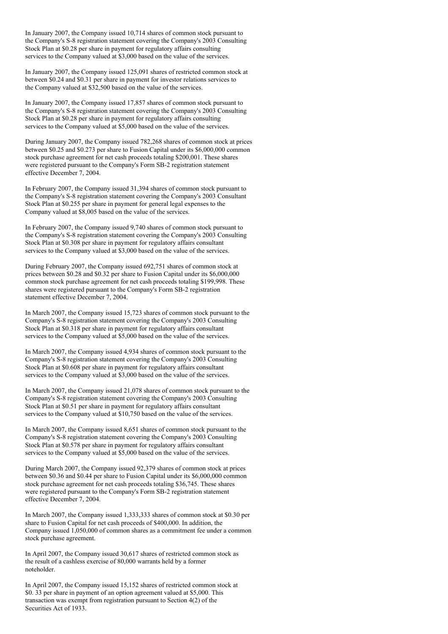In January 2007, the Company issued 10,714 shares of common stock pursuant to the Company's S-8 registration statement covering the Company's 2003 Consulting Stock Plan at \$0.28 per share in payment for regulatory affairs consulting services to the Company valued at \$3,000 based on the value of the services.

In January 2007, the Company issued 125,091 shares of restricted common stock at between \$0.24 and \$0.31 per share in payment for investor relations services to the Company valued at \$32,500 based on the value of the services.

In January 2007, the Company issued 17,857 shares of common stock pursuant to the Company's S-8 registration statement covering the Company's 2003 Consulting Stock Plan at \$0.28 per share in payment for regulatory affairs consulting services to the Company valued at \$5,000 based on the value of the services.

During January 2007, the Company issued 782,268 shares of common stock at prices between \$0.25 and \$0.273 per share to Fusion Capital under its \$6,000,000 common stock purchase agreement for net cash proceeds totaling \$200,001. These shares were registered pursuant to the Company's Form SB-2 registration statement effective December 7, 2004.

In February 2007, the Company issued 31,394 shares of common stock pursuant to the Company's S-8 registration statement covering the Company's 2003 Consultant Stock Plan at \$0.255 per share in payment for general legal expenses to the Company valued at \$8,005 based on the value of the services.

In February 2007, the Company issued 9,740 shares of common stock pursuant to the Company's S-8 registration statement covering the Company's 2003 Consulting Stock Plan at \$0.308 per share in payment for regulatory affairs consultant services to the Company valued at \$3,000 based on the value of the services.

During February 2007, the Company issued 692,751 shares of common stock at prices between \$0.28 and \$0.32 per share to Fusion Capital under its \$6,000,000 common stock purchase agreement for net cash proceeds totaling \$199,998. These shares were registered pursuant to the Company's Form SB-2 registration statement effective December 7, 2004.

In March 2007, the Company issued 15,723 shares of common stock pursuant to the Company's S-8 registration statement covering the Company's 2003 Consulting Stock Plan at \$0.318 per share in payment for regulatory affairs consultant services to the Company valued at \$5,000 based on the value of the services.

In March 2007, the Company issued 4,934 shares of common stock pursuant to the Company's S-8 registration statement covering the Company's 2003 Consulting Stock Plan at \$0.608 per share in payment for regulatory affairs consultant services to the Company valued at \$3,000 based on the value of the services.

In March 2007, the Company issued 21,078 shares of common stock pursuant to the Company's S-8 registration statement covering the Company's 2003 Consulting Stock Plan at \$0.51 per share in payment for regulatory affairs consultant services to the Company valued at \$10,750 based on the value of the services.

In March 2007, the Company issued 8,651 shares of common stock pursuant to the Company's S-8 registration statement covering the Company's 2003 Consulting Stock Plan at \$0.578 per share in payment for regulatory affairs consultant services to the Company valued at \$5,000 based on the value of the services.

During March 2007, the Company issued 92,379 shares of common stock at prices between \$0.36 and \$0.44 per share to Fusion Capital under its \$6,000,000 common stock purchase agreement for net cash proceeds totaling \$36,745. These shares were registered pursuant to the Company's Form SB-2 registration statement effective December 7, 2004.

In March 2007, the Company issued 1,333,333 shares of common stock at \$0.30 per share to Fusion Capital for net cash proceeds of \$400,000. In addition, the Company issued 1,050,000 of common shares as a commitment fee under a common stock purchase agreement.

In April 2007, the Company issued 30,617 shares of restricted common stock as the result of a cashless exercise of 80,000 warrants held by a former noteholder.

In April 2007, the Company issued 15,152 shares of restricted common stock at \$0. 33 per share in payment of an option agreement valued at \$5,000. This transaction was exempt from registration pursuant to Section 4(2) of the Securities Act of 1933.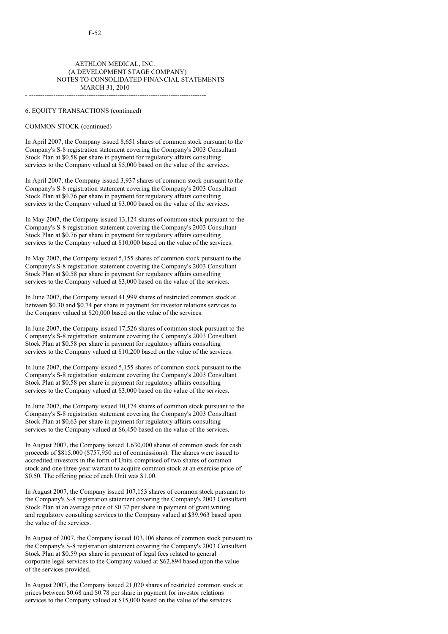## AETHLON MEDICAL, INC. (A DEVELOPMENT STAGE COMPANY) NOTES TO CONSOLIDATED FINANCIAL STATEMENTS MARCH 31, 2010 - --------------------------------------------------------------------------------

### 6. EQUITY TRANSACTIONS (continued)

#### COMMON STOCK (continued)

In April 2007, the Company issued 8,651 shares of common stock pursuant to the Company's S-8 registration statement covering the Company's 2003 Consultant Stock Plan at \$0.58 per share in payment for regulatory affairs consulting services to the Company valued at \$5,000 based on the value of the services.

In April 2007, the Company issued 3,937 shares of common stock pursuant to the Company's S-8 registration statement covering the Company's 2003 Consultant Stock Plan at \$0.76 per share in payment for regulatory affairs consulting services to the Company valued at \$3,000 based on the value of the services.

In May 2007, the Company issued 13,124 shares of common stock pursuant to the Company's S-8 registration statement covering the Company's 2003 Consultant Stock Plan at \$0.76 per share in payment for regulatory affairs consulting services to the Company valued at \$10,000 based on the value of the services.

In May 2007, the Company issued 5,155 shares of common stock pursuant to the Company's S-8 registration statement covering the Company's 2003 Consultant Stock Plan at \$0.58 per share in payment for regulatory affairs consulting services to the Company valued at \$3,000 based on the value of the services.

In June 2007, the Company issued 41,999 shares of restricted common stock at between \$0.30 and \$0.74 per share in payment for investor relations services to the Company valued at \$20,000 based on the value of the services.

In June 2007, the Company issued 17,526 shares of common stock pursuant to the Company's S-8 registration statement covering the Company's 2003 Consultant Stock Plan at \$0.58 per share in payment for regulatory affairs consulting services to the Company valued at \$10,200 based on the value of the services.

In June 2007, the Company issued 5,155 shares of common stock pursuant to the Company's S-8 registration statement covering the Company's 2003 Consultant Stock Plan at \$0.58 per share in payment for regulatory affairs consulting services to the Company valued at \$3,000 based on the value of the services.

In June 2007, the Company issued 10,174 shares of common stock pursuant to the Company's S-8 registration statement covering the Company's 2003 Consultant Stock Plan at \$0.63 per share in payment for regulatory affairs consulting services to the Company valued at \$6,450 based on the value of the services.

In August 2007, the Company issued 1,630,000 shares of common stock for cash proceeds of \$815,000 (\$757,950 net of commissions). The shares were issued to accredited investors in the form of Units comprised of two shares of common stock and one three-year warrant to acquire common stock at an exercise price of \$0.50. The offering price of each Unit was \$1.00.

In August 2007, the Company issued 107,153 shares of common stock pursuant to the Company's S-8 registration statement covering the Company's 2003 Consultant Stock Plan at an average price of \$0.37 per share in payment of grant writing and regulatory consulting services to the Company valued at \$39,963 based upon the value of the services.

In August of 2007, the Company issued 103,106 shares of common stock pursuant to the Company's S-8 registration statement covering the Company's 2003 Consultant Stock Plan at \$0.59 per share in payment of legal fees related to general corporate legal services to the Company valued at \$62,894 based upon the value of the services provided.

In August 2007, the Company issued 21,020 shares of restricted common stock at prices between \$0.68 and \$0.78 per share in payment for investor relations services to the Company valued at \$15,000 based on the value of the services.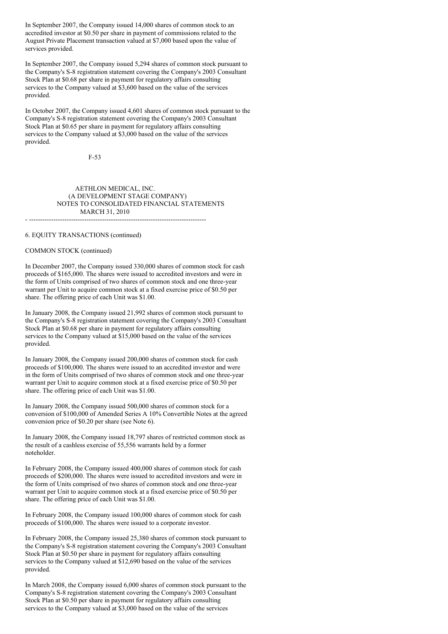In September 2007, the Company issued 14,000 shares of common stock to an accredited investor at \$0.50 per share in payment of commissions related to the August Private Placement transaction valued at \$7,000 based upon the value of services provided.

In September 2007, the Company issued 5,294 shares of common stock pursuant to the Company's S-8 registration statement covering the Company's 2003 Consultant Stock Plan at \$0.68 per share in payment for regulatory affairs consulting services to the Company valued at \$3,600 based on the value of the services provided.

In October 2007, the Company issued 4,601 shares of common stock pursuant to the Company's S-8 registration statement covering the Company's 2003 Consultant Stock Plan at \$0.65 per share in payment for regulatory affairs consulting services to the Company valued at \$3,000 based on the value of the services provided.

F-53

# AETHLON MEDICAL, INC. (A DEVELOPMENT STAGE COMPANY) NOTES TO CONSOLIDATED FINANCIAL STATEMENTS MARCH 31, 2010

# - --------------------------------------------------------------------------------

# 6. EQUITY TRANSACTIONS (continued)

#### COMMON STOCK (continued)

In December 2007, the Company issued 330,000 shares of common stock for cash proceeds of \$165,000. The shares were issued to accredited investors and were in the form of Units comprised of two shares of common stock and one three-year warrant per Unit to acquire common stock at a fixed exercise price of \$0.50 per share. The offering price of each Unit was \$1.00.

In January 2008, the Company issued 21,992 shares of common stock pursuant to the Company's S-8 registration statement covering the Company's 2003 Consultant Stock Plan at \$0.68 per share in payment for regulatory affairs consulting services to the Company valued at \$15,000 based on the value of the services provided.

In January 2008, the Company issued 200,000 shares of common stock for cash proceeds of \$100,000. The shares were issued to an accredited investor and were in the form of Units comprised of two shares of common stock and one three-year warrant per Unit to acquire common stock at a fixed exercise price of \$0.50 per share. The offering price of each Unit was \$1.00.

In January 2008, the Company issued 500,000 shares of common stock for a conversion of \$100,000 of Amended Series A 10% Convertible Notes at the agreed conversion price of \$0.20 per share (see Note 6).

In January 2008, the Company issued 18,797 shares of restricted common stock as the result of a cashless exercise of 55,556 warrants held by a former noteholder.

In February 2008, the Company issued 400,000 shares of common stock for cash proceeds of \$200,000. The shares were issued to accredited investors and were in the form of Units comprised of two shares of common stock and one three-year warrant per Unit to acquire common stock at a fixed exercise price of \$0.50 per share. The offering price of each Unit was \$1.00.

In February 2008, the Company issued 100,000 shares of common stock for cash proceeds of \$100,000. The shares were issued to a corporate investor.

In February 2008, the Company issued 25,380 shares of common stock pursuant to the Company's S-8 registration statement covering the Company's 2003 Consultant Stock Plan at \$0.50 per share in payment for regulatory affairs consulting services to the Company valued at \$12,690 based on the value of the services provided.

In March 2008, the Company issued 6,000 shares of common stock pursuant to the Company's S-8 registration statement covering the Company's 2003 Consultant Stock Plan at \$0.50 per share in payment for regulatory affairs consulting services to the Company valued at \$3,000 based on the value of the services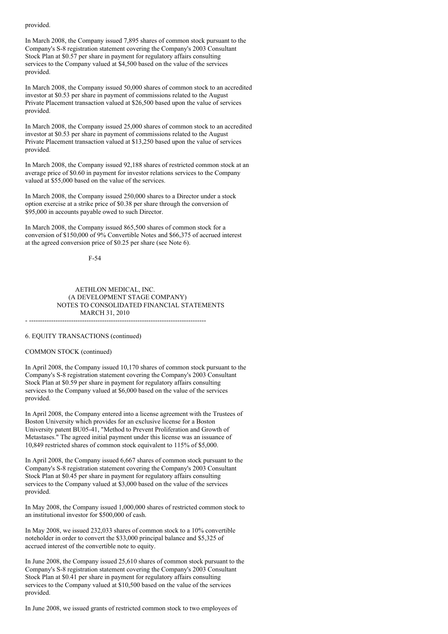provided.

In March 2008, the Company issued 7,895 shares of common stock pursuant to the Company's S-8 registration statement covering the Company's 2003 Consultant Stock Plan at \$0.57 per share in payment for regulatory affairs consulting services to the Company valued at \$4,500 based on the value of the services provided.

In March 2008, the Company issued 50,000 shares of common stock to an accredited investor at \$0.53 per share in payment of commissions related to the August Private Placement transaction valued at \$26,500 based upon the value of services provided.

In March 2008, the Company issued 25,000 shares of common stock to an accredited investor at \$0.53 per share in payment of commissions related to the August Private Placement transaction valued at \$13,250 based upon the value of services provided.

In March 2008, the Company issued 92,188 shares of restricted common stock at an average price of \$0.60 in payment for investor relations services to the Company valued at \$55,000 based on the value of the services.

In March 2008, the Company issued 250,000 shares to a Director under a stock option exercise at a strike price of \$0.38 per share through the conversion of \$95,000 in accounts payable owed to such Director.

In March 2008, the Company issued 865,500 shares of common stock for a conversion of \$150,000 of 9% Convertible Notes and \$66,375 of accrued interest at the agreed conversion price of \$0.25 per share (see Note 6).

F-54

## AETHLON MEDICAL, INC. (A DEVELOPMENT STAGE COMPANY) NOTES TO CONSOLIDATED FINANCIAL STATEMENTS MARCH 31, 2010 - --------------------------------------------------------------------------------

6. EQUITY TRANSACTIONS (continued)

# COMMON STOCK (continued)

In April 2008, the Company issued 10,170 shares of common stock pursuant to the Company's S-8 registration statement covering the Company's 2003 Consultant Stock Plan at \$0.59 per share in payment for regulatory affairs consulting services to the Company valued at \$6,000 based on the value of the services provided.

In April 2008, the Company entered into a license agreement with the Trustees of Boston University which provides for an exclusive license for a Boston University patent BU05-41, "Method to Prevent Proliferation and Growth of Metastases." The agreed initial payment under this license was an issuance of 10,849 restricted shares of common stock equivalent to 115% of \$5,000.

In April 2008, the Company issued 6,667 shares of common stock pursuant to the Company's S-8 registration statement covering the Company's 2003 Consultant Stock Plan at \$0.45 per share in payment for regulatory affairs consulting services to the Company valued at \$3,000 based on the value of the services provided.

In May 2008, the Company issued 1,000,000 shares of restricted common stock to an institutional investor for \$500,000 of cash.

In May 2008, we issued 232,033 shares of common stock to a 10% convertible noteholder in order to convert the \$33,000 principal balance and \$5,325 of accrued interest of the convertible note to equity.

In June 2008, the Company issued 25,610 shares of common stock pursuant to the Company's S-8 registration statement covering the Company's 2003 Consultant Stock Plan at \$0.41 per share in payment for regulatory affairs consulting services to the Company valued at \$10,500 based on the value of the services provided.

In June 2008, we issued grants of restricted common stock to two employees of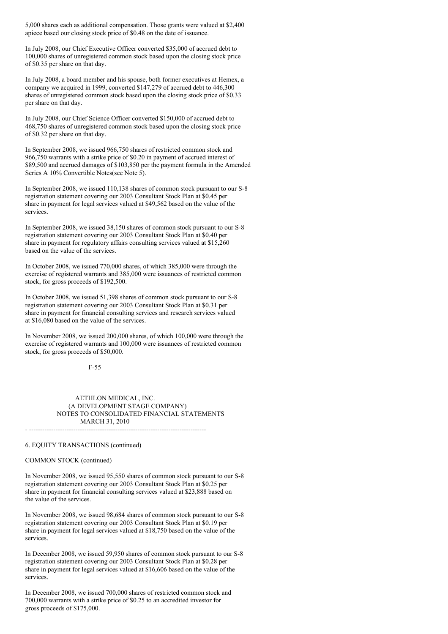5,000 shares each as additional compensation. Those grants were valued at \$2,400 apiece based our closing stock price of \$0.48 on the date of issuance.

In July 2008, our Chief Executive Officer converted \$35,000 of accrued debt to 100,000 shares of unregistered common stock based upon the closing stock price of \$0.35 per share on that day.

In July 2008, a board member and his spouse, both former executives at Hemex, a company we acquired in 1999, converted \$147,279 of accrued debt to 446,300 shares of unregistered common stock based upon the closing stock price of \$0.33 per share on that day.

In July 2008, our Chief Science Officer converted \$150,000 of accrued debt to 468,750 shares of unregistered common stock based upon the closing stock price of \$0.32 per share on that day.

In September 2008, we issued 966,750 shares of restricted common stock and 966,750 warrants with a strike price of \$0.20 in payment of accrued interest of \$89,500 and accrued damages of \$103,850 per the payment formula in the Amended Series A 10% Convertible Notes(see Note 5).

In September 2008, we issued 110,138 shares of common stock pursuant to our S-8 registration statement covering our 2003 Consultant Stock Plan at \$0.45 per share in payment for legal services valued at \$49,562 based on the value of the services.

In September 2008, we issued 38,150 shares of common stock pursuant to our S-8 registration statement covering our 2003 Consultant Stock Plan at \$0.40 per share in payment for regulatory affairs consulting services valued at \$15,260 based on the value of the services.

In October 2008, we issued 770,000 shares, of which 385,000 were through the exercise of registered warrants and 385,000 were issuances of restricted common stock, for gross proceeds of \$192,500.

In October 2008, we issued 51,398 shares of common stock pursuant to our S-8 registration statement covering our 2003 Consultant Stock Plan at \$0.31 per share in payment for financial consulting services and research services valued at \$16,080 based on the value of the services.

In November 2008, we issued 200,000 shares, of which 100,000 were through the exercise of registered warrants and 100,000 were issuances of restricted common stock, for gross proceeds of \$50,000.

F-55

AETHLON MEDICAL, INC. (A DEVELOPMENT STAGE COMPANY) NOTES TO CONSOLIDATED FINANCIAL STATEMENTS MARCH 31, 2010 - --------------------------------------------------------------------------------

#### 6. EQUITY TRANSACTIONS (continued)

## COMMON STOCK (continued)

In November 2008, we issued 95,550 shares of common stock pursuant to our S-8 registration statement covering our 2003 Consultant Stock Plan at \$0.25 per share in payment for financial consulting services valued at \$23,888 based on the value of the services.

In November 2008, we issued 98,684 shares of common stock pursuant to our S-8 registration statement covering our 2003 Consultant Stock Plan at \$0.19 per share in payment for legal services valued at \$18,750 based on the value of the services.

In December 2008, we issued 59,950 shares of common stock pursuant to our S-8 registration statement covering our 2003 Consultant Stock Plan at \$0.28 per share in payment for legal services valued at \$16,606 based on the value of the services.

In December 2008, we issued 700,000 shares of restricted common stock and 700,000 warrants with a strike price of \$0.25 to an accredited investor for gross proceeds of \$175,000.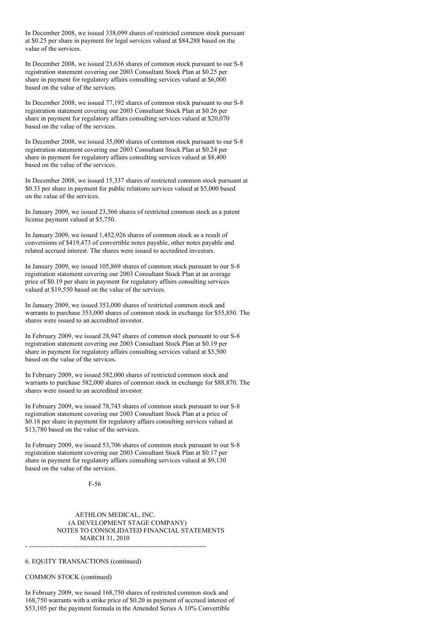In December 2008, we issued 338,099 shares of restricted common stock pursuant at \$0.25 per share in payment for legal services valued at \$84,288 based on the value of the services.

In December 2008, we issued 23,636 shares of common stock pursuant to our S-8 registration statement covering our 2003 Consultant Stock Plan at \$0.25 per share in payment for regulatory affairs consulting services valued at \$6,000 based on the value of the services.

In December 2008, we issued 77,192 shares of common stock pursuant to our S-8 registration statement covering our 2003 Consultant Stock Plan at \$0.26 per share in payment for regulatory affairs consulting services valued at \$20,070 based on the value of the services.

In December 2008, we issued 35,000 shares of common stock pursuant to our S-8 registration statement covering our 2003 Consultant Stock Plan at \$0.24 per share in payment for regulatory affairs consulting services valued at \$8,400 based on the value of the services.

In December 2008, we issued 15,337 shares of restricted common stock pursuant at \$0.33 per share in payment for public relations services valued at \$5,000 based on the value of the services.

In January 2009, we issued 23,566 shares of restricted common stock as a patent license payment valued at \$5,750.

In January 2009, we issued 1,452,926 shares of common stock as a result of conversions of \$419,473 of convertible notes payable, other notes payable and related accrued interest. The shares were issued to accredited investors.

In January 2009, we issued 105,869 shares of common stock pursuant to our S-8 registration statement covering our 2003 Consultant Stock Plan at an average price of \$0.19 per share in payment for regulatory affairs consulting services valued at \$19,550 based on the value of the services.

In January 2009, we issued 353,000 shares of restricted common stock and warrants to purchase 353,000 shares of common stock in exchange for \$55,850. The shares were issued to an accredited investor.

In February 2009, we issued 28,947 shares of common stock pursuant to our S-8 registration statement covering our 2003 Consultant Stock Plan at \$0.19 per share in payment for regulatory affairs consulting services valued at \$5,500 based on the value of the services.

In February 2009, we issued 582,000 shares of restricted common stock and warrants to purchase 582,000 shares of common stock in exchange for \$88,870. The shares were issued to an accredited investor.

In February 2009, we issued 78,743 shares of common stock pursuant to our S-8 registration statement covering our 2003 Consultant Stock Plan at a price of \$0.18 per share in payment for regulatory affairs consulting services valued at \$13,780 based on the value of the services.

In February 2009, we issued 53,706 shares of common stock pursuant to our S-8 registration statement covering our 2003 Consultant Stock Plan at \$0.17 per share in payment for regulatory affairs consulting services valued at \$9,130 based on the value of the services.

F-56

AETHLON MEDICAL, INC. (A DEVELOPMENT STAGE COMPANY) NOTES TO CONSOLIDATED FINANCIAL STATEMENTS MARCH 31, 2010 - --------------------------------------------------------------------------------

### 6. EQUITY TRANSACTIONS (continued)

### COMMON STOCK (continued)

In February 2009, we issued 168,750 shares of restricted common stock and 168,750 warrants with a strike price of \$0.20 in payment of accrued interest of \$53,105 per the payment formula in the Amended Series A 10% Convertible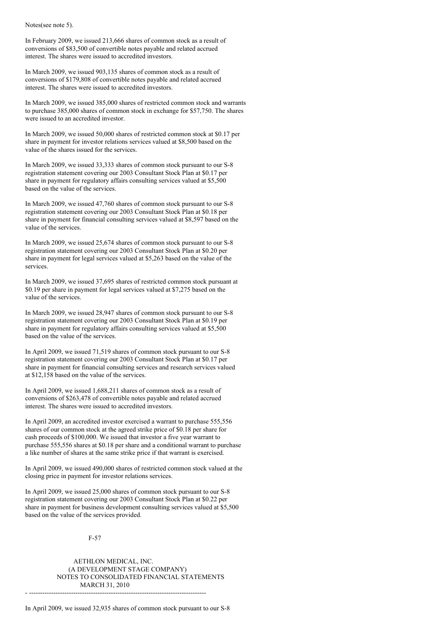Notes(see note 5).

In February 2009, we issued 213,666 shares of common stock as a result of conversions of \$83,500 of convertible notes payable and related accrued interest. The shares were issued to accredited investors.

In March 2009, we issued 903,135 shares of common stock as a result of conversions of \$179,808 of convertible notes payable and related accrued interest. The shares were issued to accredited investors.

In March 2009, we issued 385,000 shares of restricted common stock and warrants to purchase 385,000 shares of common stock in exchange for \$57,750. The shares were issued to an accredited investor.

In March 2009, we issued 50,000 shares of restricted common stock at \$0.17 per share in payment for investor relations services valued at \$8,500 based on the value of the shares issued for the services.

In March 2009, we issued 33,333 shares of common stock pursuant to our S-8 registration statement covering our 2003 Consultant Stock Plan at \$0.17 per share in payment for regulatory affairs consulting services valued at \$5,500 based on the value of the services.

In March 2009, we issued 47,760 shares of common stock pursuant to our S-8 registration statement covering our 2003 Consultant Stock Plan at \$0.18 per share in payment for financial consulting services valued at \$8,597 based on the value of the services.

In March 2009, we issued 25,674 shares of common stock pursuant to our S-8 registration statement covering our 2003 Consultant Stock Plan at \$0.20 per share in payment for legal services valued at \$5,263 based on the value of the services.

In March 2009, we issued 37,695 shares of restricted common stock pursuant at \$0.19 per share in payment for legal services valued at \$7,275 based on the value of the services.

In March 2009, we issued 28,947 shares of common stock pursuant to our S-8 registration statement covering our 2003 Consultant Stock Plan at \$0.19 per share in payment for regulatory affairs consulting services valued at \$5,500 based on the value of the services.

In April 2009, we issued 71,519 shares of common stock pursuant to our S-8 registration statement covering our 2003 Consultant Stock Plan at \$0.17 per share in payment for financial consulting services and research services valued at \$12,158 based on the value of the services.

In April 2009, we issued 1,688,211 shares of common stock as a result of conversions of \$263,478 of convertible notes payable and related accrued interest. The shares were issued to accredited investors.

In April 2009, an accredited investor exercised a warrant to purchase 555,556 shares of our common stock at the agreed strike price of \$0.18 per share for cash proceeds of \$100,000. We issued that investor a five year warrant to purchase 555,556 shares at \$0.18 per share and a conditional warrant to purchase a like number of shares at the same strike price if that warrant is exercised.

In April 2009, we issued 490,000 shares of restricted common stock valued at the closing price in payment for investor relations services.

In April 2009, we issued 25,000 shares of common stock pursuant to our S-8 registration statement covering our 2003 Consultant Stock Plan at \$0.22 per share in payment for business development consulting services valued at \$5,500 based on the value of the services provided.

# F-57

AETHLON MEDICAL, INC. (A DEVELOPMENT STAGE COMPANY) NOTES TO CONSOLIDATED FINANCIAL STATEMENTS MARCH 31, 2010 - --------------------------------------------------------------------------------

In April 2009, we issued 32,935 shares of common stock pursuant to our S-8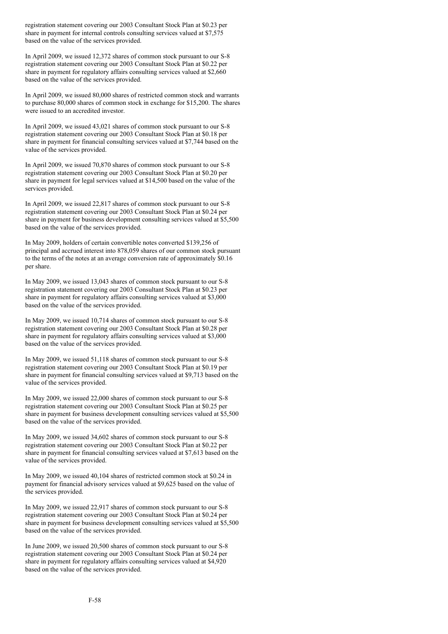registration statement covering our 2003 Consultant Stock Plan at \$0.23 per share in payment for internal controls consulting services valued at \$7,575 based on the value of the services provided.

In April 2009, we issued 12,372 shares of common stock pursuant to our S-8 registration statement covering our 2003 Consultant Stock Plan at \$0.22 per share in payment for regulatory affairs consulting services valued at \$2,660 based on the value of the services provided.

In April 2009, we issued 80,000 shares of restricted common stock and warrants to purchase 80,000 shares of common stock in exchange for \$15,200. The shares were issued to an accredited investor.

In April 2009, we issued 43,021 shares of common stock pursuant to our S-8 registration statement covering our 2003 Consultant Stock Plan at \$0.18 per share in payment for financial consulting services valued at \$7,744 based on the value of the services provided.

In April 2009, we issued 70,870 shares of common stock pursuant to our S-8 registration statement covering our 2003 Consultant Stock Plan at \$0.20 per share in payment for legal services valued at \$14,500 based on the value of the services provided.

In April 2009, we issued 22,817 shares of common stock pursuant to our S-8 registration statement covering our 2003 Consultant Stock Plan at \$0.24 per share in payment for business development consulting services valued at \$5,500 based on the value of the services provided.

In May 2009, holders of certain convertible notes converted \$139,256 of principal and accrued interest into 878,059 shares of our common stock pursuant to the terms of the notes at an average conversion rate of approximately \$0.16 per share.

In May 2009, we issued 13,043 shares of common stock pursuant to our S-8 registration statement covering our 2003 Consultant Stock Plan at \$0.23 per share in payment for regulatory affairs consulting services valued at \$3,000 based on the value of the services provided.

In May 2009, we issued 10,714 shares of common stock pursuant to our S-8 registration statement covering our 2003 Consultant Stock Plan at \$0.28 per share in payment for regulatory affairs consulting services valued at \$3,000 based on the value of the services provided.

In May 2009, we issued 51,118 shares of common stock pursuant to our S-8 registration statement covering our 2003 Consultant Stock Plan at \$0.19 per share in payment for financial consulting services valued at \$9,713 based on the value of the services provided.

In May 2009, we issued 22,000 shares of common stock pursuant to our S-8 registration statement covering our 2003 Consultant Stock Plan at \$0.25 per share in payment for business development consulting services valued at \$5,500 based on the value of the services provided.

In May 2009, we issued 34,602 shares of common stock pursuant to our S-8 registration statement covering our 2003 Consultant Stock Plan at \$0.22 per share in payment for financial consulting services valued at \$7,613 based on the value of the services provided.

In May 2009, we issued 40,104 shares of restricted common stock at \$0.24 in payment for financial advisory services valued at \$9,625 based on the value of the services provided.

In May 2009, we issued 22,917 shares of common stock pursuant to our S-8 registration statement covering our 2003 Consultant Stock Plan at \$0.24 per share in payment for business development consulting services valued at \$5,500 based on the value of the services provided.

In June 2009, we issued 20,500 shares of common stock pursuant to our S-8 registration statement covering our 2003 Consultant Stock Plan at \$0.24 per share in payment for regulatory affairs consulting services valued at \$4,920 based on the value of the services provided.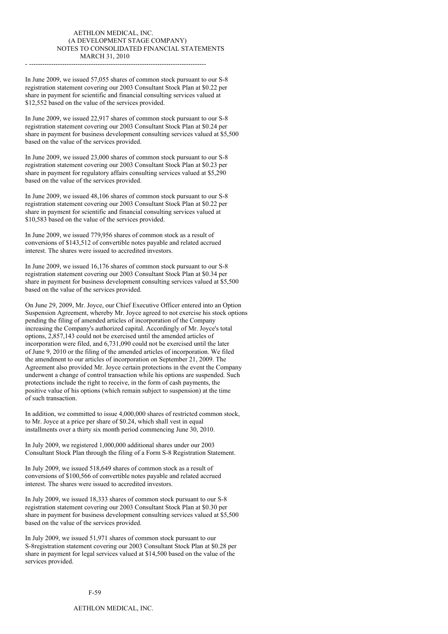# AETHLON MEDICAL, INC. (A DEVELOPMENT STAGE COMPANY) NOTES TO CONSOLIDATED FINANCIAL STATEMENTS MARCH 31, 2010

In June 2009, we issued 57,055 shares of common stock pursuant to our S-8 registration statement covering our 2003 Consultant Stock Plan at \$0.22 per share in payment for scientific and financial consulting services valued at \$12,552 based on the value of the services provided.

- --------------------------------------------------------------------------------

In June 2009, we issued 22,917 shares of common stock pursuant to our S-8 registration statement covering our 2003 Consultant Stock Plan at \$0.24 per share in payment for business development consulting services valued at \$5,500 based on the value of the services provided.

In June 2009, we issued 23,000 shares of common stock pursuant to our S-8 registration statement covering our 2003 Consultant Stock Plan at \$0.23 per share in payment for regulatory affairs consulting services valued at \$5,290 based on the value of the services provided.

In June 2009, we issued 48,106 shares of common stock pursuant to our S-8 registration statement covering our 2003 Consultant Stock Plan at \$0.22 per share in payment for scientific and financial consulting services valued at \$10,583 based on the value of the services provided.

In June 2009, we issued 779,956 shares of common stock as a result of conversions of \$143,512 of convertible notes payable and related accrued interest. The shares were issued to accredited investors.

In June 2009, we issued 16,176 shares of common stock pursuant to our S-8 registration statement covering our 2003 Consultant Stock Plan at \$0.34 per share in payment for business development consulting services valued at \$5,500 based on the value of the services provided.

On June 29, 2009, Mr. Joyce, our Chief Executive Officer entered into an Option Suspension Agreement, whereby Mr. Joyce agreed to not exercise his stock options pending the filing of amended articles of incorporation of the Company increasing the Company's authorized capital. Accordingly of Mr. Joyce's total options, 2,857,143 could not be exercised until the amended articles of incorporation were filed, and 6,731,090 could not be exercised until the later of June 9, 2010 or the filing of the amended articles of incorporation. We filed the amendment to our articles of incorporation on September 21, 2009. The Agreement also provided Mr. Joyce certain protections in the event the Company underwent a change of control transaction while his options are suspended. Such protections include the right to receive, in the form of cash payments, the positive value of his options (which remain subject to suspension) at the time of such transaction.

In addition, we committed to issue 4,000,000 shares of restricted common stock, to Mr. Joyce at a price per share of \$0.24, which shall vest in equal installments over a thirty six month period commencing June 30, 2010.

In July 2009, we registered 1,000,000 additional shares under our 2003 Consultant Stock Plan through the filing of a Form S-8 Registration Statement.

In July 2009, we issued 518,649 shares of common stock as a result of conversions of \$100,566 of convertible notes payable and related accrued interest. The shares were issued to accredited investors.

In July 2009, we issued 18,333 shares of common stock pursuant to our S-8 registration statement covering our 2003 Consultant Stock Plan at \$0.30 per share in payment for business development consulting services valued at \$5,500 based on the value of the services provided.

In July 2009, we issued 51,971 shares of common stock pursuant to our S-8registration statement covering our 2003 Consultant Stock Plan at \$0.28 per share in payment for legal services valued at \$14,500 based on the value of the services provided.

### F-59

AETHLON MEDICAL, INC.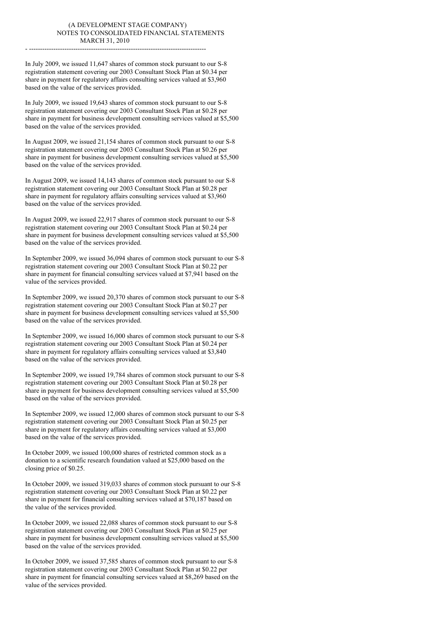#### (A DEVELOPMENT STAGE COMPANY) NOTES TO CONSOLIDATED FINANCIAL STATEMENTS MARCH 31, 2010

In July 2009, we issued 11,647 shares of common stock pursuant to our S-8 registration statement covering our 2003 Consultant Stock Plan at \$0.34 per share in payment for regulatory affairs consulting services valued at \$3,960 based on the value of the services provided.

- --------------------------------------------------------------------------------

In July 2009, we issued 19,643 shares of common stock pursuant to our S-8 registration statement covering our 2003 Consultant Stock Plan at \$0.28 per share in payment for business development consulting services valued at \$5,500 based on the value of the services provided.

In August 2009, we issued 21,154 shares of common stock pursuant to our S-8 registration statement covering our 2003 Consultant Stock Plan at \$0.26 per share in payment for business development consulting services valued at \$5,500 based on the value of the services provided.

In August 2009, we issued 14,143 shares of common stock pursuant to our S-8 registration statement covering our 2003 Consultant Stock Plan at \$0.28 per share in payment for regulatory affairs consulting services valued at \$3,960 based on the value of the services provided.

In August 2009, we issued 22,917 shares of common stock pursuant to our S-8 registration statement covering our 2003 Consultant Stock Plan at \$0.24 per share in payment for business development consulting services valued at \$5,500 based on the value of the services provided.

In September 2009, we issued 36,094 shares of common stock pursuant to our S-8 registration statement covering our 2003 Consultant Stock Plan at \$0.22 per share in payment for financial consulting services valued at \$7,941 based on the value of the services provided.

In September 2009, we issued 20,370 shares of common stock pursuant to our S-8 registration statement covering our 2003 Consultant Stock Plan at \$0.27 per share in payment for business development consulting services valued at \$5,500 based on the value of the services provided.

In September 2009, we issued 16,000 shares of common stock pursuant to our S-8 registration statement covering our 2003 Consultant Stock Plan at \$0.24 per share in payment for regulatory affairs consulting services valued at \$3,840 based on the value of the services provided.

In September 2009, we issued 19,784 shares of common stock pursuant to our S-8 registration statement covering our 2003 Consultant Stock Plan at \$0.28 per share in payment for business development consulting services valued at \$5,500 based on the value of the services provided.

In September 2009, we issued 12,000 shares of common stock pursuant to our S-8 registration statement covering our 2003 Consultant Stock Plan at \$0.25 per share in payment for regulatory affairs consulting services valued at \$3,000 based on the value of the services provided.

In October 2009, we issued 100,000 shares of restricted common stock as a donation to a scientific research foundation valued at \$25,000 based on the closing price of \$0.25.

In October 2009, we issued 319,033 shares of common stock pursuant to our S-8 registration statement covering our 2003 Consultant Stock Plan at \$0.22 per share in payment for financial consulting services valued at \$70,187 based on the value of the services provided.

In October 2009, we issued 22,088 shares of common stock pursuant to our S-8 registration statement covering our 2003 Consultant Stock Plan at \$0.25 per share in payment for business development consulting services valued at \$5,500 based on the value of the services provided.

In October 2009, we issued 37,585 shares of common stock pursuant to our S-8 registration statement covering our 2003 Consultant Stock Plan at \$0.22 per share in payment for financial consulting services valued at \$8,269 based on the value of the services provided.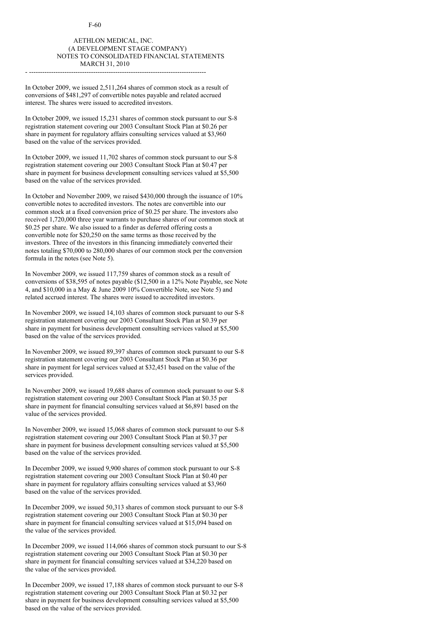## AETHLON MEDICAL, INC. (A DEVELOPMENT STAGE COMPANY) NOTES TO CONSOLIDATED FINANCIAL STATEMENTS MARCH 31, 2010 - --------------------------------------------------------------------------------

In October 2009, we issued 2,511,264 shares of common stock as a result of conversions of \$481,297 of convertible notes payable and related accrued interest. The shares were issued to accredited investors.

In October 2009, we issued 15,231 shares of common stock pursuant to our S-8 registration statement covering our 2003 Consultant Stock Plan at \$0.26 per share in payment for regulatory affairs consulting services valued at \$3,960 based on the value of the services provided.

In October 2009, we issued 11,702 shares of common stock pursuant to our S-8 registration statement covering our 2003 Consultant Stock Plan at \$0.47 per share in payment for business development consulting services valued at \$5,500 based on the value of the services provided.

In October and November 2009, we raised \$430,000 through the issuance of 10% convertible notes to accredited investors. The notes are convertible into our common stock at a fixed conversion price of \$0.25 per share. The investors also received 1,720,000 three year warrants to purchase shares of our common stock at \$0.25 per share. We also issued to a finder as deferred offering costs a convertible note for \$20,250 on the same terms as those received by the investors. Three of the investors in this financing immediately converted their notes totaling \$70,000 to 280,000 shares of our common stock per the conversion formula in the notes (see Note 5).

In November 2009, we issued 117,759 shares of common stock as a result of conversions of \$38,595 of notes payable (\$12,500 in a 12% Note Payable, see Note 4, and \$10,000 in a May & June 2009 10% Convertible Note, see Note 5) and related accrued interest. The shares were issued to accredited investors.

In November 2009, we issued 14,103 shares of common stock pursuant to our S-8 registration statement covering our 2003 Consultant Stock Plan at \$0.39 per share in payment for business development consulting services valued at \$5,500 based on the value of the services provided.

In November 2009, we issued 89,397 shares of common stock pursuant to our S-8 registration statement covering our 2003 Consultant Stock Plan at \$0.36 per share in payment for legal services valued at \$32,451 based on the value of the services provided.

In November 2009, we issued 19,688 shares of common stock pursuant to our S-8 registration statement covering our 2003 Consultant Stock Plan at \$0.35 per share in payment for financial consulting services valued at \$6,891 based on the value of the services provided.

In November 2009, we issued 15,068 shares of common stock pursuant to our S-8 registration statement covering our 2003 Consultant Stock Plan at \$0.37 per share in payment for business development consulting services valued at \$5,500 based on the value of the services provided.

In December 2009, we issued 9,900 shares of common stock pursuant to our S-8 registration statement covering our 2003 Consultant Stock Plan at \$0.40 per share in payment for regulatory affairs consulting services valued at \$3,960 based on the value of the services provided.

In December 2009, we issued 50,313 shares of common stock pursuant to our S-8 registration statement covering our 2003 Consultant Stock Plan at \$0.30 per share in payment for financial consulting services valued at \$15,094 based on the value of the services provided.

In December 2009, we issued 114,066 shares of common stock pursuant to our S-8 registration statement covering our 2003 Consultant Stock Plan at \$0.30 per share in payment for financial consulting services valued at \$34,220 based on the value of the services provided.

In December 2009, we issued 17,188 shares of common stock pursuant to our S-8 registration statement covering our 2003 Consultant Stock Plan at \$0.32 per share in payment for business development consulting services valued at \$5,500 based on the value of the services provided.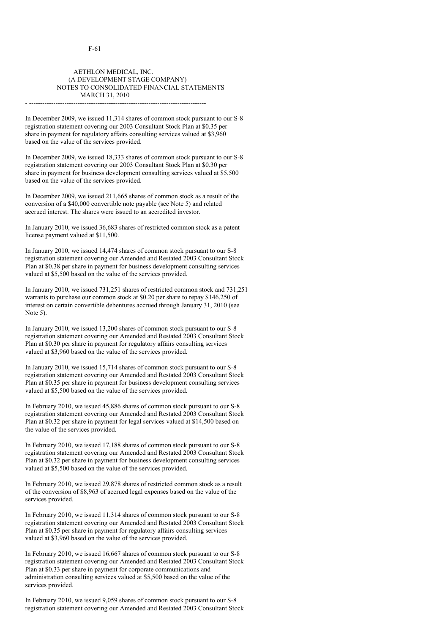#### AETHLON MEDICAL, INC. (A DEVELOPMENT STAGE COMPANY) NOTES TO CONSOLIDATED FINANCIAL STATEMENTS MARCH 31, 2010 - --------------------------------------------------------------------------------

In December 2009, we issued 11,314 shares of common stock pursuant to our S-8 registration statement covering our 2003 Consultant Stock Plan at \$0.35 per share in payment for regulatory affairs consulting services valued at \$3,960 based on the value of the services provided.

In December 2009, we issued 18,333 shares of common stock pursuant to our S-8 registration statement covering our 2003 Consultant Stock Plan at \$0.30 per share in payment for business development consulting services valued at \$5,500 based on the value of the services provided.

In December 2009, we issued 211,665 shares of common stock as a result of the conversion of a \$40,000 convertible note payable (see Note 5) and related accrued interest. The shares were issued to an accredited investor.

In January 2010, we issued 36,683 shares of restricted common stock as a patent license payment valued at \$11,500.

In January 2010, we issued 14,474 shares of common stock pursuant to our S-8 registration statement covering our Amended and Restated 2003 Consultant Stock Plan at \$0.38 per share in payment for business development consulting services valued at \$5,500 based on the value of the services provided.

In January 2010, we issued 731,251 shares of restricted common stock and 731,251 warrants to purchase our common stock at \$0.20 per share to repay \$146,250 of interest on certain convertible debentures accrued through January 31, 2010 (see Note 5).

In January 2010, we issued 13,200 shares of common stock pursuant to our S-8 registration statement covering our Amended and Restated 2003 Consultant Stock Plan at \$0.30 per share in payment for regulatory affairs consulting services valued at \$3,960 based on the value of the services provided.

In January 2010, we issued 15,714 shares of common stock pursuant to our S-8 registration statement covering our Amended and Restated 2003 Consultant Stock Plan at \$0.35 per share in payment for business development consulting services valued at \$5,500 based on the value of the services provided.

In February 2010, we issued 45,886 shares of common stock pursuant to our S-8 registration statement covering our Amended and Restated 2003 Consultant Stock Plan at \$0.32 per share in payment for legal services valued at \$14,500 based on the value of the services provided.

In February 2010, we issued 17,188 shares of common stock pursuant to our S-8 registration statement covering our Amended and Restated 2003 Consultant Stock Plan at \$0.32 per share in payment for business development consulting services valued at \$5,500 based on the value of the services provided.

In February 2010, we issued 29,878 shares of restricted common stock as a result of the conversion of \$8,963 of accrued legal expenses based on the value of the services provided.

In February 2010, we issued 11,314 shares of common stock pursuant to our S-8 registration statement covering our Amended and Restated 2003 Consultant Stock Plan at \$0.35 per share in payment for regulatory affairs consulting services valued at \$3,960 based on the value of the services provided.

In February 2010, we issued 16,667 shares of common stock pursuant to our S-8 registration statement covering our Amended and Restated 2003 Consultant Stock Plan at \$0.33 per share in payment for corporate communications and administration consulting services valued at \$5,500 based on the value of the services provided.

In February 2010, we issued 9,059 shares of common stock pursuant to our S-8 registration statement covering our Amended and Restated 2003 Consultant Stock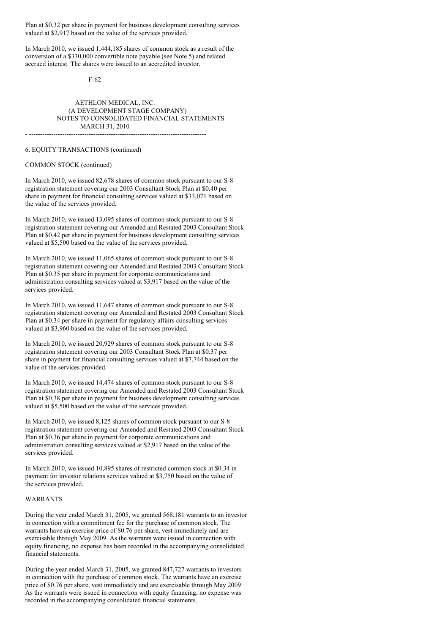Plan at \$0.32 per share in payment for business development consulting services valued at \$2,917 based on the value of the services provided.

In March 2010, we issued 1,444,185 shares of common stock as a result of the conversion of a \$330,000 convertible note payable (see Note 5) and related accrued interest. The shares were issued to an accredited investor.

F-62

AETHLON MEDICAL, INC. (A DEVELOPMENT STAGE COMPANY) NOTES TO CONSOLIDATED FINANCIAL STATEMENTS MARCH 31, 2010 - --------------------------------------------------------------------------------

6. EQUITY TRANSACTIONS (continued)

#### COMMON STOCK (continued)

In March 2010, we issued 82,678 shares of common stock pursuant to our S-8 registration statement covering our 2003 Consultant Stock Plan at \$0.40 per share in payment for financial consulting services valued at \$33,071 based on the value of the services provided.

In March 2010, we issued 13,095 shares of common stock pursuant to our S-8 registration statement covering our Amended and Restated 2003 Consultant Stock Plan at \$0.42 per share in payment for business development consulting services valued at \$5,500 based on the value of the services provided.

In March 2010, we issued 11,065 shares of common stock pursuant to our S-8 registration statement covering our Amended and Restated 2003 Consultant Stock Plan at \$0.35 per share in payment for corporate communications and administration consulting services valued at \$3,917 based on the value of the services provided.

In March 2010, we issued 11,647 shares of common stock pursuant to our S-8 registration statement covering our Amended and Restated 2003 Consultant Stock Plan at \$0.34 per share in payment for regulatory affairs consulting services valued at \$3,960 based on the value of the services provided.

In March 2010, we issued 20,929 shares of common stock pursuant to our S-8 registration statement covering our 2003 Consultant Stock Plan at \$0.37 per share in payment for financial consulting services valued at \$7,744 based on the value of the services provided.

In March 2010, we issued 14,474 shares of common stock pursuant to our S-8 registration statement covering our Amended and Restated 2003 Consultant Stock Plan at \$0.38 per share in payment for business development consulting services valued at \$5,500 based on the value of the services provided.

In March 2010, we issued 8,125 shares of common stock pursuant to our S-8 registration statement covering our Amended and Restated 2003 Consultant Stock Plan at \$0.36 per share in payment for corporate communications and administration consulting services valued at \$2,917 based on the value of the services provided.

In March 2010, we issued 10,895 shares of restricted common stock at \$0.34 in payment for investor relations services valued at \$3,750 based on the value of the services provided.

### WARRANTS

During the year ended March 31, 2005, we granted 568,181 warrants to an investor in connection with a commitment fee for the purchase of common stock. The warrants have an exercise price of \$0.76 per share, vest immediately and are exercisable through May 2009. As the warrants were issued in connection with equity financing, no expense has been recorded in the accompanying consolidated financial statements.

During the year ended March 31, 2005, we granted 847,727 warrants to investors in connection with the purchase of common stock. The warrants have an exercise price of \$0.76 per share, vest immediately and are exercisable through May 2009. As the warrants were issued in connection with equity financing, no expense was recorded in the accompanying consolidated financial statements.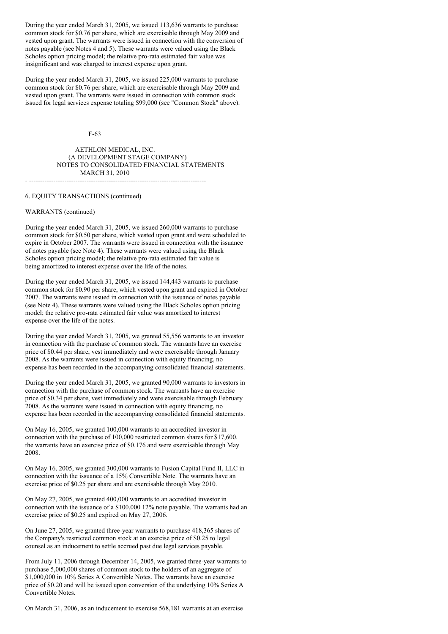During the year ended March 31, 2005, we issued 113,636 warrants to purchase common stock for \$0.76 per share, which are exercisable through May 2009 and vested upon grant. The warrants were issued in connection with the conversion of notes payable (see Notes 4 and 5). These warrants were valued using the Black Scholes option pricing model; the relative pro-rata estimated fair value was insignificant and was charged to interest expense upon grant.

During the year ended March 31, 2005, we issued 225,000 warrants to purchase common stock for \$0.76 per share, which are exercisable through May 2009 and vested upon grant. The warrants were issued in connection with common stock issued for legal services expense totaling \$99,000 (see "Common Stock" above).

F-63

AETHLON MEDICAL, INC. (A DEVELOPMENT STAGE COMPANY) NOTES TO CONSOLIDATED FINANCIAL STATEMENTS MARCH 31, 2010

- --------------------------------------------------------------------------------

### 6. EQUITY TRANSACTIONS (continued)

### WARRANTS (continued)

During the year ended March 31, 2005, we issued 260,000 warrants to purchase common stock for \$0.50 per share, which vested upon grant and were scheduled to expire in October 2007. The warrants were issued in connection with the issuance of notes payable (see Note 4). These warrants were valued using the Black Scholes option pricing model; the relative pro-rata estimated fair value is being amortized to interest expense over the life of the notes.

During the year ended March 31, 2005, we issued 144,443 warrants to purchase common stock for \$0.90 per share, which vested upon grant and expired in October 2007. The warrants were issued in connection with the issuance of notes payable (see Note 4). These warrants were valued using the Black Scholes option pricing model; the relative pro-rata estimated fair value was amortized to interest expense over the life of the notes.

During the year ended March 31, 2005, we granted 55,556 warrants to an investor in connection with the purchase of common stock. The warrants have an exercise price of \$0.44 per share, vest immediately and were exercisable through January 2008. As the warrants were issued in connection with equity financing, no expense has been recorded in the accompanying consolidated financial statements.

During the year ended March 31, 2005, we granted 90,000 warrants to investors in connection with the purchase of common stock. The warrants have an exercise price of \$0.34 per share, vest immediately and were exercisable through February 2008. As the warrants were issued in connection with equity financing, no expense has been recorded in the accompanying consolidated financial statements.

On May 16, 2005, we granted 100,000 warrants to an accredited investor in connection with the purchase of 100,000 restricted common shares for \$17,600. the warrants have an exercise price of \$0.176 and were exercisable through May 2008.

On May 16, 2005, we granted 300,000 warrants to Fusion Capital Fund II, LLC in connection with the issuance of a 15% Convertible Note. The warrants have an exercise price of \$0.25 per share and are exercisable through May 2010.

On May 27, 2005, we granted 400,000 warrants to an accredited investor in connection with the issuance of a \$100,000 12% note payable. The warrants had an exercise price of \$0.25 and expired on May 27, 2006.

On June 27, 2005, we granted three-year warrants to purchase 418,365 shares of the Company's restricted common stock at an exercise price of \$0.25 to legal counsel as an inducement to settle accrued past due legal services payable.

From July 11, 2006 through December 14, 2005, we granted three-year warrants to purchase 5,000,000 shares of common stock to the holders of an aggregate of \$1,000,000 in 10% Series A Convertible Notes. The warrants have an exercise price of \$0.20 and will be issued upon conversion of the underlying 10% Series A Convertible Notes.

On March 31, 2006, as an inducement to exercise 568,181 warrants at an exercise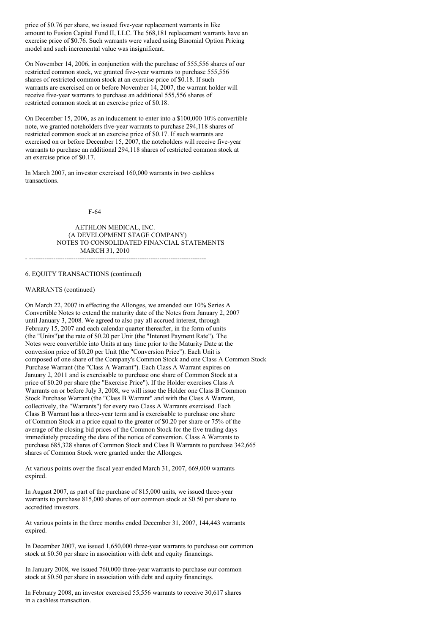price of \$0.76 per share, we issued five-year replacement warrants in like amount to Fusion Capital Fund II, LLC. The 568,181 replacement warrants have an exercise price of \$0.76. Such warrants were valued using Binomial Option Pricing model and such incremental value was insignificant.

On November 14, 2006, in conjunction with the purchase of 555,556 shares of our restricted common stock, we granted five-year warrants to purchase 555,556 shares of restricted common stock at an exercise price of \$0.18. If such warrants are exercised on or before November 14, 2007, the warrant holder will receive five-year warrants to purchase an additional 555,556 shares of restricted common stock at an exercise price of \$0.18.

On December 15, 2006, as an inducement to enter into a \$100,000 10% convertible note, we granted noteholders five-year warrants to purchase 294,118 shares of restricted common stock at an exercise price of \$0.17. If such warrants are exercised on or before December 15, 2007, the noteholders will receive five-year warrants to purchase an additional 294,118 shares of restricted common stock at an exercise price of \$0.17.

In March 2007, an investor exercised 160,000 warrants in two cashless transactions.

F-64

AETHLON MEDICAL, INC. (A DEVELOPMENT STAGE COMPANY) NOTES TO CONSOLIDATED FINANCIAL STATEMENTS MARCH 31, 2010

- --------------------------------------------------------------------------------

#### 6. EQUITY TRANSACTIONS (continued)

#### WARRANTS (continued)

On March 22, 2007 in effecting the Allonges, we amended our 10% Series A Convertible Notes to extend the maturity date of the Notes from January 2, 2007 until January 3, 2008. We agreed to also pay all accrued interest, through February 15, 2007 and each calendar quarter thereafter, in the form of units (the "Units")at the rate of \$0.20 per Unit (the "Interest Payment Rate"). The Notes were convertible into Units at any time prior to the Maturity Date at the conversion price of \$0.20 per Unit (the "Conversion Price"). Each Unit is composed of one share of the Company's Common Stock and one Class A Common Stock Purchase Warrant (the "Class A Warrant"). Each Class A Warrant expires on January 2, 2011 and is exercisable to purchase one share of Common Stock at a price of \$0.20 per share (the "Exercise Price"). If the Holder exercises Class A Warrants on or before July 3, 2008, we will issue the Holder one Class B Common Stock Purchase Warrant (the "Class B Warrant" and with the Class A Warrant, collectively, the "Warrants") for every two Class A Warrants exercised. Each Class B Warrant has a three-year term and is exercisable to purchase one share of Common Stock at a price equal to the greater of \$0.20 per share or 75% of the average of the closing bid prices of the Common Stock for the five trading days immediately preceding the date of the notice of conversion. Class A Warrants to purchase 685,328 shares of Common Stock and Class B Warrants to purchase 342,665 shares of Common Stock were granted under the Allonges.

At various points over the fiscal year ended March 31, 2007, 669,000 warrants expired.

In August 2007, as part of the purchase of 815,000 units, we issued three-year warrants to purchase 815,000 shares of our common stock at \$0.50 per share to accredited investors.

At various points in the three months ended December 31, 2007, 144,443 warrants expired.

In December 2007, we issued 1,650,000 three-year warrants to purchase our common stock at \$0.50 per share in association with debt and equity financings.

In January 2008, we issued 760,000 three-year warrants to purchase our common stock at \$0.50 per share in association with debt and equity financings.

In February 2008, an investor exercised 55,556 warrants to receive 30,617 shares in a cashless transaction.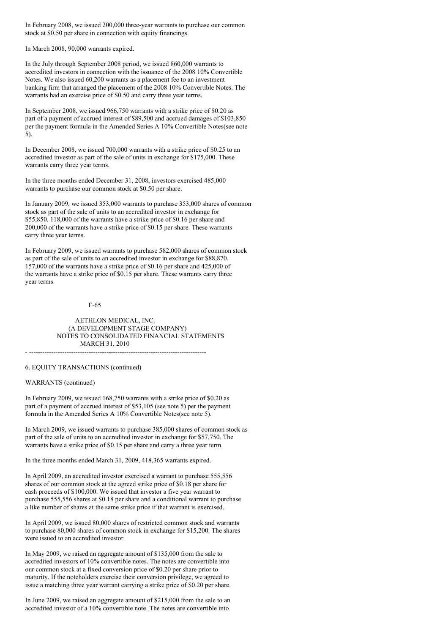In February 2008, we issued 200,000 three-year warrants to purchase our common stock at \$0.50 per share in connection with equity financings.

In March 2008, 90,000 warrants expired.

In the July through September 2008 period, we issued 860,000 warrants to accredited investors in connection with the issuance of the 2008 10% Convertible Notes. We also issued 60,200 warrants as a placement fee to an investment banking firm that arranged the placement of the 2008 10% Convertible Notes. The warrants had an exercise price of \$0.50 and carry three year terms.

In September 2008, we issued 966,750 warrants with a strike price of \$0.20 as part of a payment of accrued interest of \$89,500 and accrued damages of \$103,850 per the payment formula in the Amended Series A 10% Convertible Notes(see note 5).

In December 2008, we issued 700,000 warrants with a strike price of \$0.25 to an accredited investor as part of the sale of units in exchange for \$175,000. These warrants carry three year terms.

In the three months ended December 31, 2008, investors exercised 485,000 warrants to purchase our common stock at \$0.50 per share.

In January 2009, we issued 353,000 warrants to purchase 353,000 shares of common stock as part of the sale of units to an accredited investor in exchange for \$55,850. 118,000 of the warrants have a strike price of \$0.16 per share and 200,000 of the warrants have a strike price of \$0.15 per share. These warrants carry three year terms.

In February 2009, we issued warrants to purchase 582,000 shares of common stock as part of the sale of units to an accredited investor in exchange for \$88,870. 157,000 of the warrants have a strike price of \$0.16 per share and 425,000 of the warrants have a strike price of \$0.15 per share. These warrants carry three year terms.

#### F-65

AETHLON MEDICAL, INC. (A DEVELOPMENT STAGE COMPANY) NOTES TO CONSOLIDATED FINANCIAL STATEMENTS MARCH 31, 2010

- --------------------------------------------------------------------------------

6. EQUITY TRANSACTIONS (continued)

WARRANTS (continued)

In February 2009, we issued 168,750 warrants with a strike price of \$0.20 as part of a payment of accrued interest of \$53,105 (see note 5) per the payment formula in the Amended Series A 10% Convertible Notes(see note 5).

In March 2009, we issued warrants to purchase 385,000 shares of common stock as part of the sale of units to an accredited investor in exchange for \$57,750. The warrants have a strike price of \$0.15 per share and carry a three year term.

In the three months ended March 31, 2009, 418,365 warrants expired.

In April 2009, an accredited investor exercised a warrant to purchase 555,556 shares of our common stock at the agreed strike price of \$0.18 per share for cash proceeds of \$100,000. We issued that investor a five year warrant to purchase 555,556 shares at \$0.18 per share and a conditional warrant to purchase a like number of shares at the same strike price if that warrant is exercised.

In April 2009, we issued 80,000 shares of restricted common stock and warrants to purchase 80,000 shares of common stock in exchange for \$15,200. The shares were issued to an accredited investor.

In May 2009, we raised an aggregate amount of \$135,000 from the sale to accredited investors of 10% convertible notes. The notes are convertible into our common stock at a fixed conversion price of \$0.20 per share prior to maturity. If the noteholders exercise their conversion privilege, we agreed to issue a matching three year warrant carrying a strike price of \$0.20 per share.

In June 2009, we raised an aggregate amount of \$215,000 from the sale to an accredited investor of a 10% convertible note. The notes are convertible into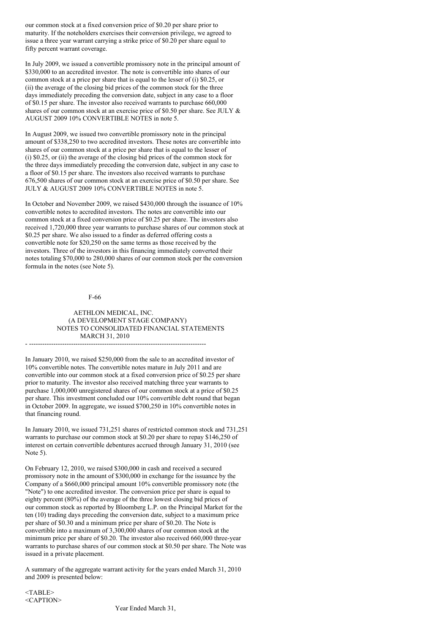our common stock at a fixed conversion price of \$0.20 per share prior to maturity. If the noteholders exercises their conversion privilege, we agreed to issue a three year warrant carrying a strike price of \$0.20 per share equal to fifty percent warrant coverage.

In July 2009, we issued a convertible promissory note in the principal amount of \$330,000 to an accredited investor. The note is convertible into shares of our common stock at a price per share that is equal to the lesser of (i) \$0.25, or (ii) the average of the closing bid prices of the common stock for the three days immediately preceding the conversion date, subject in any case to a floor of \$0.15 per share. The investor also received warrants to purchase 660,000 shares of our common stock at an exercise price of \$0.50 per share. See JULY & AUGUST 2009 10% CONVERTIBLE NOTES in note 5.

In August 2009, we issued two convertible promissory note in the principal amount of \$338,250 to two accredited investors. These notes are convertible into shares of our common stock at a price per share that is equal to the lesser of (i) \$0.25, or (ii) the average of the closing bid prices of the common stock for the three days immediately preceding the conversion date, subject in any case to a floor of \$0.15 per share. The investors also received warrants to purchase 676,500 shares of our common stock at an exercise price of \$0.50 per share. See JULY & AUGUST 2009 10% CONVERTIBLE NOTES in note 5.

In October and November 2009, we raised \$430,000 through the issuance of 10% convertible notes to accredited investors. The notes are convertible into our common stock at a fixed conversion price of \$0.25 per share. The investors also received 1,720,000 three year warrants to purchase shares of our common stock at \$0.25 per share. We also issued to a finder as deferred offering costs a convertible note for \$20,250 on the same terms as those received by the investors. Three of the investors in this financing immediately converted their notes totaling \$70,000 to 280,000 shares of our common stock per the conversion formula in the notes (see Note 5).

#### F-66

AETHLON MEDICAL, INC. (A DEVELOPMENT STAGE COMPANY) NOTES TO CONSOLIDATED FINANCIAL STATEMENTS MARCH 31, 2010

In January 2010, we raised \$250,000 from the sale to an accredited investor of 10% convertible notes. The convertible notes mature in July 2011 and are convertible into our common stock at a fixed conversion price of \$0.25 per share prior to maturity. The investor also received matching three year warrants to purchase 1,000,000 unregistered shares of our common stock at a price of \$0.25 per share. This investment concluded our 10% convertible debt round that began in October 2009. In aggregate, we issued \$700,250 in 10% convertible notes in that financing round.

In January 2010, we issued 731,251 shares of restricted common stock and 731,251 warrants to purchase our common stock at \$0.20 per share to repay \$146,250 of interest on certain convertible debentures accrued through January 31, 2010 (see Note 5).

On February 12, 2010, we raised \$300,000 in cash and received a secured promissory note in the amount of \$300,000 in exchange for the issuance by the Company of a \$660,000 principal amount 10% convertible promissory note (the "Note") to one accredited investor. The conversion price per share is equal to eighty percent (80%) of the average of the three lowest closing bid prices of our common stock as reported by Bloomberg L.P. on the Principal Market for the ten (10) trading days preceding the conversion date, subject to a maximum price per share of \$0.30 and a minimum price per share of \$0.20. The Note is convertible into a maximum of 3,300,000 shares of our common stock at the minimum price per share of \$0.20. The investor also received 660,000 three-year warrants to purchase shares of our common stock at \$0.50 per share. The Note was issued in a private placement.

A summary of the aggregate warrant activity for the years ended March 31, 2010 and 2009 is presented below:

 $<$ TARIF $>$ <CAPTION>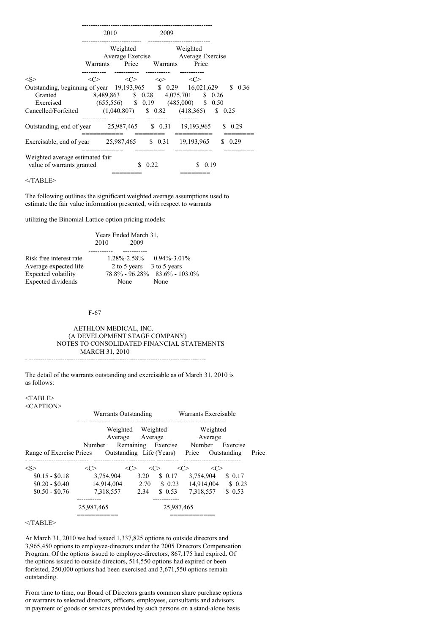|                                                                      | 2010                          | 2009                                                        |                                   |            |
|----------------------------------------------------------------------|-------------------------------|-------------------------------------------------------------|-----------------------------------|------------|
|                                                                      |                               | Weighted Weighted                                           |                                   |            |
|                                                                      |                               |                                                             | Average Exercise Average Exercise |            |
|                                                                      | Warrants Price Warrants Price |                                                             |                                   |            |
| $<\!\!S\!\!>$                                                        | $\langle C \rangle$           | $\langle C \rangle$ $\langle C \rangle$ $\langle C \rangle$ |                                   |            |
| Outstanding, beginning of year 19,193,965 \$ 0.29 16,021,629 \$ 0.36 |                               |                                                             |                                   |            |
| Granted 8,489,863 \$ 0.28 4,075,701 \$ 0.26                          |                               |                                                             |                                   |            |
| Exercised (655,556) \$ 0.19 (485,000) \$ 0.50                        |                               |                                                             |                                   |            |
| Cancelled/Forfeited (1,040,807) \$ 0.82 (418,365) \$ 0.25            |                               |                                                             |                                   |            |
| Outstanding, end of year 25,987,465 \$ 0.31 19,193,965               |                               |                                                             |                                   | 0.29<br>S. |
| Exercisable, end of year 25,987,465 \$ 0.31 19,193,965               |                               |                                                             |                                   | \$0.29     |
| Weighted average estimated fair<br>value of warrants granted         |                               | $\frac{1}{2}$ 0.22                                          | \$0.19                            |            |

# $<$ /TABLE>

The following outlines the significant weighted average assumptions used to estimate the fair value information presented, with respect to warrants

utilizing the Binomial Lattice option pricing models:

|                            | Years Ended March 31,<br>2010<br>2009 |                                       |
|----------------------------|---------------------------------------|---------------------------------------|
|                            |                                       |                                       |
| Risk free interest rate    | $1.28\% - 2.58\%$                     | $0.94\% - 3.01\%$                     |
| Average expected life      | 2 to 5 years 3 to 5 years             |                                       |
| <b>Expected volatility</b> |                                       | $78.8\% - 96.28\% - 83.6\% - 103.0\%$ |
| Expected dividends         | None                                  | None                                  |

#### F-67

AETHLON MEDICAL, INC. (A DEVELOPMENT STAGE COMPANY) NOTES TO CONSOLIDATED FINANCIAL STATEMENTS MARCH 31, 2010 - --------------------------------------------------------------------------------

The detail of the warrants outstanding and exercisable as of March 31, 2010 is as follows:

<TABLE> <CAPTION>

|                          |            | Warrants Outstanding     |            | Warrants Exercisable |             |       |
|--------------------------|------------|--------------------------|------------|----------------------|-------------|-------|
|                          | Weighted   | Weighted                 |            | Weighted             |             |       |
|                          | Average    | Average                  |            | Average              |             |       |
|                          | Number     | Remaining                | Exercise   | Number               | Exercise    |       |
| Range of Exercise Prices |            | Outstanding Life (Years) |            | Price                | Outstanding | Price |
| $<\!\!S\!\!>$            |            | <( '>                    | <்         | <( '><br><( `>       |             |       |
| $$0.15 - $0.18$          | 3,754,904  | 3.20                     | \$ 0.17    | 3,754,904            | \$ 0.17     |       |
| $$0.20 - $0.40$          | 14.914.004 | 2.70                     | \$0.23     | 14.914.004           | \$0.23      |       |
| $$0.50 - $0.76$          | 7.318.557  | 2.34                     | \$0.53     | 7,318,557            | \$0.53      |       |
|                          | ---------  |                          | ---------  |                      |             |       |
|                          | 25,987,465 |                          | 25,987,465 |                      |             |       |
|                          |            |                          |            |                      |             |       |

 $<$ /TABLE>

At March 31, 2010 we had issued 1,337,825 options to outside directors and 3,965,450 options to employee-directors under the 2005 Directors Compensation Program. Of the options issued to employee-directors, 867,175 had expired. Of the options issued to outside directors, 514,550 options had expired or been forfeited, 250,000 options had been exercised and 3,671,550 options remain outstanding.

From time to time, our Board of Directors grants common share purchase options or warrants to selected directors, officers, employees, consultants and advisors in payment of goods or services provided by such persons on a stand-alone basis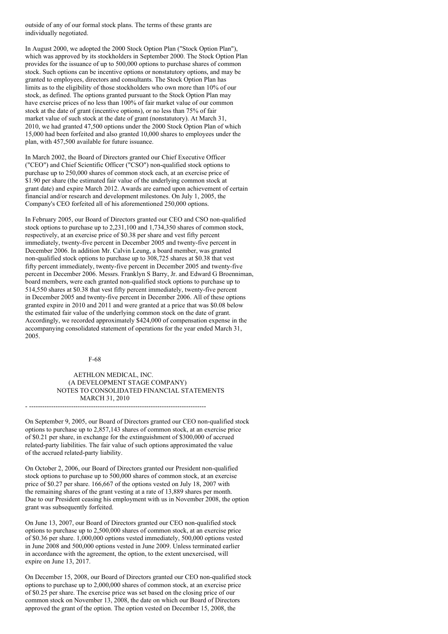outside of any of our formal stock plans. The terms of these grants are individually negotiated.

In August 2000, we adopted the 2000 Stock Option Plan ("Stock Option Plan"), which was approved by its stockholders in September 2000. The Stock Option Plan provides for the issuance of up to 500,000 options to purchase shares of common stock. Such options can be incentive options or nonstatutory options, and may be granted to employees, directors and consultants. The Stock Option Plan has limits as to the eligibility of those stockholders who own more than 10% of our stock, as defined. The options granted pursuant to the Stock Option Plan may have exercise prices of no less than 100% of fair market value of our common stock at the date of grant (incentive options), or no less than 75% of fair market value of such stock at the date of grant (nonstatutory). At March 31, 2010, we had granted 47,500 options under the 2000 Stock Option Plan of which 15,000 had been forfeited and also granted 10,000 shares to employees under the plan, with 457,500 available for future issuance.

In March 2002, the Board of Directors granted our Chief Executive Officer ("CEO") and Chief Scientific Officer ("CSO") non-qualified stock options to purchase up to 250,000 shares of common stock each, at an exercise price of \$1.90 per share (the estimated fair value of the underlying common stock at grant date) and expire March 2012. Awards are earned upon achievement of certain financial and/or research and development milestones. On July 1, 2005, the Company's CEO forfeited all of his aforementioned 250,000 options.

In February 2005, our Board of Directors granted our CEO and CSO non-qualified stock options to purchase up to 2,231,100 and 1,734,350 shares of common stock, respectively, at an exercise price of \$0.38 per share and vest fifty percent immediately, twenty-five percent in December 2005 and twenty-five percent in December 2006. In addition Mr. Calvin Leung, a board member, was granted non-qualified stock options to purchase up to 308,725 shares at \$0.38 that vest fifty percent immediately, twenty-five percent in December 2005 and twenty-five percent in December 2006. Messrs. Franklyn S Barry, Jr. and Edward G Broenniman, board members, were each granted non-qualified stock options to purchase up to 514,550 shares at \$0.38 that vest fifty percent immediately, twenty-five percent in December 2005 and twenty-five percent in December 2006. All of these options granted expire in 2010 and 2011 and were granted at a price that was \$0.08 below the estimated fair value of the underlying common stock on the date of grant. Accordingly, we recorded approximately \$424,000 of compensation expense in the accompanying consolidated statement of operations for the year ended March 31, 2005.

F-68

AETHLON MEDICAL, INC. (A DEVELOPMENT STAGE COMPANY) NOTES TO CONSOLIDATED FINANCIAL STATEMENTS MARCH 31, 2010 - --------------------------------------------------------------------------------

On September 9, 2005, our Board of Directors granted our CEO non-qualified stock options to purchase up to 2,857,143 shares of common stock, at an exercise price of \$0.21 per share, in exchange for the extinguishment of \$300,000 of accrued related-party liabilities. The fair value of such options approximated the value of the accrued related-party liability.

On October 2, 2006, our Board of Directors granted our President non-qualified stock options to purchase up to 500,000 shares of common stock, at an exercise price of \$0.27 per share. 166,667 of the options vested on July 18, 2007 with the remaining shares of the grant vesting at a rate of 13,889 shares per month. Due to our President ceasing his employment with us in November 2008, the option grant was subsequently forfeited.

On June 13, 2007, our Board of Directors granted our CEO non-qualified stock options to purchase up to 2,500,000 shares of common stock, at an exercise price of \$0.36 per share. 1,000,000 options vested immediately, 500,000 options vested in June 2008 and 500,000 options vested in June 2009. Unless terminated earlier in accordance with the agreement, the option, to the extent unexercised, will expire on June 13, 2017.

On December 15, 2008, our Board of Directors granted our CEO non-qualified stock options to purchase up to 2,000,000 shares of common stock, at an exercise price of \$0.25 per share. The exercise price was set based on the closing price of our common stock on November 13, 2008, the date on which our Board of Directors approved the grant of the option. The option vested on December 15, 2008, the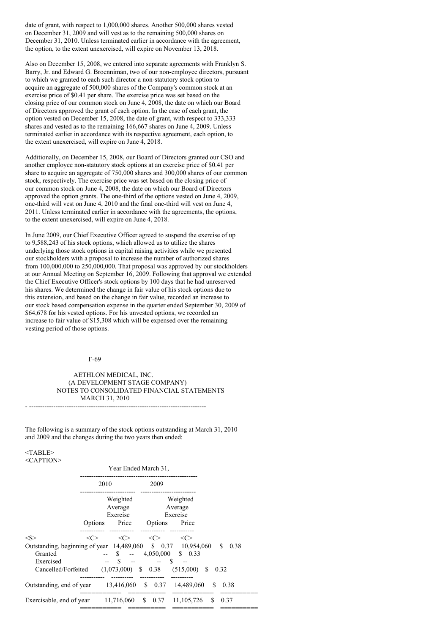date of grant, with respect to 1,000,000 shares. Another 500,000 shares vested on December 31, 2009 and will vest as to the remaining 500,000 shares on December 31, 2010. Unless terminated earlier in accordance with the agreement, the option, to the extent unexercised, will expire on November 13, 2018.

Also on December 15, 2008, we entered into separate agreements with Franklyn S. Barry, Jr. and Edward G. Broenniman, two of our non-employee directors, pursuant to which we granted to each such director a non-statutory stock option to acquire an aggregate of 500,000 shares of the Company's common stock at an exercise price of \$0.41 per share. The exercise price was set based on the closing price of our common stock on June 4, 2008, the date on which our Board of Directors approved the grant of each option. In the case of each grant, the option vested on December 15, 2008, the date of grant, with respect to 333,333 shares and vested as to the remaining 166,667 shares on June 4, 2009. Unless terminated earlier in accordance with its respective agreement, each option, to the extent unexercised, will expire on June 4, 2018.

Additionally, on December 15, 2008, our Board of Directors granted our CSO and another employee non-statutory stock options at an exercise price of \$0.41 per share to acquire an aggregate of 750,000 shares and 300,000 shares of our common stock, respectively. The exercise price was set based on the closing price of our common stock on June 4, 2008, the date on which our Board of Directors approved the option grants. The one-third of the options vested on June 4, 2009, one-third will vest on June 4, 2010 and the final one-third will vest on June 4, 2011. Unless terminated earlier in accordance with the agreements, the options, to the extent unexercised, will expire on June 4, 2018.

In June 2009, our Chief Executive Officer agreed to suspend the exercise of up to 9,588,243 of his stock options, which allowed us to utilize the shares underlying those stock options in capital raising activities while we presented our stockholders with a proposal to increase the number of authorized shares from 100,000,000 to 250,000,000. That proposal was approved by our stockholders at our Annual Meeting on September 16, 2009. Following that approval we extended the Chief Executive Officer's stock options by 100 days that he had unreserved his shares. We determined the change in fair value of his stock options due to this extension, and based on the change in fair value, recorded an increase to our stock based compensation expense in the quarter ended September 30, 2009 of \$64,678 for his vested options. For his unvested options, we recorded an increase to fair value of \$15,308 which will be expensed over the remaining vesting period of those options.

F-69

AETHLON MEDICAL, INC. (A DEVELOPMENT STAGE COMPANY) NOTES TO CONSOLIDATED FINANCIAL STATEMENTS MARCH 31, 2010 - --------------------------------------------------------------------------------

The following is a summary of the stock options outstanding at March 31, 2010 and 2009 and the changes during the two years then ended:

 $<$ TABLE $>$ <CAPTION>

|                                                                                                                                                                       |                                                                                                                                     | Year Ended March 31,    |                   |                     |      |
|-----------------------------------------------------------------------------------------------------------------------------------------------------------------------|-------------------------------------------------------------------------------------------------------------------------------------|-------------------------|-------------------|---------------------|------|
|                                                                                                                                                                       | 2010                                                                                                                                |                         | 2009              |                     |      |
|                                                                                                                                                                       | Options Price Options Price                                                                                                         | Average<br>Exercise     | Weighted Weighted | Average<br>Exercise |      |
| $<\!\!S\!\!>$<br>Outstanding, beginning of year 14,489,060 \$ 0.37 10,954,060 \$<br>Granted<br>Exercised<br>Cancelled/Forfeited (1,073,000) \$ 0.38 (515,000) \$ 0.32 | ---- -----------<br>$\langle C \rangle$ $\langle C \rangle$ $\langle C \rangle$ $\langle C \rangle$<br>$-$ \$ $-$ 4,050,000 \$ 0.33 |                         | $-$ \$ $-$ - \$   |                     | 0.38 |
| Outstanding, end of year 13,416,060 \$ 0.37 14,489,060 \$                                                                                                             |                                                                                                                                     | ----------- ----------- |                   |                     | 0.38 |
| Exercisable, end of year 11,716,060 \$ 0.37 11,105,726 \$ 0.37                                                                                                        |                                                                                                                                     |                         |                   |                     |      |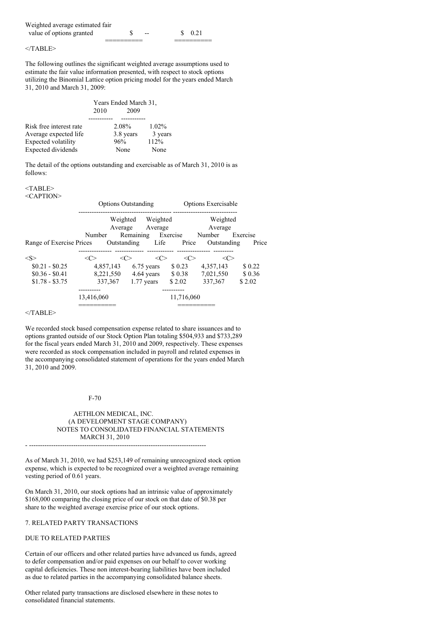| Weighted average estimated fair |       |         |
|---------------------------------|-------|---------|
| value of options granted        | $- -$ | \$ 0.21 |
|                                 |       |         |

 $<$ /TABLE>

The following outlines the significant weighted average assumptions used to estimate the fair value information presented, with respect to stock options utilizing the Binomial Lattice option pricing model for the years ended March 31, 2010 and March 31, 2009:

# Years Ended March 31, 2010 2009 ----------- ----------- Risk free interest rate  $2.08\%$  1.02% Average expected life 3.8 years 3 years Expected volatility 96% 112% Expected dividends None None

The detail of the options outstanding and exercisable as of March 31, 2010 is as follows:

#### <TABLE>  $\epsilon$ CAPTIONS

|                          |            | <b>Options Outstanding</b> |                     |            | Options Exercisable |          |  |
|--------------------------|------------|----------------------------|---------------------|------------|---------------------|----------|--|
|                          | Average    | Weighted                   | Weighted<br>Average |            | Weighted<br>Average |          |  |
|                          | Number     | Remaining                  | Exercise            |            | Number              | Exercise |  |
| Range of Exercise Prices |            | Outstanding                | Life                | Price      | Outstanding         | Price    |  |
| < S >                    | <(`>       | <c></c>                    | <<>                 | <<>        | <<>                 |          |  |
| $$0.21 - $0.25$          | 4,857,143  | 6.75 years                 | \$ 0.23             |            | 4.357.143           | \$0.22   |  |
| $$0.36 - $0.41$          | 8,221,550  | 4.64 years                 | \$0.38              |            | 7,021,550           | \$0.36   |  |
| $$1.78 - $3.75$          | 337, 367   | $1.77$ years               | \$2.02              |            | 337,367             | \$2.02   |  |
|                          |            |                            |                     |            |                     |          |  |
|                          | 13,416,060 |                            |                     | 11,716,060 |                     |          |  |
|                          | -------    |                            |                     |            |                     |          |  |

# </TABLE>

We recorded stock based compensation expense related to share issuances and to options granted outside of our Stock Option Plan totaling \$504,933 and \$733,289 for the fiscal years ended March 31, 2010 and 2009, respectively. These expenses were recorded as stock compensation included in payroll and related expenses in the accompanying consolidated statement of operations for the years ended March 31, 2010 and 2009.

# F-70

### AETHLON MEDICAL, INC. (A DEVELOPMENT STAGE COMPANY) NOTES TO CONSOLIDATED FINANCIAL STATEMENTS MARCH 31, 2010 - --------------------------------------------------------------------------------

As of March 31, 2010, we had \$253,149 of remaining unrecognized stock option expense, which is expected to be recognized over a weighted average remaining vesting period of 0.61 years.

On March 31, 2010, our stock options had an intrinsic value of approximately \$168,000 comparing the closing price of our stock on that date of \$0.38 per share to the weighted average exercise price of our stock options.

# 7. RELATED PARTY TRANSACTIONS

# DUE TO RELATED PARTIES

Certain of our officers and other related parties have advanced us funds, agreed to defer compensation and/or paid expenses on our behalf to cover working capital deficiencies. These non interest-bearing liabilities have been included as due to related parties in the accompanying consolidated balance sheets.

Other related party transactions are disclosed elsewhere in these notes to consolidated financial statements.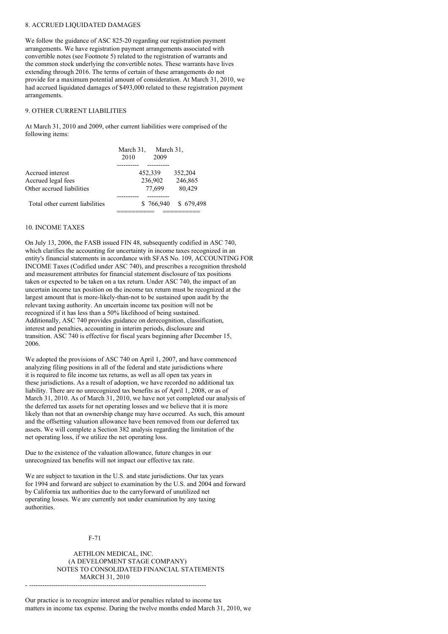# 8. ACCRUED LIQUIDATED DAMAGES

We follow the guidance of ASC 825-20 regarding our registration payment arrangements. We have registration payment arrangements associated with convertible notes (see Footnote 5) related to the registration of warrants and the common stock underlying the convertible notes. These warrants have lives extending through 2016. The terms of certain of these arrangements do not provide for a maximum potential amount of consideration. At March 31, 2010, we had accrued liquidated damages of \$493,000 related to these registration payment arrangements.

# 9. OTHER CURRENT LIABILITIES

At March 31, 2010 and 2009, other current liabilities were comprised of the following items:

|                                 | March 31,<br>2010 | March 31.<br>2009 |         |           |
|---------------------------------|-------------------|-------------------|---------|-----------|
|                                 |                   |                   |         |           |
| Accrued interest                | 452,339           |                   | 352,204 |           |
| Accrued legal fees              |                   | 236.902           |         | 246,865   |
| Other accrued liabilities       |                   | 77.699            |         | 80,429    |
|                                 |                   |                   |         |           |
| Total other current liabilities |                   | \$766,940         |         | \$679,498 |
|                                 |                   |                   |         |           |

### 10. INCOME TAXES

On July 13, 2006, the FASB issued FIN 48, subsequently codified in ASC 740, which clarifies the accounting for uncertainty in income taxes recognized in an entity's financial statements in accordance with SFAS No. 109, ACCOUNTING FOR INCOME Taxes (Codified under ASC 740), and prescribes a recognition threshold and measurement attributes for financial statement disclosure of tax positions taken or expected to be taken on a tax return. Under ASC 740, the impact of an uncertain income tax position on the income tax return must be recognized at the largest amount that is more-likely-than-not to be sustained upon audit by the relevant taxing authority. An uncertain income tax position will not be recognized if it has less than a 50% likelihood of being sustained. Additionally, ASC 740 provides guidance on derecognition, classification, interest and penalties, accounting in interim periods, disclosure and transition. ASC 740 is effective for fiscal years beginning after December 15, 2006.

We adopted the provisions of ASC 740 on April 1, 2007, and have commenced analyzing filing positions in all of the federal and state jurisdictions where it is required to file income tax returns, as well as all open tax years in these jurisdictions. As a result of adoption, we have recorded no additional tax liability. There are no unrecognized tax benefits as of April 1, 2008, or as of March 31, 2010. As of March 31, 2010, we have not yet completed our analysis of the deferred tax assets for net operating losses and we believe that it is more likely than not that an ownership change may have occurred. As such, this amount and the offsetting valuation allowance have been removed from our deferred tax assets. We will complete a Section 382 analysis regarding the limitation of the net operating loss, if we utilize the net operating loss.

Due to the existence of the valuation allowance, future changes in our unrecognized tax benefits will not impact our effective tax rate.

We are subject to taxation in the U.S. and state jurisdictions. Our tax years for 1994 and forward are subject to examination by the U.S. and 2004 and forward by California tax authorities due to the carryforward of unutilized net operating losses. We are currently not under examination by any taxing authorities.

# F-71

AETHLON MEDICAL, INC. (A DEVELOPMENT STAGE COMPANY) NOTES TO CONSOLIDATED FINANCIAL STATEMENTS MARCH 31, 2010 - --------------------------------------------------------------------------------

Our practice is to recognize interest and/or penalties related to income tax matters in income tax expense. During the twelve months ended March 31, 2010, we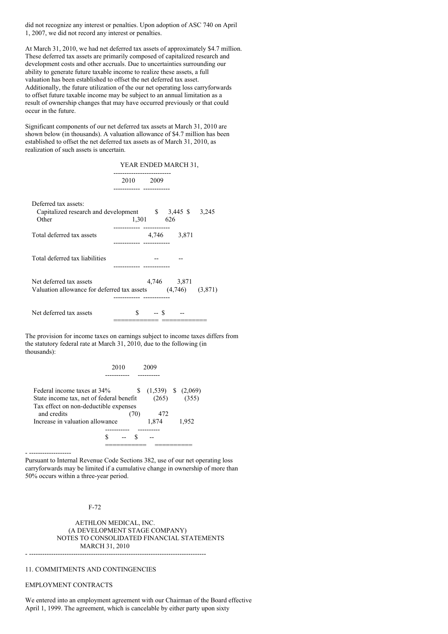did not recognize any interest or penalties. Upon adoption of ASC 740 on April 1, 2007, we did not record any interest or penalties.

At March 31, 2010, we had net deferred tax assets of approximately \$4.7 million. These deferred tax assets are primarily composed of capitalized research and development costs and other accruals. Due to uncertainties surrounding our ability to generate future taxable income to realize these assets, a full valuation has been established to offset the net deferred tax asset. Additionally, the future utilization of the our net operating loss carryforwards to offset future taxable income may be subject to an annual limitation as a result of ownership changes that may have occurred previously or that could occur in the future.

Significant components of our net deferred tax assets at March 31, 2010 are shown below (in thousands). A valuation allowance of \$4.7 million has been established to offset the net deferred tax assets as of March 31, 2010, as realization of such assets is uncertain.

|                                                                                               | YEAR ENDED MARCH 31, |                                            |             |       |  |
|-----------------------------------------------------------------------------------------------|----------------------|--------------------------------------------|-------------|-------|--|
|                                                                                               | 2010 2009            |                                            |             |       |  |
| Deferred tax assets:<br>Capitalized research and development $\qquad$ \$ 3,445 \, \$<br>Other |                      | 1,301 626                                  |             | 3,245 |  |
| Total deferred tax assets                                                                     |                      |                                            | 4,746 3,871 |       |  |
| Total deferred tax liabilities                                                                |                      |                                            |             |       |  |
| Net deferred tax assets<br>Valuation allowance for deferred tax assets $(4,746)$ $(3,871)$    |                      |                                            | 4,746 3,871 |       |  |
| Net deferred tax assets                                                                       |                      | $\text{\textbf{s}} \sim \text{\textbf{s}}$ |             |       |  |

The provision for income taxes on earnings subject to income taxes differs from the statutory federal rate at March 31, 2010, due to the following (in thousands):

|                                                                                                                  | 2010 |      | 2009         |                        |
|------------------------------------------------------------------------------------------------------------------|------|------|--------------|------------------------|
|                                                                                                                  |      |      |              |                        |
| Federal income taxes at 34%<br>State income tax, net of federal benefit<br>Tax effect on non-deductible expenses |      | S    | (265)        | $(1,539)$ \$ $(2,069)$ |
| and credits<br>Increase in valuation allowance                                                                   |      | (70) | 472<br>1,874 | 1,952                  |
|                                                                                                                  |      |      |              |                        |

Pursuant to Internal Revenue Code Sections 382, use of our net operating loss carryforwards may be limited if a cumulative change in ownership of more than 50% occurs within a three-year period.

## F-72

AETHLON MEDICAL, INC. (A DEVELOPMENT STAGE COMPANY) NOTES TO CONSOLIDATED FINANCIAL STATEMENTS MARCH 31, 2010 - --------------------------------------------------------------------------------

#### 11. COMMITMENTS AND CONTINGENCIES

#### EMPLOYMENT CONTRACTS

- -------------------

We entered into an employment agreement with our Chairman of the Board effective April 1, 1999. The agreement, which is cancelable by either party upon sixty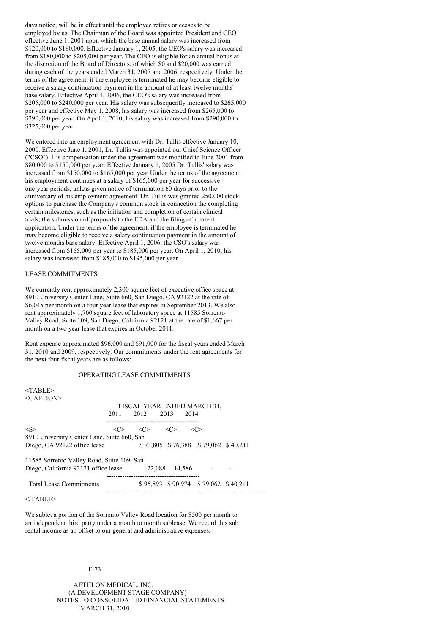days notice, will be in effect until the employee retires or ceases to be employed by us. The Chairman of the Board was appointed President and CEO effective June 1, 2001 upon which the base annual salary was increased from \$120,000 to \$180,000. Effective January 1, 2005, the CEO's salary was increased from \$180,000 to \$205,000 per year. The CEO is eligible for an annual bonus at the discretion of the Board of Directors, of which \$0 and \$20,000 was earned during each of the years ended March 31, 2007 and 2006, respectively. Under the terms of the agreement, if the employee is terminated he may become eligible to receive a salary continuation payment in the amount of at least twelve months' base salary. Effective April 1, 2006, the CEO's salary was increased from \$205,000 to \$240,000 per year. His salary was subsequently increased to \$265,000 per year and effective May 1, 2008, his salary was increased from \$265,000 to \$290,000 per year. On April 1, 2010, his salary was increased from \$290,000 to \$325,000 per year.

We entered into an employment agreement with Dr. Tullis effective January 10, 2000. Effective June 1, 2001, Dr. Tullis was appointed our Chief Science Officer ("CSO"). His compensation under the agreement was modified in June 2001 from \$80,000 to \$150,000 per year. Effective January 1, 2005 Dr. Tullis' salary was increased from \$150,000 to \$165,000 per year Under the terms of the agreement, his employment continues at a salary of \$165,000 per year for successive one-year periods, unless given notice of termination 60 days prior to the anniversary of his employment agreement. Dr. Tullis was granted 250,000 stock options to purchase the Company's common stock in connection the completing certain milestones, such as the initiation and completion of certain clinical trials, the submission of proposals to the FDA and the filing of a patent application. Under the terms of the agreement, if the employee is terminated he may become eligible to receive a salary continuation payment in the amount of twelve months base salary. Effective April 1, 2006, the CSO's salary was increased from \$165,000 per year to \$185,000 per year. On April 1, 2010, his salary was increased from \$185,000 to \$195,000 per year.

### LEASE COMMITMENTS

We currently rent approximately 2,300 square feet of executive office space at 8910 University Center Lane, Suite 660, San Diego, CA 92122 at the rate of \$6,045 per month on a four year lease that expires in September 2013. We also rent approximately 1,700 square feet of laboratory space at 11585 Sorrento Valley Road, Suite 109, San Diego, California 92121 at the rate of \$1,667 per month on a two year lease that expires in October 2011.

Rent expense approximated \$96,000 and \$91,000 for the fiscal years ended March 31, 2010 and 2009, respectively. Our commitments under the rent agreements for the next four fiscal years are as follows:

# OPERATING LEASE COMMITMENTS

| $<$ TABLE>                                  |                                                     |
|---------------------------------------------|-----------------------------------------------------|
| <caption></caption>                         |                                                     |
|                                             | FISCAL YEAR ENDED MARCH 31,                         |
|                                             | 2012<br>2013<br>2014<br>2011                        |
| <s></s>                                     | -------------------------------<br><<<br><<<br><(`> |
| 8910 University Center Lane, Suite 660, San |                                                     |
| Diego, CA 92122 office lease                | \$73,805 \$76,388 \$79,062 \$40,211                 |
| 11585 Sorrento Valley Road, Suite 109, San  |                                                     |
| Diego, California 92121 office lease        | 22,088<br>14.586                                    |
| <b>Total Lease Commitments</b>              | \$95,893 \$90,974 \$79,062 \$40,211                 |
|                                             |                                                     |

 $<$ /TABLE>

We sublet a portion of the Sorrento Valley Road location for \$500 per month to an independent third party under a month to month sublease. We record this sub rental income as an offset to our general and administrative expenses.

# F-73

AETHLON MEDICAL, INC. (A DEVELOPMENT STAGE COMPANY) NOTES TO CONSOLIDATED FINANCIAL STATEMENTS MARCH 31, 2010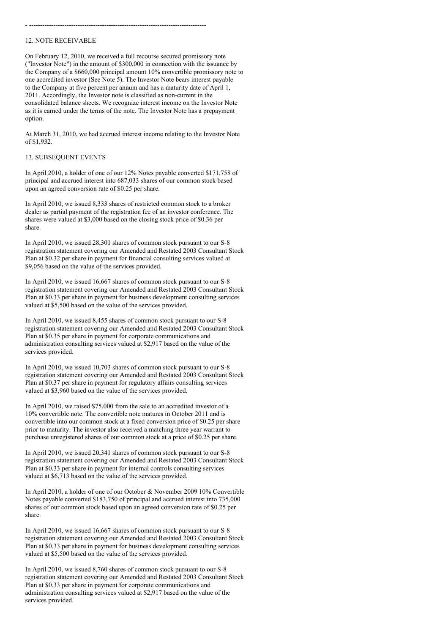### 12. NOTE RECEIVABLE

On February 12, 2010, we received a full recourse secured promissory note ("Investor Note") in the amount of \$300,000 in connection with the issuance by the Company of a \$660,000 principal amount 10% convertible promissory note to one accredited investor (See Note 5). The Investor Note bears interest payable to the Company at five percent per annum and has a maturity date of April 1, 2011. Accordingly, the Investor note is classified as non-current in the consolidated balance sheets. We recognize interest income on the Investor Note as it is earned under the terms of the note. The Investor Note has a prepayment option.

- --------------------------------------------------------------------------------

At March 31, 2010, we had accrued interest income relating to the Investor Note of \$1,932.

### 13. SUBSEQUENT EVENTS

In April 2010, a holder of one of our 12% Notes payable converted \$171,758 of principal and accrued interest into 687,033 shares of our common stock based upon an agreed conversion rate of \$0.25 per share.

In April 2010, we issued 8,333 shares of restricted common stock to a broker dealer as partial payment of the registration fee of an investor conference. The shares were valued at \$3,000 based on the closing stock price of \$0.36 per share.

In April 2010, we issued 28,301 shares of common stock pursuant to our S-8 registration statement covering our Amended and Restated 2003 Consultant Stock Plan at \$0.32 per share in payment for financial consulting services valued at \$9,056 based on the value of the services provided.

In April 2010, we issued 16,667 shares of common stock pursuant to our S-8 registration statement covering our Amended and Restated 2003 Consultant Stock Plan at \$0.33 per share in payment for business development consulting services valued at \$5,500 based on the value of the services provided.

In April 2010, we issued 8,455 shares of common stock pursuant to our S-8 registration statement covering our Amended and Restated 2003 Consultant Stock Plan at \$0.35 per share in payment for corporate communications and administration consulting services valued at \$2,917 based on the value of the services provided.

In April 2010, we issued 10,703 shares of common stock pursuant to our S-8 registration statement covering our Amended and Restated 2003 Consultant Stock Plan at \$0.37 per share in payment for regulatory affairs consulting services valued at \$3,960 based on the value of the services provided.

In April 2010, we raised \$75,000 from the sale to an accredited investor of a 10% convertible note. The convertible note matures in October 2011 and is convertible into our common stock at a fixed conversion price of \$0.25 per share prior to maturity. The investor also received a matching three year warrant to purchase unregistered shares of our common stock at a price of \$0.25 per share.

In April 2010, we issued 20,341 shares of common stock pursuant to our S-8 registration statement covering our Amended and Restated 2003 Consultant Stock Plan at \$0.33 per share in payment for internal controls consulting services valued at \$6,713 based on the value of the services provided.

In April 2010, a holder of one of our October & November 2009 10% Convertible Notes payable converted \$183,750 of principal and accrued interest into 735,000 shares of our common stock based upon an agreed conversion rate of \$0.25 per share.

In April 2010, we issued 16,667 shares of common stock pursuant to our S-8 registration statement covering our Amended and Restated 2003 Consultant Stock Plan at \$0.33 per share in payment for business development consulting services valued at \$5,500 based on the value of the services provided.

In April 2010, we issued 8,760 shares of common stock pursuant to our S-8 registration statement covering our Amended and Restated 2003 Consultant Stock Plan at \$0.33 per share in payment for corporate communications and administration consulting services valued at \$2,917 based on the value of the services provided.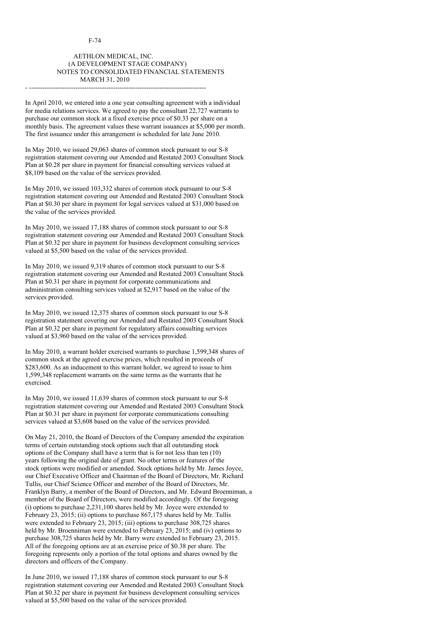### AETHLON MEDICAL, INC. (A DEVELOPMENT STAGE COMPANY) NOTES TO CONSOLIDATED FINANCIAL STATEMENTS MARCH 31, 2010

#### - --------------------------------------------------------------------------------

In April 2010, we entered into a one year consulting agreement with a individual for media relations services. We agreed to pay the consultant 22,727 warrants to purchase our common stock at a fixed exercise price of \$0.33 per share on a monthly basis. The agreement values these warrant issuances at \$5,000 per month. The first issuance under this arrangement is scheduled for late June 2010.

In May 2010, we issued 29,063 shares of common stock pursuant to our S-8 registration statement covering our Amended and Restated 2003 Consultant Stock Plan at \$0.28 per share in payment for financial consulting services valued at \$8,109 based on the value of the services provided.

In May 2010, we issued 103,332 shares of common stock pursuant to our S-8 registration statement covering our Amended and Restated 2003 Consultant Stock Plan at \$0.30 per share in payment for legal services valued at \$31,000 based on the value of the services provided.

In May 2010, we issued 17,188 shares of common stock pursuant to our S-8 registration statement covering our Amended and Restated 2003 Consultant Stock Plan at \$0.32 per share in payment for business development consulting services valued at \$5,500 based on the value of the services provided.

In May 2010, we issued 9,319 shares of common stock pursuant to our S-8 registration statement covering our Amended and Restated 2003 Consultant Stock Plan at \$0.31 per share in payment for corporate communications and administration consulting services valued at \$2,917 based on the value of the services provided.

In May 2010, we issued 12,375 shares of common stock pursuant to our S-8 registration statement covering our Amended and Restated 2003 Consultant Stock Plan at \$0.32 per share in payment for regulatory affairs consulting services valued at \$3,960 based on the value of the services provided.

In May 2010, a warrant holder exercised warrants to purchase 1,599,348 shares of common stock at the agreed exercise prices, which resulted in proceeds of \$283,600. As an inducement to this warrant holder, we agreed to issue to him 1,599,348 replacement warrants on the same terms as the warrants that he exercised.

In May 2010, we issued 11,639 shares of common stock pursuant to our S-8 registration statement covering our Amended and Restated 2003 Consultant Stock Plan at \$0.31 per share in payment for corporate communications consulting services valued at \$3,608 based on the value of the services provided.

On May 21, 2010, the Board of Directors of the Company amended the expiration terms of certain outstanding stock options such that all outstanding stock options of the Company shall have a term that is for not less than ten (10) years following the original date of grant. No other terms or features of the stock options were modified or amended. Stock options held by Mr. James Joyce, our Chief Executive Officer and Chairman of the Board of Directors, Mr. Richard Tullis, our Chief Science Officer and member of the Board of Directors, Mr. Franklyn Barry, a member of the Board of Directors, and Mr. Edward Broenniman, a member of the Board of Directors, were modified accordingly. Of the foregoing (i) options to purchase 2,231,100 shares held by Mr. Joyce were extended to February 23, 2015; (ii) options to purchase 867,175 shares held by Mr. Tullis were extended to February 23, 2015; (iii) options to purchase 308,725 shares held by Mr. Broenniman were extended to February 23, 2015; and (iv) options to purchase 308,725 shares held by Mr. Barry were extended to February 23, 2015. All of the foregoing options are at an exercise price of \$0.38 per share. The foregoing represents only a portion of the total options and shares owned by the directors and officers of the Company.

In June 2010, we issued 17,188 shares of common stock pursuant to our S-8 registration statement covering our Amended and Restated 2003 Consultant Stock Plan at \$0.32 per share in payment for business development consulting services valued at \$5,500 based on the value of the services provided.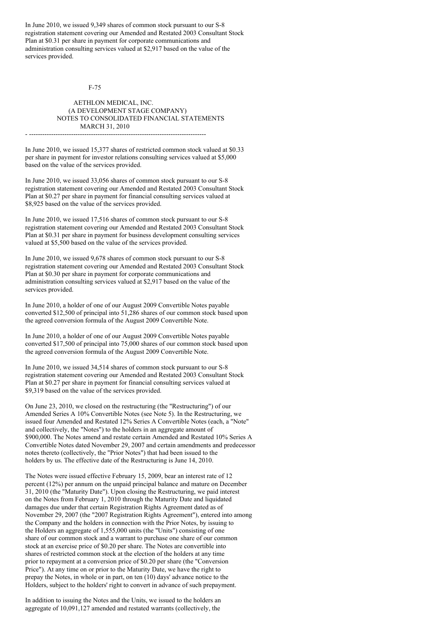In June 2010, we issued 9,349 shares of common stock pursuant to our S-8 registration statement covering our Amended and Restated 2003 Consultant Stock Plan at \$0.31 per share in payment for corporate communications and administration consulting services valued at \$2,917 based on the value of the services provided.

### F-75

### AETHLON MEDICAL, INC. (A DEVELOPMENT STAGE COMPANY) NOTES TO CONSOLIDATED FINANCIAL STATEMENTS MARCH 31, 2010 - --------------------------------------------------------------------------------

In June 2010, we issued 15,377 shares of restricted common stock valued at \$0.33 per share in payment for investor relations consulting services valued at \$5,000 based on the value of the services provided.

In June 2010, we issued 33,056 shares of common stock pursuant to our S-8 registration statement covering our Amended and Restated 2003 Consultant Stock Plan at \$0.27 per share in payment for financial consulting services valued at \$8,925 based on the value of the services provided.

In June 2010, we issued 17,516 shares of common stock pursuant to our S-8 registration statement covering our Amended and Restated 2003 Consultant Stock Plan at \$0.31 per share in payment for business development consulting services valued at \$5,500 based on the value of the services provided.

In June 2010, we issued 9,678 shares of common stock pursuant to our S-8 registration statement covering our Amended and Restated 2003 Consultant Stock Plan at \$0.30 per share in payment for corporate communications and administration consulting services valued at \$2,917 based on the value of the services provided.

In June 2010, a holder of one of our August 2009 Convertible Notes payable converted \$12,500 of principal into 51,286 shares of our common stock based upon the agreed conversion formula of the August 2009 Convertible Note.

In June 2010, a holder of one of our August 2009 Convertible Notes payable converted \$17,500 of principal into 75,000 shares of our common stock based upon the agreed conversion formula of the August 2009 Convertible Note.

In June 2010, we issued 34,514 shares of common stock pursuant to our S-8 registration statement covering our Amended and Restated 2003 Consultant Stock Plan at \$0.27 per share in payment for financial consulting services valued at \$9,319 based on the value of the services provided.

On June 23, 2010, we closed on the restructuring (the "Restructuring") of our Amended Series A 10% Convertible Notes (see Note 5). In the Restructuring, we issued four Amended and Restated 12% Series A Convertible Notes (each, a "Note" and collectively, the "Notes") to the holders in an aggregate amount of \$900,000. The Notes amend and restate certain Amended and Restated 10% Series A Convertible Notes dated November 29, 2007 and certain amendments and predecessor notes thereto (collectively, the "Prior Notes") that had been issued to the holders by us. The effective date of the Restructuring is June 14, 2010.

The Notes were issued effective February 15, 2009, bear an interest rate of 12 percent (12%) per annum on the unpaid principal balance and mature on December 31, 2010 (the "Maturity Date"). Upon closing the Restructuring, we paid interest on the Notes from February 1, 2010 through the Maturity Date and liquidated damages due under that certain Registration Rights Agreement dated as of November 29, 2007 (the "2007 Registration Rights Agreement"), entered into among the Company and the holders in connection with the Prior Notes, by issuing to the Holders an aggregate of 1,555,000 units (the "Units") consisting of one share of our common stock and a warrant to purchase one share of our common stock at an exercise price of \$0.20 per share. The Notes are convertible into shares of restricted common stock at the election of the holders at any time prior to repayment at a conversion price of \$0.20 per share (the "Conversion Price"). At any time on or prior to the Maturity Date, we have the right to prepay the Notes, in whole or in part, on ten (10) days' advance notice to the Holders, subject to the holders' right to convert in advance of such prepayment.

In addition to issuing the Notes and the Units, we issued to the holders an aggregate of 10,091,127 amended and restated warrants (collectively, the